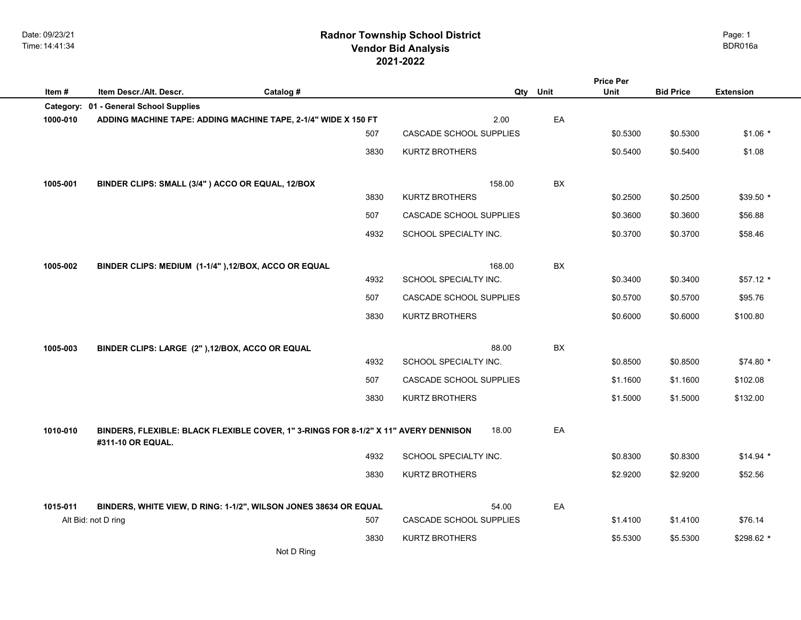## **2021-2022 Radnor Township School District Vendor Bid Analysis** BDR016a

Page: 1

| Item#     | Item Descr./Alt. Descr.                                                                                  | Catalog # |      | Qty                     | Unit | <b>Price Per</b><br>Unit | <b>Bid Price</b> | <b>Extension</b> |
|-----------|----------------------------------------------------------------------------------------------------------|-----------|------|-------------------------|------|--------------------------|------------------|------------------|
| Category: | 01 - General School Supplies                                                                             |           |      |                         |      |                          |                  |                  |
| 1000-010  | ADDING MACHINE TAPE: ADDING MACHINE TAPE, 2-1/4" WIDE X 150 FT                                           |           |      | 2.00                    | EA   |                          |                  |                  |
|           |                                                                                                          |           | 507  | CASCADE SCHOOL SUPPLIES |      | \$0.5300                 | \$0.5300         | $$1.06*$         |
|           |                                                                                                          |           | 3830 | <b>KURTZ BROTHERS</b>   |      | \$0.5400                 | \$0.5400         | \$1.08           |
| 1005-001  | BINDER CLIPS: SMALL (3/4") ACCO OR EQUAL, 12/BOX                                                         |           |      | 158.00                  | BX   |                          |                  |                  |
|           |                                                                                                          |           | 3830 | <b>KURTZ BROTHERS</b>   |      | \$0.2500                 | \$0.2500         | \$39.50 *        |
|           |                                                                                                          |           | 507  | CASCADE SCHOOL SUPPLIES |      | \$0.3600                 | \$0.3600         | \$56.88          |
|           |                                                                                                          |           | 4932 | SCHOOL SPECIALTY INC.   |      | \$0.3700                 | \$0.3700         | \$58.46          |
| 1005-002  | BINDER CLIPS: MEDIUM (1-1/4"), 12/BOX, ACCO OR EQUAL                                                     |           |      | 168.00                  | BX   |                          |                  |                  |
|           |                                                                                                          |           | 4932 | SCHOOL SPECIALTY INC.   |      | \$0.3400                 | \$0.3400         | $$57.12$ *       |
|           |                                                                                                          |           | 507  | CASCADE SCHOOL SUPPLIES |      | \$0.5700                 | \$0.5700         | \$95.76          |
|           |                                                                                                          |           | 3830 | KURTZ BROTHERS          |      | \$0.6000                 | \$0.6000         | \$100.80         |
| 1005-003  | BINDER CLIPS: LARGE (2"),12/BOX, ACCO OR EQUAL                                                           |           |      | 88.00                   | BX   |                          |                  |                  |
|           |                                                                                                          |           | 4932 | SCHOOL SPECIALTY INC.   |      | \$0.8500                 | \$0.8500         | $$74.80*$        |
|           |                                                                                                          |           | 507  | CASCADE SCHOOL SUPPLIES |      | \$1.1600                 | \$1.1600         | \$102.08         |
|           |                                                                                                          |           | 3830 | <b>KURTZ BROTHERS</b>   |      | \$1.5000                 | \$1.5000         | \$132.00         |
| 1010-010  | BINDERS, FLEXIBLE: BLACK FLEXIBLE COVER, 1" 3-RINGS FOR 8-1/2" X 11" AVERY DENNISON<br>#311-10 OR EQUAL. |           |      | 18.00                   | EA   |                          |                  |                  |
|           |                                                                                                          |           | 4932 | SCHOOL SPECIALTY INC.   |      | \$0.8300                 | \$0.8300         | $$14.94$ *       |
|           |                                                                                                          |           | 3830 | <b>KURTZ BROTHERS</b>   |      | \$2.9200                 | \$2.9200         | \$52.56          |
| 1015-011  | BINDERS, WHITE VIEW, D RING: 1-1/2", WILSON JONES 38634 OR EQUAL                                         |           |      | 54.00                   | EA   |                          |                  |                  |
|           | Alt Bid: not D ring                                                                                      |           | 507  | CASCADE SCHOOL SUPPLIES |      | \$1.4100                 | \$1.4100         | \$76.14          |
|           |                                                                                                          |           | 3830 | <b>KURTZ BROTHERS</b>   |      | \$5.5300                 | \$5.5300         | \$298.62 *       |

Not D Ring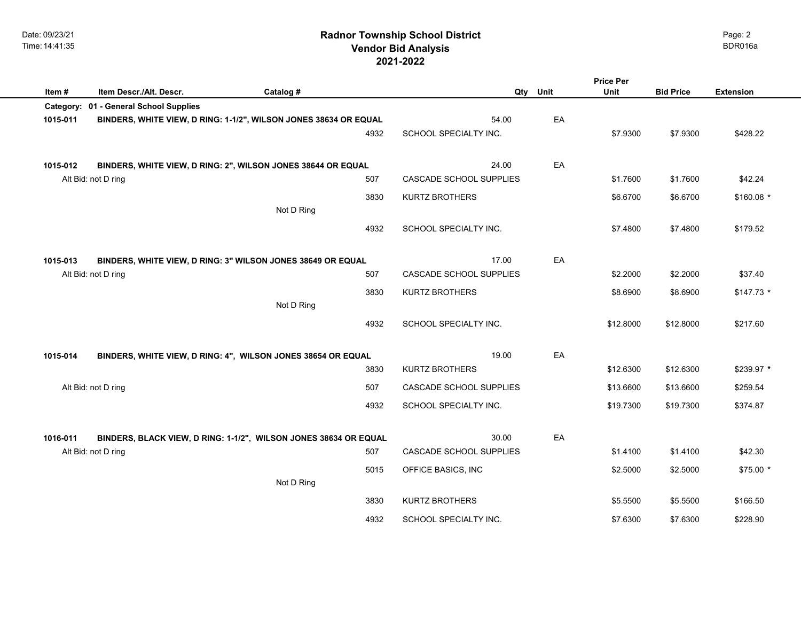## **2021-2022 Radnor Township School District Vendor Bid Analysis** BDR016a

|          |                                                              |                                                                  | <b>Price Per</b>               |      |           |                  |                  |  |
|----------|--------------------------------------------------------------|------------------------------------------------------------------|--------------------------------|------|-----------|------------------|------------------|--|
| Item #   | Item Descr./Alt. Descr.                                      | Catalog #                                                        | Qty                            | Unit | Unit      | <b>Bid Price</b> | <b>Extension</b> |  |
|          | Category: 01 - General School Supplies                       |                                                                  |                                |      |           |                  |                  |  |
| 1015-011 |                                                              | BINDERS, WHITE VIEW, D RING: 1-1/2", WILSON JONES 38634 OR EQUAL | 54.00                          | EA   |           |                  |                  |  |
|          |                                                              | 4932                                                             | SCHOOL SPECIALTY INC.          |      | \$7.9300  | \$7.9300         | \$428.22         |  |
|          |                                                              |                                                                  |                                |      |           |                  |                  |  |
| 1015-012 | BINDERS, WHITE VIEW, D RING: 2", WILSON JONES 38644 OR EQUAL |                                                                  | 24.00                          | EA   |           |                  |                  |  |
|          | Alt Bid: not D ring                                          | 507                                                              | <b>CASCADE SCHOOL SUPPLIES</b> |      | \$1.7600  | \$1.7600         | \$42.24          |  |
|          |                                                              | 3830                                                             | <b>KURTZ BROTHERS</b>          |      | \$6.6700  | \$6.6700         | $$160.08$ *      |  |
|          |                                                              | Not D Ring                                                       |                                |      |           |                  |                  |  |
|          |                                                              | 4932                                                             | SCHOOL SPECIALTY INC.          |      | \$7.4800  | \$7,4800         | \$179.52         |  |
|          |                                                              |                                                                  |                                |      |           |                  |                  |  |
| 1015-013 | BINDERS, WHITE VIEW, D RING: 3" WILSON JONES 38649 OR EQUAL  |                                                                  | 17.00                          | EA   |           |                  |                  |  |
|          | Alt Bid: not D ring                                          | 507                                                              | CASCADE SCHOOL SUPPLIES        |      | \$2.2000  | \$2.2000         | \$37.40          |  |
|          |                                                              | 3830                                                             | <b>KURTZ BROTHERS</b>          |      | \$8.6900  | \$8.6900         | \$147.73 *       |  |
|          |                                                              | Not D Ring                                                       |                                |      |           |                  |                  |  |
|          |                                                              |                                                                  |                                |      |           |                  |                  |  |
|          |                                                              | 4932                                                             | SCHOOL SPECIALTY INC.          |      | \$12.8000 | \$12.8000        | \$217.60         |  |
|          |                                                              |                                                                  |                                |      |           |                  |                  |  |
| 1015-014 | BINDERS, WHITE VIEW, D RING: 4", WILSON JONES 38654 OR EQUAL |                                                                  | 19.00                          | EA   |           |                  |                  |  |
|          |                                                              | 3830                                                             | KURTZ BROTHERS                 |      | \$12.6300 | \$12.6300        | \$239.97 *       |  |
|          | Alt Bid: not D ring                                          | 507                                                              | CASCADE SCHOOL SUPPLIES        |      | \$13.6600 | \$13.6600        | \$259.54         |  |
|          |                                                              | 4932                                                             | SCHOOL SPECIALTY INC.          |      | \$19.7300 | \$19.7300        | \$374.87         |  |
|          |                                                              |                                                                  |                                |      |           |                  |                  |  |
| 1016-011 |                                                              | BINDERS, BLACK VIEW, D RING: 1-1/2", WILSON JONES 38634 OR EQUAL | 30.00                          | EA   |           |                  |                  |  |
|          | Alt Bid: not D ring                                          | 507                                                              | CASCADE SCHOOL SUPPLIES        |      | \$1.4100  | \$1.4100         | \$42.30          |  |
|          |                                                              | 5015                                                             | OFFICE BASICS, INC             |      | \$2.5000  | \$2.5000         | \$75.00 *        |  |
|          |                                                              | Not D Ring                                                       |                                |      |           |                  |                  |  |
|          |                                                              | 3830                                                             | <b>KURTZ BROTHERS</b>          |      |           |                  | \$166.50         |  |
|          |                                                              |                                                                  |                                |      | \$5.5500  | \$5.5500         |                  |  |
|          |                                                              | 4932                                                             | SCHOOL SPECIALTY INC.          |      | \$7.6300  | \$7.6300         | \$228.90         |  |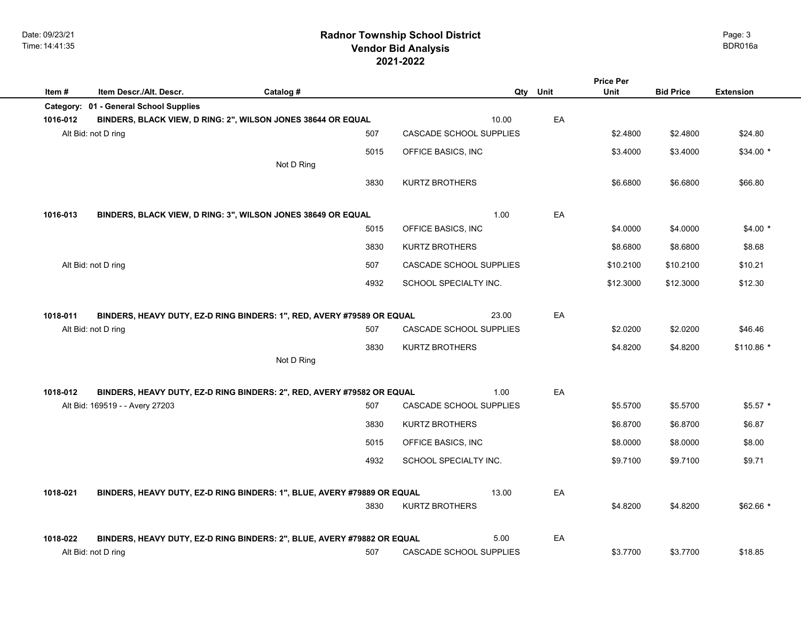|                                                                                     |            |      |                         |       |          | <b>Price Per</b><br><b>Unit</b> | <b>Bid Price</b> | <b>Extension</b> |
|-------------------------------------------------------------------------------------|------------|------|-------------------------|-------|----------|---------------------------------|------------------|------------------|
| Item Descr./Alt. Descr.<br>Item#<br>Category: 01 - General School Supplies          | Catalog #  |      |                         |       | Qty Unit |                                 |                  |                  |
| 1016-012<br>BINDERS, BLACK VIEW, D RING: 2", WILSON JONES 38644 OR EQUAL            |            |      |                         | 10.00 | EA       |                                 |                  |                  |
| Alt Bid: not D ring                                                                 |            | 507  | CASCADE SCHOOL SUPPLIES |       |          | \$2.4800                        | \$2.4800         | \$24.80          |
|                                                                                     | Not D Ring | 5015 | OFFICE BASICS, INC      |       |          | \$3.4000                        | \$3.4000         | $$34.00*$        |
|                                                                                     |            | 3830 | <b>KURTZ BROTHERS</b>   |       |          | \$6.6800                        | \$6.6800         | \$66.80          |
| 1016-013<br>BINDERS, BLACK VIEW, D RING: 3", WILSON JONES 38649 OR EQUAL            |            |      |                         | 1.00  | EA       |                                 |                  |                  |
|                                                                                     |            | 5015 | OFFICE BASICS, INC      |       |          | \$4.0000                        | \$4.0000         | $$4.00*$         |
|                                                                                     |            | 3830 | <b>KURTZ BROTHERS</b>   |       |          | \$8.6800                        | \$8.6800         | \$8.68           |
| Alt Bid: not D ring                                                                 |            | 507  | CASCADE SCHOOL SUPPLIES |       |          | \$10.2100                       | \$10.2100        | \$10.21          |
|                                                                                     |            | 4932 | SCHOOL SPECIALTY INC.   |       |          | \$12.3000                       | \$12.3000        | \$12.30          |
| 1018-011<br>BINDERS, HEAVY DUTY, EZ-D RING BINDERS: 1", RED, AVERY #79589 OR EQUAL  |            |      |                         | 23.00 | EA       |                                 |                  |                  |
| Alt Bid: not D ring                                                                 |            | 507  | CASCADE SCHOOL SUPPLIES |       |          | \$2.0200                        | \$2.0200         | \$46.46          |
|                                                                                     |            | 3830 | <b>KURTZ BROTHERS</b>   |       |          | \$4.8200                        | \$4.8200         | $$110.86$ *      |
|                                                                                     | Not D Ring |      |                         |       |          |                                 |                  |                  |
| 1018-012<br>BINDERS, HEAVY DUTY, EZ-D RING BINDERS: 2", RED, AVERY #79582 OR EQUAL  |            |      |                         | 1.00  | EA       |                                 |                  |                  |
| Alt Bid: 169519 - - Avery 27203                                                     |            | 507  | CASCADE SCHOOL SUPPLIES |       |          | \$5.5700                        | \$5.5700         | $$5.57$ *        |
|                                                                                     |            | 3830 | <b>KURTZ BROTHERS</b>   |       |          | \$6.8700                        | \$6.8700         | \$6.87           |
|                                                                                     |            | 5015 | OFFICE BASICS, INC      |       |          | \$8.0000                        | \$8.0000         | \$8.00           |
|                                                                                     |            | 4932 | SCHOOL SPECIALTY INC.   |       |          | \$9.7100                        | \$9.7100         | \$9.71           |
| 1018-021<br>BINDERS, HEAVY DUTY, EZ-D RING BINDERS: 1", BLUE, AVERY #79889 OR EQUAL |            |      |                         | 13.00 | EA       |                                 |                  |                  |
|                                                                                     |            | 3830 | <b>KURTZ BROTHERS</b>   |       |          | \$4.8200                        | \$4.8200         | $$62.66$ *       |
| 1018-022<br>BINDERS, HEAVY DUTY, EZ-D RING BINDERS: 2", BLUE, AVERY #79882 OR EQUAL |            |      |                         | 5.00  | EA       |                                 |                  |                  |
| Alt Bid: not D ring                                                                 |            | 507  | CASCADE SCHOOL SUPPLIES |       |          | \$3.7700                        | \$3.7700         | \$18.85          |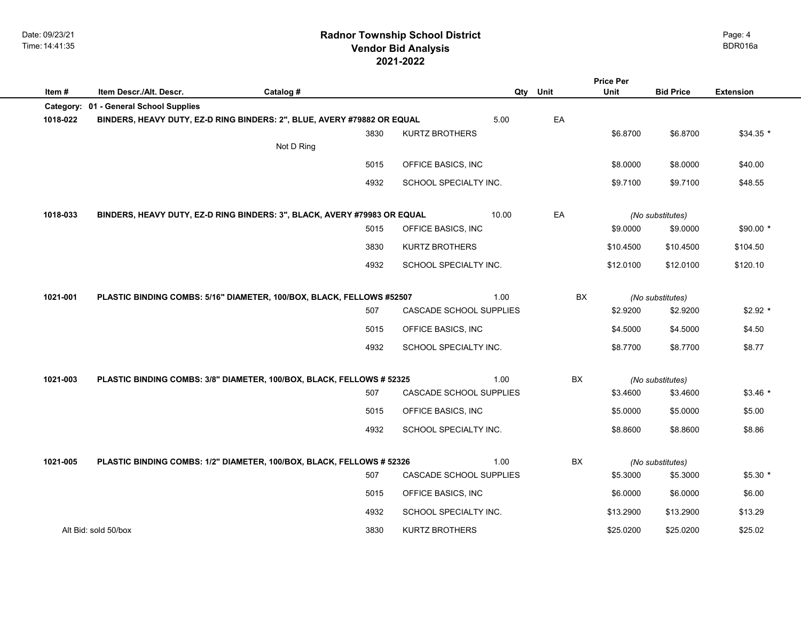|          |                                                                          |            |      |                         |       |      | <b>Price Per</b> |                  |                  |
|----------|--------------------------------------------------------------------------|------------|------|-------------------------|-------|------|------------------|------------------|------------------|
| Item#    | Item Descr./Alt. Descr.                                                  | Catalog #  |      |                         | Qty   | Unit | Unit             | <b>Bid Price</b> | <b>Extension</b> |
|          | Category: 01 - General School Supplies                                   |            |      |                         |       |      |                  |                  |                  |
| 1018-022 | BINDERS, HEAVY DUTY, EZ-D RING BINDERS: 2", BLUE, AVERY #79882 OR EQUAL  |            |      |                         | 5.00  | EA   |                  |                  |                  |
|          |                                                                          | Not D Ring | 3830 | <b>KURTZ BROTHERS</b>   |       |      | \$6.8700         | \$6.8700         | $$34.35$ *       |
|          |                                                                          |            |      |                         |       |      |                  |                  |                  |
|          |                                                                          |            | 5015 | OFFICE BASICS, INC      |       |      | \$8.0000         | \$8.0000         | \$40.00          |
|          |                                                                          |            | 4932 | SCHOOL SPECIALTY INC.   |       |      | \$9.7100         | \$9.7100         | \$48.55          |
|          |                                                                          |            |      |                         |       |      |                  |                  |                  |
| 1018-033 | BINDERS, HEAVY DUTY, EZ-D RING BINDERS: 3", BLACK, AVERY #79983 OR EQUAL |            |      |                         | 10.00 | EA   |                  | (No substitutes) |                  |
|          |                                                                          |            | 5015 | OFFICE BASICS, INC      |       |      | \$9.0000         | \$9.0000         | $$90.00*$        |
|          |                                                                          |            | 3830 | <b>KURTZ BROTHERS</b>   |       |      | \$10.4500        | \$10.4500        | \$104.50         |
|          |                                                                          |            | 4932 | SCHOOL SPECIALTY INC.   |       |      | \$12.0100        | \$12.0100        | \$120.10         |
|          |                                                                          |            |      |                         |       |      |                  |                  |                  |
| 1021-001 | PLASTIC BINDING COMBS: 5/16" DIAMETER, 100/BOX, BLACK, FELLOWS #52507    |            |      |                         | 1.00  | BX   |                  | (No substitutes) |                  |
|          |                                                                          |            | 507  | CASCADE SCHOOL SUPPLIES |       |      | \$2.9200         | \$2.9200         | $$2.92*$         |
|          |                                                                          |            | 5015 | OFFICE BASICS, INC      |       |      | \$4.5000         | \$4.5000         | \$4.50           |
|          |                                                                          |            | 4932 | SCHOOL SPECIALTY INC.   |       |      | \$8.7700         | \$8.7700         | \$8.77           |
|          |                                                                          |            |      |                         |       |      |                  |                  |                  |
| 1021-003 | PLASTIC BINDING COMBS: 3/8" DIAMETER, 100/BOX, BLACK, FELLOWS # 52325    |            |      |                         | 1.00  | BX   |                  | (No substitutes) |                  |
|          |                                                                          |            | 507  | CASCADE SCHOOL SUPPLIES |       |      | \$3.4600         | \$3.4600         | $$3.46*$         |
|          |                                                                          |            | 5015 | OFFICE BASICS, INC      |       |      | \$5.0000         | \$5.0000         | \$5.00           |
|          |                                                                          |            | 4932 | SCHOOL SPECIALTY INC.   |       |      | \$8.8600         | \$8.8600         | \$8.86           |
|          |                                                                          |            |      |                         |       |      |                  |                  |                  |
| 1021-005 | PLASTIC BINDING COMBS: 1/2" DIAMETER, 100/BOX, BLACK, FELLOWS # 52326    |            |      |                         | 1.00  | BX   |                  | (No substitutes) |                  |
|          |                                                                          |            | 507  | CASCADE SCHOOL SUPPLIES |       |      | \$5.3000         | \$5.3000         | $$5.30*$         |
|          |                                                                          |            | 5015 | OFFICE BASICS, INC      |       |      | \$6.0000         | \$6.0000         | \$6.00           |
|          |                                                                          |            | 4932 | SCHOOL SPECIALTY INC.   |       |      | \$13.2900        | \$13.2900        | \$13.29          |
|          | Alt Bid: sold 50/box                                                     |            | 3830 | <b>KURTZ BROTHERS</b>   |       |      | \$25.0200        | \$25.0200        | \$25.02          |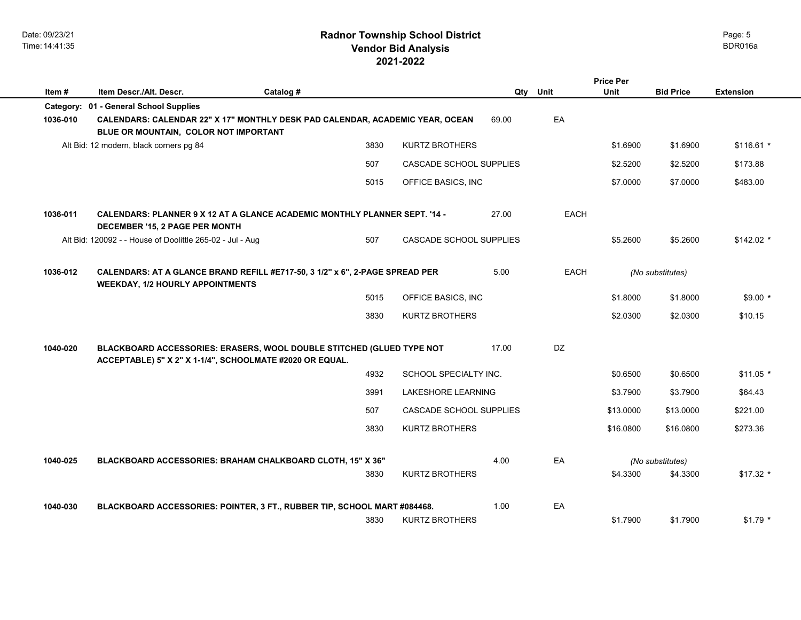|          |                                                                                                                                   |           |      |                           |       |             | <b>Price Per</b> |                  |                  |
|----------|-----------------------------------------------------------------------------------------------------------------------------------|-----------|------|---------------------------|-------|-------------|------------------|------------------|------------------|
| Item#    | Item Descr./Alt. Descr.                                                                                                           | Catalog # |      |                           | Qty   | Unit        | <b>Unit</b>      | <b>Bid Price</b> | <b>Extension</b> |
|          | Category: 01 - General School Supplies                                                                                            |           |      |                           |       |             |                  |                  |                  |
| 1036-010 | CALENDARS: CALENDAR 22" X 17" MONTHLY DESK PAD CALENDAR, ACADEMIC YEAR, OCEAN<br>BLUE OR MOUNTAIN, COLOR NOT IMPORTANT            |           |      |                           | 69.00 | EA          |                  |                  |                  |
|          | Alt Bid: 12 modern, black corners pg 84                                                                                           |           | 3830 | <b>KURTZ BROTHERS</b>     |       |             | \$1.6900         | \$1.6900         | $$116.61$ *      |
|          |                                                                                                                                   |           | 507  | CASCADE SCHOOL SUPPLIES   |       |             | \$2.5200         | \$2.5200         | \$173.88         |
|          |                                                                                                                                   |           | 5015 | OFFICE BASICS, INC        |       |             | \$7.0000         | \$7.0000         | \$483.00         |
| 1036-011 | <b>CALENDARS: PLANNER 9 X 12 AT A GLANCE ACADEMIC MONTHLY PLANNER SEPT. '14 -</b><br>DECEMBER '15, 2 PAGE PER MONTH               |           |      |                           | 27.00 | <b>EACH</b> |                  |                  |                  |
|          | Alt Bid: 120092 - - House of Doolittle 265-02 - Jul - Aug                                                                         |           | 507  | CASCADE SCHOOL SUPPLIES   |       |             | \$5.2600         | \$5.2600         | $$142.02$ *      |
| 1036-012 | CALENDARS: AT A GLANCE BRAND REFILL #E717-50, 3 1/2" x 6", 2-PAGE SPREAD PER<br><b>WEEKDAY, 1/2 HOURLY APPOINTMENTS</b>           |           |      |                           | 5.00  | <b>EACH</b> |                  | (No substitutes) |                  |
|          |                                                                                                                                   |           | 5015 | OFFICE BASICS, INC        |       |             | \$1.8000         | \$1.8000         | $$9.00*$         |
|          |                                                                                                                                   |           | 3830 | <b>KURTZ BROTHERS</b>     |       |             | \$2.0300         | \$2.0300         | \$10.15          |
|          |                                                                                                                                   |           |      |                           |       |             |                  |                  |                  |
| 1040-020 | BLACKBOARD ACCESSORIES: ERASERS, WOOL DOUBLE STITCHED (GLUED TYPE NOT<br>ACCEPTABLE) 5" X 2" X 1-1/4", SCHOOLMATE #2020 OR EQUAL. |           |      |                           | 17.00 | <b>DZ</b>   |                  |                  |                  |
|          |                                                                                                                                   |           | 4932 | SCHOOL SPECIALTY INC.     |       |             | \$0.6500         | \$0.6500         | $$11.05$ *       |
|          |                                                                                                                                   |           | 3991 | <b>LAKESHORE LEARNING</b> |       |             | \$3.7900         | \$3.7900         | \$64.43          |
|          |                                                                                                                                   |           | 507  | CASCADE SCHOOL SUPPLIES   |       |             | \$13.0000        | \$13.0000        | \$221.00         |
|          |                                                                                                                                   |           | 3830 | <b>KURTZ BROTHERS</b>     |       |             | \$16.0800        | \$16.0800        | \$273.36         |
| 1040-025 | <b>BLACKBOARD ACCESSORIES: BRAHAM CHALKBOARD CLOTH, 15" X 36"</b>                                                                 |           |      |                           | 4.00  | EA          |                  | (No substitutes) |                  |
|          |                                                                                                                                   |           | 3830 | <b>KURTZ BROTHERS</b>     |       |             | \$4.3300         | \$4.3300         | $$17.32$ *       |
|          |                                                                                                                                   |           |      |                           |       |             |                  |                  |                  |
| 1040-030 | BLACKBOARD ACCESSORIES: POINTER, 3 FT., RUBBER TIP, SCHOOL MART #084468.                                                          |           |      |                           | 1.00  | EA          |                  |                  |                  |
|          |                                                                                                                                   |           | 3830 | <b>KURTZ BROTHERS</b>     |       |             | \$1.7900         | \$1.7900         | $$1.79$ *        |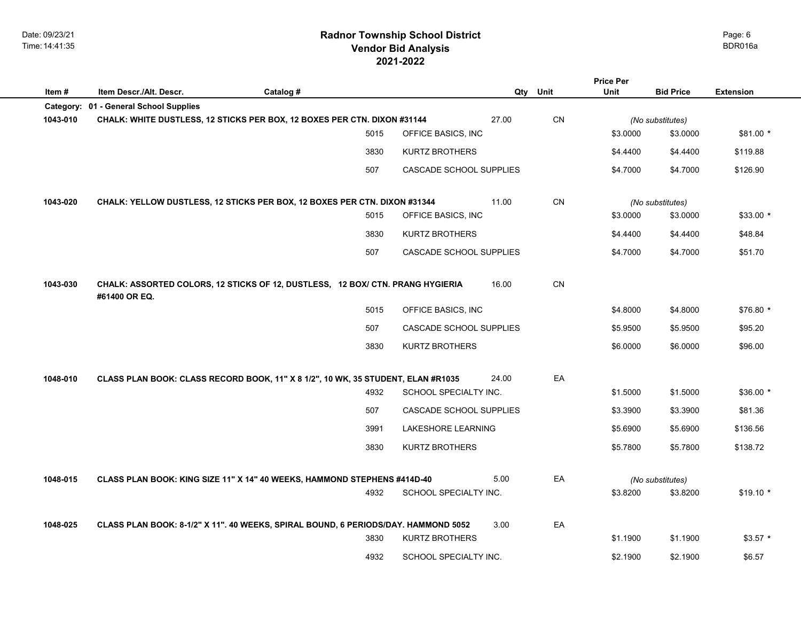## **2021-2022 Radnor Township School District Vendor Bid Analysis** BDR016a

| Item#    | Item Descr./Alt. Descr.                | Catalog #                                                                          |      |                         | Qty   | Unit      | <b>Price Per</b><br><b>Unit</b> | <b>Bid Price</b> | <b>Extension</b> |
|----------|----------------------------------------|------------------------------------------------------------------------------------|------|-------------------------|-------|-----------|---------------------------------|------------------|------------------|
|          | Category: 01 - General School Supplies |                                                                                    |      |                         |       |           |                                 |                  |                  |
| 1043-010 |                                        | CHALK: WHITE DUSTLESS, 12 STICKS PER BOX, 12 BOXES PER CTN. DIXON #31144           |      |                         | 27.00 | <b>CN</b> |                                 | (No substitutes) |                  |
|          |                                        |                                                                                    | 5015 | OFFICE BASICS, INC      |       |           | \$3.0000                        | \$3.0000         | $$81.00*$        |
|          |                                        |                                                                                    | 3830 | <b>KURTZ BROTHERS</b>   |       |           | \$4,4400                        | \$4.4400         | \$119.88         |
|          |                                        |                                                                                    | 507  | CASCADE SCHOOL SUPPLIES |       |           | \$4.7000                        | \$4.7000         | \$126.90         |
| 1043-020 |                                        | CHALK: YELLOW DUSTLESS, 12 STICKS PER BOX, 12 BOXES PER CTN. DIXON #31344          |      |                         | 11.00 | <b>CN</b> |                                 | (No substitutes) |                  |
|          |                                        |                                                                                    | 5015 | OFFICE BASICS, INC      |       |           | \$3.0000                        | \$3.0000         | $$33.00*$        |
|          |                                        |                                                                                    | 3830 | <b>KURTZ BROTHERS</b>   |       |           | \$4.4400                        | \$4.4400         | \$48.84          |
|          |                                        |                                                                                    | 507  | CASCADE SCHOOL SUPPLIES |       |           | \$4.7000                        | \$4.7000         | \$51.70          |
| 1043-030 | #61400 OR EQ.                          | CHALK: ASSORTED COLORS, 12 STICKS OF 12, DUSTLESS, 12 BOX/ CTN. PRANG HYGIERIA     |      |                         | 16.00 | <b>CN</b> |                                 |                  |                  |
|          |                                        |                                                                                    | 5015 | OFFICE BASICS, INC      |       |           | \$4.8000                        | \$4.8000         | $$76.80*$        |
|          |                                        |                                                                                    | 507  | CASCADE SCHOOL SUPPLIES |       |           | \$5.9500                        | \$5.9500         | \$95.20          |
|          |                                        |                                                                                    | 3830 | <b>KURTZ BROTHERS</b>   |       |           | \$6.0000                        | \$6.0000         | \$96.00          |
| 1048-010 |                                        | CLASS PLAN BOOK: CLASS RECORD BOOK, 11" X 8 1/2", 10 WK, 35 STUDENT, ELAN #R1035   |      |                         | 24.00 | EA        |                                 |                  |                  |
|          |                                        |                                                                                    | 4932 | SCHOOL SPECIALTY INC.   |       |           | \$1.5000                        | \$1.5000         | $$36.00*$        |
|          |                                        | 507                                                                                |      | CASCADE SCHOOL SUPPLIES |       |           | \$3.3900                        | \$3.3900         | \$81.36          |
|          |                                        |                                                                                    | 3991 | LAKESHORE LEARNING      |       |           | \$5.6900                        | \$5.6900         | \$136.56         |
|          |                                        |                                                                                    | 3830 | <b>KURTZ BROTHERS</b>   |       |           | \$5.7800                        | \$5.7800         | \$138.72         |
| 1048-015 |                                        | CLASS PLAN BOOK: KING SIZE 11" X 14" 40 WEEKS, HAMMOND STEPHENS #414D-40           |      |                         | 5.00  | EA        |                                 | (No substitutes) |                  |
|          |                                        |                                                                                    | 4932 | SCHOOL SPECIALTY INC.   |       |           | \$3.8200                        | \$3.8200         | $$19.10*$        |
| 1048-025 |                                        | CLASS PLAN BOOK: 8-1/2" X 11". 40 WEEKS, SPIRAL BOUND, 6 PERIODS/DAY. HAMMOND 5052 |      |                         | 3.00  | EA        |                                 |                  |                  |
|          |                                        |                                                                                    | 3830 | <b>KURTZ BROTHERS</b>   |       |           | \$1.1900                        | \$1.1900         | $$3.57$ *        |
|          |                                        |                                                                                    | 4932 | SCHOOL SPECIALTY INC.   |       |           | \$2.1900                        | \$2.1900         | \$6.57           |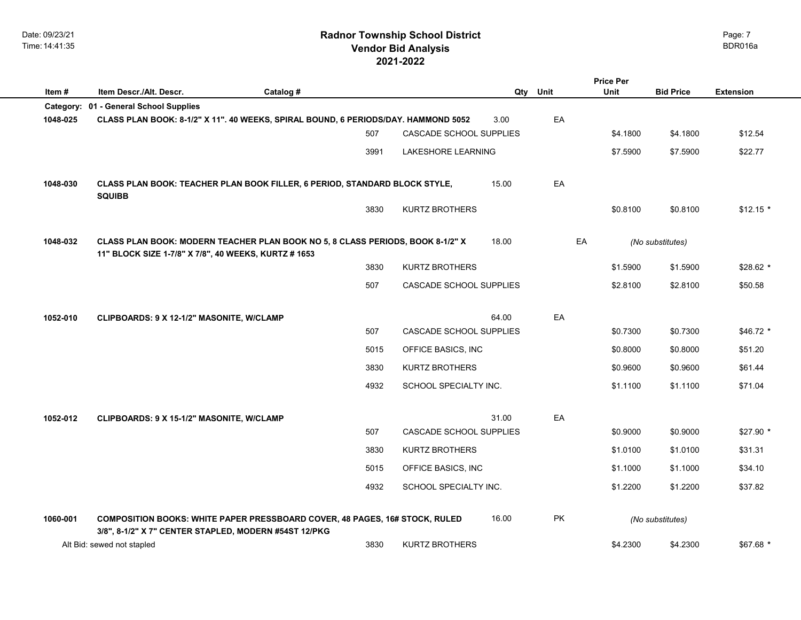## **2021-2022 Radnor Township School District Vendor Bid Analysis** BDR016a

|          |                                                                                                                                             |           |                           |       |           | <b>Price Per</b> |                  |                  |
|----------|---------------------------------------------------------------------------------------------------------------------------------------------|-----------|---------------------------|-------|-----------|------------------|------------------|------------------|
| Item #   | Item Descr./Alt. Descr.                                                                                                                     | Catalog # |                           |       | Qty Unit  | <b>Unit</b>      | <b>Bid Price</b> | <b>Extension</b> |
|          | Category: 01 - General School Supplies                                                                                                      |           |                           |       |           |                  |                  |                  |
| 1048-025 | CLASS PLAN BOOK: 8-1/2" X 11". 40 WEEKS, SPIRAL BOUND, 6 PERIODS/DAY. HAMMOND 5052                                                          |           |                           | 3.00  | EA        |                  |                  |                  |
|          |                                                                                                                                             | 507       | CASCADE SCHOOL SUPPLIES   |       |           | \$4.1800         | \$4.1800         | \$12.54          |
|          |                                                                                                                                             | 3991      | <b>LAKESHORE LEARNING</b> |       |           | \$7.5900         | \$7.5900         | \$22.77          |
|          |                                                                                                                                             |           |                           |       |           |                  |                  |                  |
| 1048-030 | CLASS PLAN BOOK: TEACHER PLAN BOOK FILLER, 6 PERIOD, STANDARD BLOCK STYLE,<br><b>SQUIBB</b>                                                 |           |                           | 15.00 | EA        |                  |                  |                  |
|          |                                                                                                                                             | 3830      | <b>KURTZ BROTHERS</b>     |       |           | \$0.8100         | \$0.8100         | $$12.15$ *       |
|          |                                                                                                                                             |           |                           |       |           |                  |                  |                  |
| 1048-032 | CLASS PLAN BOOK: MODERN TEACHER PLAN BOOK NO 5, 8 CLASS PERIODS, BOOK 8-1/2" X<br>11" BLOCK SIZE 1-7/8" X 7/8", 40 WEEKS, KURTZ # 1653      |           |                           | 18.00 | EA        |                  | (No substitutes) |                  |
|          |                                                                                                                                             | 3830      | <b>KURTZ BROTHERS</b>     |       |           | \$1.5900         | \$1.5900         | $$28.62*$        |
|          |                                                                                                                                             | 507       | CASCADE SCHOOL SUPPLIES   |       |           | \$2,8100         | \$2.8100         | \$50.58          |
|          |                                                                                                                                             |           |                           |       |           |                  |                  |                  |
| 1052-010 | CLIPBOARDS: 9 X 12-1/2" MASONITE, W/CLAMP                                                                                                   |           |                           | 64.00 | EA        |                  |                  |                  |
|          |                                                                                                                                             | 507       | CASCADE SCHOOL SUPPLIES   |       |           | \$0.7300         | \$0.7300         | $$46.72*$        |
|          |                                                                                                                                             | 5015      | OFFICE BASICS, INC        |       |           | \$0.8000         | \$0.8000         | \$51.20          |
|          |                                                                                                                                             | 3830      | <b>KURTZ BROTHERS</b>     |       |           | \$0.9600         | \$0.9600         | \$61.44          |
|          |                                                                                                                                             | 4932      | SCHOOL SPECIALTY INC.     |       |           | \$1.1100         | \$1.1100         | \$71.04          |
|          |                                                                                                                                             |           |                           |       |           |                  |                  |                  |
| 1052-012 | CLIPBOARDS: 9 X 15-1/2" MASONITE, W/CLAMP                                                                                                   |           |                           | 31.00 | EA        |                  |                  |                  |
|          |                                                                                                                                             | 507       | CASCADE SCHOOL SUPPLIES   |       |           | \$0.9000         | \$0.9000         | $$27.90*$        |
|          |                                                                                                                                             | 3830      | <b>KURTZ BROTHERS</b>     |       |           | \$1.0100         | \$1.0100         | \$31.31          |
|          |                                                                                                                                             | 5015      | OFFICE BASICS, INC        |       |           | \$1.1000         | \$1.1000         | \$34.10          |
|          |                                                                                                                                             | 4932      | SCHOOL SPECIALTY INC.     |       |           | \$1.2200         | \$1.2200         | \$37.82          |
|          |                                                                                                                                             |           |                           |       |           |                  |                  |                  |
| 1060-001 | <b>COMPOSITION BOOKS: WHITE PAPER PRESSBOARD COVER, 48 PAGES, 16# STOCK, RULED</b><br>3/8", 8-1/2" X 7" CENTER STAPLED, MODERN #54ST 12/PKG |           |                           | 16.00 | <b>PK</b> |                  | (No substitutes) |                  |
|          | Alt Bid: sewed not stapled                                                                                                                  | 3830      | <b>KURTZ BROTHERS</b>     |       |           | \$4.2300         | \$4.2300         | \$67.68 *        |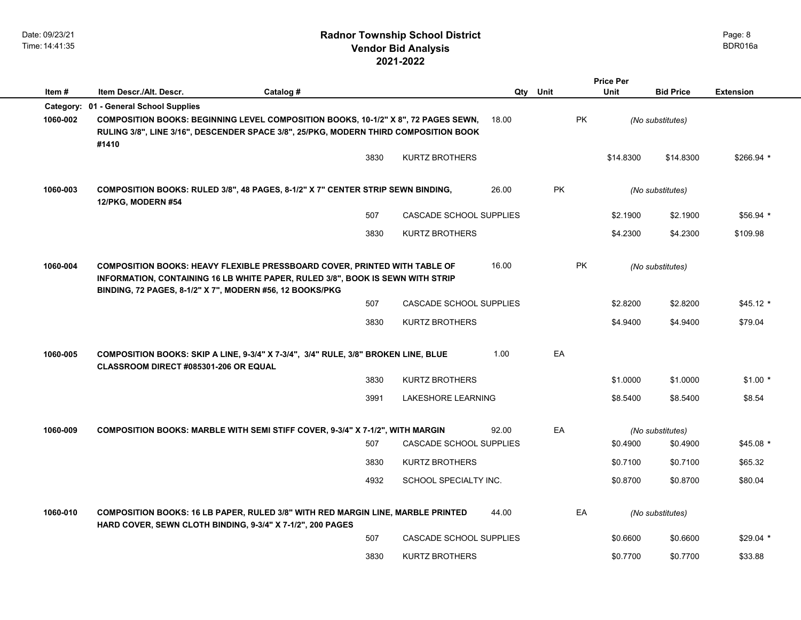|           |                                                                                                                                                                                                                         |                                       |       |           | <b>Price Per</b> |                              |                  |
|-----------|-------------------------------------------------------------------------------------------------------------------------------------------------------------------------------------------------------------------------|---------------------------------------|-------|-----------|------------------|------------------------------|------------------|
| Item#     | Catalog #<br>Item Descr./Alt. Descr.                                                                                                                                                                                    |                                       |       | Qty Unit  | <b>Unit</b>      | <b>Bid Price</b>             | <b>Extension</b> |
| Category: | 01 - General School Supplies                                                                                                                                                                                            |                                       |       |           |                  |                              |                  |
| 1060-002  | COMPOSITION BOOKS: BEGINNING LEVEL COMPOSITION BOOKS, 10-1/2" X 8", 72 PAGES SEWN,<br>RULING 3/8", LINE 3/16", DESCENDER SPACE 3/8", 25/PKG, MODERN THIRD COMPOSITION BOOK<br>#1410                                     |                                       | 18.00 | <b>PK</b> |                  | (No substitutes)             |                  |
|           |                                                                                                                                                                                                                         | 3830<br><b>KURTZ BROTHERS</b>         |       |           | \$14.8300        | \$14.8300                    | \$266.94 *       |
| 1060-003  | COMPOSITION BOOKS: RULED 3/8", 48 PAGES, 8-1/2" X 7" CENTER STRIP SEWN BINDING,<br>12/PKG, MODERN #54                                                                                                                   |                                       | 26.00 | <b>PK</b> |                  | (No substitutes)             |                  |
|           |                                                                                                                                                                                                                         | 507<br>CASCADE SCHOOL SUPPLIES        |       |           | \$2.1900         | \$2.1900                     | $$56.94$ *       |
|           |                                                                                                                                                                                                                         | 3830<br><b>KURTZ BROTHERS</b>         |       |           | \$4.2300         | \$4.2300                     | \$109.98         |
| 1060-004  | COMPOSITION BOOKS: HEAVY FLEXIBLE PRESSBOARD COVER, PRINTED WITH TABLE OF<br>INFORMATION, CONTAINING 16 LB WHITE PAPER, RULED 3/8", BOOK IS SEWN WITH STRIP<br>BINDING, 72 PAGES, 8-1/2" X 7", MODERN #56, 12 BOOKS/PKG |                                       | 16.00 | <b>PK</b> |                  | (No substitutes)             |                  |
|           |                                                                                                                                                                                                                         | 507<br>CASCADE SCHOOL SUPPLIES        |       |           | \$2.8200         | \$2.8200                     | $$45.12*$        |
|           |                                                                                                                                                                                                                         | 3830<br><b>KURTZ BROTHERS</b>         |       |           | \$4.9400         | \$4.9400                     | \$79.04          |
| 1060-005  | COMPOSITION BOOKS: SKIP A LINE, 9-3/4" X 7-3/4", 3/4" RULE, 3/8" BROKEN LINE, BLUE<br>CLASSROOM DIRECT #085301-206 OR EQUAL                                                                                             |                                       | 1.00  | EA        |                  |                              |                  |
|           |                                                                                                                                                                                                                         | 3830<br><b>KURTZ BROTHERS</b>         |       |           | \$1.0000         | \$1.0000                     | $$1.00*$         |
|           |                                                                                                                                                                                                                         | 3991<br>LAKESHORE LEARNING            |       |           | \$8.5400         | \$8.5400                     | \$8.54           |
| 1060-009  | COMPOSITION BOOKS: MARBLE WITH SEMI STIFF COVER, 9-3/4" X 7-1/2", WITH MARGIN                                                                                                                                           | 507<br><b>CASCADE SCHOOL SUPPLIES</b> | 92.00 | EA        | \$0.4900         | (No substitutes)<br>\$0.4900 | $$45.08*$        |
|           |                                                                                                                                                                                                                         | 3830<br><b>KURTZ BROTHERS</b>         |       |           | \$0.7100         | \$0.7100                     | \$65.32          |
|           |                                                                                                                                                                                                                         | 4932<br>SCHOOL SPECIALTY INC.         |       |           | \$0.8700         | \$0.8700                     | \$80.04          |
| 1060-010  | <b>COMPOSITION BOOKS: 16 LB PAPER, RULED 3/8" WITH RED MARGIN LINE, MARBLE PRINTED</b><br>HARD COVER, SEWN CLOTH BINDING, 9-3/4" X 7-1/2", 200 PAGES                                                                    |                                       | 44.00 | EA        |                  | (No substitutes)             |                  |
|           |                                                                                                                                                                                                                         | 507<br>CASCADE SCHOOL SUPPLIES        |       |           | \$0.6600         | \$0.6600                     | $$29.04$ *       |
|           |                                                                                                                                                                                                                         | 3830<br><b>KURTZ BROTHERS</b>         |       |           | \$0.7700         | \$0.7700                     | \$33.88          |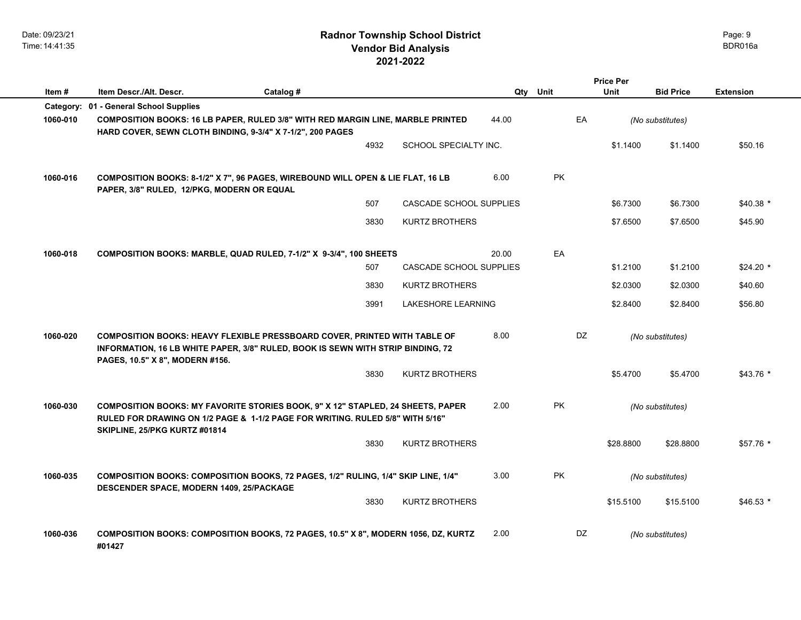## **2021-2022 Radnor Township School District Vendor Bid Analysis** BDR016a

|          |                                                                                                                                                                                                        |           |      |                           |       |           | <b>Price Per</b> |                  |                  |
|----------|--------------------------------------------------------------------------------------------------------------------------------------------------------------------------------------------------------|-----------|------|---------------------------|-------|-----------|------------------|------------------|------------------|
| Item#    | Item Descr./Alt. Descr.                                                                                                                                                                                | Catalog # |      |                           | Qty   | Unit      | Unit             | <b>Bid Price</b> | <b>Extension</b> |
|          | Category: 01 - General School Supplies                                                                                                                                                                 |           |      |                           |       |           |                  |                  |                  |
| 1060-010 | <b>COMPOSITION BOOKS: 16 LB PAPER, RULED 3/8" WITH RED MARGIN LINE, MARBLE PRINTED</b><br>HARD COVER, SEWN CLOTH BINDING, 9-3/4" X 7-1/2", 200 PAGES                                                   |           |      |                           | 44.00 | EA        |                  | (No substitutes) |                  |
|          |                                                                                                                                                                                                        |           | 4932 | SCHOOL SPECIALTY INC.     |       |           | \$1.1400         | \$1.1400         | \$50.16          |
| 1060-016 | COMPOSITION BOOKS: 8-1/2" X 7", 96 PAGES, WIREBOUND WILL OPEN & LIE FLAT, 16 LB<br>PAPER, 3/8" RULED, 12/PKG, MODERN OR EQUAL                                                                          |           |      |                           | 6.00  | <b>PK</b> |                  |                  |                  |
|          |                                                                                                                                                                                                        |           | 507  | CASCADE SCHOOL SUPPLIES   |       |           | \$6.7300         | \$6.7300         | $$40.38$ *       |
|          |                                                                                                                                                                                                        |           | 3830 | <b>KURTZ BROTHERS</b>     |       |           | \$7.6500         | \$7.6500         | \$45.90          |
| 1060-018 | COMPOSITION BOOKS: MARBLE, QUAD RULED, 7-1/2" X 9-3/4", 100 SHEETS                                                                                                                                     |           |      |                           | 20.00 | EA        |                  |                  |                  |
|          |                                                                                                                                                                                                        |           | 507  | CASCADE SCHOOL SUPPLIES   |       |           | \$1.2100         | \$1.2100         | $$24.20*$        |
|          |                                                                                                                                                                                                        |           | 3830 | <b>KURTZ BROTHERS</b>     |       |           | \$2.0300         | \$2.0300         | \$40.60          |
|          |                                                                                                                                                                                                        |           | 3991 | <b>LAKESHORE LEARNING</b> |       |           | \$2.8400         | \$2.8400         | \$56.80          |
| 1060-020 | <b>COMPOSITION BOOKS: HEAVY FLEXIBLE PRESSBOARD COVER, PRINTED WITH TABLE OF</b><br>INFORMATION, 16 LB WHITE PAPER, 3/8" RULED, BOOK IS SEWN WITH STRIP BINDING, 72<br>PAGES, 10.5" X 8", MODERN #156. |           |      |                           | 8.00  | DZ.       |                  | (No substitutes) |                  |
|          |                                                                                                                                                                                                        |           | 3830 | <b>KURTZ BROTHERS</b>     |       |           | \$5.4700         | \$5.4700         | \$43.76 *        |
| 1060-030 | COMPOSITION BOOKS: MY FAVORITE STORIES BOOK, 9" X 12" STAPLED, 24 SHEETS, PAPER<br>RULED FOR DRAWING ON 1/2 PAGE & 1-1/2 PAGE FOR WRITING, RULED 5/8" WITH 5/16"<br>SKIPLINE, 25/PKG KURTZ #01814      |           |      |                           | 2.00  | <b>PK</b> |                  | (No substitutes) |                  |
|          |                                                                                                                                                                                                        |           | 3830 | <b>KURTZ BROTHERS</b>     |       |           | \$28.8800        | \$28.8800        | $$57.76*$        |
| 1060-035 | COMPOSITION BOOKS: COMPOSITION BOOKS, 72 PAGES, 1/2" RULING, 1/4" SKIP LINE, 1/4"<br>DESCENDER SPACE, MODERN 1409, 25/PACKAGE                                                                          |           |      |                           | 3.00  | <b>PK</b> |                  | (No substitutes) |                  |
|          |                                                                                                                                                                                                        |           | 3830 | <b>KURTZ BROTHERS</b>     |       |           | \$15,5100        | \$15,5100        | $$46.53*$        |
| 1060-036 | <b>COMPOSITION BOOKS: COMPOSITION BOOKS, 72 PAGES, 10.5" X 8", MODERN 1056, DZ, KURTZ</b><br>#01427                                                                                                    |           |      |                           | 2.00  | DZ.       |                  | (No substitutes) |                  |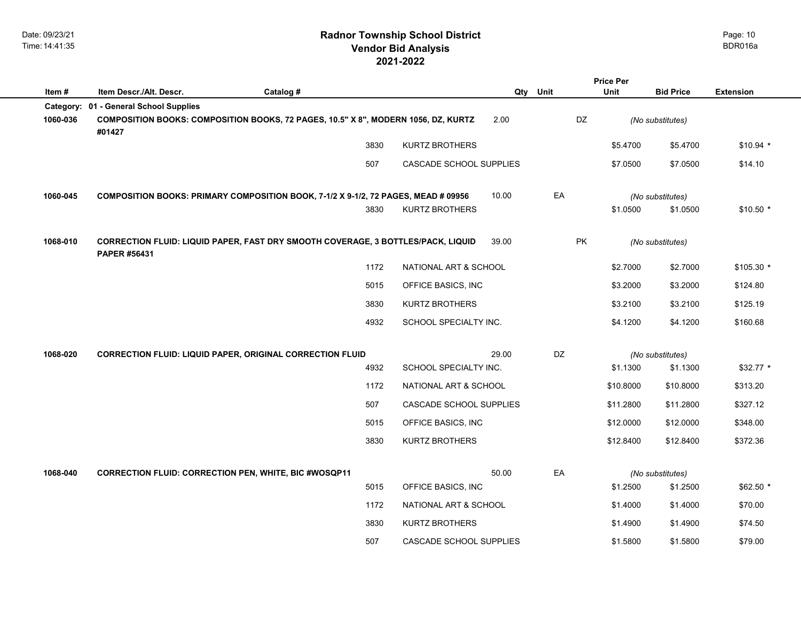|           |                                                                  |                                                                                           | <b>Price Per</b>        |       |           |             |                  |                  |
|-----------|------------------------------------------------------------------|-------------------------------------------------------------------------------------------|-------------------------|-------|-----------|-------------|------------------|------------------|
| Item #    | Item Descr./Alt. Descr.                                          | Catalog #                                                                                 |                         | Qty   | Unit      | <b>Unit</b> | <b>Bid Price</b> | <b>Extension</b> |
| Category: | 01 - General School Supplies                                     |                                                                                           |                         |       |           |             |                  |                  |
| 1060-036  | #01427                                                           | <b>COMPOSITION BOOKS: COMPOSITION BOOKS, 72 PAGES, 10.5" X 8", MODERN 1056, DZ, KURTZ</b> |                         | 2.00  | DZ        |             | (No substitutes) |                  |
|           |                                                                  | 3830                                                                                      | <b>KURTZ BROTHERS</b>   |       |           | \$5.4700    | \$5.4700         | $$10.94$ *       |
|           |                                                                  | 507                                                                                       | CASCADE SCHOOL SUPPLIES |       |           | \$7.0500    | \$7.0500         | \$14.10          |
| 1060-045  |                                                                  | COMPOSITION BOOKS: PRIMARY COMPOSITION BOOK, 7-1/2 X 9-1/2, 72 PAGES, MEAD # 09956        |                         | 10.00 | EA        |             | (No substitutes) |                  |
|           |                                                                  | 3830                                                                                      | <b>KURTZ BROTHERS</b>   |       |           | \$1.0500    | \$1.0500         | $$10.50*$        |
| 1068-010  | PAPER #56431                                                     | CORRECTION FLUID: LIQUID PAPER, FAST DRY SMOOTH COVERAGE, 3 BOTTLES/PACK, LIQUID          |                         | 39.00 | <b>PK</b> |             | (No substitutes) |                  |
|           |                                                                  | 1172                                                                                      | NATIONAL ART & SCHOOL   |       |           | \$2.7000    | \$2.7000         | $$105.30*$       |
|           |                                                                  | 5015                                                                                      | OFFICE BASICS, INC      |       |           | \$3.2000    | \$3.2000         | \$124.80         |
|           |                                                                  | 3830                                                                                      | <b>KURTZ BROTHERS</b>   |       |           | \$3.2100    | \$3.2100         | \$125.19         |
|           |                                                                  | 4932                                                                                      | SCHOOL SPECIALTY INC.   |       |           | \$4.1200    | \$4.1200         | \$160.68         |
| 1068-020  | <b>CORRECTION FLUID: LIQUID PAPER, ORIGINAL CORRECTION FLUID</b> |                                                                                           |                         | 29.00 | DZ        |             | (No substitutes) |                  |
|           |                                                                  | 4932                                                                                      | SCHOOL SPECIALTY INC.   |       |           | \$1.1300    | \$1.1300         | $$32.77$ *       |
|           |                                                                  | 1172                                                                                      | NATIONAL ART & SCHOOL   |       |           | \$10.8000   | \$10.8000        | \$313.20         |
|           |                                                                  | 507                                                                                       | CASCADE SCHOOL SUPPLIES |       |           | \$11.2800   | \$11.2800        | \$327.12         |
|           |                                                                  | 5015                                                                                      | OFFICE BASICS, INC      |       |           | \$12.0000   | \$12.0000        | \$348.00         |
|           |                                                                  | 3830                                                                                      | <b>KURTZ BROTHERS</b>   |       |           | \$12.8400   | \$12.8400        | \$372.36         |
| 1068-040  | <b>CORRECTION FLUID: CORRECTION PEN, WHITE, BIC #WOSQP11</b>     |                                                                                           |                         | 50.00 | EA        |             | (No substitutes) |                  |
|           |                                                                  | 5015                                                                                      | OFFICE BASICS, INC      |       |           | \$1.2500    | \$1.2500         | $$62.50$ *       |
|           |                                                                  | 1172                                                                                      | NATIONAL ART & SCHOOL   |       |           | \$1.4000    | \$1.4000         | \$70.00          |
|           |                                                                  | 3830                                                                                      | <b>KURTZ BROTHERS</b>   |       |           | \$1.4900    | \$1.4900         | \$74.50          |
|           |                                                                  | 507                                                                                       | CASCADE SCHOOL SUPPLIES |       |           | \$1.5800    | \$1.5800         | \$79.00          |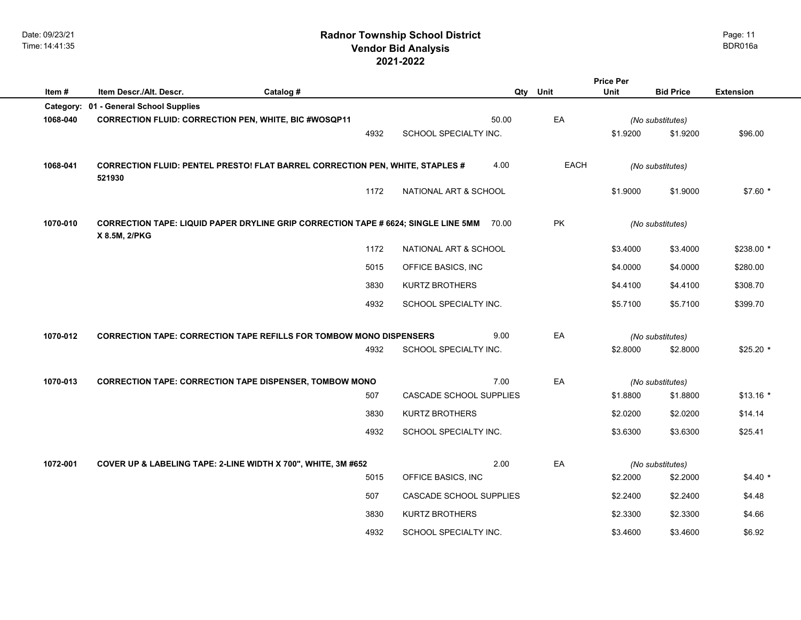## **2021-2022 Radnor Township School District Vendor Bid Analysis** BDR016a

|           |                                                              |                                                                                           | <b>Price Per</b>        |       |             |             |                  |                  |  |
|-----------|--------------------------------------------------------------|-------------------------------------------------------------------------------------------|-------------------------|-------|-------------|-------------|------------------|------------------|--|
| Item#     | Item Descr./Alt. Descr.                                      | Catalog #                                                                                 |                         | Qty   | Unit        | <b>Unit</b> | <b>Bid Price</b> | <b>Extension</b> |  |
| Category: | 01 - General School Supplies                                 |                                                                                           |                         |       |             |             |                  |                  |  |
| 1068-040  | <b>CORRECTION FLUID: CORRECTION PEN, WHITE, BIC #WOSQP11</b> |                                                                                           |                         | 50.00 | EA          |             | (No substitutes) |                  |  |
|           |                                                              | 4932                                                                                      | SCHOOL SPECIALTY INC.   |       |             | \$1.9200    | \$1.9200         | \$96.00          |  |
|           |                                                              |                                                                                           |                         |       |             |             |                  |                  |  |
| 1068-041  |                                                              | <b>CORRECTION FLUID: PENTEL PRESTO! FLAT BARREL CORRECTION PEN, WHITE, STAPLES #</b>      |                         | 4.00  | <b>EACH</b> |             | (No substitutes) |                  |  |
|           | 521930                                                       |                                                                                           |                         |       |             |             |                  |                  |  |
|           |                                                              | 1172                                                                                      | NATIONAL ART & SCHOOL   |       |             | \$1.9000    | \$1.9000         | \$7.60 *         |  |
|           |                                                              |                                                                                           |                         |       |             |             |                  |                  |  |
| 1070-010  |                                                              | <b>CORRECTION TAPE: LIQUID PAPER DRYLINE GRIP CORRECTION TAPE # 6624; SINGLE LINE 5MM</b> |                         | 70.00 | <b>PK</b>   |             | (No substitutes) |                  |  |
|           | X 8.5M, 2/PKG                                                |                                                                                           |                         |       |             |             |                  |                  |  |
|           |                                                              | 1172                                                                                      | NATIONAL ART & SCHOOL   |       |             | \$3.4000    | \$3.4000         | \$238.00 *       |  |
|           |                                                              | 5015                                                                                      | OFFICE BASICS, INC      |       |             | \$4.0000    | \$4.0000         | \$280.00         |  |
|           |                                                              | 3830                                                                                      | <b>KURTZ BROTHERS</b>   |       |             | \$4.4100    | \$4.4100         | \$308.70         |  |
|           |                                                              | 4932                                                                                      | SCHOOL SPECIALTY INC.   |       |             | \$5.7100    | \$5.7100         | \$399.70         |  |
|           |                                                              |                                                                                           |                         |       |             |             |                  |                  |  |
| 1070-012  |                                                              | <b>CORRECTION TAPE: CORRECTION TAPE REFILLS FOR TOMBOW MONO DISPENSERS</b>                |                         | 9.00  | EA          |             | (No substitutes) |                  |  |
|           |                                                              | 4932                                                                                      | SCHOOL SPECIALTY INC.   |       |             | \$2.8000    | \$2.8000         | \$25.20 *        |  |
|           |                                                              |                                                                                           |                         |       |             |             |                  |                  |  |
| 1070-013  |                                                              | <b>CORRECTION TAPE: CORRECTION TAPE DISPENSER, TOMBOW MONO</b>                            |                         | 7.00  | EA          |             | (No substitutes) |                  |  |
|           |                                                              | 507                                                                                       | CASCADE SCHOOL SUPPLIES |       |             | \$1.8800    | \$1.8800         | $$13.16*$        |  |
|           |                                                              | 3830                                                                                      | <b>KURTZ BROTHERS</b>   |       |             | \$2.0200    | \$2.0200         | \$14.14          |  |
|           |                                                              | 4932                                                                                      | SCHOOL SPECIALTY INC.   |       |             | \$3.6300    | \$3.6300         | \$25.41          |  |
|           |                                                              |                                                                                           |                         |       |             |             |                  |                  |  |
| 1072-001  |                                                              | COVER UP & LABELING TAPE: 2-LINE WIDTH X 700", WHITE, 3M #652                             |                         | 2.00  | EA          |             | (No substitutes) |                  |  |
|           |                                                              | 5015                                                                                      | OFFICE BASICS, INC      |       |             | \$2.2000    | \$2.2000         | $$4.40*$         |  |
|           |                                                              | 507                                                                                       | CASCADE SCHOOL SUPPLIES |       |             | \$2.2400    | \$2.2400         | \$4.48           |  |
|           |                                                              | 3830                                                                                      | <b>KURTZ BROTHERS</b>   |       |             | \$2.3300    | \$2.3300         | \$4.66           |  |
|           |                                                              |                                                                                           |                         |       |             |             |                  |                  |  |
|           |                                                              | 4932                                                                                      | SCHOOL SPECIALTY INC.   |       |             | \$3.4600    | \$3.4600         | \$6.92           |  |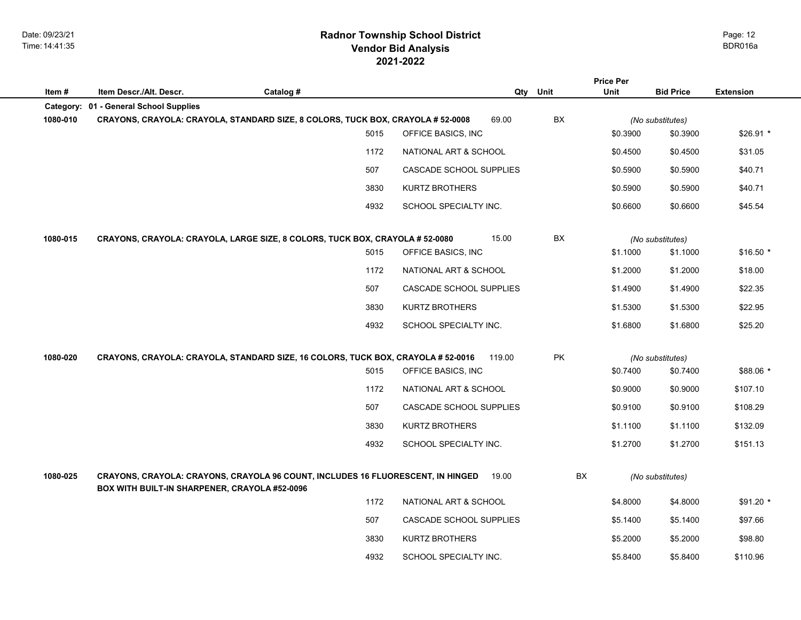## **2021-2022 Radnor Township School District Vendor Bid Analysis** BDR016a

|           |                                               |                                                                                         |                             |             | <b>Price Per</b> |                              |                  |
|-----------|-----------------------------------------------|-----------------------------------------------------------------------------------------|-----------------------------|-------------|------------------|------------------------------|------------------|
| Item#     | Item Descr./Alt. Descr.                       | Catalog #                                                                               |                             | Unit<br>Qty | Unit             | <b>Bid Price</b>             | <b>Extension</b> |
| Category: | 01 - General School Supplies                  |                                                                                         |                             |             |                  |                              |                  |
| 1080-010  |                                               | CRAYONS, CRAYOLA: CRAYOLA, STANDARD SIZE, 8 COLORS, TUCK BOX, CRAYOLA # 52-0008<br>5015 | 69.00<br>OFFICE BASICS, INC | BX          | \$0.3900         | (No substitutes)<br>\$0.3900 | $$26.91*$        |
|           |                                               |                                                                                         |                             |             |                  |                              |                  |
|           |                                               | 1172                                                                                    | NATIONAL ART & SCHOOL       |             | \$0.4500         | \$0.4500                     | \$31.05          |
|           |                                               | 507                                                                                     | CASCADE SCHOOL SUPPLIES     |             | \$0.5900         | \$0.5900                     | \$40.71          |
|           |                                               | 3830                                                                                    | <b>KURTZ BROTHERS</b>       |             | \$0.5900         | \$0.5900                     | \$40.71          |
|           |                                               | 4932                                                                                    | SCHOOL SPECIALTY INC.       |             | \$0.6600         | \$0.6600                     | \$45.54          |
| 1080-015  |                                               | CRAYONS, CRAYOLA: CRAYOLA, LARGE SIZE, 8 COLORS, TUCK BOX, CRAYOLA # 52-0080            | 15.00                       | BX          |                  | (No substitutes)             |                  |
|           |                                               | 5015                                                                                    | OFFICE BASICS, INC          |             | \$1.1000         | \$1.1000                     | $$16.50*$        |
|           |                                               | 1172                                                                                    | NATIONAL ART & SCHOOL       |             | \$1.2000         | \$1.2000                     | \$18.00          |
|           |                                               | 507                                                                                     | CASCADE SCHOOL SUPPLIES     |             | \$1.4900         | \$1.4900                     | \$22.35          |
|           |                                               | 3830                                                                                    | <b>KURTZ BROTHERS</b>       |             | \$1.5300         | \$1.5300                     | \$22.95          |
|           |                                               | 4932                                                                                    | SCHOOL SPECIALTY INC.       |             | \$1.6800         | \$1.6800                     | \$25.20          |
| 1080-020  |                                               | CRAYONS, CRAYOLA: CRAYOLA, STANDARD SIZE, 16 COLORS, TUCK BOX, CRAYOLA # 52-0016        | 119.00                      | PK          |                  | (No substitutes)             |                  |
|           |                                               | 5015                                                                                    | OFFICE BASICS, INC          |             | \$0.7400         | \$0.7400                     | \$88.06 *        |
|           |                                               | 1172                                                                                    | NATIONAL ART & SCHOOL       |             | \$0.9000         | \$0.9000                     | \$107.10         |
|           |                                               | 507                                                                                     | CASCADE SCHOOL SUPPLIES     |             | \$0.9100         | \$0.9100                     | \$108.29         |
|           |                                               | 3830                                                                                    | <b>KURTZ BROTHERS</b>       |             | \$1.1100         | \$1.1100                     | \$132.09         |
|           |                                               | 4932                                                                                    | SCHOOL SPECIALTY INC.       |             | \$1.2700         | \$1.2700                     | \$151.13         |
| 1080-025  | BOX WITH BUILT-IN SHARPENER, CRAYOLA #52-0096 | <b>CRAYONS, CRAYOLA: CRAYONS, CRAYOLA 96 COUNT, INCLUDES 16 FLUORESCENT, IN HINGED</b>  | 19.00                       | BX          |                  | (No substitutes)             |                  |
|           |                                               | 1172                                                                                    | NATIONAL ART & SCHOOL       |             | \$4.8000         | \$4.8000                     | $$91.20$ *       |
|           |                                               | 507                                                                                     | CASCADE SCHOOL SUPPLIES     |             | \$5.1400         | \$5.1400                     | \$97.66          |
|           |                                               | 3830                                                                                    | <b>KURTZ BROTHERS</b>       |             | \$5.2000         | \$5.2000                     | \$98.80          |
|           |                                               | 4932                                                                                    | SCHOOL SPECIALTY INC.       |             | \$5.8400         | \$5.8400                     | \$110.96         |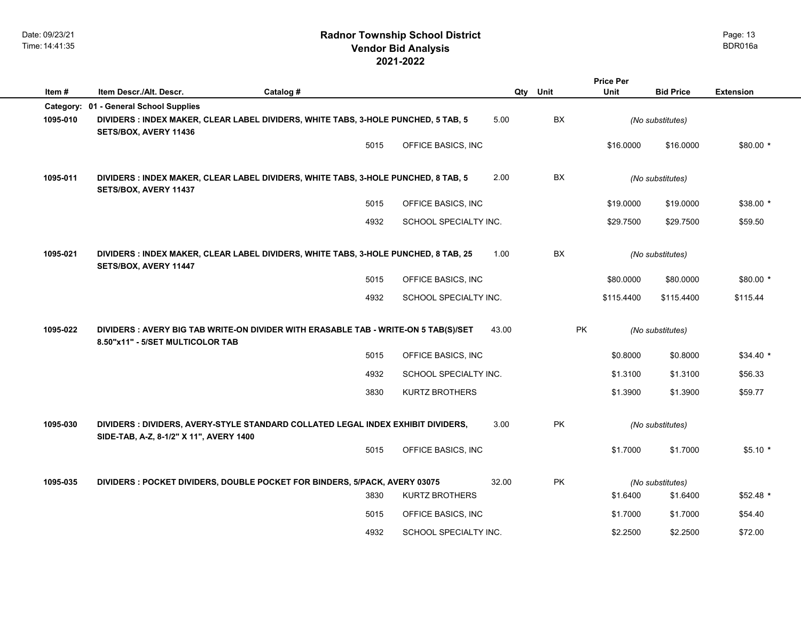|          |                                         |                                                                                     |                       | <b>Price Per</b> |           |             |                  |                  |
|----------|-----------------------------------------|-------------------------------------------------------------------------------------|-----------------------|------------------|-----------|-------------|------------------|------------------|
| Item#    | Item Descr./Alt. Descr.                 | Catalog #                                                                           |                       | Qty              | Unit      | <b>Unit</b> | <b>Bid Price</b> | <b>Extension</b> |
|          | Category: 01 - General School Supplies  |                                                                                     |                       |                  |           |             |                  |                  |
| 1095-010 | SETS/BOX, AVERY 11436                   | DIVIDERS: INDEX MAKER, CLEAR LABEL DIVIDERS, WHITE TABS, 3-HOLE PUNCHED, 5 TAB, 5   |                       | 5.00             | BX        |             | (No substitutes) |                  |
|          |                                         | 5015                                                                                | OFFICE BASICS, INC    |                  |           | \$16.0000   | \$16.0000        | $$80.00*$        |
| 1095-011 | SETS/BOX, AVERY 11437                   | DIVIDERS : INDEX MAKER, CLEAR LABEL DIVIDERS, WHITE TABS, 3-HOLE PUNCHED, 8 TAB, 5  |                       | 2.00             | BX        |             | (No substitutes) |                  |
|          |                                         | 5015                                                                                | OFFICE BASICS, INC    |                  |           | \$19.0000   | \$19.0000        | $$38.00*$        |
|          |                                         | 4932                                                                                | SCHOOL SPECIALTY INC. |                  |           | \$29.7500   | \$29.7500        | \$59.50          |
| 1095-021 | SETS/BOX, AVERY 11447                   | DIVIDERS : INDEX MAKER, CLEAR LABEL DIVIDERS, WHITE TABS, 3-HOLE PUNCHED, 8 TAB, 25 |                       | 1.00             | BX        |             | (No substitutes) |                  |
|          |                                         | 5015                                                                                | OFFICE BASICS, INC    |                  |           | \$80.0000   | \$80.0000        | $$80.00*$        |
|          |                                         | 4932                                                                                | SCHOOL SPECIALTY INC. |                  |           | \$115.4400  | \$115.4400       | \$115.44         |
| 1095-022 | 8.50"x11" - 5/SET MULTICOLOR TAB        | DIVIDERS : AVERY BIG TAB WRITE-ON DIVIDER WITH ERASABLE TAB - WRITE-ON 5 TAB(S)/SET |                       | 43.00            | <b>PK</b> |             | (No substitutes) |                  |
|          |                                         | 5015                                                                                | OFFICE BASICS, INC    |                  |           | \$0.8000    | \$0.8000         | $$34.40*$        |
|          |                                         | 4932                                                                                | SCHOOL SPECIALTY INC. |                  |           | \$1.3100    | \$1.3100         | \$56.33          |
|          |                                         | 3830                                                                                | <b>KURTZ BROTHERS</b> |                  |           | \$1.3900    | \$1.3900         | \$59.77          |
| 1095-030 | SIDE-TAB, A-Z, 8-1/2" X 11", AVERY 1400 | DIVIDERS : DIVIDERS, AVERY-STYLE STANDARD COLLATED LEGAL INDEX EXHIBIT DIVIDERS,    |                       | 3.00             | <b>PK</b> |             | (No substitutes) |                  |
|          |                                         | 5015                                                                                | OFFICE BASICS, INC    |                  |           | \$1.7000    | \$1.7000         | $$5.10*$         |
| 1095-035 |                                         | DIVIDERS : POCKET DIVIDERS, DOUBLE POCKET FOR BINDERS, 5/PACK, AVERY 03075          |                       | 32.00            | <b>PK</b> |             | (No substitutes) |                  |
|          |                                         | 3830                                                                                | <b>KURTZ BROTHERS</b> |                  |           | \$1.6400    | \$1.6400         | $$52.48$ *       |
|          |                                         | 5015                                                                                | OFFICE BASICS, INC    |                  |           | \$1.7000    | \$1.7000         | \$54.40          |
|          |                                         | 4932                                                                                | SCHOOL SPECIALTY INC. |                  |           | \$2.2500    | \$2.2500         | \$72.00          |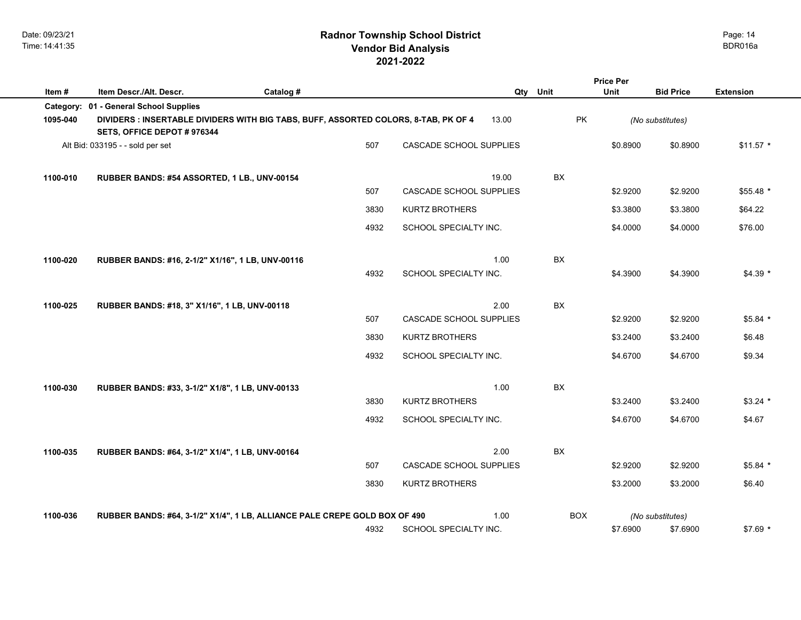|          |                                                                                                                   |           | <b>Price Per</b> |                         |       |            |          |                  |                  |
|----------|-------------------------------------------------------------------------------------------------------------------|-----------|------------------|-------------------------|-------|------------|----------|------------------|------------------|
| Item#    | Item Descr./Alt. Descr.                                                                                           | Catalog # |                  |                         | Qty   | Unit       | Unit     | <b>Bid Price</b> | <b>Extension</b> |
|          | Category: 01 - General School Supplies                                                                            |           |                  |                         |       |            |          |                  |                  |
| 1095-040 | DIVIDERS : INSERTABLE DIVIDERS WITH BIG TABS, BUFF, ASSORTED COLORS, 8-TAB, PK OF 4<br>SETS, OFFICE DEPOT #976344 |           |                  |                         | 13.00 | PK         |          | (No substitutes) |                  |
|          | Alt Bid: 033195 - - sold per set                                                                                  |           | 507              | CASCADE SCHOOL SUPPLIES |       |            | \$0.8900 | \$0.8900         | $$11.57$ *       |
|          |                                                                                                                   |           |                  |                         |       |            |          |                  |                  |
| 1100-010 | RUBBER BANDS: #54 ASSORTED, 1 LB., UNV-00154                                                                      |           |                  |                         | 19.00 | BX         |          |                  |                  |
|          |                                                                                                                   |           | 507              | CASCADE SCHOOL SUPPLIES |       |            | \$2.9200 | \$2.9200         | \$55.48 *        |
|          |                                                                                                                   |           | 3830             | <b>KURTZ BROTHERS</b>   |       |            | \$3.3800 | \$3.3800         | \$64.22          |
|          |                                                                                                                   |           | 4932             | SCHOOL SPECIALTY INC.   |       |            | \$4.0000 | \$4.0000         | \$76.00          |
|          |                                                                                                                   |           |                  |                         |       |            |          |                  |                  |
| 1100-020 | RUBBER BANDS: #16, 2-1/2" X1/16", 1 LB, UNV-00116                                                                 |           |                  |                         | 1.00  | BX         |          |                  |                  |
|          |                                                                                                                   |           | 4932             | SCHOOL SPECIALTY INC.   |       |            | \$4.3900 | \$4.3900         | $$4.39$ *        |
|          |                                                                                                                   |           |                  |                         |       |            |          |                  |                  |
| 1100-025 | RUBBER BANDS: #18, 3" X1/16", 1 LB, UNV-00118                                                                     |           | 507              | CASCADE SCHOOL SUPPLIES | 2.00  | BX         | \$2.9200 | \$2.9200         | $$5.84*$         |
|          |                                                                                                                   |           |                  |                         |       |            |          |                  |                  |
|          |                                                                                                                   |           | 3830             | KURTZ BROTHERS          |       |            | \$3.2400 | \$3.2400         | \$6.48           |
|          |                                                                                                                   |           | 4932             | SCHOOL SPECIALTY INC.   |       |            | \$4.6700 | \$4.6700         | \$9.34           |
|          |                                                                                                                   |           |                  |                         |       |            |          |                  |                  |
| 1100-030 | RUBBER BANDS: #33, 3-1/2" X1/8", 1 LB, UNV-00133                                                                  |           | 3830             | KURTZ BROTHERS          | 1.00  | BX         |          | \$3.2400         |                  |
|          |                                                                                                                   |           |                  |                         |       |            | \$3.2400 |                  | $$3.24$ *        |
|          |                                                                                                                   |           | 4932             | SCHOOL SPECIALTY INC.   |       |            | \$4.6700 | \$4.6700         | \$4.67           |
|          |                                                                                                                   |           |                  |                         |       |            |          |                  |                  |
| 1100-035 | RUBBER BANDS: #64, 3-1/2" X1/4", 1 LB, UNV-00164                                                                  |           | 507              | CASCADE SCHOOL SUPPLIES | 2.00  | BX         | \$2.9200 | \$2.9200         | \$5.84 *         |
|          |                                                                                                                   |           |                  |                         |       |            |          |                  |                  |
|          |                                                                                                                   |           | 3830             | <b>KURTZ BROTHERS</b>   |       |            | \$3.2000 | \$3.2000         | \$6.40           |
| 1100-036 | RUBBER BANDS: #64, 3-1/2" X1/4", 1 LB, ALLIANCE PALE CREPE GOLD BOX OF 490                                        |           |                  |                         | 1.00  | <b>BOX</b> |          | (No substitutes) |                  |
|          |                                                                                                                   |           | 4932             | SCHOOL SPECIALTY INC.   |       |            | \$7.6900 | \$7.6900         | $$7.69*$         |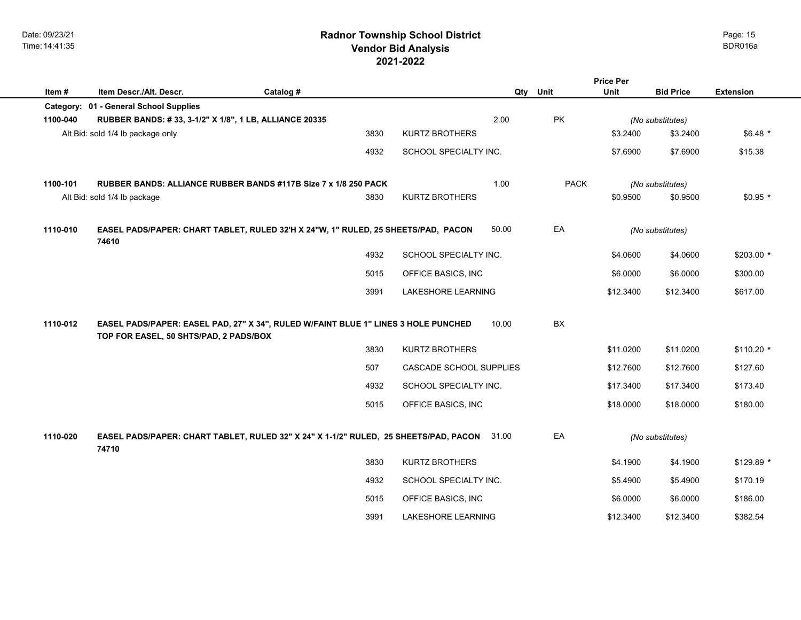|          |                                                                                                                              |           |      |                         |          |             | <b>Price Per</b> |                  |                  |
|----------|------------------------------------------------------------------------------------------------------------------------------|-----------|------|-------------------------|----------|-------------|------------------|------------------|------------------|
| Item#    | Item Descr./Alt. Descr.                                                                                                      | Catalog # |      |                         | Qty Unit |             | <b>Unit</b>      | <b>Bid Price</b> | <b>Extension</b> |
|          | Category: 01 - General School Supplies                                                                                       |           |      |                         |          |             |                  |                  |                  |
| 1100-040 | RUBBER BANDS: #33, 3-1/2" X 1/8", 1 LB, ALLIANCE 20335                                                                       |           |      |                         | 2.00     | PK          |                  | (No substitutes) |                  |
|          | Alt Bid: sold 1/4 lb package only                                                                                            |           | 3830 | <b>KURTZ BROTHERS</b>   |          |             | \$3.2400         | \$3.2400         | $$6.48*$         |
|          |                                                                                                                              |           | 4932 | SCHOOL SPECIALTY INC.   |          |             | \$7.6900         | \$7.6900         | \$15.38          |
| 1100-101 | RUBBER BANDS: ALLIANCE RUBBER BANDS #117B Size 7 x 1/8 250 PACK                                                              |           |      |                         | 1.00     | <b>PACK</b> |                  | (No substitutes) |                  |
|          | Alt Bid: sold 1/4 lb package                                                                                                 |           | 3830 | <b>KURTZ BROTHERS</b>   |          |             | \$0.9500         | \$0.9500         | $$0.95$ *        |
| 1110-010 | EASEL PADS/PAPER: CHART TABLET, RULED 32'H X 24"W, 1" RULED, 25 SHEETS/PAD, PACON<br>74610                                   |           |      |                         | 50.00    | EA          |                  | (No substitutes) |                  |
|          |                                                                                                                              |           | 4932 | SCHOOL SPECIALTY INC.   |          |             | \$4.0600         | \$4.0600         | \$203.00 *       |
|          |                                                                                                                              |           | 5015 | OFFICE BASICS, INC      |          |             | \$6.0000         | \$6.0000         | \$300.00         |
|          |                                                                                                                              |           | 3991 | LAKESHORE LEARNING      |          |             | \$12.3400        | \$12.3400        | \$617.00         |
| 1110-012 | EASEL PADS/PAPER: EASEL PAD, 27" X 34", RULED W/FAINT BLUE 1" LINES 3 HOLE PUNCHED<br>TOP FOR EASEL, 50 SHTS/PAD, 2 PADS/BOX |           |      |                         | 10.00    | BX          |                  |                  |                  |
|          |                                                                                                                              |           | 3830 | <b>KURTZ BROTHERS</b>   |          |             | \$11.0200        | \$11.0200        | $$110.20$ *      |
|          |                                                                                                                              |           | 507  | CASCADE SCHOOL SUPPLIES |          |             | \$12.7600        | \$12.7600        | \$127.60         |
|          |                                                                                                                              |           | 4932 | SCHOOL SPECIALTY INC.   |          |             | \$17.3400        | \$17.3400        | \$173.40         |
|          |                                                                                                                              |           | 5015 | OFFICE BASICS, INC      |          |             | \$18.0000        | \$18.0000        | \$180.00         |
| 1110-020 | EASEL PADS/PAPER: CHART TABLET, RULED 32" X 24" X 1-1/2" RULED, 25 SHEETS/PAD, PACON 31.00<br>74710                          |           |      |                         |          | EA          |                  | (No substitutes) |                  |
|          |                                                                                                                              |           | 3830 | <b>KURTZ BROTHERS</b>   |          |             | \$4.1900         | \$4.1900         | $$129.89$ *      |
|          |                                                                                                                              |           | 4932 | SCHOOL SPECIALTY INC.   |          |             | \$5.4900         | \$5.4900         | \$170.19         |
|          |                                                                                                                              |           | 5015 | OFFICE BASICS, INC      |          |             | \$6.0000         | \$6.0000         | \$186.00         |
|          |                                                                                                                              |           | 3991 | LAKESHORE LEARNING      |          |             | \$12.3400        | \$12.3400        | \$382.54         |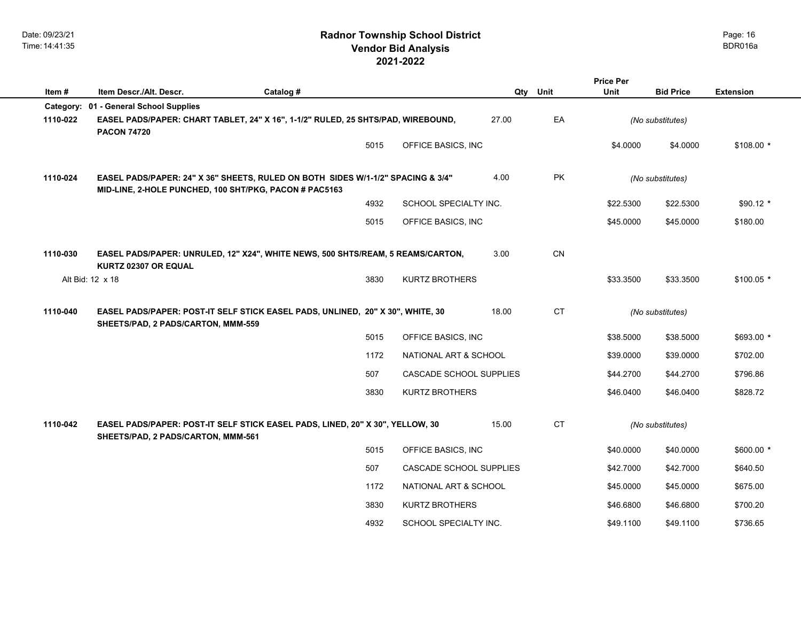|           |                                                                                                                                           |           |      |                         |       |           | <b>Price Per</b> |                  |                  |
|-----------|-------------------------------------------------------------------------------------------------------------------------------------------|-----------|------|-------------------------|-------|-----------|------------------|------------------|------------------|
| Item#     | Item Descr./Alt. Descr.                                                                                                                   | Catalog # |      |                         | Qty   | Unit      | Unit             | <b>Bid Price</b> | <b>Extension</b> |
| Category: | 01 - General School Supplies                                                                                                              |           |      |                         |       |           |                  |                  |                  |
| 1110-022  | EASEL PADS/PAPER: CHART TABLET, 24" X 16", 1-1/2" RULED, 25 SHTS/PAD, WIREBOUND,<br><b>PACON 74720</b>                                    |           |      |                         | 27.00 | EA        |                  | (No substitutes) |                  |
|           |                                                                                                                                           |           | 5015 | OFFICE BASICS, INC      |       |           | \$4.0000         | \$4.0000         | $$108.00*$       |
| 1110-024  | EASEL PADS/PAPER: 24" X 36" SHEETS, RULED ON BOTH SIDES W/1-1/2" SPACING & 3/4"<br>MID-LINE, 2-HOLE PUNCHED, 100 SHT/PKG, PACON # PAC5163 |           |      |                         | 4.00  | <b>PK</b> |                  | (No substitutes) |                  |
|           |                                                                                                                                           |           | 4932 | SCHOOL SPECIALTY INC.   |       |           | \$22.5300        | \$22.5300        | $$90.12$ *       |
|           |                                                                                                                                           |           | 5015 | OFFICE BASICS, INC      |       |           | \$45.0000        | \$45.0000        | \$180.00         |
| 1110-030  | EASEL PADS/PAPER: UNRULED, 12" X24", WHITE NEWS, 500 SHTS/REAM, 5 REAMS/CARTON,<br>KURTZ 02307 OR EQUAL                                   |           |      |                         | 3.00  | CN        |                  |                  |                  |
|           | Alt Bid: 12 x 18                                                                                                                          |           | 3830 | <b>KURTZ BROTHERS</b>   |       |           | \$33.3500        | \$33.3500        | $$100.05$ *      |
|           |                                                                                                                                           |           |      |                         |       |           |                  |                  |                  |
| 1110-040  | EASEL PADS/PAPER: POST-IT SELF STICK EASEL PADS, UNLINED, 20" X 30", WHITE, 30<br>SHEETS/PAD, 2 PADS/CARTON, MMM-559                      |           |      |                         | 18.00 | <b>CT</b> |                  | (No substitutes) |                  |
|           |                                                                                                                                           |           | 5015 | OFFICE BASICS, INC      |       |           | \$38.5000        | \$38.5000        | \$693.00 *       |
|           |                                                                                                                                           |           | 1172 | NATIONAL ART & SCHOOL   |       |           | \$39.0000        | \$39.0000        | \$702.00         |
|           |                                                                                                                                           |           | 507  | CASCADE SCHOOL SUPPLIES |       |           | \$44.2700        | \$44.2700        | \$796.86         |
|           |                                                                                                                                           |           | 3830 | <b>KURTZ BROTHERS</b>   |       |           | \$46.0400        | \$46.0400        | \$828.72         |
|           |                                                                                                                                           |           |      |                         |       |           |                  |                  |                  |
| 1110-042  | EASEL PADS/PAPER: POST-IT SELF STICK EASEL PADS, LINED, 20" X 30", YELLOW, 30<br>SHEETS/PAD, 2 PADS/CARTON, MMM-561                       |           |      |                         | 15.00 | <b>CT</b> |                  | (No substitutes) |                  |
|           |                                                                                                                                           |           | 5015 | OFFICE BASICS, INC      |       |           | \$40.0000        | \$40.0000        | \$600.00 *       |
|           |                                                                                                                                           |           | 507  | CASCADE SCHOOL SUPPLIES |       |           | \$42.7000        | \$42.7000        | \$640.50         |
|           |                                                                                                                                           |           | 1172 | NATIONAL ART & SCHOOL   |       |           | \$45.0000        | \$45.0000        | \$675.00         |
|           |                                                                                                                                           |           | 3830 | <b>KURTZ BROTHERS</b>   |       |           | \$46.6800        | \$46.6800        | \$700.20         |
|           |                                                                                                                                           |           | 4932 | SCHOOL SPECIALTY INC.   |       |           | \$49.1100        | \$49.1100        | \$736.65         |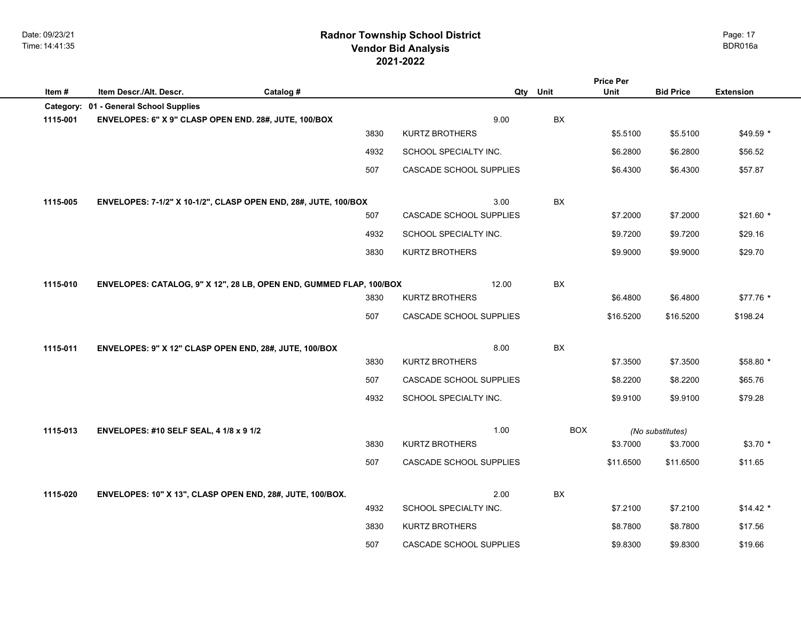## **2021-2022 Radnor Township School District Vendor Bid Analysis** BDR016a

| Item#    | Item Descr./Alt. Descr.                                         | Catalog #                                                           |                         | Qty Unit    | <b>Price Per</b><br>Unit | <b>Bid Price</b> | <b>Extension</b> |
|----------|-----------------------------------------------------------------|---------------------------------------------------------------------|-------------------------|-------------|--------------------------|------------------|------------------|
|          | Category: 01 - General School Supplies                          |                                                                     |                         |             |                          |                  |                  |
| 1115-001 | ENVELOPES: 6" X 9" CLASP OPEN END. 28#, JUTE, 100/BOX           |                                                                     |                         | 9.00<br>BX  |                          |                  |                  |
|          |                                                                 | 3830                                                                | <b>KURTZ BROTHERS</b>   |             | \$5.5100                 | \$5.5100         | $$49.59$ *       |
|          |                                                                 | 4932                                                                | SCHOOL SPECIALTY INC.   |             | \$6.2800                 | \$6.2800         | \$56.52          |
|          |                                                                 | 507                                                                 | CASCADE SCHOOL SUPPLIES |             | \$6.4300                 | \$6.4300         | \$57.87          |
| 1115-005 | ENVELOPES: 7-1/2" X 10-1/2", CLASP OPEN END, 28#, JUTE, 100/BOX |                                                                     |                         | 3.00<br>BX  |                          |                  |                  |
|          |                                                                 | 507                                                                 | CASCADE SCHOOL SUPPLIES |             | \$7.2000                 | \$7.2000         | $$21.60*$        |
|          |                                                                 | 4932                                                                | SCHOOL SPECIALTY INC.   |             | \$9.7200                 | \$9.7200         | \$29.16          |
|          |                                                                 | 3830                                                                | <b>KURTZ BROTHERS</b>   |             | \$9.9000                 | \$9.9000         | \$29.70          |
| 1115-010 |                                                                 | ENVELOPES: CATALOG, 9" X 12", 28 LB, OPEN END, GUMMED FLAP, 100/BOX |                         | 12.00<br>BX |                          |                  |                  |
|          |                                                                 | 3830                                                                | <b>KURTZ BROTHERS</b>   |             | \$6.4800                 | \$6.4800         | $$77.76*$        |
|          |                                                                 | 507                                                                 | CASCADE SCHOOL SUPPLIES |             | \$16.5200                | \$16.5200        | \$198.24         |
| 1115-011 | ENVELOPES: 9" X 12" CLASP OPEN END, 28#, JUTE, 100/BOX          |                                                                     |                         | 8.00<br>BX  |                          |                  |                  |
|          |                                                                 | 3830                                                                | <b>KURTZ BROTHERS</b>   |             | \$7.3500                 | \$7.3500         | \$58.80 *        |
|          |                                                                 | 507                                                                 | CASCADE SCHOOL SUPPLIES |             | \$8.2200                 | \$8.2200         | \$65.76          |
|          |                                                                 | 4932                                                                | SCHOOL SPECIALTY INC.   |             | \$9.9100                 | \$9.9100         | \$79.28          |
| 1115-013 | ENVELOPES: #10 SELF SEAL, 4 1/8 x 9 1/2                         |                                                                     |                         | 1.00        | <b>BOX</b>               | (No substitutes) |                  |
|          |                                                                 | 3830                                                                | <b>KURTZ BROTHERS</b>   |             | \$3.7000                 | \$3.7000         | $$3.70*$         |
|          |                                                                 | 507                                                                 | CASCADE SCHOOL SUPPLIES |             | \$11.6500                | \$11.6500        | \$11.65          |
| 1115-020 | ENVELOPES: 10" X 13", CLASP OPEN END, 28#, JUTE, 100/BOX.       |                                                                     |                         | 2.00<br>BX  |                          |                  |                  |
|          |                                                                 | 4932                                                                | SCHOOL SPECIALTY INC.   |             | \$7.2100                 | \$7.2100         | $$14.42*$        |
|          |                                                                 | 3830                                                                | <b>KURTZ BROTHERS</b>   |             | \$8.7800                 | \$8.7800         | \$17.56          |
|          |                                                                 | 507                                                                 | CASCADE SCHOOL SUPPLIES |             | \$9.8300                 | \$9.8300         | \$19.66          |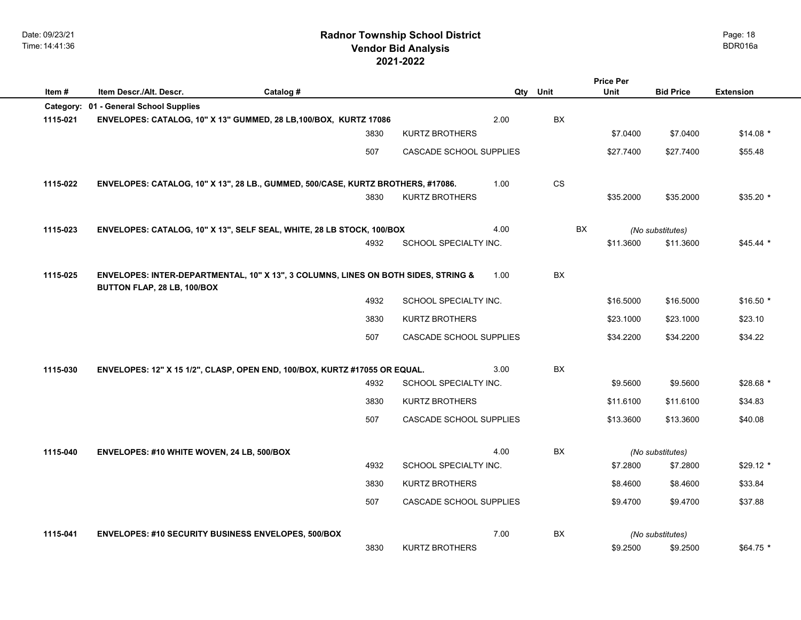|           |                                                                                                                   |           |      |                         |      |           | <b>Price Per</b> |                  |                  |
|-----------|-------------------------------------------------------------------------------------------------------------------|-----------|------|-------------------------|------|-----------|------------------|------------------|------------------|
| Item#     | Item Descr./Alt. Descr.                                                                                           | Catalog # |      |                         | Qty  | Unit      | Unit             | <b>Bid Price</b> | <b>Extension</b> |
| Category: | 01 - General School Supplies                                                                                      |           |      |                         |      |           |                  |                  |                  |
| 1115-021  | ENVELOPES: CATALOG, 10" X 13" GUMMED, 28 LB, 100/BOX, KURTZ 17086                                                 |           |      |                         | 2.00 | BX        |                  |                  |                  |
|           |                                                                                                                   |           | 3830 | <b>KURTZ BROTHERS</b>   |      |           | \$7.0400         | \$7.0400         | $$14.08*$        |
|           |                                                                                                                   |           | 507  | CASCADE SCHOOL SUPPLIES |      |           | \$27.7400        | \$27.7400        | \$55.48          |
| 1115-022  | ENVELOPES: CATALOG, 10" X 13", 28 LB., GUMMED, 500/CASE, KURTZ BROTHERS, #17086.                                  |           |      |                         | 1.00 | CS        |                  |                  |                  |
|           |                                                                                                                   |           | 3830 | <b>KURTZ BROTHERS</b>   |      |           | \$35.2000        | \$35.2000        | $$35.20$ *       |
| 1115-023  | ENVELOPES: CATALOG, 10" X 13", SELF SEAL, WHITE, 28 LB STOCK, 100/BOX                                             |           |      |                         | 4.00 |           | BX               | (No substitutes) |                  |
|           |                                                                                                                   |           | 4932 | SCHOOL SPECIALTY INC.   |      |           | \$11.3600        | \$11.3600        | \$45.44 *        |
| 1115-025  | ENVELOPES: INTER-DEPARTMENTAL, 10" X 13", 3 COLUMNS, LINES ON BOTH SIDES, STRING &<br>BUTTON FLAP, 28 LB, 100/BOX |           |      |                         | 1.00 | <b>BX</b> |                  |                  |                  |
|           |                                                                                                                   |           | 4932 | SCHOOL SPECIALTY INC.   |      |           | \$16.5000        | \$16.5000        | $$16.50*$        |
|           |                                                                                                                   |           | 3830 | KURTZ BROTHERS          |      |           | \$23.1000        | \$23.1000        | \$23.10          |
|           |                                                                                                                   |           | 507  | CASCADE SCHOOL SUPPLIES |      |           | \$34.2200        | \$34.2200        | \$34.22          |
| 1115-030  | ENVELOPES: 12" X 15 1/2", CLASP, OPEN END, 100/BOX, KURTZ #17055 OR EQUAL.                                        |           |      |                         | 3.00 | BX        |                  |                  |                  |
|           |                                                                                                                   |           | 4932 | SCHOOL SPECIALTY INC.   |      |           | \$9.5600         | \$9.5600         | $$28.68*$        |
|           |                                                                                                                   |           | 3830 | <b>KURTZ BROTHERS</b>   |      |           | \$11.6100        | \$11.6100        | \$34.83          |
|           |                                                                                                                   |           | 507  | CASCADE SCHOOL SUPPLIES |      |           | \$13.3600        | \$13.3600        | \$40.08          |
| 1115-040  | ENVELOPES: #10 WHITE WOVEN, 24 LB, 500/BOX                                                                        |           |      |                         | 4.00 | BX        |                  | (No substitutes) |                  |
|           |                                                                                                                   |           | 4932 | SCHOOL SPECIALTY INC.   |      |           | \$7.2800         | \$7.2800         | \$29.12 *        |
|           |                                                                                                                   |           | 3830 | KURTZ BROTHERS          |      |           | \$8.4600         | \$8.4600         | \$33.84          |
|           |                                                                                                                   |           | 507  | CASCADE SCHOOL SUPPLIES |      |           | \$9.4700         | \$9.4700         | \$37.88          |
| 1115-041  | <b>ENVELOPES: #10 SECURITY BUSINESS ENVELOPES, 500/BOX</b>                                                        |           |      |                         | 7.00 | <b>BX</b> |                  | (No substitutes) |                  |

3830 KURTZ BROTHERS \$9.2500 \$64.75 \$9.2500 **\***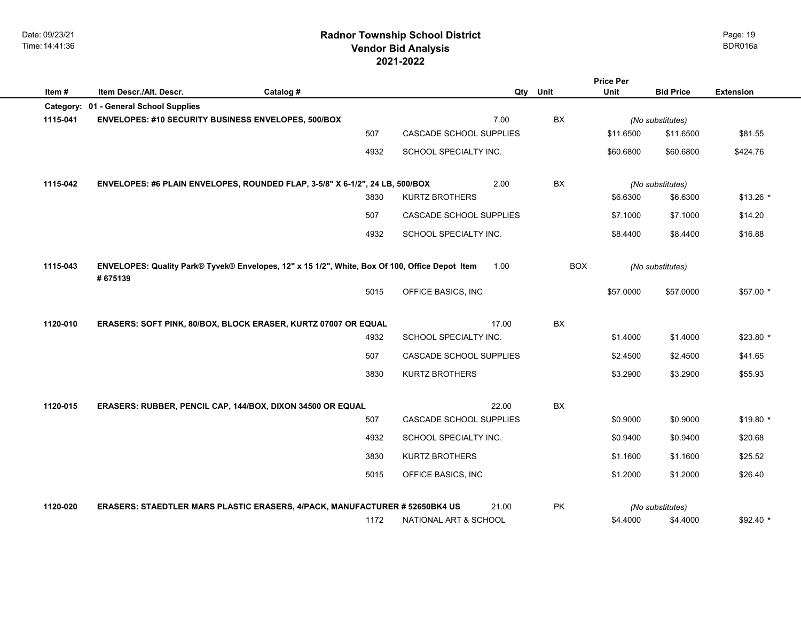## **2021-2022 Radnor Township School District Vendor Bid Analysis** BDR016a

|          |                                                                                                            |           |      |                         |       |            | <b>Price Per</b> |                  |                  |
|----------|------------------------------------------------------------------------------------------------------------|-----------|------|-------------------------|-------|------------|------------------|------------------|------------------|
| Item#    | Item Descr./Alt. Descr.                                                                                    | Catalog # |      |                         | Qty   | Unit       | Unit             | <b>Bid Price</b> | <b>Extension</b> |
|          | Category: 01 - General School Supplies                                                                     |           |      |                         |       |            |                  |                  |                  |
| 1115-041 | ENVELOPES: #10 SECURITY BUSINESS ENVELOPES, 500/BOX                                                        |           |      |                         | 7.00  | BX         |                  | (No substitutes) |                  |
|          |                                                                                                            |           | 507  | CASCADE SCHOOL SUPPLIES |       |            | \$11.6500        | \$11.6500        | \$81.55          |
|          |                                                                                                            |           | 4932 | SCHOOL SPECIALTY INC.   |       |            | \$60,6800        | \$60.6800        | \$424.76         |
| 1115-042 | ENVELOPES: #6 PLAIN ENVELOPES, ROUNDED FLAP, 3-5/8" X 6-1/2", 24 LB, 500/BOX                               |           |      |                         | 2.00  | BX         |                  | (No substitutes) |                  |
|          |                                                                                                            |           | 3830 | <b>KURTZ BROTHERS</b>   |       |            | \$6.6300         | \$6.6300         | $$13.26$ *       |
|          |                                                                                                            |           | 507  | CASCADE SCHOOL SUPPLIES |       |            | \$7.1000         | \$7.1000         | \$14.20          |
|          |                                                                                                            |           | 4932 | SCHOOL SPECIALTY INC.   |       |            | \$8.4400         | \$8.4400         | \$16.88          |
| 1115-043 | ENVELOPES: Quality Park® Tyvek® Envelopes, 12" x 15 1/2", White, Box Of 100, Office Depot Item<br># 675139 |           |      |                         | 1.00  | <b>BOX</b> |                  | (No substitutes) |                  |
|          |                                                                                                            |           | 5015 | OFFICE BASICS, INC      |       |            | \$57.0000        | \$57.0000        | \$57.00 *        |
| 1120-010 | ERASERS: SOFT PINK, 80/BOX, BLOCK ERASER, KURTZ 07007 OR EQUAL                                             |           |      |                         | 17.00 | BX         |                  |                  |                  |
|          |                                                                                                            |           | 4932 | SCHOOL SPECIALTY INC.   |       |            | \$1.4000         | \$1.4000         | $$23.80*$        |
|          |                                                                                                            |           | 507  | CASCADE SCHOOL SUPPLIES |       |            | \$2.4500         | \$2.4500         | \$41.65          |
|          |                                                                                                            |           | 3830 | <b>KURTZ BROTHERS</b>   |       |            | \$3.2900         | \$3.2900         | \$55.93          |
| 1120-015 | ERASERS: RUBBER, PENCIL CAP, 144/BOX, DIXON 34500 OR EQUAL                                                 |           |      |                         | 22.00 | BX         |                  |                  |                  |
|          |                                                                                                            |           | 507  | CASCADE SCHOOL SUPPLIES |       |            | \$0.9000         | \$0.9000         | $$19.80$ *       |
|          |                                                                                                            |           | 4932 | SCHOOL SPECIALTY INC.   |       |            | \$0.9400         | \$0.9400         | \$20.68          |
|          |                                                                                                            |           | 3830 | <b>KURTZ BROTHERS</b>   |       |            | \$1.1600         | \$1.1600         | \$25.52          |
|          |                                                                                                            |           | 5015 | OFFICE BASICS, INC      |       |            | \$1.2000         | \$1.2000         | \$26.40          |
| 1120-020 | ERASERS: STAEDTLER MARS PLASTIC ERASERS, 4/PACK, MANUFACTURER # 52650BK4 US                                |           |      |                         | 21.00 | <b>PK</b>  |                  | (No substitutes) |                  |
|          |                                                                                                            |           | 1172 | NATIONAL ART & SCHOOL   |       |            | \$4.4000         | \$4.4000         | $$92.40*$        |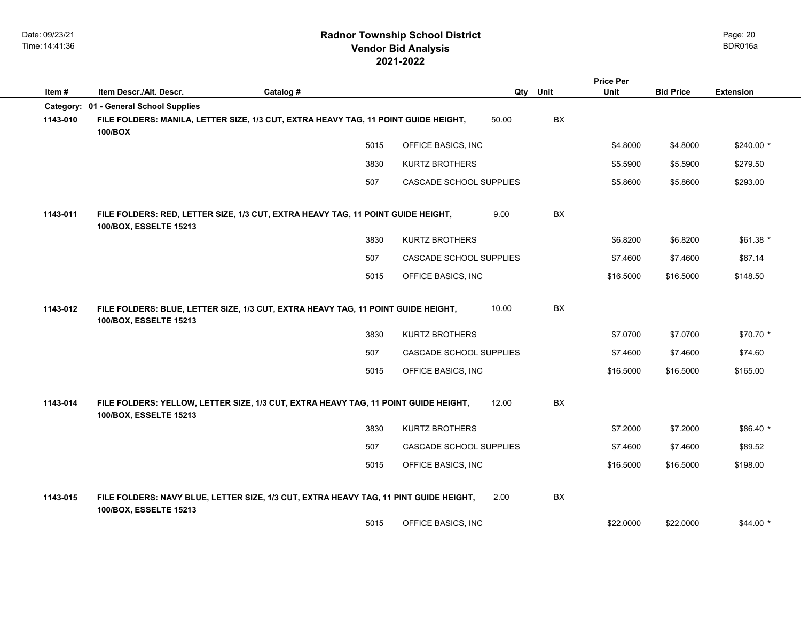|           |                                                                                                                 |           |                         |       |           | <b>Price Per</b> |                  |                  |  |
|-----------|-----------------------------------------------------------------------------------------------------------------|-----------|-------------------------|-------|-----------|------------------|------------------|------------------|--|
| Item#     | Item Descr./Alt. Descr.                                                                                         | Catalog # |                         | Qty   | Unit      | Unit             | <b>Bid Price</b> | <b>Extension</b> |  |
| Category: | 01 - General School Supplies                                                                                    |           |                         |       |           |                  |                  |                  |  |
| 1143-010  | FILE FOLDERS: MANILA, LETTER SIZE, 1/3 CUT, EXTRA HEAVY TAG, 11 POINT GUIDE HEIGHT,<br>100/BOX                  |           |                         | 50.00 | BX        |                  |                  |                  |  |
|           |                                                                                                                 | 5015      | OFFICE BASICS, INC      |       |           | \$4.8000         | \$4.8000         | \$240.00 *       |  |
|           |                                                                                                                 | 3830      | <b>KURTZ BROTHERS</b>   |       |           | \$5.5900         | \$5.5900         | \$279.50         |  |
|           |                                                                                                                 | 507       | CASCADE SCHOOL SUPPLIES |       |           | \$5.8600         | \$5.8600         | \$293.00         |  |
| 1143-011  | FILE FOLDERS: RED, LETTER SIZE, 1/3 CUT, EXTRA HEAVY TAG, 11 POINT GUIDE HEIGHT,<br>100/BOX, ESSELTE 15213      |           |                         | 9.00  | BX        |                  |                  |                  |  |
|           |                                                                                                                 | 3830      | <b>KURTZ BROTHERS</b>   |       |           | \$6.8200         | \$6.8200         | $$61.38$ *       |  |
|           |                                                                                                                 | 507       | CASCADE SCHOOL SUPPLIES |       |           | \$7.4600         | \$7.4600         | \$67.14          |  |
|           |                                                                                                                 | 5015      | OFFICE BASICS, INC      |       |           | \$16.5000        | \$16.5000        | \$148.50         |  |
| 1143-012  | FILE FOLDERS: BLUE, LETTER SIZE, 1/3 CUT, EXTRA HEAVY TAG, 11 POINT GUIDE HEIGHT,<br>100/BOX, ESSELTE 15213     |           |                         | 10.00 | BX        |                  |                  |                  |  |
|           |                                                                                                                 | 3830      | <b>KURTZ BROTHERS</b>   |       |           | \$7.0700         | \$7.0700         | \$70.70 *        |  |
|           |                                                                                                                 | 507       | CASCADE SCHOOL SUPPLIES |       |           | \$7,4600         | \$7.4600         | \$74.60          |  |
|           |                                                                                                                 | 5015      | OFFICE BASICS, INC      |       |           | \$16.5000        | \$16,5000        | \$165.00         |  |
| 1143-014  | FILE FOLDERS: YELLOW, LETTER SIZE, 1/3 CUT, EXTRA HEAVY TAG, 11 POINT GUIDE HEIGHT,<br>100/BOX, ESSELTE 15213   |           |                         | 12.00 | <b>BX</b> |                  |                  |                  |  |
|           |                                                                                                                 | 3830      | <b>KURTZ BROTHERS</b>   |       |           | \$7.2000         | \$7.2000         | \$86.40 *        |  |
|           |                                                                                                                 | 507       | CASCADE SCHOOL SUPPLIES |       |           | \$7,4600         | \$7.4600         | \$89.52          |  |
|           |                                                                                                                 | 5015      | OFFICE BASICS, INC      |       |           | \$16.5000        | \$16.5000        | \$198.00         |  |
| 1143-015  | FILE FOLDERS: NAVY BLUE, LETTER SIZE, 1/3 CUT, EXTRA HEAVY TAG, 11 PINT GUIDE HEIGHT,<br>100/BOX, ESSELTE 15213 |           |                         | 2.00  | BX        |                  |                  |                  |  |
|           |                                                                                                                 | 5015      | OFFICE BASICS, INC      |       |           | \$22.0000        | \$22.0000        | $$44.00*$        |  |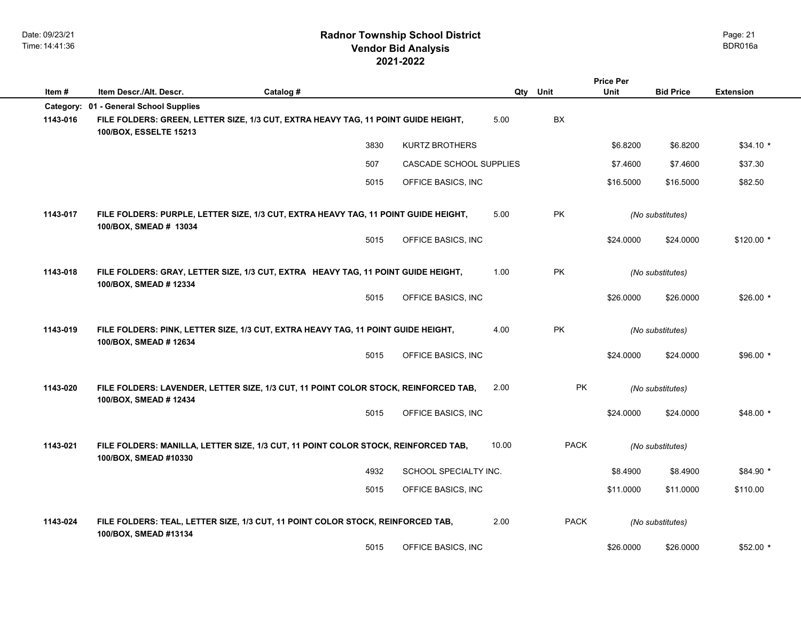|           |                              |                                                                                     |                           |       |             | <b>Price Per</b> |                  |                  |
|-----------|------------------------------|-------------------------------------------------------------------------------------|---------------------------|-------|-------------|------------------|------------------|------------------|
| Item #    | Item Descr./Alt. Descr.      | Catalog #                                                                           |                           |       | Qty Unit    | <b>Unit</b>      | <b>Bid Price</b> | <b>Extension</b> |
| Category: | 01 - General School Supplies |                                                                                     |                           |       |             |                  |                  |                  |
| 1143-016  | 100/BOX, ESSELTE 15213       | FILE FOLDERS: GREEN, LETTER SIZE, 1/3 CUT, EXTRA HEAVY TAG, 11 POINT GUIDE HEIGHT,  |                           | 5.00  | BX          |                  |                  |                  |
|           |                              | 3830                                                                                | <b>KURTZ BROTHERS</b>     |       |             | \$6.8200         | \$6.8200         | $$34.10*$        |
|           |                              | 507                                                                                 | CASCADE SCHOOL SUPPLIES   |       |             | \$7.4600         | \$7.4600         | \$37.30          |
|           |                              | 5015                                                                                | OFFICE BASICS, INC        |       |             | \$16.5000        | \$16,5000        | \$82.50          |
| 1143-017  | 100/BOX, SMEAD # 13034       | FILE FOLDERS: PURPLE, LETTER SIZE, 1/3 CUT, EXTRA HEAVY TAG, 11 POINT GUIDE HEIGHT, |                           | 5.00  | <b>PK</b>   |                  | (No substitutes) |                  |
|           |                              | 5015                                                                                | OFFICE BASICS, INC        |       |             | \$24.0000        | \$24.0000        | $$120.00*$       |
| 1143-018  | 100/BOX, SMEAD # 12334       | FILE FOLDERS: GRAY, LETTER SIZE, 1/3 CUT, EXTRA HEAVY TAG, 11 POINT GUIDE HEIGHT,   |                           |       |             |                  | (No substitutes) |                  |
|           |                              | 5015                                                                                | OFFICE BASICS, INC.       |       |             | \$26,0000        | \$26,0000        | $$26.00*$        |
| 1143-019  | 100/BOX, SMEAD # 12634       | FILE FOLDERS: PINK, LETTER SIZE, 1/3 CUT, EXTRA HEAVY TAG, 11 POINT GUIDE HEIGHT,   |                           |       |             |                  | (No substitutes) |                  |
|           |                              | 5015                                                                                | OFFICE BASICS, INC        |       |             | \$24.0000        | \$24.0000        | $$96.00*$        |
| 1143-020  | 100/BOX, SMEAD # 12434       | FILE FOLDERS: LAVENDER, LETTER SIZE, 1/3 CUT, 11 POINT COLOR STOCK, REINFORCED TAB, |                           | 2.00  | <b>PK</b>   |                  | (No substitutes) |                  |
|           |                              | 5015                                                                                | OFFICE BASICS, INC        |       |             | \$24.0000        | \$24.0000        | $$48.00*$        |
| 1143-021  | 100/BOX, SMEAD #10330        | FILE FOLDERS: MANILLA, LETTER SIZE, 1/3 CUT, 11 POINT COLOR STOCK, REINFORCED TAB,  |                           | 10.00 | <b>PACK</b> |                  | (No substitutes) |                  |
|           |                              | 4932                                                                                | SCHOOL SPECIALTY INC.     |       |             | \$8,4900         | \$8,4900         | \$84.90 *        |
|           |                              | 5015                                                                                | OFFICE BASICS, INC        |       |             | \$11.0000        | \$11.0000        | \$110.00         |
| 1143-024  | 100/BOX, SMEAD #13134        | FILE FOLDERS: TEAL, LETTER SIZE, 1/3 CUT, 11 POINT COLOR STOCK, REINFORCED TAB,     |                           | 2.00  | <b>PACK</b> |                  | (No substitutes) |                  |
|           |                              | 5015                                                                                | <b>OFFICE BASICS. INC</b> |       |             | \$26,0000        | \$26,0000        | $$52.00*$        |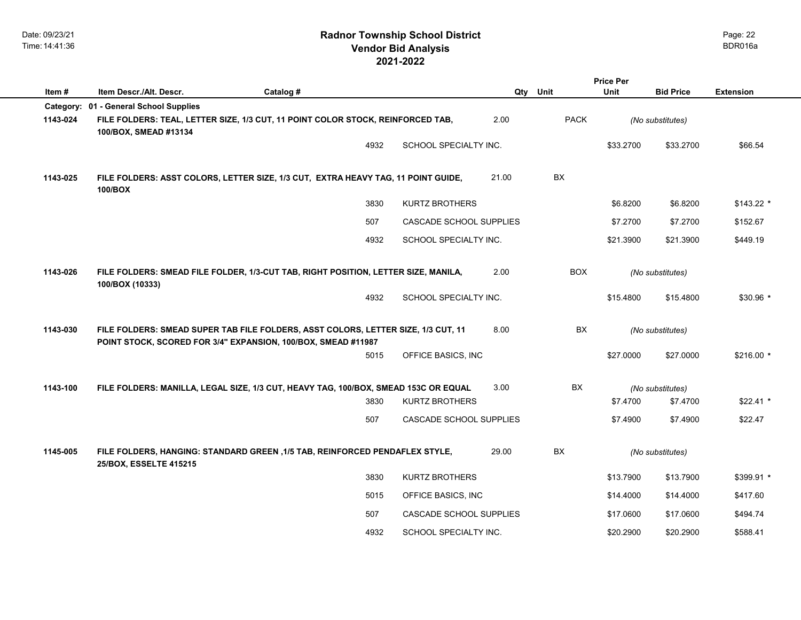|          |                                                                                                                                                    |                                                                                    |      |                         |       |             | <b>Price Per</b> |                  |             |
|----------|----------------------------------------------------------------------------------------------------------------------------------------------------|------------------------------------------------------------------------------------|------|-------------------------|-------|-------------|------------------|------------------|-------------|
| Item#    | Item Descr./Alt. Descr.                                                                                                                            | Catalog #                                                                          |      |                         |       | Qty Unit    | Unit             | <b>Bid Price</b> | Extension   |
|          | Category: 01 - General School Supplies                                                                                                             |                                                                                    |      |                         |       |             |                  |                  |             |
| 1143-024 | FILE FOLDERS: TEAL, LETTER SIZE, 1/3 CUT, 11 POINT COLOR STOCK, REINFORCED TAB,<br>100/BOX, SMEAD #13134                                           |                                                                                    |      |                         | 2.00  | <b>PACK</b> |                  | (No substitutes) |             |
|          |                                                                                                                                                    |                                                                                    | 4932 | SCHOOL SPECIALTY INC.   |       |             | \$33.2700        | \$33.2700        | \$66.54     |
| 1143-025 | FILE FOLDERS: ASST COLORS, LETTER SIZE, 1/3 CUT, EXTRA HEAVY TAG, 11 POINT GUIDE,<br>100/BOX                                                       |                                                                                    |      |                         | 21.00 | <b>BX</b>   |                  |                  |             |
|          |                                                                                                                                                    |                                                                                    | 3830 | <b>KURTZ BROTHERS</b>   |       |             | \$6.8200         | \$6.8200         | $$143.22$ * |
|          |                                                                                                                                                    |                                                                                    | 507  | CASCADE SCHOOL SUPPLIES |       |             | \$7.2700         | \$7.2700         | \$152.67    |
|          |                                                                                                                                                    |                                                                                    | 4932 | SCHOOL SPECIALTY INC.   |       |             | \$21.3900        | \$21.3900        | \$449.19    |
| 1143-026 | 100/BOX (10333)                                                                                                                                    | FILE FOLDERS: SMEAD FILE FOLDER, 1/3-CUT TAB, RIGHT POSITION, LETTER SIZE, MANILA, |      |                         |       | <b>BOX</b>  |                  | (No substitutes) |             |
|          |                                                                                                                                                    |                                                                                    | 4932 | SCHOOL SPECIALTY INC.   |       |             | \$15.4800        | \$15.4800        | $$30.96$ *  |
| 1143-030 | FILE FOLDERS: SMEAD SUPER TAB FILE FOLDERS, ASST COLORS, LETTER SIZE, 1/3 CUT, 11<br>POINT STOCK, SCORED FOR 3/4" EXPANSION, 100/BOX, SMEAD #11987 |                                                                                    |      |                         | 8.00  | BX          |                  | (No substitutes) |             |
|          |                                                                                                                                                    |                                                                                    | 5015 | OFFICE BASICS, INC      |       |             | \$27.0000        | \$27.0000        | $$216.00*$  |
| 1143-100 | FILE FOLDERS: MANILLA, LEGAL SIZE, 1/3 CUT, HEAVY TAG, 100/BOX, SMEAD 153C OR EQUAL                                                                |                                                                                    |      |                         | 3.00  | <b>BX</b>   |                  | (No substitutes) |             |
|          |                                                                                                                                                    |                                                                                    | 3830 | <b>KURTZ BROTHERS</b>   |       |             | \$7.4700         | \$7.4700         | $$22.41$ *  |
|          |                                                                                                                                                    |                                                                                    | 507  | CASCADE SCHOOL SUPPLIES |       |             | \$7.4900         | \$7.4900         | \$22.47     |
| 1145-005 | FILE FOLDERS, HANGING: STANDARD GREEN, 1/5 TAB, REINFORCED PENDAFLEX STYLE,<br>25/BOX, ESSELTE 415215                                              |                                                                                    |      |                         | 29.00 | <b>BX</b>   |                  | (No substitutes) |             |
|          |                                                                                                                                                    |                                                                                    | 3830 | <b>KURTZ BROTHERS</b>   |       |             | \$13.7900        | \$13.7900        | \$399.91 *  |
|          |                                                                                                                                                    |                                                                                    | 5015 | OFFICE BASICS, INC      |       |             | \$14.4000        | \$14.4000        | \$417.60    |
|          |                                                                                                                                                    |                                                                                    | 507  | CASCADE SCHOOL SUPPLIES |       |             | \$17.0600        | \$17.0600        | \$494.74    |
|          |                                                                                                                                                    |                                                                                    | 4932 | SCHOOL SPECIALTY INC.   |       |             | \$20,2900        | \$20,2900        | \$588.41    |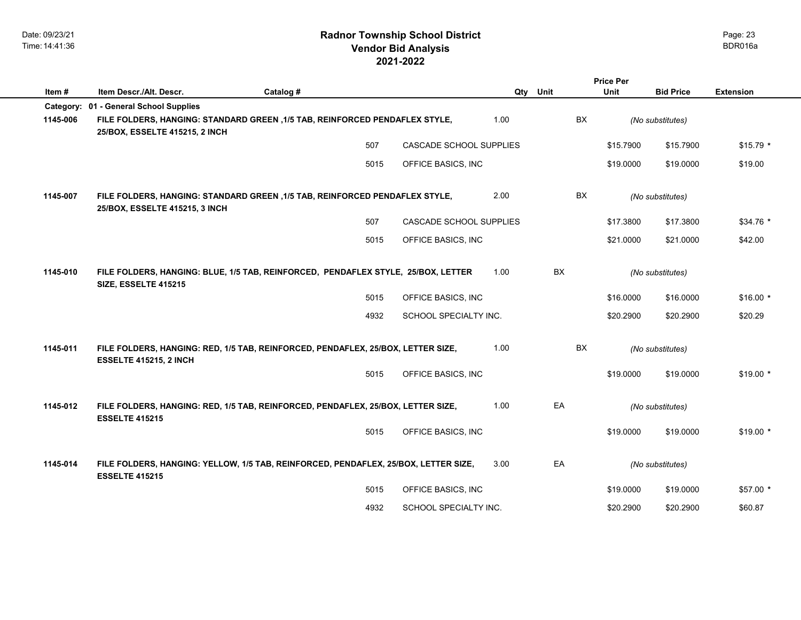|           |                                                                                                                |                                                                                           |      |                                |      |      | <b>Price Per</b> |                  |                  |
|-----------|----------------------------------------------------------------------------------------------------------------|-------------------------------------------------------------------------------------------|------|--------------------------------|------|------|------------------|------------------|------------------|
| Item#     | Item Descr./Alt. Descr.                                                                                        | Catalog #                                                                                 |      |                                | Qty  | Unit | Unit             | <b>Bid Price</b> | <b>Extension</b> |
| Category: | 01 - General School Supplies                                                                                   |                                                                                           |      |                                |      |      |                  |                  |                  |
| 1145-006  | FILE FOLDERS, HANGING: STANDARD GREEN , 1/5 TAB, REINFORCED PENDAFLEX STYLE,<br>25/BOX, ESSELTE 415215, 2 INCH |                                                                                           |      |                                | 1.00 |      | BX               | (No substitutes) |                  |
|           |                                                                                                                |                                                                                           | 507  | CASCADE SCHOOL SUPPLIES        |      |      | \$15.7900        | \$15.7900        | $$15.79$ *       |
|           |                                                                                                                |                                                                                           | 5015 | OFFICE BASICS, INC             |      |      | \$19,0000        | \$19,0000        | \$19.00          |
| 1145-007  | FILE FOLDERS, HANGING: STANDARD GREEN, 1/5 TAB, REINFORCED PENDAFLEX STYLE,<br>25/BOX, ESSELTE 415215, 3 INCH  |                                                                                           |      |                                | 2.00 |      | <b>BX</b>        | (No substitutes) |                  |
|           |                                                                                                                |                                                                                           | 507  | <b>CASCADE SCHOOL SUPPLIES</b> |      |      | \$17.3800        | \$17.3800        | $$34.76$ *       |
|           |                                                                                                                |                                                                                           | 5015 | OFFICE BASICS, INC             |      |      | \$21.0000        | \$21.0000        | \$42.00          |
| 1145-010  | SIZE, ESSELTE 415215                                                                                           | FILE FOLDERS, HANGING: BLUE, 1/5 TAB, REINFORCED, PENDAFLEX STYLE, 25/BOX, LETTER<br>5015 |      |                                |      | BX   |                  | (No substitutes) |                  |
|           |                                                                                                                |                                                                                           |      | OFFICE BASICS, INC             |      |      | \$16.0000        | \$16.0000        | $$16.00*$        |
|           |                                                                                                                |                                                                                           | 4932 | SCHOOL SPECIALTY INC.          |      |      | \$20.2900        | \$20.2900        | \$20.29          |
| 1145-011  | FILE FOLDERS, HANGING: RED, 1/5 TAB, REINFORCED, PENDAFLEX, 25/BOX, LETTER SIZE,                               |                                                                                           |      |                                | 1.00 |      | BX               |                  |                  |
|           | <b>ESSELTE 415215, 2 INCH</b>                                                                                  |                                                                                           |      |                                |      |      |                  | (No substitutes) |                  |
|           |                                                                                                                |                                                                                           | 5015 | OFFICE BASICS, INC             |      |      | \$19.0000        | \$19.0000        | $$19.00*$        |
| 1145-012  |                                                                                                                |                                                                                           |      |                                | 1.00 | EA   |                  |                  |                  |
|           | FILE FOLDERS, HANGING: RED, 1/5 TAB, REINFORCED, PENDAFLEX, 25/BOX, LETTER SIZE,<br><b>ESSELTE 415215</b>      |                                                                                           |      |                                |      |      |                  | (No substitutes) |                  |
|           |                                                                                                                |                                                                                           | 5015 | OFFICE BASICS, INC             |      |      | \$19,0000        | \$19,0000        | $$19.00*$        |
| 1145-014  | FILE FOLDERS, HANGING: YELLOW, 1/5 TAB, REINFORCED, PENDAFLEX, 25/BOX, LETTER SIZE,<br><b>ESSELTE 415215</b>   |                                                                                           |      |                                | 3.00 | EA   |                  | (No substitutes) |                  |
|           |                                                                                                                |                                                                                           | 5015 | OFFICE BASICS, INC             |      |      | \$19.0000        | \$19.0000        | $$57.00*$        |
|           |                                                                                                                |                                                                                           | 4932 | SCHOOL SPECIALTY INC.          |      |      | \$20.2900        | \$20.2900        | \$60.87          |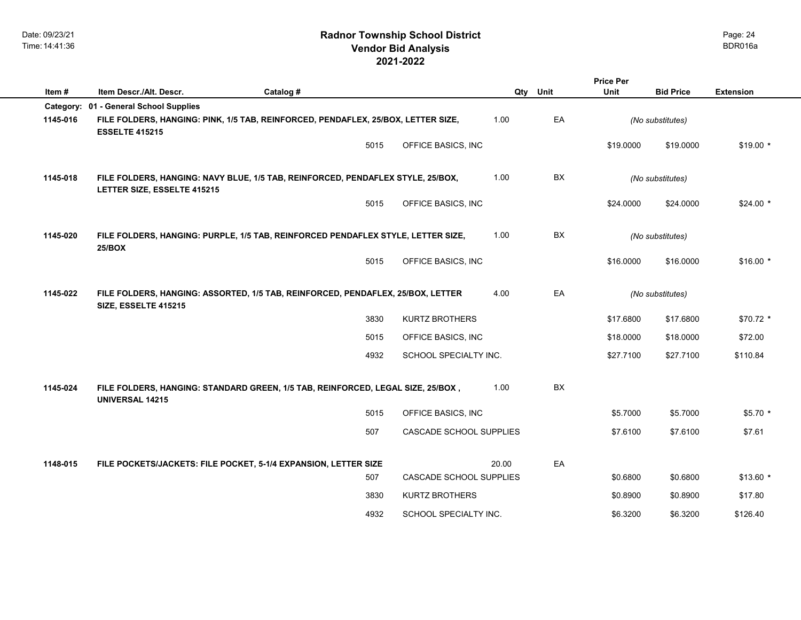|           |                                                                                                                |           |      |                         |       |           | <b>Price Per</b> |                  |                  |  |
|-----------|----------------------------------------------------------------------------------------------------------------|-----------|------|-------------------------|-------|-----------|------------------|------------------|------------------|--|
| Item#     | Item Descr./Alt. Descr.                                                                                        | Catalog # |      |                         | Qty   | Unit      | Unit             | <b>Bid Price</b> | <b>Extension</b> |  |
| Category: | 01 - General School Supplies                                                                                   |           |      |                         |       |           |                  |                  |                  |  |
| 1145-016  | FILE FOLDERS, HANGING: PINK, 1/5 TAB, REINFORCED, PENDAFLEX, 25/BOX, LETTER SIZE,<br><b>ESSELTE 415215</b>     |           |      |                         | 1.00  | EA        |                  | (No substitutes) |                  |  |
|           |                                                                                                                |           | 5015 | OFFICE BASICS, INC      |       |           | \$19.0000        | \$19.0000        | $$19.00*$        |  |
| 1145-018  | FILE FOLDERS, HANGING: NAVY BLUE, 1/5 TAB, REINFORCED, PENDAFLEX STYLE, 25/BOX,<br>LETTER SIZE, ESSELTE 415215 |           |      |                         | 1.00  | BX        |                  | (No substitutes) |                  |  |
|           |                                                                                                                |           | 5015 | OFFICE BASICS, INC      |       |           | \$24.0000        | \$24.0000        | $$24.00*$        |  |
| 1145-020  | FILE FOLDERS, HANGING: PURPLE, 1/5 TAB, REINFORCED PENDAFLEX STYLE, LETTER SIZE,<br><b>25/BOX</b>              |           |      |                         | 1.00  | <b>BX</b> |                  | (No substitutes) |                  |  |
|           |                                                                                                                |           | 5015 | OFFICE BASICS, INC      |       |           | \$16.0000        | \$16.0000        | $$16.00*$        |  |
| 1145-022  | FILE FOLDERS, HANGING: ASSORTED, 1/5 TAB, REINFORCED, PENDAFLEX, 25/BOX, LETTER<br>SIZE, ESSELTE 415215        |           |      |                         | 4.00  | EA        |                  | (No substitutes) |                  |  |
|           |                                                                                                                |           | 3830 | <b>KURTZ BROTHERS</b>   |       |           | \$17.6800        | \$17.6800        | $$70.72$ *       |  |
|           |                                                                                                                |           | 5015 | OFFICE BASICS, INC      |       |           | \$18.0000        | \$18.0000        | \$72.00          |  |
|           |                                                                                                                |           | 4932 | SCHOOL SPECIALTY INC.   |       |           | \$27.7100        | \$27.7100        | \$110.84         |  |
| 1145-024  | FILE FOLDERS, HANGING: STANDARD GREEN, 1/5 TAB, REINFORCED, LEGAL SIZE, 25/BOX,<br><b>UNIVERSAL 14215</b>      |           |      |                         | 1.00  | <b>BX</b> |                  |                  |                  |  |
|           |                                                                                                                |           | 5015 | OFFICE BASICS, INC      |       |           | \$5.7000         | \$5.7000         | $$5.70*$         |  |
|           |                                                                                                                |           | 507  | CASCADE SCHOOL SUPPLIES |       |           | \$7.6100         | \$7.6100         | \$7.61           |  |
| 1148-015  | FILE POCKETS/JACKETS: FILE POCKET, 5-1/4 EXPANSION, LETTER SIZE                                                |           |      |                         | 20.00 | EA        |                  |                  |                  |  |
|           |                                                                                                                |           | 507  | CASCADE SCHOOL SUPPLIES |       |           | \$0.6800         | \$0.6800         | $$13.60*$        |  |
|           |                                                                                                                |           | 3830 | <b>KURTZ BROTHERS</b>   |       |           | \$0.8900         | \$0.8900         | \$17.80          |  |
|           |                                                                                                                |           | 4932 | SCHOOL SPECIALTY INC.   |       |           | \$6.3200         | \$6.3200         | \$126.40         |  |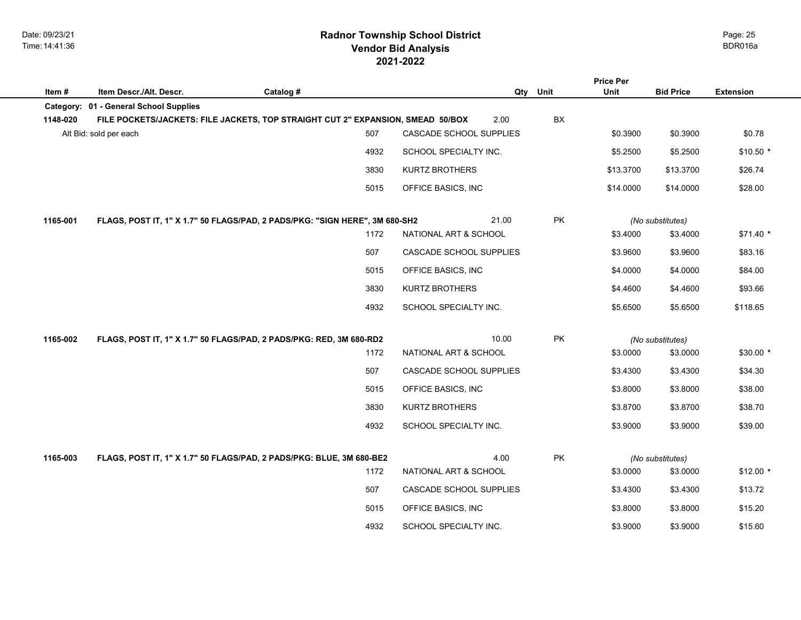| Item#    | Item Descr./Alt. Descr.                | Catalog #                                                                       |                         | Qty Unit | Price Per<br><b>Unit</b> | <b>Bid Price</b> | <b>Extension</b> |
|----------|----------------------------------------|---------------------------------------------------------------------------------|-------------------------|----------|--------------------------|------------------|------------------|
|          | Category: 01 - General School Supplies |                                                                                 |                         |          |                          |                  |                  |
| 1148-020 |                                        | FILE POCKETS/JACKETS: FILE JACKETS, TOP STRAIGHT CUT 2" EXPANSION, SMEAD 50/BOX | 2.00                    | BX       |                          |                  |                  |
|          | Alt Bid: sold per each                 | 507                                                                             | CASCADE SCHOOL SUPPLIES |          | \$0.3900                 | \$0.3900         | \$0.78           |
|          |                                        | 4932                                                                            | SCHOOL SPECIALTY INC.   |          | \$5.2500                 | \$5.2500         | $$10.50*$        |
|          |                                        | 3830                                                                            | <b>KURTZ BROTHERS</b>   |          | \$13.3700                | \$13.3700        | \$26.74          |
|          |                                        | 5015                                                                            | OFFICE BASICS, INC      |          | \$14.0000                | \$14.0000        | \$28.00          |
| 1165-001 |                                        | FLAGS, POST IT, 1" X 1.7" 50 FLAGS/PAD, 2 PADS/PKG: "SIGN HERE", 3M 680-SH2     | 21.00                   | PK       |                          | (No substitutes) |                  |
|          |                                        | 1172                                                                            | NATIONAL ART & SCHOOL   |          | \$3.4000                 | \$3.4000         | $$71.40*$        |
|          |                                        | 507                                                                             | CASCADE SCHOOL SUPPLIES |          | \$3.9600                 | \$3.9600         | \$83.16          |
|          |                                        | 5015                                                                            | OFFICE BASICS, INC      |          | \$4.0000                 | \$4.0000         | \$84.00          |
|          |                                        | 3830                                                                            | <b>KURTZ BROTHERS</b>   |          | \$4.4600                 | \$4.4600         | \$93.66          |
|          |                                        | 4932                                                                            | SCHOOL SPECIALTY INC.   |          | \$5.6500                 | \$5.6500         | \$118.65         |
| 1165-002 |                                        | FLAGS, POST IT, 1" X 1.7" 50 FLAGS/PAD, 2 PADS/PKG: RED, 3M 680-RD2             | 10.00                   | PK       |                          | (No substitutes) |                  |
|          |                                        | 1172                                                                            | NATIONAL ART & SCHOOL   |          | \$3.0000                 | \$3.0000         | $$30.00*$        |
|          |                                        | 507                                                                             | CASCADE SCHOOL SUPPLIES |          | \$3.4300                 | \$3.4300         | \$34.30          |
|          |                                        | 5015                                                                            | OFFICE BASICS, INC      |          | \$3.8000                 | \$3.8000         | \$38.00          |
|          |                                        | 3830                                                                            | <b>KURTZ BROTHERS</b>   |          | \$3.8700                 | \$3.8700         | \$38.70          |
|          |                                        | 4932                                                                            | SCHOOL SPECIALTY INC.   |          | \$3.9000                 | \$3.9000         | \$39.00          |
| 1165-003 |                                        | FLAGS, POST IT, 1" X 1.7" 50 FLAGS/PAD, 2 PADS/PKG: BLUE, 3M 680-BE2            | 4.00                    | PK       |                          | (No substitutes) |                  |
|          |                                        | 1172                                                                            | NATIONAL ART & SCHOOL   |          | \$3.0000                 | \$3.0000         | $$12.00*$        |
|          |                                        | 507                                                                             | CASCADE SCHOOL SUPPLIES |          | \$3.4300                 | \$3.4300         | \$13.72          |
|          |                                        | 5015                                                                            | OFFICE BASICS, INC      |          | \$3.8000                 | \$3.8000         | \$15.20          |
|          |                                        | 4932                                                                            | SCHOOL SPECIALTY INC.   |          | \$3.9000                 | \$3.9000         | \$15.60          |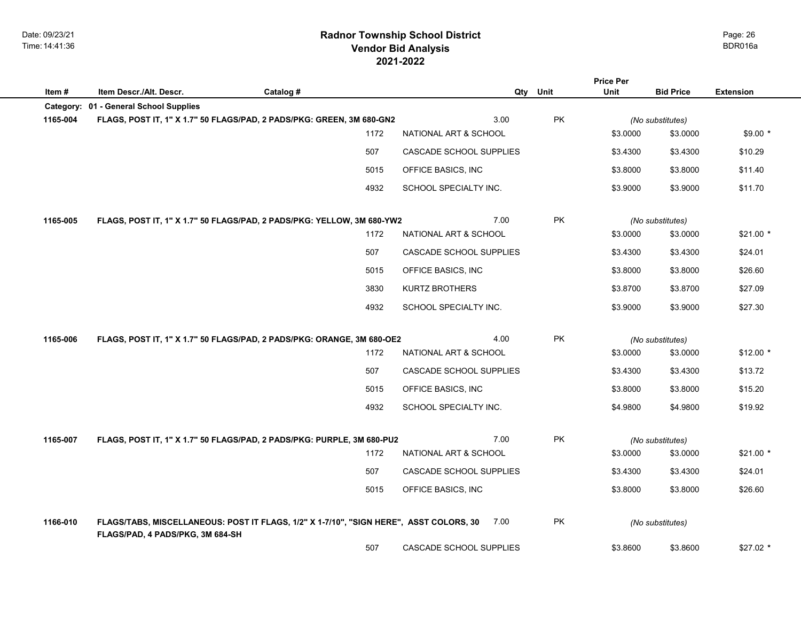**Item # Item Descr./Alt. Descr. Catalog # Qty Unit Bid Price Extension**

**Category: 01 - General School Supplies**

| 1165-004 | FLAGS, POST IT, 1" X 1.7" 50 FLAGS/PAD, 2 PADS/PKG: GREEN, 3M 680-GN2                                                      |      | 3.00                          | PK        | (No substitutes)             |          |           |
|----------|----------------------------------------------------------------------------------------------------------------------------|------|-------------------------------|-----------|------------------------------|----------|-----------|
|          |                                                                                                                            | 1172 | NATIONAL ART & SCHOOL         |           | \$3.0000                     | \$3.0000 | $$9.00*$  |
|          |                                                                                                                            | 507  | CASCADE SCHOOL SUPPLIES       |           | \$3.4300                     | \$3.4300 | \$10.29   |
|          |                                                                                                                            | 5015 | OFFICE BASICS, INC            |           | \$3.8000                     | \$3.8000 | \$11.40   |
|          |                                                                                                                            | 4932 | SCHOOL SPECIALTY INC.         |           | \$3.9000                     | \$3.9000 | \$11.70   |
| 1165-005 | FLAGS, POST IT, 1" X 1.7" 50 FLAGS/PAD, 2 PADS/PKG: YELLOW, 3M 680-YW2                                                     |      | 7.00                          | PK        | (No substitutes)             |          |           |
|          |                                                                                                                            | 1172 | NATIONAL ART & SCHOOL         |           | \$3.0000                     | \$3.0000 | $$21.00*$ |
|          |                                                                                                                            | 507  | CASCADE SCHOOL SUPPLIES       |           | \$3.4300                     | \$3.4300 | \$24.01   |
|          |                                                                                                                            | 5015 | OFFICE BASICS, INC            |           | \$3.8000                     | \$3.8000 | \$26.60   |
|          |                                                                                                                            | 3830 | KURTZ BROTHERS                |           | \$3.8700                     | \$3.8700 | \$27.09   |
|          |                                                                                                                            | 4932 | SCHOOL SPECIALTY INC.         |           | \$3.9000                     | \$3.9000 | \$27.30   |
| 1165-006 | FLAGS, POST IT, 1" X 1.7" 50 FLAGS/PAD, 2 PADS/PKG: ORANGE, 3M 680-OE2                                                     |      | 4.00                          | PK        | (No substitutes)             |          |           |
|          |                                                                                                                            | 1172 | NATIONAL ART & SCHOOL         |           | \$3.0000                     | \$3.0000 | $$12.00*$ |
|          |                                                                                                                            | 507  | CASCADE SCHOOL SUPPLIES       |           | \$3.4300                     | \$3.4300 | \$13.72   |
|          |                                                                                                                            | 5015 | OFFICE BASICS, INC            |           | \$3.8000                     | \$3.8000 | \$15.20   |
|          |                                                                                                                            | 4932 | SCHOOL SPECIALTY INC.         |           | \$4.9800                     | \$4.9800 | \$19.92   |
|          |                                                                                                                            |      |                               |           |                              |          |           |
| 1165-007 | FLAGS, POST IT, 1" X 1.7" 50 FLAGS/PAD, 2 PADS/PKG: PURPLE, 3M 680-PU2                                                     | 1172 | 7.00<br>NATIONAL ART & SCHOOL | PK        | (No substitutes)<br>\$3.0000 | \$3.0000 | $$21.00*$ |
|          |                                                                                                                            | 507  | CASCADE SCHOOL SUPPLIES       |           | \$3.4300                     | \$3.4300 | \$24.01   |
|          |                                                                                                                            | 5015 | OFFICE BASICS, INC            |           | \$3.8000                     | \$3.8000 | \$26.60   |
|          |                                                                                                                            |      |                               |           |                              |          |           |
| 1166-010 | FLAGS/TABS, MISCELLANEOUS: POST IT FLAGS, 1/2" X 1-7/10", "SIGN HERE", ASST COLORS, 30<br>FLAGS/PAD, 4 PADS/PKG, 3M 684-SH |      | 7.00                          | <b>PK</b> | (No substitutes)             |          |           |
|          |                                                                                                                            | 507  | CASCADE SCHOOL SUPPLIES       |           | \$3.8600                     | \$3.8600 | $$27.02*$ |

Page: 26

**Price Per Unit**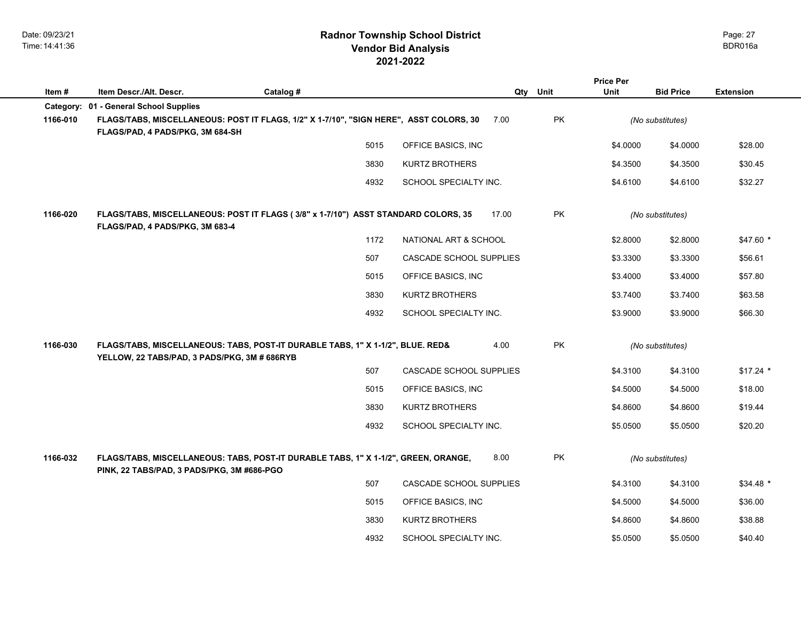|           |                                              |                                                                                        |                         |       |           | <b>Price Per</b> |                  |                  |
|-----------|----------------------------------------------|----------------------------------------------------------------------------------------|-------------------------|-------|-----------|------------------|------------------|------------------|
| Item#     | Item Descr./Alt. Descr.                      | Catalog #                                                                              |                         | Qty   | Unit      | Unit             | <b>Bid Price</b> | <b>Extension</b> |
| Category: | 01 - General School Supplies                 |                                                                                        |                         |       |           |                  |                  |                  |
| 1166-010  | FLAGS/PAD, 4 PADS/PKG, 3M 684-SH             | FLAGS/TABS, MISCELLANEOUS: POST IT FLAGS, 1/2" X 1-7/10", "SIGN HERE", ASST COLORS, 30 |                         | 7.00  | <b>PK</b> |                  | (No substitutes) |                  |
|           |                                              | 5015                                                                                   | OFFICE BASICS, INC      |       |           | \$4.0000         | \$4.0000         | \$28.00          |
|           |                                              | 3830                                                                                   | <b>KURTZ BROTHERS</b>   |       |           | \$4.3500         | \$4.3500         | \$30.45          |
|           |                                              | 4932                                                                                   | SCHOOL SPECIALTY INC.   |       |           | \$4.6100         | \$4.6100         | \$32.27          |
| 1166-020  | FLAGS/PAD, 4 PADS/PKG, 3M 683-4              | FLAGS/TABS, MISCELLANEOUS: POST IT FLAGS (3/8" x 1-7/10") ASST STANDARD COLORS, 35     |                         | 17.00 | PK        |                  | (No substitutes) |                  |
|           |                                              | 1172                                                                                   | NATIONAL ART & SCHOOL   |       |           | \$2.8000         | \$2.8000         | $$47.60*$        |
|           |                                              | 507                                                                                    | CASCADE SCHOOL SUPPLIES |       |           | \$3.3300         | \$3.3300         | \$56.61          |
|           |                                              | 5015                                                                                   | OFFICE BASICS, INC      |       |           | \$3.4000         | \$3.4000         | \$57.80          |
|           |                                              | 3830                                                                                   | <b>KURTZ BROTHERS</b>   |       |           | \$3.7400         | \$3.7400         | \$63.58          |
|           |                                              | 4932                                                                                   | SCHOOL SPECIALTY INC.   |       |           | \$3.9000         | \$3.9000         | \$66.30          |
| 1166-030  | YELLOW, 22 TABS/PAD, 3 PADS/PKG, 3M # 686RYB | FLAGS/TABS, MISCELLANEOUS: TABS, POST-IT DURABLE TABS, 1" X 1-1/2", BLUE. RED&         |                         | 4.00  | <b>PK</b> |                  | (No substitutes) |                  |
|           |                                              | 507                                                                                    | CASCADE SCHOOL SUPPLIES |       |           | \$4.3100         | \$4.3100         | $$17.24$ *       |
|           |                                              | 5015                                                                                   | OFFICE BASICS, INC      |       |           | \$4.5000         | \$4.5000         | \$18.00          |
|           |                                              | 3830                                                                                   | <b>KURTZ BROTHERS</b>   |       |           | \$4.8600         | \$4.8600         | \$19.44          |
|           |                                              | 4932                                                                                   | SCHOOL SPECIALTY INC.   |       |           | \$5.0500         | \$5.0500         | \$20.20          |
| 1166-032  | PINK, 22 TABS/PAD, 3 PADS/PKG, 3M #686-PGO   | FLAGS/TABS, MISCELLANEOUS: TABS, POST-IT DURABLE TABS, 1" X 1-1/2", GREEN, ORANGE,     |                         | 8.00  | <b>PK</b> |                  | (No substitutes) |                  |
|           |                                              | 507                                                                                    | CASCADE SCHOOL SUPPLIES |       |           | \$4.3100         | \$4.3100         | $$34.48$ *       |
|           |                                              | 5015                                                                                   | OFFICE BASICS, INC      |       |           | \$4.5000         | \$4.5000         | \$36.00          |
|           |                                              | 3830                                                                                   | <b>KURTZ BROTHERS</b>   |       |           | \$4.8600         | \$4.8600         | \$38.88          |
|           |                                              | 4932                                                                                   | SCHOOL SPECIALTY INC.   |       |           | \$5.0500         | \$5.0500         | \$40.40          |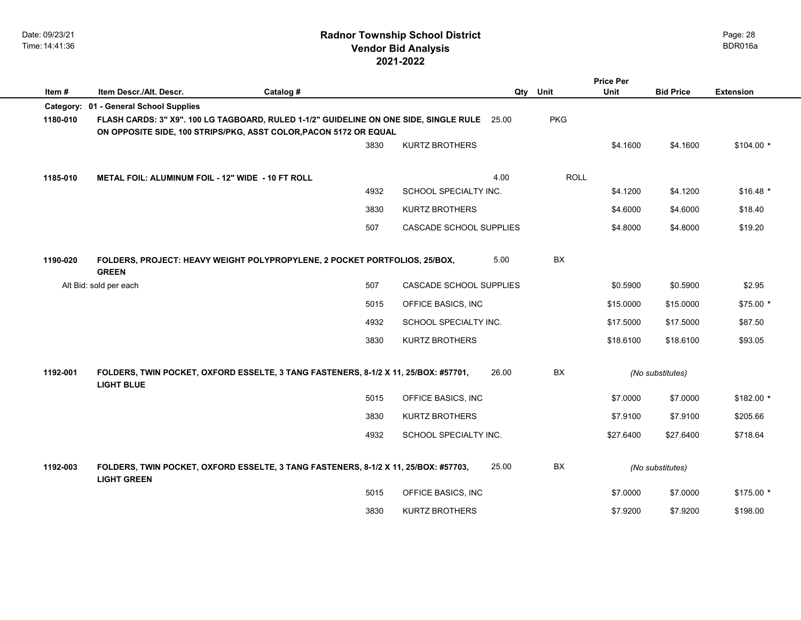# **2021-2022 Radnor Township School District Vendor Bid Analysis** BDR016a

|           |                                                                                                                                                            |           |      |                                |       |             | <b>Price Per</b> |                  |                  |
|-----------|------------------------------------------------------------------------------------------------------------------------------------------------------------|-----------|------|--------------------------------|-------|-------------|------------------|------------------|------------------|
| Item#     | Item Descr./Alt. Descr.                                                                                                                                    | Catalog # |      |                                | Qty   | Unit        | Unit             | <b>Bid Price</b> | <b>Extension</b> |
| Category: | 01 - General School Supplies                                                                                                                               |           |      |                                |       |             |                  |                  |                  |
| 1180-010  | FLASH CARDS: 3" X9". 100 LG TAGBOARD, RULED 1-1/2" GUIDELINE ON ONE SIDE, SINGLE RULE<br>ON OPPOSITE SIDE, 100 STRIPS/PKG, ASST COLOR, PACON 5172 OR EQUAL |           |      |                                | 25.00 | <b>PKG</b>  |                  |                  |                  |
|           |                                                                                                                                                            |           | 3830 | KURTZ BROTHERS                 |       |             | \$4.1600         | \$4.1600         | $$104.00*$       |
| 1185-010  | <b>METAL FOIL: ALUMINUM FOIL - 12" WIDE - 10 FT ROLL</b>                                                                                                   |           |      |                                | 4.00  | <b>ROLL</b> |                  |                  |                  |
|           |                                                                                                                                                            |           | 4932 | SCHOOL SPECIALTY INC.          |       |             | \$4.1200         | \$4.1200         | $$16.48$ *       |
|           |                                                                                                                                                            |           | 3830 | <b>KURTZ BROTHERS</b>          |       |             | \$4.6000         | \$4.6000         | \$18.40          |
|           |                                                                                                                                                            |           | 507  | CASCADE SCHOOL SUPPLIES        |       |             | \$4.8000         | \$4.8000         | \$19.20          |
| 1190-020  | FOLDERS, PROJECT: HEAVY WEIGHT POLYPROPYLENE, 2 POCKET PORTFOLIOS, 25/BOX,<br><b>GREEN</b>                                                                 |           |      |                                | 5.00  | BX          |                  |                  |                  |
|           | Alt Bid: sold per each                                                                                                                                     |           | 507  | <b>CASCADE SCHOOL SUPPLIES</b> |       |             | \$0.5900         | \$0.5900         | \$2.95           |
|           |                                                                                                                                                            |           | 5015 | OFFICE BASICS, INC             |       |             | \$15.0000        | \$15.0000        | $$75.00*$        |
|           |                                                                                                                                                            |           | 4932 | SCHOOL SPECIALTY INC.          |       |             | \$17.5000        | \$17.5000        | \$87.50          |
|           |                                                                                                                                                            |           | 3830 | <b>KURTZ BROTHERS</b>          |       |             | \$18.6100        | \$18.6100        | \$93.05          |
| 1192-001  | FOLDERS, TWIN POCKET, OXFORD ESSELTE, 3 TANG FASTENERS, 8-1/2 X 11, 25/BOX: #57701,<br><b>LIGHT BLUE</b>                                                   |           |      |                                | 26.00 | BX          |                  | (No substitutes) |                  |
|           |                                                                                                                                                            |           | 5015 | OFFICE BASICS, INC             |       |             | \$7.0000         | \$7.0000         | $$182.00*$       |
|           |                                                                                                                                                            |           | 3830 | <b>KURTZ BROTHERS</b>          |       |             | \$7.9100         | \$7.9100         | \$205.66         |
|           |                                                                                                                                                            |           | 4932 | SCHOOL SPECIALTY INC.          |       |             | \$27.6400        | \$27.6400        | \$718.64         |
| 1192-003  | FOLDERS, TWIN POCKET, OXFORD ESSELTE, 3 TANG FASTENERS, 8-1/2 X 11, 25/BOX: #57703,<br><b>LIGHT GREEN</b>                                                  |           |      |                                | 25.00 | <b>BX</b>   |                  | (No substitutes) |                  |
|           |                                                                                                                                                            |           | 5015 | OFFICE BASICS, INC             |       |             | \$7,0000         | \$7.0000         | $$175.00$ *      |
|           |                                                                                                                                                            |           | 3830 | <b>KURTZ BROTHERS</b>          |       |             | \$7.9200         | \$7.9200         | \$198.00         |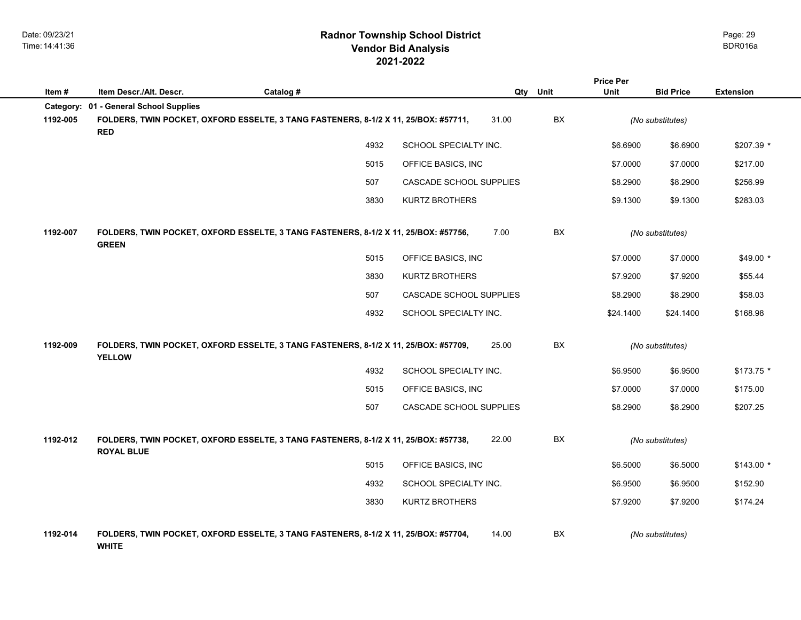|          |                                                                                                          |           |      |                         |       |           | <b>Price Per</b> |                  |                  |
|----------|----------------------------------------------------------------------------------------------------------|-----------|------|-------------------------|-------|-----------|------------------|------------------|------------------|
| Item#    | Item Descr./Alt. Descr.                                                                                  | Catalog # |      |                         | Qty   | Unit      | Unit             | <b>Bid Price</b> | <b>Extension</b> |
|          | Category: 01 - General School Supplies                                                                   |           |      |                         |       |           |                  |                  |                  |
| 1192-005 | FOLDERS, TWIN POCKET, OXFORD ESSELTE, 3 TANG FASTENERS, 8-1/2 X 11, 25/BOX: #57711,<br><b>RED</b>        |           |      |                         | 31.00 | BX        |                  | (No substitutes) |                  |
|          |                                                                                                          |           | 4932 | SCHOOL SPECIALTY INC.   |       |           | \$6.6900         | \$6.6900         | $$207.39$ *      |
|          |                                                                                                          |           | 5015 | OFFICE BASICS, INC      |       |           | \$7.0000         | \$7.0000         | \$217.00         |
|          |                                                                                                          |           | 507  | CASCADE SCHOOL SUPPLIES |       |           | \$8.2900         | \$8.2900         | \$256.99         |
|          |                                                                                                          |           | 3830 | <b>KURTZ BROTHERS</b>   |       |           | \$9.1300         | \$9.1300         | \$283.03         |
| 1192-007 | FOLDERS, TWIN POCKET, OXFORD ESSELTE, 3 TANG FASTENERS, 8-1/2 X 11, 25/BOX: #57756,<br><b>GREEN</b>      |           |      |                         | 7.00  | <b>BX</b> |                  | (No substitutes) |                  |
|          |                                                                                                          |           | 5015 | OFFICE BASICS, INC      |       |           | \$7.0000         | \$7.0000         | $$49.00*$        |
|          |                                                                                                          |           | 3830 | <b>KURTZ BROTHERS</b>   |       |           | \$7.9200         | \$7.9200         | \$55.44          |
|          |                                                                                                          |           | 507  | CASCADE SCHOOL SUPPLIES |       |           | \$8.2900         | \$8.2900         | \$58.03          |
|          |                                                                                                          |           | 4932 | SCHOOL SPECIALTY INC.   |       |           | \$24.1400        | \$24.1400        | \$168.98         |
| 1192-009 | FOLDERS, TWIN POCKET, OXFORD ESSELTE, 3 TANG FASTENERS, 8-1/2 X 11, 25/BOX: #57709,<br><b>YELLOW</b>     |           |      |                         | 25.00 | BX        |                  | (No substitutes) |                  |
|          |                                                                                                          |           | 4932 | SCHOOL SPECIALTY INC.   |       |           | \$6.9500         | \$6.9500         | \$173.75 *       |
|          |                                                                                                          |           | 5015 | OFFICE BASICS, INC      |       |           | \$7.0000         | \$7.0000         | \$175.00         |
|          |                                                                                                          |           | 507  | CASCADE SCHOOL SUPPLIES |       |           | \$8.2900         | \$8.2900         | \$207.25         |
| 1192-012 | FOLDERS, TWIN POCKET, OXFORD ESSELTE, 3 TANG FASTENERS, 8-1/2 X 11, 25/BOX: #57738,<br><b>ROYAL BLUE</b> |           |      |                         | 22.00 | BX        |                  | (No substitutes) |                  |
|          |                                                                                                          |           | 5015 | OFFICE BASICS, INC      |       |           | \$6.5000         | \$6.5000         | $$143.00*$       |
|          |                                                                                                          |           | 4932 | SCHOOL SPECIALTY INC.   |       |           | \$6.9500         | \$6.9500         | \$152.90         |
|          |                                                                                                          |           | 3830 | KURTZ BROTHERS          |       |           | \$7.9200         | \$7.9200         | \$174.24         |
| 1192-014 | FOLDERS, TWIN POCKET, OXFORD ESSELTE, 3 TANG FASTENERS, 8-1/2 X 11, 25/BOX: #57704,<br><b>WHITE</b>      |           |      |                         | 14.00 | BX        |                  | (No substitutes) |                  |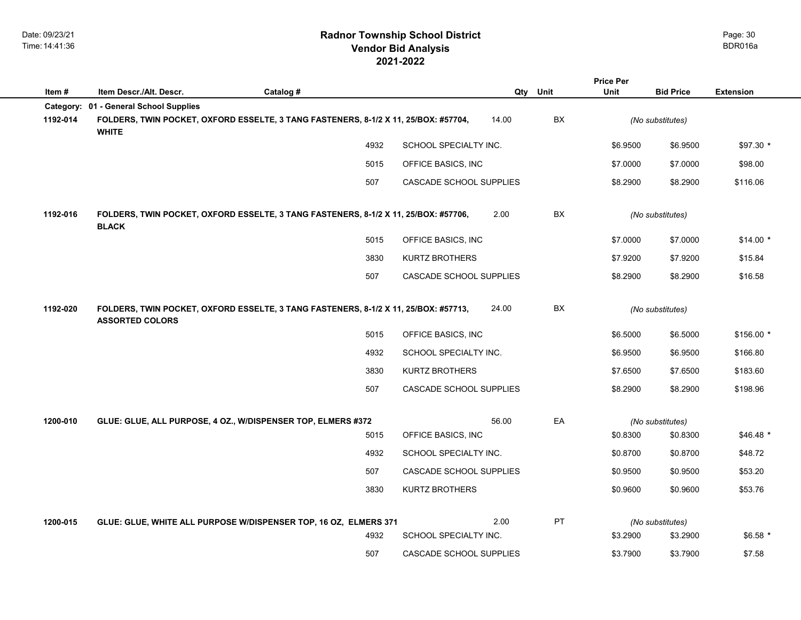|                    |                                                                                                               |           |      |                         |       |          | <b>Price Per</b> |                  |                  |
|--------------------|---------------------------------------------------------------------------------------------------------------|-----------|------|-------------------------|-------|----------|------------------|------------------|------------------|
| Item#<br>Category: | Item Descr./Alt. Descr.<br>01 - General School Supplies                                                       | Catalog # |      |                         |       | Qty Unit | Unit             | <b>Bid Price</b> | <b>Extension</b> |
| 1192-014           | FOLDERS, TWIN POCKET, OXFORD ESSELTE, 3 TANG FASTENERS, 8-1/2 X 11, 25/BOX: #57704,<br><b>WHITE</b>           |           |      |                         | 14.00 | BX       |                  | (No substitutes) |                  |
|                    |                                                                                                               |           | 4932 | SCHOOL SPECIALTY INC.   |       |          | \$6.9500         | \$6.9500         | $$97.30*$        |
|                    |                                                                                                               |           | 5015 | OFFICE BASICS, INC      |       |          | \$7.0000         | \$7.0000         | \$98.00          |
|                    |                                                                                                               |           | 507  | CASCADE SCHOOL SUPPLIES |       |          | \$8.2900         | \$8.2900         | \$116.06         |
| 1192-016           | FOLDERS, TWIN POCKET, OXFORD ESSELTE, 3 TANG FASTENERS, 8-1/2 X 11, 25/BOX: #57706,<br><b>BLACK</b>           |           |      |                         | 2.00  | BX       |                  | (No substitutes) |                  |
|                    |                                                                                                               |           | 5015 | OFFICE BASICS, INC      |       |          | \$7.0000         | \$7.0000         | $$14.00*$        |
|                    |                                                                                                               |           | 3830 | <b>KURTZ BROTHERS</b>   |       |          | \$7.9200         | \$7.9200         | \$15.84          |
|                    |                                                                                                               |           | 507  | CASCADE SCHOOL SUPPLIES |       |          | \$8.2900         | \$8.2900         | \$16.58          |
| 1192-020           | FOLDERS, TWIN POCKET, OXFORD ESSELTE, 3 TANG FASTENERS, 8-1/2 X 11, 25/BOX: #57713,<br><b>ASSORTED COLORS</b> |           |      |                         | 24.00 | BX       |                  | (No substitutes) |                  |
|                    |                                                                                                               |           | 5015 | OFFICE BASICS, INC      |       |          | \$6.5000         | \$6.5000         | $$156.00*$       |
|                    |                                                                                                               |           | 4932 | SCHOOL SPECIALTY INC.   |       |          | \$6.9500         | \$6.9500         | \$166.80         |
|                    |                                                                                                               |           | 3830 | <b>KURTZ BROTHERS</b>   |       |          | \$7.6500         | \$7.6500         | \$183.60         |
|                    |                                                                                                               |           | 507  | CASCADE SCHOOL SUPPLIES |       |          | \$8.2900         | \$8.2900         | \$198.96         |
| 1200-010           | GLUE: GLUE, ALL PURPOSE, 4 OZ., W/DISPENSER TOP, ELMERS #372                                                  |           |      |                         | 56.00 | EA       |                  | (No substitutes) |                  |
|                    |                                                                                                               |           | 5015 | OFFICE BASICS, INC      |       |          | \$0.8300         | \$0.8300         | $$46.48*$        |
|                    |                                                                                                               |           | 4932 | SCHOOL SPECIALTY INC.   |       |          | \$0.8700         | \$0.8700         | \$48.72          |
|                    |                                                                                                               |           | 507  | CASCADE SCHOOL SUPPLIES |       |          | \$0.9500         | \$0.9500         | \$53.20          |
|                    |                                                                                                               |           | 3830 | <b>KURTZ BROTHERS</b>   |       |          | \$0.9600         | \$0.9600         | \$53.76          |
| 1200-015           | GLUE: GLUE, WHITE ALL PURPOSE W/DISPENSER TOP, 16 OZ, ELMERS 371                                              |           |      |                         | 2.00  | PT       |                  | (No substitutes) |                  |
|                    |                                                                                                               |           | 4932 | SCHOOL SPECIALTY INC.   |       |          | \$3.2900         | \$3.2900         | $$6.58*$         |
|                    |                                                                                                               |           | 507  | CASCADE SCHOOL SUPPLIES |       |          | \$3.7900         | \$3.7900         | \$7.58           |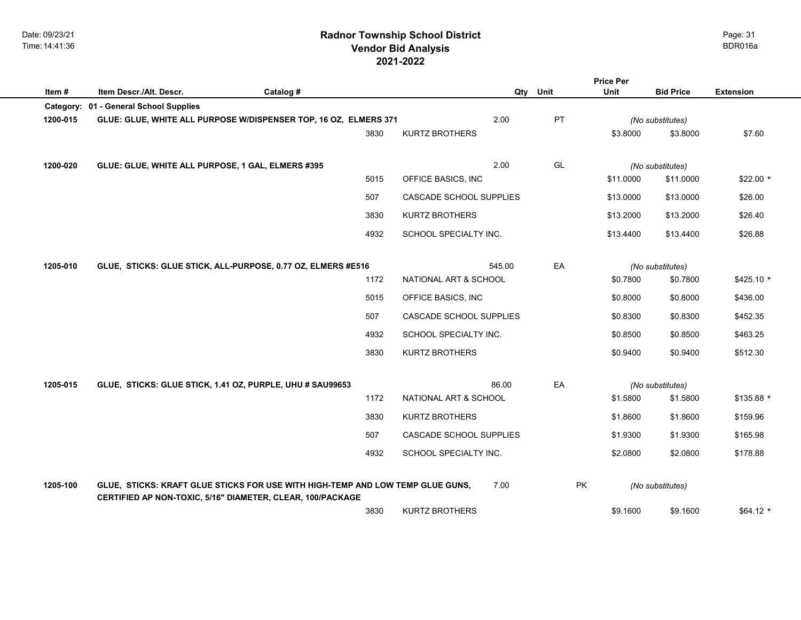## **2021-2022 Radnor Township School District Vendor Bid Analysis** BDR016a

|           |                                                                                                                                              |           |      |                         |        |      | <b>Price Per</b> |                  |                  |
|-----------|----------------------------------------------------------------------------------------------------------------------------------------------|-----------|------|-------------------------|--------|------|------------------|------------------|------------------|
| Item#     | Item Descr./Alt. Descr.                                                                                                                      | Catalog # |      |                         | Qty    | Unit | Unit             | <b>Bid Price</b> | <b>Extension</b> |
| Category: | 01 - General School Supplies                                                                                                                 |           |      |                         |        |      |                  |                  |                  |
| 1200-015  | GLUE: GLUE, WHITE ALL PURPOSE W/DISPENSER TOP, 16 OZ, ELMERS 371                                                                             |           |      |                         | 2.00   | PT   |                  | (No substitutes) |                  |
|           |                                                                                                                                              |           | 3830 | <b>KURTZ BROTHERS</b>   |        |      | \$3.8000         | \$3.8000         | \$7.60           |
|           |                                                                                                                                              |           |      |                         |        |      |                  |                  |                  |
| 1200-020  | GLUE: GLUE, WHITE ALL PURPOSE, 1 GAL, ELMERS #395                                                                                            |           |      |                         | 2.00   | GL   |                  | (No substitutes) |                  |
|           |                                                                                                                                              |           | 5015 | OFFICE BASICS, INC      |        |      | \$11.0000        | \$11.0000        | $$22.00*$        |
|           |                                                                                                                                              |           | 507  | CASCADE SCHOOL SUPPLIES |        |      | \$13.0000        | \$13.0000        | \$26.00          |
|           |                                                                                                                                              |           | 3830 | <b>KURTZ BROTHERS</b>   |        |      | \$13.2000        | \$13.2000        | \$26.40          |
|           |                                                                                                                                              |           | 4932 | SCHOOL SPECIALTY INC.   |        |      | \$13.4400        | \$13.4400        | \$26.88          |
|           |                                                                                                                                              |           |      |                         |        |      |                  |                  |                  |
| 1205-010  | GLUE, STICKS: GLUE STICK, ALL-PURPOSE, 0.77 OZ, ELMERS #E516                                                                                 |           |      |                         | 545.00 | EA   |                  | (No substitutes) |                  |
|           |                                                                                                                                              |           | 1172 | NATIONAL ART & SCHOOL   |        |      | \$0.7800         | \$0.7800         | $$425.10*$       |
|           |                                                                                                                                              |           | 5015 | OFFICE BASICS, INC      |        |      | \$0.8000         | \$0.8000         | \$436.00         |
|           |                                                                                                                                              |           | 507  | CASCADE SCHOOL SUPPLIES |        |      | \$0.8300         | \$0.8300         | \$452.35         |
|           |                                                                                                                                              |           | 4932 | SCHOOL SPECIALTY INC.   |        |      | \$0.8500         | \$0.8500         | \$463.25         |
|           |                                                                                                                                              |           | 3830 | KURTZ BROTHERS          |        |      | \$0.9400         | \$0.9400         | \$512.30         |
|           |                                                                                                                                              |           |      |                         |        |      |                  |                  |                  |
| 1205-015  | GLUE, STICKS: GLUE STICK, 1.41 OZ, PURPLE, UHU # SAU99653                                                                                    |           |      |                         | 86.00  | EA   |                  | (No substitutes) |                  |
|           |                                                                                                                                              |           | 1172 | NATIONAL ART & SCHOOL   |        |      | \$1.5800         | \$1.5800         | $$135.88$ *      |
|           |                                                                                                                                              |           | 3830 | <b>KURTZ BROTHERS</b>   |        |      | \$1.8600         | \$1.8600         | \$159.96         |
|           |                                                                                                                                              |           | 507  | CASCADE SCHOOL SUPPLIES |        |      | \$1.9300         | \$1.9300         | \$165.98         |
|           |                                                                                                                                              |           | 4932 | SCHOOL SPECIALTY INC.   |        |      | \$2.0800         | \$2.0800         | \$178.88         |
|           |                                                                                                                                              |           |      |                         | 7.00   | PK   |                  |                  |                  |
| 1205-100  | GLUE, STICKS: KRAFT GLUE STICKS FOR USE WITH HIGH-TEMP AND LOW TEMP GLUE GUNS,<br>CERTIFIED AP NON-TOXIC, 5/16" DIAMETER, CLEAR, 100/PACKAGE |           |      |                         |        |      |                  | (No substitutes) |                  |
|           |                                                                                                                                              |           | 3830 | <b>KURTZ BROTHERS</b>   |        |      | \$9.1600         | \$9.1600         | $$64.12*$        |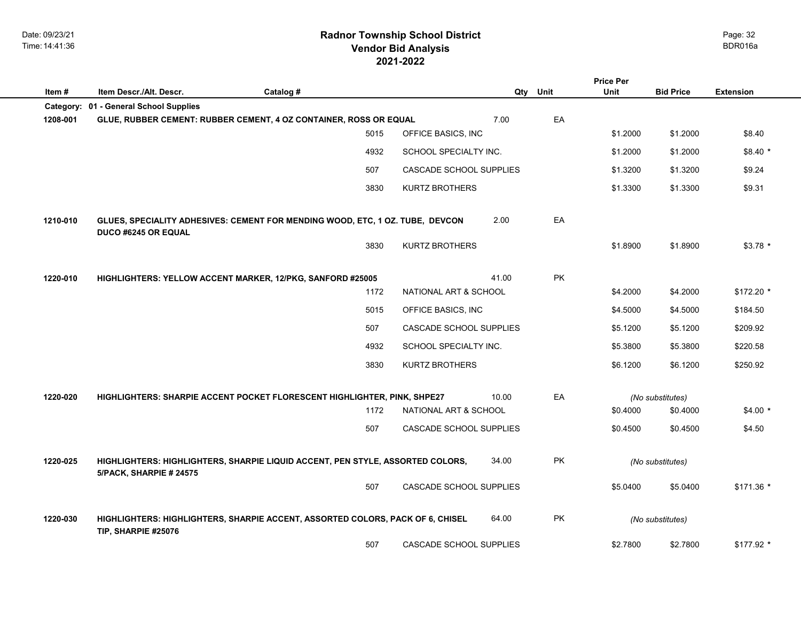## **2021-2022 Radnor Township School District Vendor Bid Analysis** BDR016a

|                    |                                                                                                                  |           |                         |       |           | <b>Price Per</b> |                  |                  |
|--------------------|------------------------------------------------------------------------------------------------------------------|-----------|-------------------------|-------|-----------|------------------|------------------|------------------|
| Item#<br>Category: | Item Descr./Alt. Descr.<br>01 - General School Supplies                                                          | Catalog # |                         | Qty   | Unit      | Unit             | <b>Bid Price</b> | <b>Extension</b> |
| 1208-001           | GLUE, RUBBER CEMENT: RUBBER CEMENT, 4 OZ CONTAINER, ROSS OR EQUAL                                                |           |                         | 7.00  | EA        |                  |                  |                  |
|                    |                                                                                                                  | 5015      | OFFICE BASICS, INC      |       |           | \$1.2000         | \$1.2000         | \$8.40           |
|                    |                                                                                                                  | 4932      | SCHOOL SPECIALTY INC.   |       |           | \$1.2000         | \$1.2000         | $$8.40*$         |
|                    |                                                                                                                  | 507       | CASCADE SCHOOL SUPPLIES |       |           | \$1.3200         | \$1.3200         | \$9.24           |
|                    |                                                                                                                  | 3830      | <b>KURTZ BROTHERS</b>   |       |           | \$1.3300         | \$1.3300         | \$9.31           |
| 1210-010           | GLUES, SPECIALITY ADHESIVES: CEMENT FOR MENDING WOOD, ETC, 1 OZ. TUBE, DEVCON<br>DUCO #6245 OR EQUAL             |           |                         | 2.00  | EA        |                  |                  |                  |
|                    |                                                                                                                  | 3830      | <b>KURTZ BROTHERS</b>   |       |           | \$1.8900         | \$1.8900         | $$3.78$ *        |
| 1220-010           | HIGHLIGHTERS: YELLOW ACCENT MARKER, 12/PKG, SANFORD #25005                                                       |           |                         | 41.00 | <b>PK</b> |                  |                  |                  |
|                    |                                                                                                                  | 1172      | NATIONAL ART & SCHOOL   |       |           | \$4.2000         | \$4.2000         | $$172.20$ *      |
|                    |                                                                                                                  | 5015      | OFFICE BASICS, INC      |       |           | \$4.5000         | \$4.5000         | \$184.50         |
|                    |                                                                                                                  | 507       | CASCADE SCHOOL SUPPLIES |       |           | \$5.1200         | \$5.1200         | \$209.92         |
|                    |                                                                                                                  | 4932      | SCHOOL SPECIALTY INC.   |       |           | \$5.3800         | \$5.3800         | \$220.58         |
|                    |                                                                                                                  | 3830      | <b>KURTZ BROTHERS</b>   |       |           | \$6.1200         | \$6.1200         | \$250.92         |
| 1220-020           | HIGHLIGHTERS: SHARPIE ACCENT POCKET FLORESCENT HIGHLIGHTER, PINK, SHPE27                                         |           |                         | 10.00 | EA        |                  | (No substitutes) |                  |
|                    |                                                                                                                  | 1172      | NATIONAL ART & SCHOOL   |       |           | \$0.4000         | \$0.4000         | $$4.00*$         |
|                    |                                                                                                                  | 507       | CASCADE SCHOOL SUPPLIES |       |           | \$0.4500         | \$0.4500         | \$4.50           |
| 1220-025           | HIGHLIGHTERS: HIGHLIGHTERS, SHARPIE LIQUID ACCENT, PEN STYLE, ASSORTED COLORS,<br><b>5/PACK, SHARPIE # 24575</b> |           |                         | 34.00 | PK        |                  | (No substitutes) |                  |
|                    |                                                                                                                  | 507       | CASCADE SCHOOL SUPPLIES |       |           | \$5.0400         | \$5.0400         | $$171.36$ *      |
| 1220-030           | HIGHLIGHTERS: HIGHLIGHTERS, SHARPIE ACCENT, ASSORTED COLORS, PACK OF 6, CHISEL<br>TIP, SHARPIE #25076            |           |                         | 64.00 | PK        |                  | (No substitutes) |                  |
|                    |                                                                                                                  | 507       | CASCADE SCHOOL SUPPLIES |       |           | \$2.7800         | \$2.7800         | $$177.92$ *      |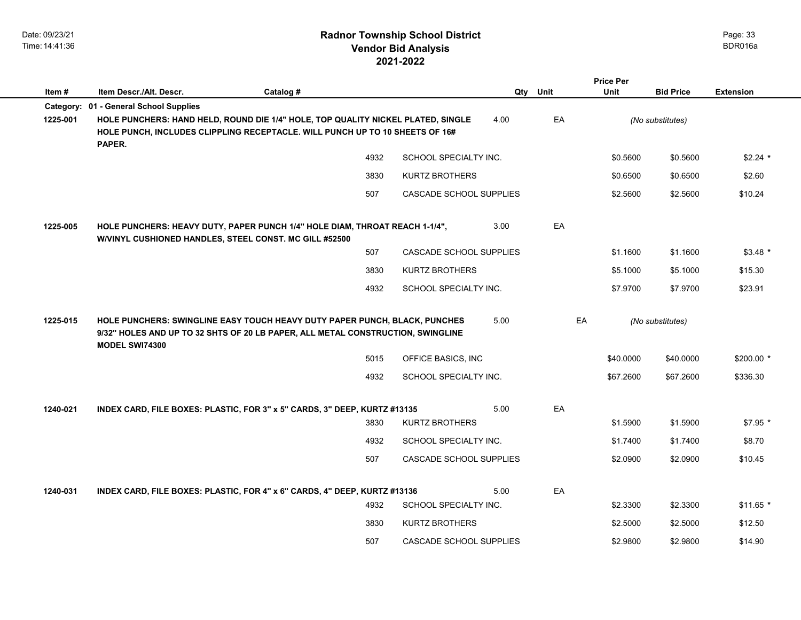## **2021-2022 Radnor Township School District Vendor Bid Analysis** BDR016a

|           |                                                                                                                                                                                        |                                |      |          | <b>Price Per</b> |                  |                  |
|-----------|----------------------------------------------------------------------------------------------------------------------------------------------------------------------------------------|--------------------------------|------|----------|------------------|------------------|------------------|
| Item#     | Item Descr./Alt. Descr.<br>Catalog #                                                                                                                                                   |                                |      | Qty Unit | <b>Unit</b>      | <b>Bid Price</b> | <b>Extension</b> |
| Category: | 01 - General School Supplies                                                                                                                                                           |                                |      |          |                  |                  |                  |
| 1225-001  | HOLE PUNCHERS: HAND HELD, ROUND DIE 1/4" HOLE, TOP QUALITY NICKEL PLATED, SINGLE<br>HOLE PUNCH, INCLUDES CLIPPLING RECEPTACLE. WILL PUNCH UP TO 10 SHEETS OF 16#<br>PAPER.             |                                | 4.00 | EA       |                  | (No substitutes) |                  |
|           |                                                                                                                                                                                        | 4932<br>SCHOOL SPECIALTY INC.  |      |          | \$0.5600         | \$0.5600         | $$2.24$ *        |
|           |                                                                                                                                                                                        | 3830<br><b>KURTZ BROTHERS</b>  |      |          | \$0.6500         | \$0.6500         | \$2.60           |
|           |                                                                                                                                                                                        | 507<br>CASCADE SCHOOL SUPPLIES |      |          | \$2.5600         | \$2.5600         | \$10.24          |
| 1225-005  | HOLE PUNCHERS: HEAVY DUTY, PAPER PUNCH 1/4" HOLE DIAM, THROAT REACH 1-1/4",<br>W/VINYL CUSHIONED HANDLES, STEEL CONST. MC GILL #52500                                                  |                                | 3.00 | EA       |                  |                  |                  |
|           |                                                                                                                                                                                        | 507<br>CASCADE SCHOOL SUPPLIES |      |          | \$1.1600         | \$1.1600         | $$3.48$ *        |
|           |                                                                                                                                                                                        | 3830<br><b>KURTZ BROTHERS</b>  |      |          | \$5.1000         | \$5.1000         | \$15.30          |
|           |                                                                                                                                                                                        | 4932<br>SCHOOL SPECIALTY INC.  |      |          | \$7.9700         | \$7.9700         | \$23.91          |
| 1225-015  | HOLE PUNCHERS: SWINGLINE EASY TOUCH HEAVY DUTY PAPER PUNCH, BLACK, PUNCHES<br>9/32" HOLES AND UP TO 32 SHTS OF 20 LB PAPER, ALL METAL CONSTRUCTION, SWINGLINE<br><b>MODEL SWI74300</b> |                                | 5.00 | EA       |                  | (No substitutes) |                  |
|           |                                                                                                                                                                                        | 5015<br>OFFICE BASICS, INC     |      |          | \$40.0000        | \$40.0000        | $$200.00*$       |
|           |                                                                                                                                                                                        | 4932<br>SCHOOL SPECIALTY INC.  |      |          | \$67.2600        | \$67.2600        | \$336.30         |
| 1240-021  | INDEX CARD, FILE BOXES: PLASTIC, FOR 3" x 5" CARDS, 3" DEEP, KURTZ #13135                                                                                                              |                                | 5.00 | EA       |                  |                  |                  |
|           |                                                                                                                                                                                        | <b>KURTZ BROTHERS</b><br>3830  |      |          | \$1.5900         | \$1.5900         | $$7.95$ *        |
|           |                                                                                                                                                                                        | 4932<br>SCHOOL SPECIALTY INC.  |      |          | \$1.7400         | \$1.7400         | \$8.70           |
|           |                                                                                                                                                                                        | 507<br>CASCADE SCHOOL SUPPLIES |      |          | \$2.0900         | \$2.0900         | \$10.45          |
| 1240-031  | INDEX CARD, FILE BOXES: PLASTIC, FOR 4" x 6" CARDS, 4" DEEP, KURTZ #13136                                                                                                              |                                | 5.00 | EA       |                  |                  |                  |
|           |                                                                                                                                                                                        | 4932<br>SCHOOL SPECIALTY INC.  |      |          | \$2.3300         | \$2.3300         | $$11.65$ *       |
|           |                                                                                                                                                                                        | 3830<br><b>KURTZ BROTHERS</b>  |      |          | \$2.5000         | \$2.5000         | \$12.50          |
|           |                                                                                                                                                                                        | 507<br>CASCADE SCHOOL SUPPLIES |      |          | \$2.9800         | \$2.9800         | \$14.90          |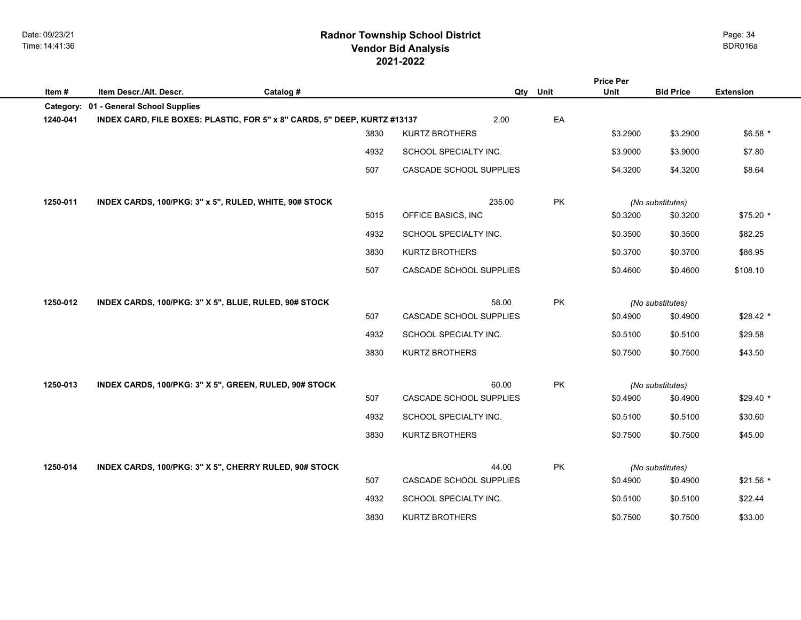## **2021-2022 Radnor Township School District Vendor Bid Analysis** BDR016a

| Item#    | Item Descr./Alt. Descr.                                |                                                                           |      |                         |             | <b>Price Per</b><br>Unit | <b>Bid Price</b> | <b>Extension</b> |
|----------|--------------------------------------------------------|---------------------------------------------------------------------------|------|-------------------------|-------------|--------------------------|------------------|------------------|
|          | Category: 01 - General School Supplies                 | Catalog #                                                                 |      |                         | Qty<br>Unit |                          |                  |                  |
| 1240-041 |                                                        | INDEX CARD, FILE BOXES: PLASTIC, FOR 5" x 8" CARDS, 5" DEEP, KURTZ #13137 |      | 2.00                    | EA          |                          |                  |                  |
|          |                                                        |                                                                           | 3830 | <b>KURTZ BROTHERS</b>   |             | \$3.2900                 | \$3.2900         | $$6.58*$         |
|          |                                                        |                                                                           | 4932 | SCHOOL SPECIALTY INC.   |             | \$3.9000                 | \$3.9000         | \$7.80           |
|          |                                                        |                                                                           | 507  | CASCADE SCHOOL SUPPLIES |             | \$4.3200                 | \$4.3200         | \$8.64           |
| 1250-011 | INDEX CARDS, 100/PKG: 3" x 5", RULED, WHITE, 90# STOCK |                                                                           |      | 235.00                  | PK          |                          | (No substitutes) |                  |
|          |                                                        |                                                                           | 5015 | OFFICE BASICS, INC      |             | \$0.3200                 | \$0.3200         | \$75.20 *        |
|          |                                                        |                                                                           | 4932 | SCHOOL SPECIALTY INC.   |             | \$0.3500                 | \$0.3500         | \$82.25          |
|          |                                                        |                                                                           | 3830 | <b>KURTZ BROTHERS</b>   |             | \$0.3700                 | \$0.3700         | \$86.95          |
|          |                                                        |                                                                           | 507  | CASCADE SCHOOL SUPPLIES |             | \$0.4600                 | \$0.4600         | \$108.10         |
| 1250-012 | INDEX CARDS, 100/PKG: 3" X 5", BLUE, RULED, 90# STOCK  |                                                                           |      | 58.00                   | <b>PK</b>   |                          | (No substitutes) |                  |
|          |                                                        |                                                                           | 507  | CASCADE SCHOOL SUPPLIES |             | \$0.4900                 | \$0.4900         | \$28.42 *        |
|          |                                                        |                                                                           | 4932 | SCHOOL SPECIALTY INC.   |             | \$0.5100                 | \$0.5100         | \$29.58          |
|          |                                                        |                                                                           | 3830 | <b>KURTZ BROTHERS</b>   |             | \$0.7500                 | \$0.7500         | \$43.50          |
| 1250-013 | INDEX CARDS, 100/PKG: 3" X 5", GREEN, RULED, 90# STOCK |                                                                           |      | 60.00                   | PK          |                          | (No substitutes) |                  |
|          |                                                        |                                                                           | 507  | CASCADE SCHOOL SUPPLIES |             | \$0.4900                 | \$0.4900         | \$29.40 *        |
|          |                                                        |                                                                           | 4932 | SCHOOL SPECIALTY INC.   |             | \$0.5100                 | \$0.5100         | \$30.60          |
|          |                                                        |                                                                           | 3830 | <b>KURTZ BROTHERS</b>   |             | \$0.7500                 | \$0.7500         | \$45.00          |
| 1250-014 | INDEX CARDS, 100/PKG: 3" X 5", CHERRY RULED, 90# STOCK |                                                                           |      | 44.00                   | PK          |                          | (No substitutes) |                  |
|          |                                                        |                                                                           | 507  | CASCADE SCHOOL SUPPLIES |             | \$0.4900                 | \$0.4900         | \$21.56 *        |
|          |                                                        |                                                                           | 4932 | SCHOOL SPECIALTY INC.   |             | \$0.5100                 | \$0.5100         | \$22.44          |
|          |                                                        |                                                                           | 3830 | <b>KURTZ BROTHERS</b>   |             | \$0.7500                 | \$0.7500         | \$33.00          |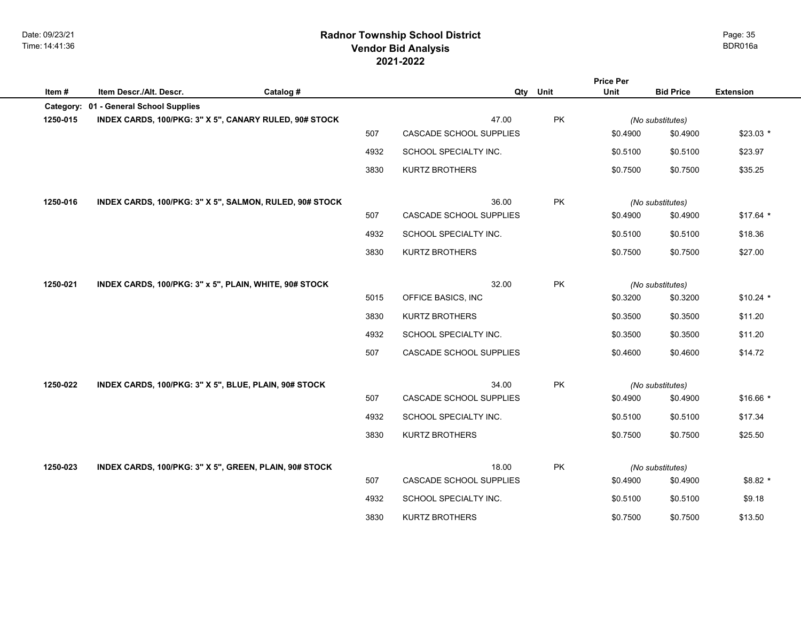## **2021-2022 Radnor Township School District Vendor Bid Analysis** BDR016a

|          |                                                         |           |      |                                  |           | <b>Price Per</b> |                              |                  |
|----------|---------------------------------------------------------|-----------|------|----------------------------------|-----------|------------------|------------------------------|------------------|
| Item#    | Item Descr./Alt. Descr.                                 | Catalog # |      | Qty                              | Unit      | Unit             | <b>Bid Price</b>             | <b>Extension</b> |
| 1250-015 | Category: 01 - General School Supplies                  |           |      | 47.00                            | PK        |                  |                              |                  |
|          | INDEX CARDS, 100/PKG: 3" X 5", CANARY RULED, 90# STOCK  |           | 507  | CASCADE SCHOOL SUPPLIES          |           | \$0.4900         | (No substitutes)<br>\$0.4900 | $$23.03*$        |
|          |                                                         |           | 4932 |                                  |           | \$0.5100         |                              |                  |
|          |                                                         |           |      | SCHOOL SPECIALTY INC.            |           |                  | \$0.5100                     | \$23.97          |
|          |                                                         |           | 3830 | <b>KURTZ BROTHERS</b>            |           | \$0.7500         | \$0.7500                     | \$35.25          |
| 1250-016 | INDEX CARDS, 100/PKG: 3" X 5", SALMON, RULED, 90# STOCK |           |      | 36.00                            | <b>PK</b> |                  | (No substitutes)             |                  |
|          |                                                         |           | 507  | CASCADE SCHOOL SUPPLIES          |           | \$0.4900         | \$0.4900                     | $$17.64$ *       |
|          |                                                         |           | 4932 | SCHOOL SPECIALTY INC.            |           | \$0.5100         | \$0.5100                     | \$18.36          |
|          |                                                         |           | 3830 |                                  |           | \$0.7500         | \$0.7500                     |                  |
|          |                                                         |           |      | KURTZ BROTHERS                   |           |                  |                              | \$27.00          |
| 1250-021 | INDEX CARDS, 100/PKG: 3" x 5", PLAIN, WHITE, 90# STOCK  |           |      | 32.00                            | PK        |                  | (No substitutes)             |                  |
|          |                                                         |           | 5015 | OFFICE BASICS, INC               |           | \$0.3200         | \$0.3200                     | $$10.24$ *       |
|          |                                                         |           | 3830 | <b>KURTZ BROTHERS</b>            |           | \$0.3500         | \$0.3500                     | \$11.20          |
|          |                                                         |           | 4932 | SCHOOL SPECIALTY INC.            |           | \$0.3500         | \$0.3500                     | \$11.20          |
|          |                                                         |           | 507  | CASCADE SCHOOL SUPPLIES          |           | \$0.4600         | \$0.4600                     | \$14.72          |
|          |                                                         |           |      |                                  |           |                  |                              |                  |
| 1250-022 | INDEX CARDS, 100/PKG: 3" X 5", BLUE, PLAIN, 90# STOCK   |           | 507  | 34.00<br>CASCADE SCHOOL SUPPLIES | PK        | \$0.4900         | (No substitutes)<br>\$0.4900 | $$16.66*$        |
|          |                                                         |           |      |                                  |           |                  |                              |                  |
|          |                                                         |           | 4932 | SCHOOL SPECIALTY INC.            |           | \$0.5100         | \$0.5100                     | \$17.34          |
|          |                                                         |           | 3830 | KURTZ BROTHERS                   |           | \$0.7500         | \$0.7500                     | \$25.50          |
| 1250-023 | INDEX CARDS, 100/PKG: 3" X 5", GREEN, PLAIN, 90# STOCK  |           |      | 18.00                            | <b>PK</b> |                  | (No substitutes)             |                  |
|          |                                                         |           | 507  | CASCADE SCHOOL SUPPLIES          |           | \$0.4900         | \$0.4900                     | \$8.82 *         |
|          |                                                         |           | 4932 | SCHOOL SPECIALTY INC.            |           | \$0.5100         | \$0.5100                     | \$9.18           |
|          |                                                         |           | 3830 | <b>KURTZ BROTHERS</b>            |           | \$0.7500         | \$0.7500                     | \$13.50          |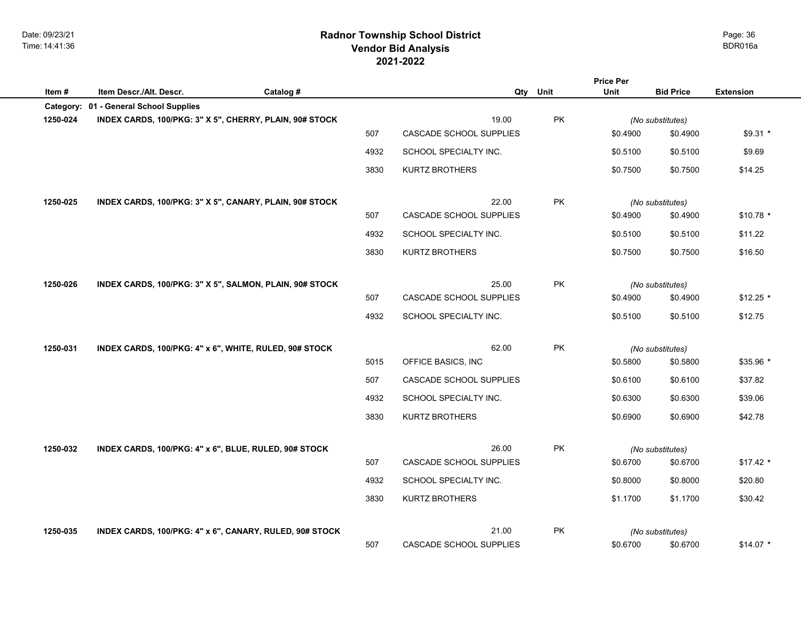## **2021-2022 Radnor Township School District Vendor Bid Analysis** BDR016a

| Item#    | Item Descr./Alt. Descr.                                 | Catalog # |      |                         | Qty Unit  | <b>Price Per</b><br>Unit | <b>Bid Price</b> | <b>Extension</b> |
|----------|---------------------------------------------------------|-----------|------|-------------------------|-----------|--------------------------|------------------|------------------|
|          | Category: 01 - General School Supplies                  |           |      |                         |           |                          |                  |                  |
| 1250-024 | INDEX CARDS, 100/PKG: 3" X 5", CHERRY, PLAIN, 90# STOCK |           |      | 19.00                   | PK        |                          | (No substitutes) |                  |
|          |                                                         |           | 507  | CASCADE SCHOOL SUPPLIES |           | \$0.4900                 | \$0.4900         | $$9.31$ *        |
|          |                                                         |           | 4932 | SCHOOL SPECIALTY INC.   |           | \$0.5100                 | \$0.5100         | \$9.69           |
|          |                                                         |           | 3830 | <b>KURTZ BROTHERS</b>   |           | \$0.7500                 | \$0.7500         | \$14.25          |
| 1250-025 | INDEX CARDS, 100/PKG: 3" X 5", CANARY, PLAIN, 90# STOCK |           |      | 22.00                   | <b>PK</b> |                          | (No substitutes) |                  |
|          |                                                         |           | 507  | CASCADE SCHOOL SUPPLIES |           | \$0.4900                 | \$0.4900         | $$10.78$ *       |
|          |                                                         |           | 4932 | SCHOOL SPECIALTY INC.   |           | \$0.5100                 | \$0.5100         | \$11.22          |
|          |                                                         |           | 3830 | KURTZ BROTHERS          |           | \$0.7500                 | \$0.7500         | \$16.50          |
| 1250-026 | INDEX CARDS, 100/PKG: 3" X 5", SALMON, PLAIN, 90# STOCK |           |      | 25.00                   | PK        |                          | (No substitutes) |                  |
|          |                                                         |           | 507  | CASCADE SCHOOL SUPPLIES |           | \$0.4900                 | \$0.4900         | $$12.25$ *       |
|          |                                                         |           | 4932 | SCHOOL SPECIALTY INC.   |           | \$0.5100                 | \$0.5100         | \$12.75          |
| 1250-031 | INDEX CARDS, 100/PKG: 4" x 6", WHITE, RULED, 90# STOCK  |           |      | 62.00                   | PK        |                          | (No substitutes) |                  |
|          |                                                         |           | 5015 | OFFICE BASICS, INC      |           | \$0.5800                 | \$0.5800         | \$35.96 *        |
|          |                                                         |           | 507  | CASCADE SCHOOL SUPPLIES |           | \$0.6100                 | \$0.6100         | \$37.82          |
|          |                                                         |           | 4932 | SCHOOL SPECIALTY INC.   |           | \$0.6300                 | \$0.6300         | \$39.06          |
|          |                                                         |           | 3830 | <b>KURTZ BROTHERS</b>   |           | \$0.6900                 | \$0.6900         | \$42.78          |
| 1250-032 | INDEX CARDS, 100/PKG: 4" x 6", BLUE, RULED, 90# STOCK   |           |      | 26.00                   | PK        |                          | (No substitutes) |                  |
|          |                                                         |           | 507  | CASCADE SCHOOL SUPPLIES |           | \$0.6700                 | \$0.6700         | $$17.42$ *       |
|          |                                                         |           | 4932 | SCHOOL SPECIALTY INC.   |           | \$0.8000                 | \$0.8000         | \$20.80          |
|          |                                                         |           | 3830 | KURTZ BROTHERS          |           | \$1.1700                 | \$1.1700         | \$30.42          |
| 1250-035 | INDEX CARDS, 100/PKG: 4" x 6", CANARY, RULED, 90# STOCK |           |      | 21.00                   | PK        |                          | (No substitutes) |                  |
|          |                                                         |           | 507  | CASCADE SCHOOL SUPPLIES |           | \$0.6700                 | \$0.6700         | $$14.07$ *       |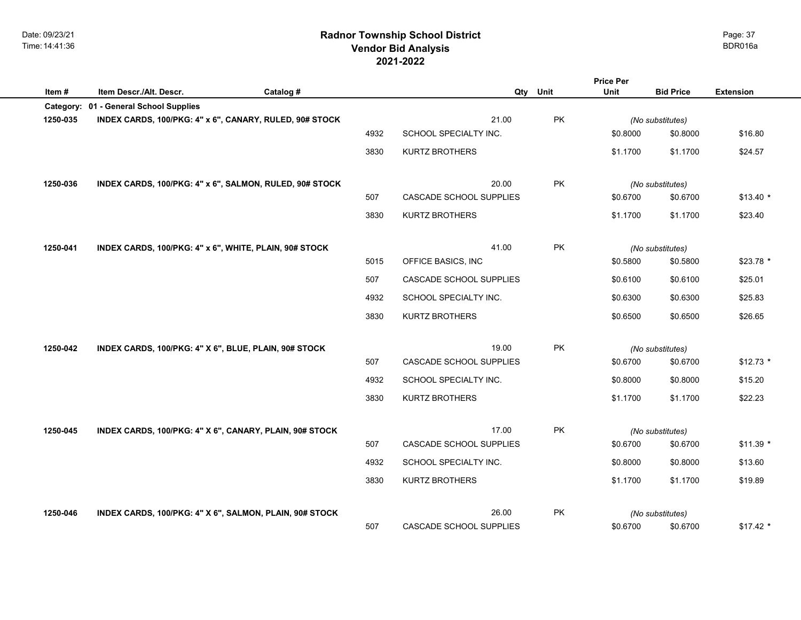| Item#    | Item Descr./Alt. Descr.                                 | Catalog # |      | Qty                     | Unit      | Unit     | <b>Bid Price</b>             | <b>Extension</b> |
|----------|---------------------------------------------------------|-----------|------|-------------------------|-----------|----------|------------------------------|------------------|
|          | Category: 01 - General School Supplies                  |           |      |                         |           |          |                              |                  |
| 1250-035 | INDEX CARDS, 100/PKG: 4" x 6", CANARY, RULED, 90# STOCK |           |      | 21.00                   | PK        |          | (No substitutes)             |                  |
|          |                                                         |           | 4932 | SCHOOL SPECIALTY INC.   |           | \$0.8000 | \$0.8000                     | \$16.80          |
|          |                                                         |           | 3830 | KURTZ BROTHERS          |           | \$1.1700 | \$1.1700                     | \$24.57          |
| 1250-036 | INDEX CARDS, 100/PKG: 4" x 6", SALMON, RULED, 90# STOCK |           |      | 20.00                   | <b>PK</b> |          | (No substitutes)             |                  |
|          |                                                         |           | 507  | CASCADE SCHOOL SUPPLIES |           | \$0.6700 | \$0.6700                     | $$13.40$ *       |
|          |                                                         |           | 3830 | KURTZ BROTHERS          |           | \$1.1700 | \$1.1700                     | \$23.40          |
| 1250-041 | INDEX CARDS, 100/PKG: 4" x 6", WHITE, PLAIN, 90# STOCK  |           |      | 41.00                   | PK        |          | (No substitutes)             |                  |
|          |                                                         |           | 5015 | OFFICE BASICS, INC      |           | \$0.5800 | \$0.5800                     | $$23.78*$        |
|          |                                                         |           | 507  | CASCADE SCHOOL SUPPLIES |           | \$0.6100 | \$0.6100                     | \$25.01          |
|          |                                                         |           | 4932 | SCHOOL SPECIALTY INC.   |           | \$0.6300 | \$0.6300                     | \$25.83          |
|          |                                                         |           | 3830 | <b>KURTZ BROTHERS</b>   |           | \$0.6500 | \$0.6500                     | \$26.65          |
| 1250-042 | INDEX CARDS, 100/PKG: 4" X 6", BLUE, PLAIN, 90# STOCK   |           |      | 19.00                   | PK        |          | (No substitutes)             |                  |
|          |                                                         |           | 507  | CASCADE SCHOOL SUPPLIES |           | \$0.6700 | \$0.6700                     | $$12.73$ *       |
|          |                                                         |           | 4932 | SCHOOL SPECIALTY INC.   |           | \$0.8000 | \$0.8000                     | \$15.20          |
|          |                                                         |           | 3830 | <b>KURTZ BROTHERS</b>   |           | \$1.1700 | \$1.1700                     | \$22.23          |
| 1250-045 | INDEX CARDS, 100/PKG: 4" X 6", CANARY, PLAIN, 90# STOCK |           |      | 17.00                   | <b>PK</b> |          | (No substitutes)             |                  |
|          |                                                         |           | 507  | CASCADE SCHOOL SUPPLIES |           | \$0.6700 | \$0.6700                     | $$11.39$ *       |
|          |                                                         |           | 4932 | SCHOOL SPECIALTY INC.   |           | \$0.8000 | \$0.8000                     | \$13.60          |
|          |                                                         |           | 3830 | KURTZ BROTHERS          |           | \$1.1700 | \$1.1700                     | \$19.89          |
| 1250-046 | INDEX CARDS, 100/PKG: 4" X 6", SALMON, PLAIN, 90# STOCK |           |      | 26.00                   | <b>PK</b> |          |                              |                  |
|          |                                                         |           | 507  | CASCADE SCHOOL SUPPLIES |           | \$0.6700 | (No substitutes)<br>\$0.6700 | $$17.42$ *       |

Page: 37

**Price Per**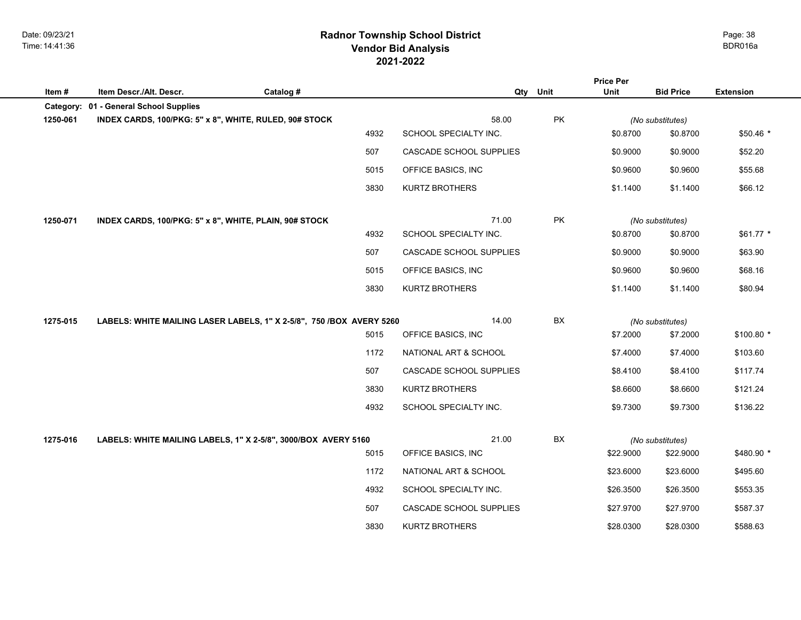## **2021-2022 Radnor Township School District Vendor Bid Analysis** BDR016a

| Item #   | Item Descr./Alt. Descr.                                        | Catalog #                                                            |                         | Qty Unit | <b>Price Per</b><br>Unit | <b>Bid Price</b> | <b>Extension</b> |
|----------|----------------------------------------------------------------|----------------------------------------------------------------------|-------------------------|----------|--------------------------|------------------|------------------|
|          | Category: 01 - General School Supplies                         |                                                                      |                         |          |                          |                  |                  |
| 1250-061 | INDEX CARDS, 100/PKG: 5" x 8", WHITE, RULED, 90# STOCK         |                                                                      | 58.00                   | PK       |                          | (No substitutes) |                  |
|          |                                                                | 4932                                                                 | SCHOOL SPECIALTY INC.   |          | \$0.8700                 | \$0.8700         | $$50.46*$        |
|          |                                                                | 507                                                                  | CASCADE SCHOOL SUPPLIES |          | \$0.9000                 | \$0.9000         | \$52.20          |
|          |                                                                | 5015                                                                 | OFFICE BASICS, INC      |          | \$0.9600                 | \$0.9600         | \$55.68          |
|          |                                                                | 3830                                                                 | <b>KURTZ BROTHERS</b>   |          | \$1.1400                 | \$1.1400         | \$66.12          |
| 1250-071 | INDEX CARDS, 100/PKG: 5" x 8", WHITE, PLAIN, 90# STOCK         |                                                                      | 71.00                   | PK       |                          | (No substitutes) |                  |
|          |                                                                | 4932                                                                 | SCHOOL SPECIALTY INC.   |          | \$0.8700                 | \$0.8700         | \$61.77 *        |
|          |                                                                | 507                                                                  | CASCADE SCHOOL SUPPLIES |          | \$0.9000                 | \$0.9000         | \$63.90          |
|          |                                                                | 5015                                                                 | OFFICE BASICS, INC      |          | \$0.9600                 | \$0.9600         | \$68.16          |
|          |                                                                | 3830                                                                 | KURTZ BROTHERS          |          | \$1.1400                 | \$1.1400         | \$80.94          |
| 1275-015 |                                                                | LABELS: WHITE MAILING LASER LABELS, 1" X 2-5/8", 750 /BOX AVERY 5260 | 14.00                   | BX       |                          | (No substitutes) |                  |
|          |                                                                | 5015                                                                 | OFFICE BASICS, INC      |          | \$7.2000                 | \$7.2000         | \$100.80 *       |
|          |                                                                | 1172                                                                 | NATIONAL ART & SCHOOL   |          | \$7.4000                 | \$7.4000         | \$103.60         |
|          |                                                                | 507                                                                  | CASCADE SCHOOL SUPPLIES |          | \$8.4100                 | \$8.4100         | \$117.74         |
|          |                                                                | 3830                                                                 | KURTZ BROTHERS          |          | \$8.6600                 | \$8.6600         | \$121.24         |
|          |                                                                | 4932                                                                 | SCHOOL SPECIALTY INC.   |          | \$9.7300                 | \$9.7300         | \$136.22         |
| 1275-016 | LABELS: WHITE MAILING LABELS, 1" X 2-5/8", 3000/BOX AVERY 5160 |                                                                      | 21.00                   | BX       |                          | (No substitutes) |                  |
|          |                                                                | 5015                                                                 | OFFICE BASICS, INC      |          | \$22.9000                | \$22.9000        | \$480.90 *       |
|          |                                                                | 1172                                                                 | NATIONAL ART & SCHOOL   |          | \$23.6000                | \$23.6000        | \$495.60         |
|          |                                                                | 4932                                                                 | SCHOOL SPECIALTY INC.   |          | \$26.3500                | \$26.3500        | \$553.35         |
|          |                                                                | 507                                                                  | CASCADE SCHOOL SUPPLIES |          | \$27.9700                | \$27.9700        | \$587.37         |
|          |                                                                | 3830                                                                 | <b>KURTZ BROTHERS</b>   |          | \$28.0300                | \$28.0300        | \$588.63         |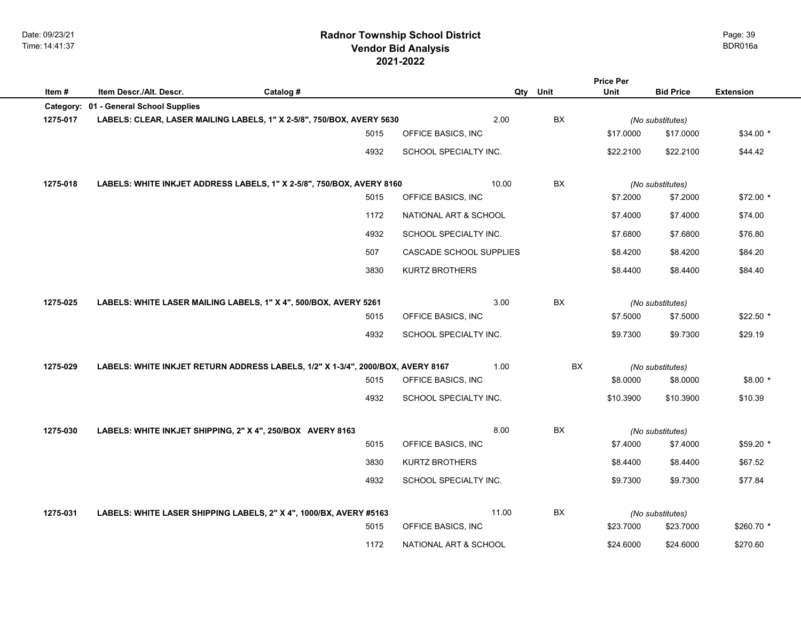## **2021-2022 Radnor Township School District Vendor Bid Analysis** BDR016a

|                       |                                                            |                                                                                 |                         |       |      | <b>Price Per</b> |                  |                  |
|-----------------------|------------------------------------------------------------|---------------------------------------------------------------------------------|-------------------------|-------|------|------------------|------------------|------------------|
| Item#                 | Item Descr./Alt. Descr.                                    | Catalog #                                                                       |                         | Qty   | Unit | <b>Unit</b>      | <b>Bid Price</b> | <b>Extension</b> |
| Category:<br>1275-017 | 01 - General School Supplies                               | LABELS: CLEAR, LASER MAILING LABELS, 1" X 2-5/8", 750/BOX, AVERY 5630           |                         | 2.00  | BX   |                  | (No substitutes) |                  |
|                       |                                                            | 5015                                                                            | OFFICE BASICS, INC      |       |      | \$17.0000        | \$17.0000        | \$34.00 *        |
|                       |                                                            | 4932                                                                            | SCHOOL SPECIALTY INC.   |       |      | \$22.2100        | \$22.2100        | \$44.42          |
| 1275-018              |                                                            | LABELS: WHITE INKJET ADDRESS LABELS, 1" X 2-5/8", 750/BOX, AVERY 8160           |                         | 10.00 | BX   |                  | (No substitutes) |                  |
|                       |                                                            | 5015                                                                            | OFFICE BASICS, INC      |       |      | \$7.2000         | \$7.2000         | \$72.00 *        |
|                       |                                                            | 1172                                                                            | NATIONAL ART & SCHOOL   |       |      | \$7.4000         | \$7.4000         | \$74.00          |
|                       |                                                            | 4932                                                                            | SCHOOL SPECIALTY INC.   |       |      | \$7.6800         | \$7.6800         | \$76.80          |
|                       |                                                            | 507                                                                             | CASCADE SCHOOL SUPPLIES |       |      | \$8.4200         | \$8.4200         | \$84.20          |
|                       |                                                            | 3830                                                                            | <b>KURTZ BROTHERS</b>   |       |      | \$8.4400         | \$8.4400         | \$84.40          |
| 1275-025              |                                                            | LABELS: WHITE LASER MAILING LABELS, 1" X 4", 500/BOX, AVERY 5261                |                         | 3.00  | BX   |                  | (No substitutes) |                  |
|                       |                                                            | 5015                                                                            | OFFICE BASICS, INC      |       |      | \$7.5000         | \$7.5000         | \$22.50 *        |
|                       |                                                            | 4932                                                                            | SCHOOL SPECIALTY INC.   |       |      | \$9.7300         | \$9.7300         | \$29.19          |
| 1275-029              |                                                            | LABELS: WHITE INKJET RETURN ADDRESS LABELS, 1/2" X 1-3/4", 2000/BOX, AVERY 8167 |                         | 1.00  | BX   |                  | (No substitutes) |                  |
|                       |                                                            | 5015                                                                            | OFFICE BASICS, INC      |       |      | \$8.0000         | \$8.0000         | $$8.00*$         |
|                       |                                                            | 4932                                                                            | SCHOOL SPECIALTY INC.   |       |      | \$10.3900        | \$10.3900        | \$10.39          |
| 1275-030              | LABELS: WHITE INKJET SHIPPING, 2" X 4", 250/BOX AVERY 8163 |                                                                                 |                         | 8.00  | BX   |                  | (No substitutes) |                  |
|                       |                                                            | 5015                                                                            | OFFICE BASICS, INC      |       |      | \$7.4000         | \$7.4000         | $$59.20$ *       |
|                       |                                                            | 3830                                                                            | <b>KURTZ BROTHERS</b>   |       |      | \$8.4400         | \$8.4400         | \$67.52          |
|                       |                                                            | 4932                                                                            | SCHOOL SPECIALTY INC.   |       |      | \$9.7300         | \$9.7300         | \$77.84          |
| 1275-031              |                                                            | LABELS: WHITE LASER SHIPPING LABELS, 2" X 4", 1000/BX, AVERY #5163              |                         | 11.00 | BX   |                  | (No substitutes) |                  |
|                       |                                                            | 5015                                                                            | OFFICE BASICS, INC      |       |      | \$23.7000        | \$23.7000        | \$260.70 *       |
|                       |                                                            | 1172                                                                            | NATIONAL ART & SCHOOL   |       |      | \$24.6000        | \$24.6000        | \$270.60         |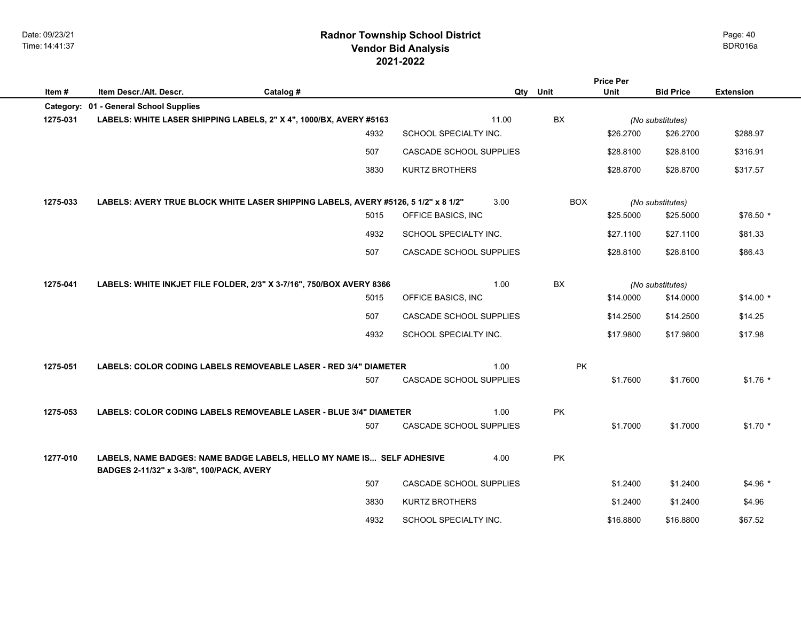## **2021-2022 Radnor Township School District Vendor Bid Analysis** BDR016a

|          |                                           |                                                                                    |                                |       |            | <b>Price Per</b> |                  |                  |
|----------|-------------------------------------------|------------------------------------------------------------------------------------|--------------------------------|-------|------------|------------------|------------------|------------------|
| Item#    | Item Descr./Alt. Descr.                   | Catalog #                                                                          |                                | Qty   | Unit       | Unit             | <b>Bid Price</b> | <b>Extension</b> |
|          | Category: 01 - General School Supplies    |                                                                                    |                                |       |            |                  |                  |                  |
| 1275-031 |                                           | LABELS: WHITE LASER SHIPPING LABELS, 2" X 4", 1000/BX, AVERY #5163                 |                                | 11.00 | BX         |                  | (No substitutes) |                  |
|          |                                           | 4932                                                                               | SCHOOL SPECIALTY INC.          |       |            | \$26.2700        | \$26.2700        | \$288.97         |
|          |                                           | 507                                                                                | CASCADE SCHOOL SUPPLIES        |       |            | \$28,8100        | \$28.8100        | \$316.91         |
|          |                                           | 3830                                                                               | <b>KURTZ BROTHERS</b>          |       |            | \$28.8700        | \$28.8700        | \$317.57         |
| 1275-033 |                                           | LABELS: AVERY TRUE BLOCK WHITE LASER SHIPPING LABELS, AVERY #5126, 5 1/2" x 8 1/2" |                                | 3.00  | <b>BOX</b> |                  | (No substitutes) |                  |
|          |                                           | 5015                                                                               | OFFICE BASICS, INC.            |       |            | \$25.5000        | \$25.5000        | $$76.50*$        |
|          |                                           | 4932                                                                               | SCHOOL SPECIALTY INC.          |       |            | \$27.1100        | \$27.1100        | \$81.33          |
|          |                                           | 507                                                                                | CASCADE SCHOOL SUPPLIES        |       |            | \$28.8100        | \$28.8100        | \$86.43          |
| 1275-041 |                                           | LABELS: WHITE INKJET FILE FOLDER, 2/3" X 3-7/16", 750/BOX AVERY 8366               |                                | 1.00  | <b>BX</b>  |                  | (No substitutes) |                  |
|          |                                           | 5015                                                                               | OFFICE BASICS, INC             |       |            | \$14.0000        | \$14.0000        | $$14.00*$        |
|          |                                           | 507                                                                                | CASCADE SCHOOL SUPPLIES        |       |            | \$14.2500        | \$14.2500        | \$14.25          |
|          |                                           | 4932                                                                               | SCHOOL SPECIALTY INC.          |       |            | \$17.9800        | \$17.9800        | \$17.98          |
| 1275-051 |                                           | LABELS: COLOR CODING LABELS REMOVEABLE LASER - RED 3/4" DIAMETER                   |                                | 1.00  | <b>PK</b>  |                  |                  |                  |
|          |                                           | 507                                                                                | CASCADE SCHOOL SUPPLIES        |       |            | \$1.7600         | \$1.7600         | $$1.76$ *        |
| 1275-053 |                                           | LABELS: COLOR CODING LABELS REMOVEABLE LASER - BLUE 3/4" DIAMETER                  |                                | 1.00  | PK         |                  |                  |                  |
|          |                                           | 507                                                                                | <b>CASCADE SCHOOL SUPPLIES</b> |       |            | \$1.7000         | \$1.7000         | $$1.70*$         |
| 1277-010 | BADGES 2-11/32" x 3-3/8", 100/PACK, AVERY | LABELS, NAME BADGES: NAME BADGE LABELS, HELLO MY NAME IS SELF ADHESIVE             |                                | 4.00  | <b>PK</b>  |                  |                  |                  |
|          |                                           | 507                                                                                | CASCADE SCHOOL SUPPLIES        |       |            | \$1.2400         | \$1.2400         | $$4.96$ *        |
|          |                                           | 3830                                                                               | <b>KURTZ BROTHERS</b>          |       |            | \$1.2400         | \$1.2400         | \$4.96           |
|          |                                           | 4932                                                                               | SCHOOL SPECIALTY INC.          |       |            | \$16.8800        | \$16.8800        | \$67.52          |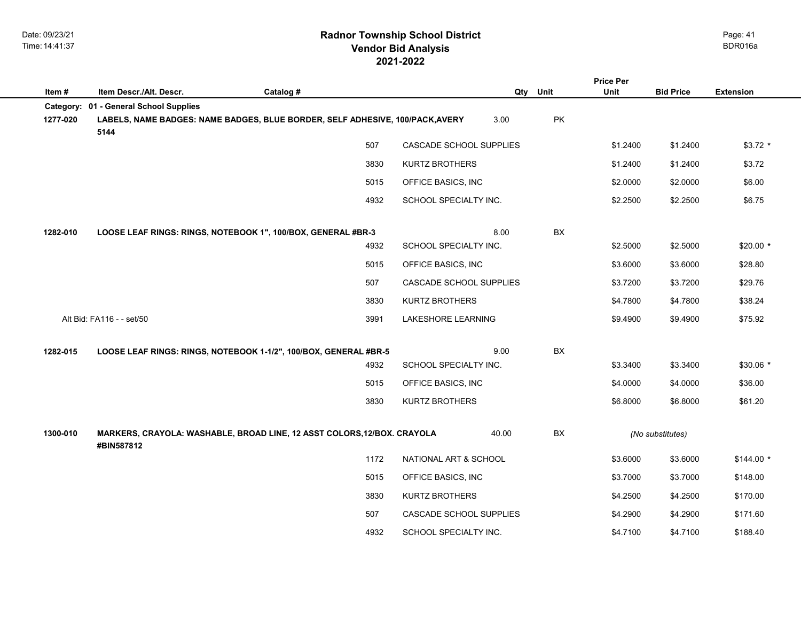|           |                              |                                                                               |                         |       |               | <b>Price Per</b> |                  |                  |
|-----------|------------------------------|-------------------------------------------------------------------------------|-------------------------|-------|---------------|------------------|------------------|------------------|
| Item#     | Item Descr./Alt. Descr.      | Catalog #                                                                     |                         | Qty   | Unit          | Unit             | <b>Bid Price</b> | <b>Extension</b> |
| Category: | 01 - General School Supplies |                                                                               |                         |       |               |                  |                  |                  |
| 1277-020  | 5144                         | LABELS, NAME BADGES: NAME BADGES, BLUE BORDER, SELF ADHESIVE, 100/PACK, AVERY |                         | 3.00  | PK            |                  |                  |                  |
|           |                              | 507                                                                           | CASCADE SCHOOL SUPPLIES |       |               | \$1.2400         | \$1.2400         | $$3.72$ *        |
|           |                              | 3830                                                                          | KURTZ BROTHERS          |       |               | \$1.2400         | \$1.2400         | \$3.72           |
|           |                              | 5015                                                                          | OFFICE BASICS, INC      |       |               | \$2.0000         | \$2.0000         | \$6.00           |
|           |                              | 4932                                                                          | SCHOOL SPECIALTY INC.   |       |               | \$2.2500         | \$2.2500         | \$6.75           |
| 1282-010  |                              | LOOSE LEAF RINGS: RINGS, NOTEBOOK 1", 100/BOX, GENERAL #BR-3                  |                         | 8.00  | BX            |                  |                  |                  |
|           |                              | 4932                                                                          | SCHOOL SPECIALTY INC.   |       |               | \$2.5000         | \$2.5000         | $$20.00*$        |
|           |                              | 5015                                                                          | OFFICE BASICS, INC      |       |               | \$3.6000         | \$3.6000         | \$28.80          |
|           |                              | 507                                                                           | CASCADE SCHOOL SUPPLIES |       |               | \$3.7200         | \$3.7200         | \$29.76          |
|           |                              | 3830                                                                          | <b>KURTZ BROTHERS</b>   |       |               | \$4.7800         | \$4.7800         | \$38.24          |
|           | Alt Bid: FA116 - - set/50    | 3991                                                                          | LAKESHORE LEARNING      |       |               | \$9.4900         | \$9.4900         | \$75.92          |
| 1282-015  |                              | LOOSE LEAF RINGS: RINGS, NOTEBOOK 1-1/2", 100/BOX, GENERAL #BR-5              |                         | 9.00  | $\mathsf{BX}$ |                  |                  |                  |
|           |                              | 4932                                                                          | SCHOOL SPECIALTY INC.   |       |               | \$3.3400         | \$3.3400         | $$30.06*$        |
|           |                              | 5015                                                                          | OFFICE BASICS, INC      |       |               | \$4.0000         | \$4.0000         | \$36.00          |
|           |                              | 3830                                                                          | <b>KURTZ BROTHERS</b>   |       |               | \$6.8000         | \$6.8000         | \$61.20          |
| 1300-010  | #BIN587812                   | MARKERS, CRAYOLA: WASHABLE, BROAD LINE, 12 ASST COLORS, 12/BOX. CRAYOLA       |                         | 40.00 | BX            |                  | (No substitutes) |                  |
|           |                              | 1172                                                                          | NATIONAL ART & SCHOOL   |       |               | \$3.6000         | \$3.6000         | $$144.00*$       |
|           |                              | 5015                                                                          | OFFICE BASICS, INC      |       |               | \$3.7000         | \$3.7000         | \$148.00         |
|           |                              | 3830                                                                          | KURTZ BROTHERS          |       |               | \$4.2500         | \$4.2500         | \$170.00         |
|           |                              | 507                                                                           | CASCADE SCHOOL SUPPLIES |       |               | \$4.2900         | \$4.2900         | \$171.60         |
|           |                              | 4932                                                                          | SCHOOL SPECIALTY INC.   |       |               | \$4.7100         | \$4.7100         | \$188.40         |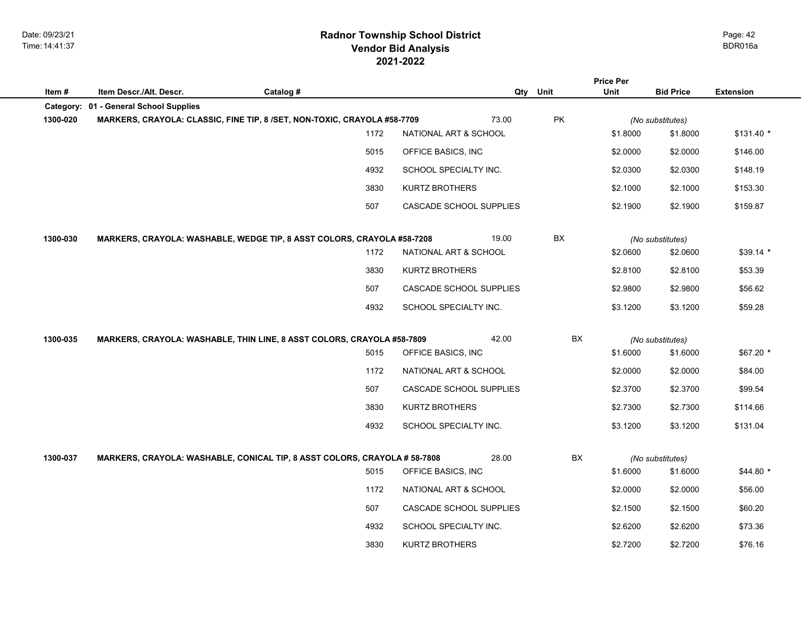## **2021-2022 Radnor Township School District Vendor Bid Analysis** BDR016a

| Item#    | Item Descr./Alt. Descr.                | Catalog #                                                                 | Qty                     | Unit | <b>Price Per</b><br>Unit | <b>Bid Price</b> | <b>Extension</b> |
|----------|----------------------------------------|---------------------------------------------------------------------------|-------------------------|------|--------------------------|------------------|------------------|
|          | Category: 01 - General School Supplies |                                                                           |                         |      |                          |                  |                  |
| 1300-020 |                                        | MARKERS, CRAYOLA: CLASSIC, FINE TIP, 8 /SET, NON-TOXIC, CRAYOLA #58-7709  | 73.00                   | PK   |                          | (No substitutes) |                  |
|          |                                        | 1172                                                                      | NATIONAL ART & SCHOOL   |      | \$1.8000                 | \$1.8000         | $$131.40$ *      |
|          |                                        | 5015                                                                      | OFFICE BASICS, INC      |      | \$2.0000                 | \$2.0000         | \$146.00         |
|          |                                        | 4932                                                                      | SCHOOL SPECIALTY INC.   |      | \$2.0300                 | \$2.0300         | \$148.19         |
|          |                                        | 3830                                                                      | <b>KURTZ BROTHERS</b>   |      | \$2.1000                 | \$2.1000         | \$153.30         |
|          |                                        | 507                                                                       | CASCADE SCHOOL SUPPLIES |      | \$2.1900                 | \$2.1900         | \$159.87         |
| 1300-030 |                                        | MARKERS, CRAYOLA: WASHABLE, WEDGE TIP, 8 ASST COLORS, CRAYOLA #58-7208    | 19.00                   | BX   |                          | (No substitutes) |                  |
|          |                                        | 1172                                                                      | NATIONAL ART & SCHOOL   |      | \$2.0600                 | \$2.0600         | $$39.14$ *       |
|          |                                        | 3830                                                                      | <b>KURTZ BROTHERS</b>   |      | \$2.8100                 | \$2.8100         | \$53.39          |
|          |                                        | 507                                                                       | CASCADE SCHOOL SUPPLIES |      | \$2.9800                 | \$2.9800         | \$56.62          |
|          |                                        | 4932                                                                      | SCHOOL SPECIALTY INC.   |      | \$3.1200                 | \$3.1200         | \$59.28          |
| 1300-035 |                                        | MARKERS, CRAYOLA: WASHABLE, THIN LINE, 8 ASST COLORS, CRAYOLA #58-7809    | 42.00                   | BX   |                          | (No substitutes) |                  |
|          |                                        | 5015                                                                      | OFFICE BASICS, INC      |      | \$1.6000                 | \$1.6000         | \$67.20 *        |
|          |                                        | 1172                                                                      | NATIONAL ART & SCHOOL   |      | \$2.0000                 | \$2.0000         | \$84.00          |
|          |                                        | 507                                                                       | CASCADE SCHOOL SUPPLIES |      | \$2.3700                 | \$2.3700         | \$99.54          |
|          |                                        | 3830                                                                      | KURTZ BROTHERS          |      | \$2.7300                 | \$2.7300         | \$114.66         |
|          |                                        | 4932                                                                      | SCHOOL SPECIALTY INC.   |      | \$3.1200                 | \$3.1200         | \$131.04         |
| 1300-037 |                                        | MARKERS, CRAYOLA: WASHABLE, CONICAL TIP, 8 ASST COLORS, CRAYOLA # 58-7808 | 28.00                   | BX   |                          | (No substitutes) |                  |
|          |                                        | 5015                                                                      | OFFICE BASICS, INC      |      | \$1.6000                 | \$1.6000         | $$44.80*$        |
|          |                                        | 1172                                                                      | NATIONAL ART & SCHOOL   |      | \$2.0000                 | \$2.0000         | \$56.00          |
|          |                                        | 507                                                                       | CASCADE SCHOOL SUPPLIES |      | \$2.1500                 | \$2.1500         | \$60.20          |
|          |                                        | 4932                                                                      | SCHOOL SPECIALTY INC.   |      | \$2.6200                 | \$2.6200         | \$73.36          |
|          |                                        | 3830                                                                      | <b>KURTZ BROTHERS</b>   |      | \$2.7200                 | \$2.7200         | \$76.16          |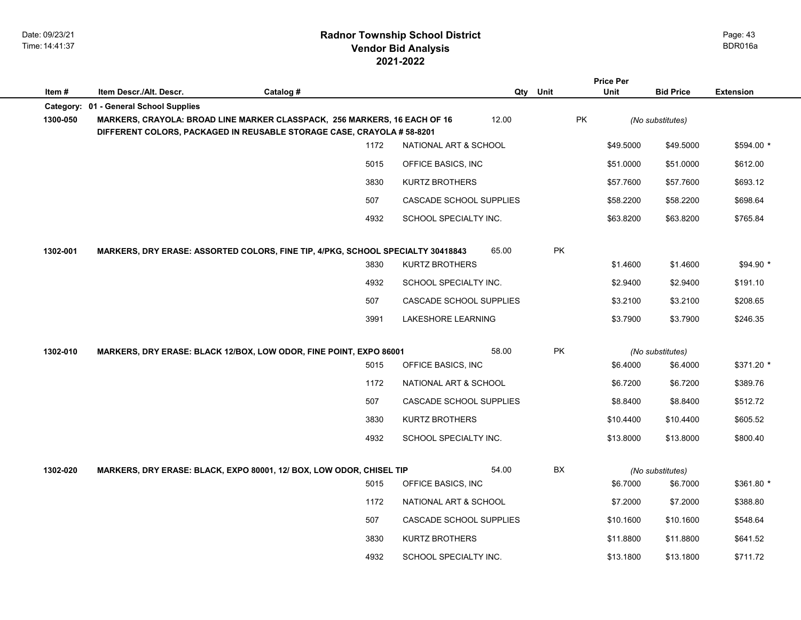## **2021-2022 Radnor Township School District Vendor Bid Analysis** BDR016a

|           |                              |                                                                                                                                                     |      |                         |          |           | <b>Price Per</b> |                              |                  |
|-----------|------------------------------|-----------------------------------------------------------------------------------------------------------------------------------------------------|------|-------------------------|----------|-----------|------------------|------------------------------|------------------|
| Item#     | Item Descr./Alt. Descr.      | Catalog #                                                                                                                                           |      |                         | Qty Unit |           | Unit             | <b>Bid Price</b>             | <b>Extension</b> |
| Category: | 01 - General School Supplies |                                                                                                                                                     |      |                         |          |           |                  |                              |                  |
| 1300-050  |                              | MARKERS, CRAYOLA: BROAD LINE MARKER CLASSPACK, 256 MARKERS, 16 EACH OF 16<br>DIFFERENT COLORS, PACKAGED IN REUSABLE STORAGE CASE, CRAYOLA # 58-8201 |      | 12.00                   |          | <b>PK</b> |                  | (No substitutes)             |                  |
|           |                              |                                                                                                                                                     | 1172 | NATIONAL ART & SCHOOL   |          |           | \$49.5000        | \$49.5000                    | $$594.00*$       |
|           |                              |                                                                                                                                                     | 5015 | OFFICE BASICS, INC      |          |           | \$51.0000        | \$51.0000                    | \$612.00         |
|           |                              |                                                                                                                                                     | 3830 | <b>KURTZ BROTHERS</b>   |          |           | \$57.7600        | \$57.7600                    | \$693.12         |
|           |                              | 507                                                                                                                                                 |      | CASCADE SCHOOL SUPPLIES |          |           | \$58.2200        | \$58.2200                    | \$698.64         |
|           |                              |                                                                                                                                                     | 4932 | SCHOOL SPECIALTY INC.   |          |           | \$63.8200        | \$63.8200                    | \$765.84         |
| 1302-001  |                              | MARKERS, DRY ERASE: ASSORTED COLORS, FINE TIP, 4/PKG, SCHOOL SPECIALTY 30418843                                                                     |      | 65.00                   | PK       |           |                  |                              |                  |
|           |                              |                                                                                                                                                     | 3830 | <b>KURTZ BROTHERS</b>   |          |           | \$1.4600         | \$1.4600                     | $$94.90*$        |
|           |                              |                                                                                                                                                     | 4932 | SCHOOL SPECIALTY INC.   |          |           | \$2.9400         | \$2.9400                     | \$191.10         |
|           |                              | 507                                                                                                                                                 |      | CASCADE SCHOOL SUPPLIES |          |           | \$3.2100         | \$3.2100                     | \$208.65         |
|           |                              |                                                                                                                                                     | 3991 | LAKESHORE LEARNING      |          |           | \$3.7900         | \$3.7900                     | \$246.35         |
|           |                              |                                                                                                                                                     |      | 58.00                   | PK       |           |                  |                              |                  |
| 1302-010  |                              | MARKERS, DRY ERASE: BLACK 12/BOX, LOW ODOR, FINE POINT, EXPO 86001                                                                                  | 5015 | OFFICE BASICS, INC      |          |           | \$6.4000         | (No substitutes)<br>\$6.4000 | $$371.20$ *      |
|           |                              |                                                                                                                                                     | 1172 | NATIONAL ART & SCHOOL   |          |           | \$6.7200         | \$6.7200                     | \$389.76         |
|           |                              | 507                                                                                                                                                 |      | CASCADE SCHOOL SUPPLIES |          |           | \$8.8400         | \$8.8400                     | \$512.72         |
|           |                              |                                                                                                                                                     | 3830 | KURTZ BROTHERS          |          |           | \$10.4400        | \$10.4400                    | \$605.52         |
|           |                              |                                                                                                                                                     | 4932 | SCHOOL SPECIALTY INC.   |          |           | \$13.8000        | \$13.8000                    | \$800.40         |
|           |                              |                                                                                                                                                     |      |                         |          |           |                  |                              |                  |
| 1302-020  |                              | MARKERS, DRY ERASE: BLACK, EXPO 80001, 12/ BOX, LOW ODOR, CHISEL TIP                                                                                |      | 54.00                   | BX       |           |                  | (No substitutes)             |                  |
|           |                              |                                                                                                                                                     | 5015 | OFFICE BASICS, INC      |          |           | \$6.7000         | \$6.7000                     | \$361.80 *       |
|           |                              |                                                                                                                                                     | 1172 | NATIONAL ART & SCHOOL   |          |           | \$7.2000         | \$7.2000                     | \$388.80         |
|           |                              | 507                                                                                                                                                 |      | CASCADE SCHOOL SUPPLIES |          |           | \$10.1600        | \$10.1600                    | \$548.64         |
|           |                              |                                                                                                                                                     | 3830 | KURTZ BROTHERS          |          |           | \$11.8800        | \$11.8800                    | \$641.52         |
|           |                              |                                                                                                                                                     | 4932 | SCHOOL SPECIALTY INC.   |          |           | \$13.1800        | \$13.1800                    | \$711.72         |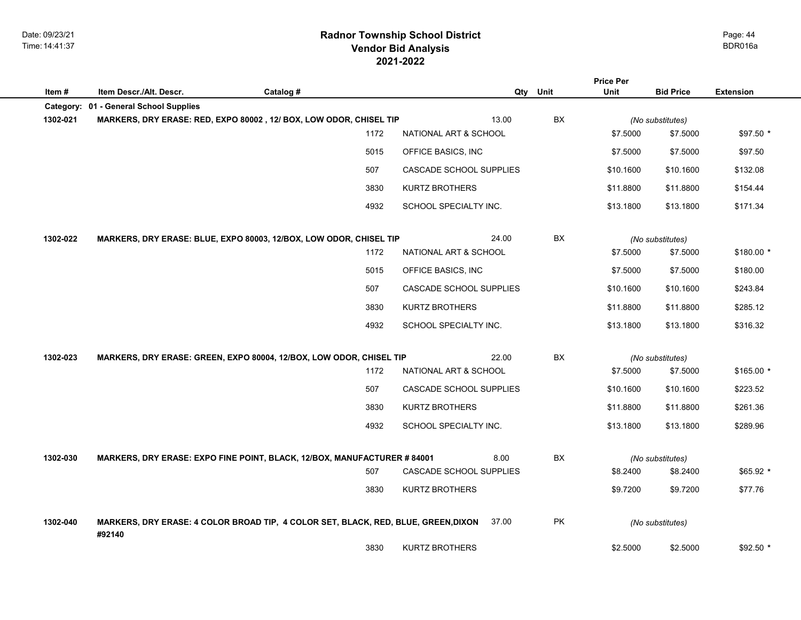## **2021-2022 Radnor Township School District Vendor Bid Analysis** BDR016a

| Item#     | Item Descr./Alt. Descr.      | Catalog #                                                                          | Qty                     | Unit      | <b>Price Per</b><br><b>Unit</b> | <b>Bid Price</b> | <b>Extension</b> |
|-----------|------------------------------|------------------------------------------------------------------------------------|-------------------------|-----------|---------------------------------|------------------|------------------|
| Category: | 01 - General School Supplies |                                                                                    |                         |           |                                 |                  |                  |
| 1302-021  |                              | MARKERS, DRY ERASE: RED, EXPO 80002, 12/ BOX, LOW ODOR, CHISEL TIP                 | 13.00                   | BX        |                                 | (No substitutes) |                  |
|           |                              | 1172                                                                               | NATIONAL ART & SCHOOL   |           | \$7.5000                        | \$7.5000         | \$97.50 *        |
|           |                              | 5015                                                                               | OFFICE BASICS, INC      |           | \$7.5000                        | \$7.5000         | \$97.50          |
|           |                              | 507                                                                                | CASCADE SCHOOL SUPPLIES |           | \$10.1600                       | \$10.1600        | \$132.08         |
|           |                              | 3830                                                                               | <b>KURTZ BROTHERS</b>   |           | \$11.8800                       | \$11.8800        | \$154.44         |
|           |                              | 4932                                                                               | SCHOOL SPECIALTY INC.   |           | \$13.1800                       | \$13.1800        | \$171.34         |
| 1302-022  |                              | MARKERS, DRY ERASE: BLUE, EXPO 80003, 12/BOX, LOW ODOR, CHISEL TIP                 | 24.00                   | BX        |                                 | (No substitutes) |                  |
|           |                              | 1172                                                                               | NATIONAL ART & SCHOOL   |           | \$7.5000                        | \$7.5000         | $$180.00*$       |
|           |                              | 5015                                                                               | OFFICE BASICS, INC      |           | \$7.5000                        | \$7.5000         | \$180.00         |
|           |                              | 507                                                                                | CASCADE SCHOOL SUPPLIES |           | \$10.1600                       | \$10.1600        | \$243.84         |
|           |                              | 3830                                                                               | <b>KURTZ BROTHERS</b>   |           | \$11.8800                       | \$11.8800        | \$285.12         |
|           |                              | 4932                                                                               | SCHOOL SPECIALTY INC.   |           | \$13.1800                       | \$13.1800        | \$316.32         |
| 1302-023  |                              | MARKERS, DRY ERASE: GREEN, EXPO 80004, 12/BOX, LOW ODOR, CHISEL TIP                | 22.00                   | BX        |                                 | (No substitutes) |                  |
|           |                              | 1172                                                                               | NATIONAL ART & SCHOOL   |           | \$7.5000                        | \$7.5000         | $$165.00*$       |
|           |                              | 507                                                                                | CASCADE SCHOOL SUPPLIES |           | \$10.1600                       | \$10.1600        | \$223.52         |
|           |                              | 3830                                                                               | KURTZ BROTHERS          |           | \$11.8800                       | \$11.8800        | \$261.36         |
|           |                              | 4932                                                                               | SCHOOL SPECIALTY INC.   |           | \$13.1800                       | \$13.1800        | \$289.96         |
| 1302-030  |                              | MARKERS, DRY ERASE: EXPO FINE POINT, BLACK, 12/BOX, MANUFACTURER # 84001           | 8.00                    | BX        |                                 | (No substitutes) |                  |
|           |                              | 507                                                                                | CASCADE SCHOOL SUPPLIES |           | \$8.2400                        | \$8.2400         | \$65.92 *        |
|           |                              | 3830                                                                               | <b>KURTZ BROTHERS</b>   |           | \$9.7200                        | \$9.7200         | \$77.76          |
| 1302-040  | #92140                       | MARKERS, DRY ERASE: 4 COLOR BROAD TIP, 4 COLOR SET, BLACK, RED, BLUE, GREEN, DIXON | 37.00                   | <b>PK</b> |                                 | (No substitutes) |                  |
|           |                              | 3830                                                                               | <b>KURTZ BROTHERS</b>   |           | \$2.5000                        | \$2.5000         | \$92.50 *        |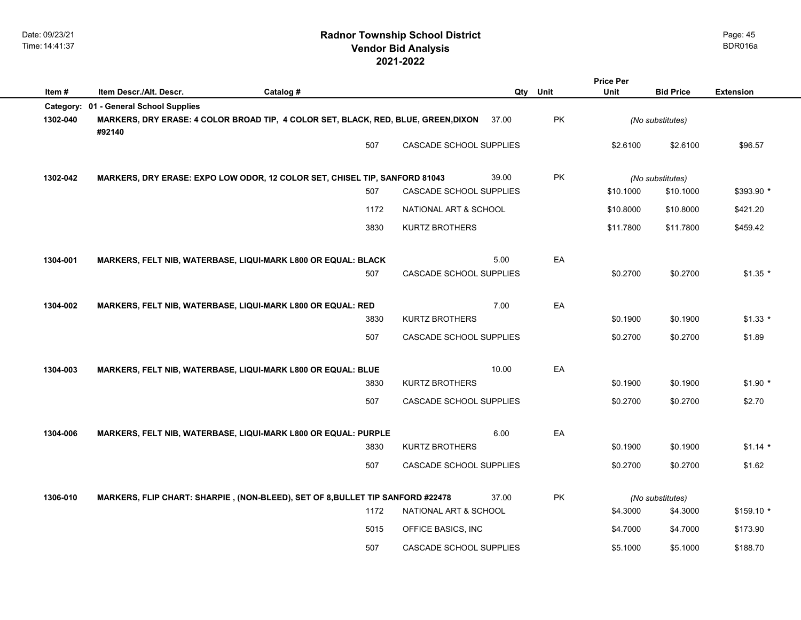|           |                                                                                              |           |      |                                |       |           | <b>Price Per</b> |                  |                  |
|-----------|----------------------------------------------------------------------------------------------|-----------|------|--------------------------------|-------|-----------|------------------|------------------|------------------|
| Item#     | Item Descr./Alt. Descr.                                                                      | Catalog # |      |                                | Qty   | Unit      | <b>Unit</b>      | <b>Bid Price</b> | <b>Extension</b> |
| Category: | 01 - General School Supplies                                                                 |           |      |                                |       |           |                  |                  |                  |
| 1302-040  | MARKERS, DRY ERASE: 4 COLOR BROAD TIP, 4 COLOR SET, BLACK, RED, BLUE, GREEN, DIXON<br>#92140 |           |      |                                | 37.00 | PK        |                  | (No substitutes) |                  |
|           |                                                                                              |           | 507  | <b>CASCADE SCHOOL SUPPLIES</b> |       |           | \$2.6100         | \$2.6100         | \$96.57          |
| 1302-042  | MARKERS, DRY ERASE: EXPO LOW ODOR, 12 COLOR SET, CHISEL TIP, SANFORD 81043                   |           |      |                                | 39.00 | <b>PK</b> |                  | (No substitutes) |                  |
|           |                                                                                              |           | 507  | CASCADE SCHOOL SUPPLIES        |       |           | \$10.1000        | \$10.1000        | \$393.90 *       |
|           |                                                                                              |           | 1172 | NATIONAL ART & SCHOOL          |       |           | \$10.8000        | \$10.8000        | \$421.20         |
|           |                                                                                              |           | 3830 | <b>KURTZ BROTHERS</b>          |       |           | \$11.7800        | \$11.7800        | \$459.42         |
| 1304-001  | MARKERS, FELT NIB, WATERBASE, LIQUI-MARK L800 OR EQUAL: BLACK                                |           |      |                                | 5.00  | EA        |                  |                  |                  |
|           |                                                                                              |           | 507  | CASCADE SCHOOL SUPPLIES        |       |           | \$0.2700         | \$0.2700         | $$1.35$ *        |
| 1304-002  | MARKERS, FELT NIB, WATERBASE, LIQUI-MARK L800 OR EQUAL: RED                                  |           |      |                                | 7.00  | EA        |                  |                  |                  |
|           |                                                                                              |           | 3830 | <b>KURTZ BROTHERS</b>          |       |           | \$0.1900         | \$0.1900         | $$1.33*$         |
|           |                                                                                              |           | 507  | CASCADE SCHOOL SUPPLIES        |       |           | \$0.2700         | \$0.2700         | \$1.89           |
| 1304-003  | MARKERS, FELT NIB, WATERBASE, LIQUI-MARK L800 OR EQUAL: BLUE                                 |           |      |                                | 10.00 | EA        |                  |                  |                  |
|           |                                                                                              |           | 3830 | <b>KURTZ BROTHERS</b>          |       |           | \$0.1900         | \$0.1900         | $$1.90*$         |
|           |                                                                                              |           | 507  | CASCADE SCHOOL SUPPLIES        |       |           | \$0.2700         | \$0.2700         | \$2.70           |
| 1304-006  | MARKERS, FELT NIB, WATERBASE, LIQUI-MARK L800 OR EQUAL: PURPLE                               |           |      |                                | 6.00  | EA        |                  |                  |                  |
|           |                                                                                              |           | 3830 | KURTZ BROTHERS                 |       |           | \$0.1900         | \$0.1900         | $$1.14*$         |
|           |                                                                                              |           | 507  | CASCADE SCHOOL SUPPLIES        |       |           | \$0.2700         | \$0.2700         | \$1.62           |
| 1306-010  | MARKERS, FLIP CHART: SHARPIE, (NON-BLEED), SET OF 8, BULLET TIP SANFORD #22478               |           |      |                                | 37.00 | <b>PK</b> |                  | (No substitutes) |                  |
|           |                                                                                              |           | 1172 | NATIONAL ART & SCHOOL          |       |           | \$4.3000         | \$4.3000         | $$159.10*$       |
|           |                                                                                              |           | 5015 | OFFICE BASICS, INC             |       |           | \$4.7000         | \$4.7000         | \$173.90         |
|           |                                                                                              |           | 507  | CASCADE SCHOOL SUPPLIES        |       |           | \$5.1000         | \$5.1000         | \$188.70         |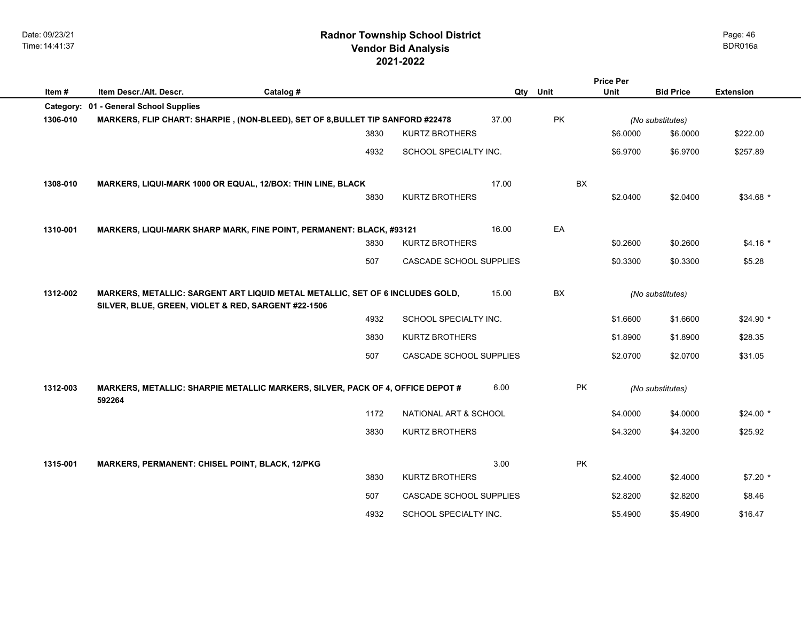| Item#     | Item Descr./Alt. Descr.                                                                                                              | Catalog # |      |                         | Qty   | Unit      | Unit     | <b>Bid Price</b> | <b>Extension</b> |
|-----------|--------------------------------------------------------------------------------------------------------------------------------------|-----------|------|-------------------------|-------|-----------|----------|------------------|------------------|
| Category: | 01 - General School Supplies                                                                                                         |           |      |                         |       |           |          |                  |                  |
| 1306-010  | MARKERS, FLIP CHART: SHARPIE, (NON-BLEED), SET OF 8, BULLET TIP SANFORD #22478                                                       |           |      |                         | 37.00 | PK        |          | (No substitutes) |                  |
|           |                                                                                                                                      |           | 3830 | <b>KURTZ BROTHERS</b>   |       |           | \$6.0000 | \$6.0000         | \$222.00         |
|           |                                                                                                                                      |           | 4932 | SCHOOL SPECIALTY INC.   |       |           | \$6.9700 | \$6.9700         | \$257.89         |
| 1308-010  | MARKERS, LIQUI-MARK 1000 OR EQUAL, 12/BOX: THIN LINE, BLACK                                                                          |           |      |                         | 17.00 | <b>BX</b> |          |                  |                  |
|           |                                                                                                                                      |           | 3830 | KURTZ BROTHERS          |       |           | \$2.0400 | \$2.0400         | $$34.68$ *       |
| 1310-001  | <b>MARKERS, LIQUI-MARK SHARP MARK, FINE POINT, PERMANENT: BLACK, #93121</b>                                                          |           |      |                         | 16.00 | EA        |          |                  |                  |
|           |                                                                                                                                      |           | 3830 | <b>KURTZ BROTHERS</b>   |       |           | \$0.2600 | \$0.2600         | $$4.16*$         |
|           |                                                                                                                                      |           | 507  | CASCADE SCHOOL SUPPLIES |       |           | \$0.3300 | \$0.3300         | \$5.28           |
| 1312-002  | MARKERS, METALLIC: SARGENT ART LIQUID METAL METALLIC, SET OF 6 INCLUDES GOLD,<br>SILVER, BLUE, GREEN, VIOLET & RED, SARGENT #22-1506 |           |      |                         | 15.00 | BX        |          | (No substitutes) |                  |
|           |                                                                                                                                      |           | 4932 | SCHOOL SPECIALTY INC.   |       |           | \$1.6600 | \$1.6600         | $$24.90*$        |
|           |                                                                                                                                      |           | 3830 | <b>KURTZ BROTHERS</b>   |       |           | \$1.8900 | \$1.8900         | \$28.35          |
|           |                                                                                                                                      |           | 507  | CASCADE SCHOOL SUPPLIES |       |           | \$2.0700 | \$2.0700         | \$31.05          |
| 1312-003  | MARKERS, METALLIC: SHARPIE METALLIC MARKERS, SILVER, PACK OF 4, OFFICE DEPOT #<br>592264                                             |           |      |                         | 6.00  | <b>PK</b> |          | (No substitutes) |                  |
|           |                                                                                                                                      |           | 1172 | NATIONAL ART & SCHOOL   |       |           | \$4.0000 | \$4.0000         | $$24.00*$        |
|           |                                                                                                                                      |           | 3830 | <b>KURTZ BROTHERS</b>   |       |           | \$4.3200 | \$4.3200         | \$25.92          |
| 1315-001  | MARKERS, PERMANENT: CHISEL POINT, BLACK, 12/PKG                                                                                      |           |      |                         | 3.00  | PK        |          |                  |                  |
|           |                                                                                                                                      |           | 3830 | <b>KURTZ BROTHERS</b>   |       |           | \$2.4000 | \$2.4000         | $$7.20$ *        |
|           |                                                                                                                                      |           | 507  | CASCADE SCHOOL SUPPLIES |       |           | \$2.8200 | \$2.8200         | \$8.46           |
|           |                                                                                                                                      |           | 4932 | SCHOOL SPECIALTY INC.   |       |           | \$5.4900 | \$5.4900         | \$16.47          |

Page: 46

**Price Per**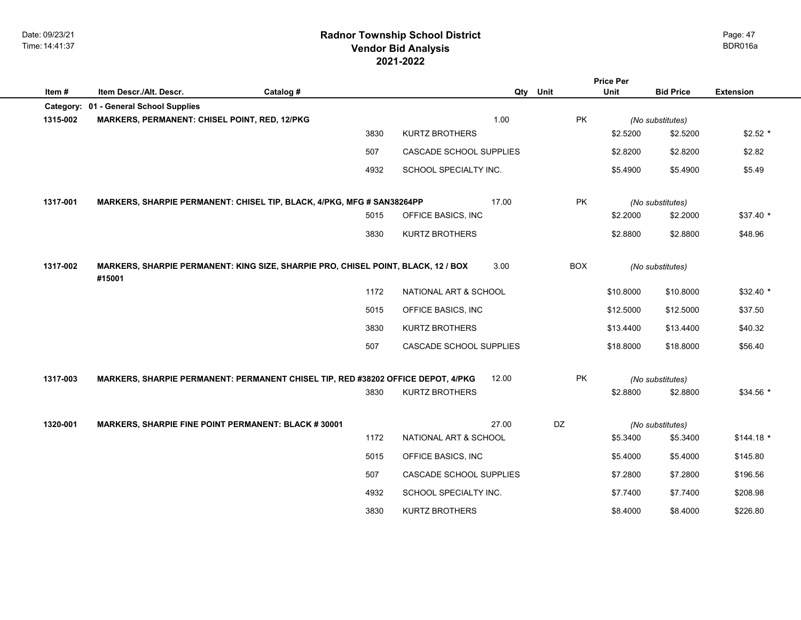## **2021-2022 Radnor Township School District Vendor Bid Analysis** BDR016a

|           |                                                                                             |           |      |                                  |       |            | <b>Price Per</b> |                  |                  |
|-----------|---------------------------------------------------------------------------------------------|-----------|------|----------------------------------|-------|------------|------------------|------------------|------------------|
| Item#     | Item Descr./Alt. Descr.                                                                     | Catalog # |      |                                  | Qty   | Unit       | Unit             | <b>Bid Price</b> | <b>Extension</b> |
| Category: | 01 - General School Supplies                                                                |           |      |                                  |       |            |                  |                  |                  |
| 1315-002  | MARKERS, PERMANENT: CHISEL POINT, RED, 12/PKG                                               |           |      |                                  | 1.00  | <b>PK</b>  |                  | (No substitutes) |                  |
|           |                                                                                             |           | 3830 | <b>KURTZ BROTHERS</b>            |       |            | \$2.5200         | \$2.5200         | $$2.52*$         |
|           |                                                                                             |           | 507  | CASCADE SCHOOL SUPPLIES          |       |            | \$2.8200         | \$2.8200         | \$2.82           |
|           |                                                                                             |           | 4932 | SCHOOL SPECIALTY INC.            |       |            | \$5.4900         | \$5.4900         | \$5.49           |
| 1317-001  | MARKERS, SHARPIE PERMANENT: CHISEL TIP, BLACK, 4/PKG, MFG # SAN38264PP                      |           |      |                                  | 17.00 | <b>PK</b>  |                  | (No substitutes) |                  |
|           |                                                                                             |           | 5015 | OFFICE BASICS, INC               |       |            | \$2.2000         | \$2.2000         | $$37.40*$        |
|           |                                                                                             |           | 3830 | <b>KURTZ BROTHERS</b>            |       |            | \$2.8800         | \$2.8800         | \$48.96          |
| 1317-002  | MARKERS, SHARPIE PERMANENT: KING SIZE, SHARPIE PRO, CHISEL POINT, BLACK, 12 / BOX<br>#15001 |           |      |                                  | 3.00  | <b>BOX</b> |                  | (No substitutes) |                  |
|           |                                                                                             |           | 1172 | NATIONAL ART & SCHOOL            |       |            | \$10.8000        | \$10.8000        | \$32.40 *        |
|           |                                                                                             |           | 5015 | OFFICE BASICS, INC               |       |            | \$12.5000        | \$12.5000        | \$37.50          |
|           |                                                                                             |           | 3830 | <b>KURTZ BROTHERS</b>            |       |            | \$13.4400        | \$13.4400        | \$40.32          |
|           |                                                                                             |           | 507  | CASCADE SCHOOL SUPPLIES          |       |            | \$18.8000        | \$18.8000        | \$56.40          |
| 1317-003  | MARKERS, SHARPIE PERMANENT: PERMANENT CHISEL TIP, RED #38202 OFFICE DEPOT, 4/PKG            |           |      |                                  | 12.00 | <b>PK</b>  |                  | (No substitutes) |                  |
|           |                                                                                             |           | 3830 | <b>KURTZ BROTHERS</b>            |       |            | \$2.8800         | \$2.8800         | \$34.56 *        |
| 1320-001  | MARKERS, SHARPIE FINE POINT PERMANENT: BLACK #30001                                         |           |      |                                  | 27.00 | DZ         |                  | (No substitutes) |                  |
|           |                                                                                             |           | 1172 | <b>NATIONAL ART &amp; SCHOOL</b> |       |            | \$5.3400         | \$5.3400         | $$144.18$ *      |
|           |                                                                                             |           | 5015 | OFFICE BASICS, INC               |       |            | \$5.4000         | \$5.4000         | \$145.80         |
|           |                                                                                             |           | 507  | CASCADE SCHOOL SUPPLIES          |       |            | \$7.2800         | \$7.2800         | \$196.56         |
|           |                                                                                             |           | 4932 | SCHOOL SPECIALTY INC.            |       |            | \$7.7400         | \$7.7400         | \$208.98         |
|           |                                                                                             |           | 3830 | KURTZ BROTHERS                   |       |            | \$8.4000         | \$8.4000         | \$226.80         |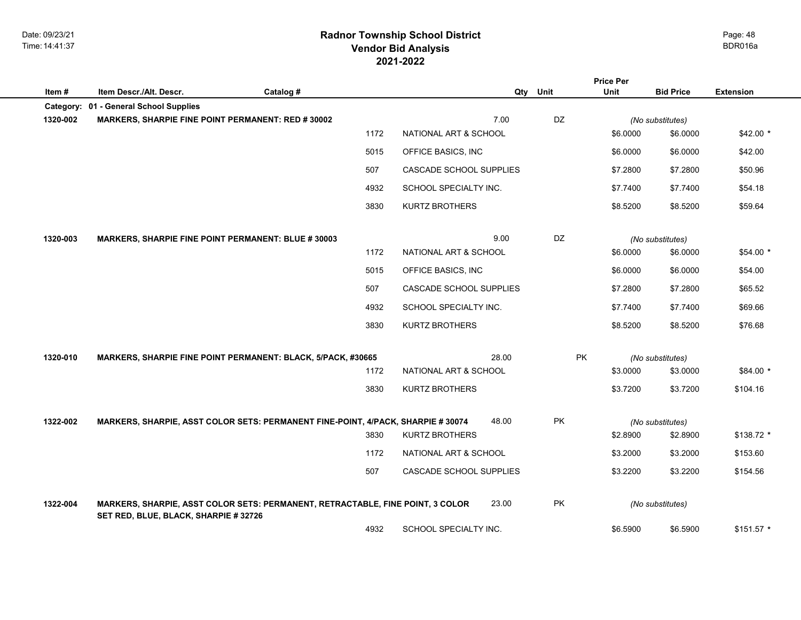## **2021-2022 Radnor Township School District Vendor Bid Analysis** BDR016a

|          |                                                                                                                         |           |      |                               |     |           | <b>Price Per</b> |                              |                  |
|----------|-------------------------------------------------------------------------------------------------------------------------|-----------|------|-------------------------------|-----|-----------|------------------|------------------------------|------------------|
| Item#    | Item Descr./Alt. Descr.                                                                                                 | Catalog # |      |                               | Qty | Unit      | Unit             | <b>Bid Price</b>             | <b>Extension</b> |
|          | Category: 01 - General School Supplies                                                                                  |           |      |                               |     |           |                  |                              |                  |
| 1320-002 | MARKERS, SHARPIE FINE POINT PERMANENT: RED # 30002                                                                      |           | 1172 | 7.00<br>NATIONAL ART & SCHOOL |     | DZ        | \$6.0000         | (No substitutes)<br>\$6.0000 | $$42.00*$        |
|          |                                                                                                                         |           |      |                               |     |           |                  |                              |                  |
|          |                                                                                                                         |           | 5015 | OFFICE BASICS, INC            |     |           | \$6.0000         | \$6.0000                     | \$42.00          |
|          |                                                                                                                         |           | 507  | CASCADE SCHOOL SUPPLIES       |     |           | \$7.2800         | \$7.2800                     | \$50.96          |
|          |                                                                                                                         |           | 4932 | SCHOOL SPECIALTY INC.         |     |           | \$7.7400         | \$7.7400                     | \$54.18          |
|          |                                                                                                                         |           | 3830 | <b>KURTZ BROTHERS</b>         |     |           | \$8.5200         | \$8.5200                     | \$59.64          |
|          |                                                                                                                         |           |      |                               |     |           |                  |                              |                  |
| 1320-003 | <b>MARKERS, SHARPIE FINE POINT PERMANENT: BLUE # 30003</b>                                                              |           |      | 9.00                          |     | DZ        |                  | (No substitutes)             |                  |
|          |                                                                                                                         |           | 1172 | NATIONAL ART & SCHOOL         |     |           | \$6.0000         | \$6.0000                     | $$54.00*$        |
|          |                                                                                                                         |           | 5015 | OFFICE BASICS, INC            |     |           | \$6.0000         | \$6.0000                     | \$54.00          |
|          |                                                                                                                         |           | 507  | CASCADE SCHOOL SUPPLIES       |     |           | \$7.2800         | \$7.2800                     | \$65.52          |
|          |                                                                                                                         |           | 4932 | SCHOOL SPECIALTY INC.         |     |           | \$7.7400         | \$7.7400                     | \$69.66          |
|          |                                                                                                                         |           | 3830 | <b>KURTZ BROTHERS</b>         |     |           | \$8.5200         | \$8.5200                     | \$76.68          |
|          |                                                                                                                         |           |      |                               |     |           |                  |                              |                  |
| 1320-010 | MARKERS, SHARPIE FINE POINT PERMANENT: BLACK, 5/PACK, #30665                                                            |           |      | 28.00                         |     | PK        |                  | (No substitutes)             |                  |
|          |                                                                                                                         |           | 1172 | NATIONAL ART & SCHOOL         |     |           | \$3.0000         | \$3.0000                     | \$84.00 *        |
|          |                                                                                                                         |           | 3830 | <b>KURTZ BROTHERS</b>         |     |           | \$3.7200         | \$3.7200                     | \$104.16         |
|          |                                                                                                                         |           |      |                               |     |           |                  |                              |                  |
| 1322-002 | MARKERS, SHARPIE, ASST COLOR SETS: PERMANENT FINE-POINT, 4/PACK, SHARPIE # 30074                                        |           |      | 48.00                         |     | <b>PK</b> |                  | (No substitutes)             |                  |
|          |                                                                                                                         |           | 3830 | <b>KURTZ BROTHERS</b>         |     |           | \$2.8900         | \$2.8900                     | \$138.72 *       |
|          |                                                                                                                         |           | 1172 | NATIONAL ART & SCHOOL         |     |           | \$3.2000         | \$3.2000                     | \$153.60         |
|          |                                                                                                                         |           | 507  | CASCADE SCHOOL SUPPLIES       |     |           | \$3.2200         | \$3.2200                     | \$154.56         |
|          |                                                                                                                         |           |      |                               |     |           |                  |                              |                  |
| 1322-004 | MARKERS, SHARPIE, ASST COLOR SETS: PERMANENT, RETRACTABLE, FINE POINT, 3 COLOR<br>SET RED, BLUE, BLACK, SHARPIE # 32726 |           |      | 23.00                         |     | PK        |                  | (No substitutes)             |                  |
|          |                                                                                                                         |           | 4932 | SCHOOL SPECIALTY INC.         |     |           | \$6.5900         | \$6.5900                     | $$151.57$ *      |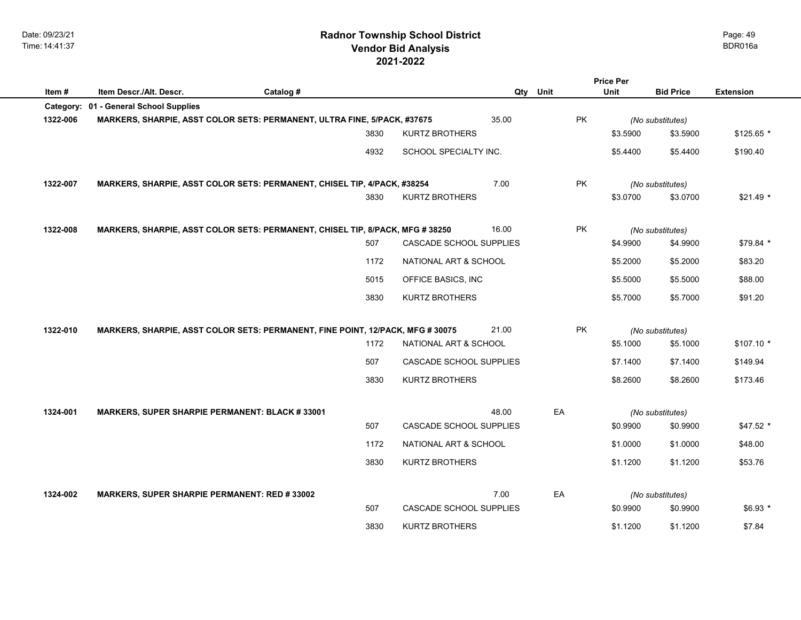|          |                                                       |                                                                                |                         |       |      | <b>Price Per</b> |                              |                  |
|----------|-------------------------------------------------------|--------------------------------------------------------------------------------|-------------------------|-------|------|------------------|------------------------------|------------------|
| Item #   | Item Descr./Alt. Descr.                               | Catalog #                                                                      |                         | Qty   | Unit | Unit             | <b>Bid Price</b>             | <b>Extension</b> |
|          | Category: 01 - General School Supplies                |                                                                                |                         |       |      |                  |                              |                  |
| 1322-006 |                                                       | MARKERS, SHARPIE, ASST COLOR SETS: PERMANENT, ULTRA FINE, 5/PACK, #37675       |                         | 35.00 |      | PK               | (No substitutes)             |                  |
|          |                                                       | 3830                                                                           | <b>KURTZ BROTHERS</b>   |       |      | \$3.5900         | \$3.5900                     | $$125.65$ *      |
|          |                                                       | 4932                                                                           | SCHOOL SPECIALTY INC.   |       |      | \$5.4400         | \$5.4400                     | \$190.40         |
| 1322-007 |                                                       | MARKERS, SHARPIE, ASST COLOR SETS: PERMANENT, CHISEL TIP, 4/PACK, #38254       |                         | 7.00  |      | <b>PK</b>        | (No substitutes)             |                  |
|          |                                                       | 3830                                                                           | KURTZ BROTHERS          |       |      | \$3.0700         | \$3.0700                     | $$21.49$ *       |
| 1322-008 |                                                       | MARKERS, SHARPIE, ASST COLOR SETS: PERMANENT, CHISEL TIP, 8/PACK, MFG # 38250  |                         | 16.00 |      | PK               | (No substitutes)             |                  |
|          |                                                       | 507                                                                            | CASCADE SCHOOL SUPPLIES |       |      | \$4.9900         | \$4.9900                     | \$79.84 *        |
|          |                                                       | 1172                                                                           | NATIONAL ART & SCHOOL   |       |      | \$5.2000         | \$5.2000                     | \$83.20          |
|          |                                                       | 5015                                                                           | OFFICE BASICS, INC      |       |      | \$5.5000         | \$5.5000                     | \$88.00          |
|          |                                                       | 3830                                                                           | KURTZ BROTHERS          |       |      | \$5.7000         | \$5.7000                     | \$91.20          |
| 1322-010 |                                                       | MARKERS, SHARPIE, ASST COLOR SETS: PERMANENT, FINE POINT, 12/PACK, MFG # 30075 |                         | 21.00 |      | <b>PK</b>        | (No substitutes)             |                  |
|          |                                                       | 1172                                                                           | NATIONAL ART & SCHOOL   |       |      | \$5.1000         | \$5.1000                     | $$107.10$ *      |
|          |                                                       | 507                                                                            | CASCADE SCHOOL SUPPLIES |       |      | \$7.1400         | \$7.1400                     | \$149.94         |
|          |                                                       | 3830                                                                           | <b>KURTZ BROTHERS</b>   |       |      | \$8.2600         | \$8.2600                     | \$173.46         |
| 1324-001 | <b>MARKERS, SUPER SHARPIE PERMANENT: BLACK #33001</b> |                                                                                |                         | 48.00 | EA   |                  | (No substitutes)             |                  |
|          |                                                       | 507                                                                            | CASCADE SCHOOL SUPPLIES |       |      | \$0.9900         | \$0.9900                     | $$47.52$ *       |
|          |                                                       | 1172                                                                           | NATIONAL ART & SCHOOL   |       |      | \$1.0000         | \$1.0000                     | \$48.00          |
|          |                                                       | 3830                                                                           | <b>KURTZ BROTHERS</b>   |       |      | \$1.1200         | \$1.1200                     | \$53.76          |
| 1324-002 | <b>MARKERS, SUPER SHARPIE PERMANENT: RED #33002</b>   |                                                                                |                         | 7.00  | EA   |                  |                              |                  |
|          |                                                       | 507                                                                            | CASCADE SCHOOL SUPPLIES |       |      | \$0.9900         | (No substitutes)<br>\$0.9900 | $$6.93*$         |
|          |                                                       |                                                                                |                         |       |      |                  |                              |                  |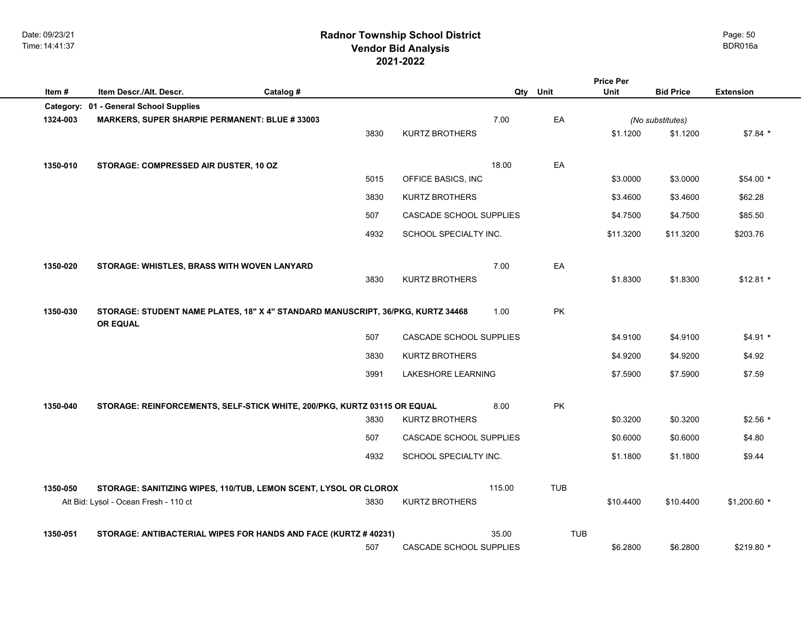## **2021-2022 Radnor Township School District Vendor Bid Analysis** BDR016a

|           |                                                                                 |           |      |                                |        |            | <b>Price Per</b> |                  |                  |
|-----------|---------------------------------------------------------------------------------|-----------|------|--------------------------------|--------|------------|------------------|------------------|------------------|
| Item#     | Item Descr./Alt. Descr.                                                         | Catalog # |      |                                | Qty    | Unit       | Unit             | <b>Bid Price</b> | <b>Extension</b> |
| Category: | 01 - General School Supplies                                                    |           |      |                                |        |            |                  |                  |                  |
| 1324-003  | <b>MARKERS, SUPER SHARPIE PERMANENT: BLUE # 33003</b>                           |           |      |                                | 7.00   | EA         |                  | (No substitutes) |                  |
|           |                                                                                 |           | 3830 | <b>KURTZ BROTHERS</b>          |        |            | \$1.1200         | \$1.1200         | $$7.84$ *        |
|           |                                                                                 |           |      |                                |        |            |                  |                  |                  |
| 1350-010  | STORAGE: COMPRESSED AIR DUSTER, 10 OZ                                           |           |      |                                | 18.00  | EA         |                  |                  |                  |
|           |                                                                                 |           | 5015 | OFFICE BASICS, INC             |        |            | \$3.0000         | \$3.0000         | \$54.00 *        |
|           |                                                                                 |           | 3830 | <b>KURTZ BROTHERS</b>          |        |            | \$3.4600         | \$3.4600         | \$62.28          |
|           |                                                                                 |           | 507  | <b>CASCADE SCHOOL SUPPLIES</b> |        |            | \$4.7500         | \$4.7500         | \$85.50          |
|           |                                                                                 |           | 4932 | SCHOOL SPECIALTY INC.          |        |            | \$11.3200        | \$11.3200        | \$203.76         |
|           |                                                                                 |           |      |                                |        |            |                  |                  |                  |
| 1350-020  | STORAGE: WHISTLES, BRASS WITH WOVEN LANYARD                                     |           |      |                                | 7.00   | EA         |                  |                  |                  |
|           |                                                                                 |           | 3830 | <b>KURTZ BROTHERS</b>          |        |            | \$1.8300         | \$1.8300         | $$12.81$ *       |
|           |                                                                                 |           |      |                                |        |            |                  |                  |                  |
| 1350-030  | STORAGE: STUDENT NAME PLATES, 18" X 4" STANDARD MANUSCRIPT, 36/PKG, KURTZ 34468 |           |      |                                | 1.00   | PK         |                  |                  |                  |
|           | OR EQUAL                                                                        |           |      |                                |        |            |                  |                  |                  |
|           |                                                                                 |           | 507  | <b>CASCADE SCHOOL SUPPLIES</b> |        |            | \$4.9100         | \$4.9100         | $$4.91$ *        |
|           |                                                                                 |           | 3830 | KURTZ BROTHERS                 |        |            | \$4.9200         | \$4.9200         | \$4.92           |
|           |                                                                                 |           | 3991 | LAKESHORE LEARNING             |        |            | \$7.5900         | \$7.5900         | \$7.59           |
|           |                                                                                 |           |      |                                |        |            |                  |                  |                  |
| 1350-040  | STORAGE: REINFORCEMENTS, SELF-STICK WHITE, 200/PKG, KURTZ 03115 OR EQUAL        |           |      |                                | 8.00   | PK         |                  |                  |                  |
|           |                                                                                 |           | 3830 | <b>KURTZ BROTHERS</b>          |        |            | \$0.3200         | \$0.3200         | $$2.56*$         |
|           |                                                                                 |           | 507  | CASCADE SCHOOL SUPPLIES        |        |            | \$0.6000         | \$0.6000         | \$4.80           |
|           |                                                                                 |           | 4932 | SCHOOL SPECIALTY INC.          |        |            | \$1.1800         | \$1.1800         | \$9.44           |
|           |                                                                                 |           |      |                                |        |            |                  |                  |                  |
| 1350-050  | STORAGE: SANITIZING WIPES, 110/TUB, LEMON SCENT, LYSOL OR CLOROX                |           |      |                                | 115.00 | <b>TUB</b> |                  |                  |                  |
|           | Alt Bid: Lysol - Ocean Fresh - 110 ct                                           |           | 3830 | <b>KURTZ BROTHERS</b>          |        |            | \$10.4400        | \$10.4400        | $$1,200.60$ *    |
|           |                                                                                 |           |      |                                |        |            |                  |                  |                  |
| 1350-051  | STORAGE: ANTIBACTERIAL WIPES FOR HANDS AND FACE (KURTZ # 40231)                 |           |      |                                | 35.00  | <b>TUB</b> |                  |                  |                  |
|           |                                                                                 |           | 507  | <b>CASCADE SCHOOL SUPPLIES</b> |        |            | \$6.2800         | \$6.2800         | $$219.80$ *      |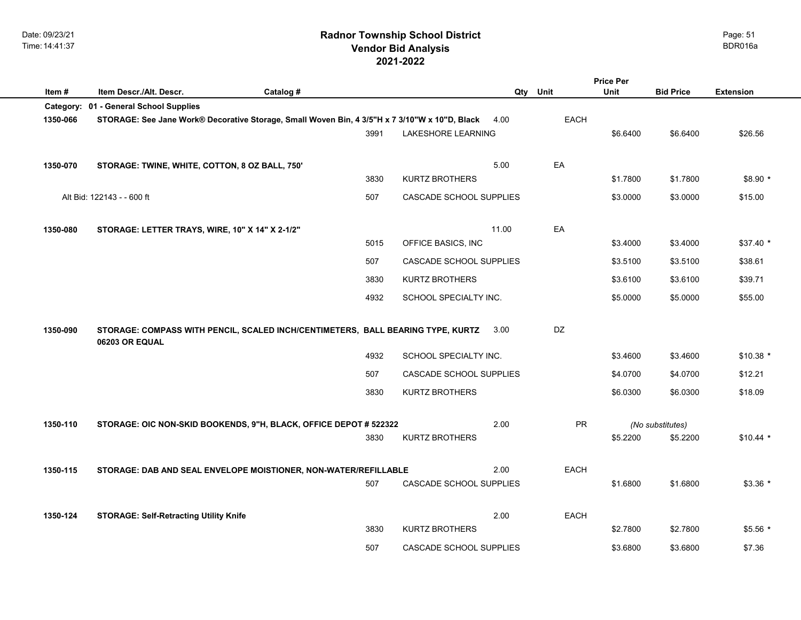## **2021-2022 Radnor Township School District Vendor Bid Analysis** BDR016a

|          |                                                                                                   |      |                                   |             | <b>Price Per</b> |                              |                  |
|----------|---------------------------------------------------------------------------------------------------|------|-----------------------------------|-------------|------------------|------------------------------|------------------|
| Item#    | Item Descr./Alt. Descr.<br>Catalog #                                                              |      | Qty                               | Unit        | Unit             | <b>Bid Price</b>             | <b>Extension</b> |
|          | Category: 01 - General School Supplies                                                            |      |                                   |             |                  |                              |                  |
| 1350-066 | STORAGE: See Jane Work® Decorative Storage, Small Woven Bin, 4 3/5"H x 7 3/10"W x 10"D, Black     | 3991 | 4.00<br><b>LAKESHORE LEARNING</b> | EACH        | \$6.6400         | \$6.6400                     | \$26.56          |
| 1350-070 | STORAGE: TWINE, WHITE, COTTON, 8 OZ BALL, 750'                                                    |      | 5.00                              | EA          |                  |                              |                  |
|          |                                                                                                   | 3830 | <b>KURTZ BROTHERS</b>             |             | \$1.7800         | \$1.7800                     | $$8.90*$         |
|          | Alt Bid: 122143 - - 600 ft                                                                        | 507  | CASCADE SCHOOL SUPPLIES           |             | \$3.0000         | \$3.0000                     | \$15.00          |
| 1350-080 | STORAGE: LETTER TRAYS, WIRE, 10" X 14" X 2-1/2"                                                   |      | 11.00                             | EA          |                  |                              |                  |
|          |                                                                                                   | 5015 | OFFICE BASICS, INC                |             | \$3.4000         | \$3.4000                     | $$37.40*$        |
|          |                                                                                                   | 507  | CASCADE SCHOOL SUPPLIES           |             | \$3.5100         | \$3.5100                     | \$38.61          |
|          |                                                                                                   | 3830 | <b>KURTZ BROTHERS</b>             |             | \$3.6100         | \$3.6100                     | \$39.71          |
|          |                                                                                                   | 4932 | SCHOOL SPECIALTY INC.             |             | \$5.0000         | \$5.0000                     | \$55.00          |
| 1350-090 | STORAGE: COMPASS WITH PENCIL, SCALED INCH/CENTIMETERS, BALL BEARING TYPE, KURTZ<br>06203 OR EQUAL |      | 3.00                              | DZ          |                  |                              |                  |
|          |                                                                                                   | 4932 | SCHOOL SPECIALTY INC.             |             | \$3.4600         | \$3.4600                     | $$10.38$ *       |
|          |                                                                                                   | 507  | CASCADE SCHOOL SUPPLIES           |             | \$4.0700         | \$4.0700                     | \$12.21          |
|          |                                                                                                   | 3830 | <b>KURTZ BROTHERS</b>             |             | \$6.0300         | \$6.0300                     | \$18.09          |
| 1350-110 | STORAGE: OIC NON-SKID BOOKENDS, 9"H, BLACK, OFFICE DEPOT # 522322                                 | 3830 | 2.00<br>KURTZ BROTHERS            | <b>PR</b>   | \$5.2200         | (No substitutes)<br>\$5.2200 | $$10.44$ *       |
| 1350-115 | STORAGE: DAB AND SEAL ENVELOPE MOISTIONER, NON-WATER/REFILLABLE                                   |      | 2.00                              | <b>EACH</b> |                  |                              |                  |
|          |                                                                                                   | 507  | CASCADE SCHOOL SUPPLIES           |             | \$1.6800         | \$1.6800                     | $$3.36$ *        |
| 1350-124 | <b>STORAGE: Self-Retracting Utility Knife</b>                                                     |      | 2.00                              | <b>EACH</b> |                  |                              |                  |
|          |                                                                                                   | 3830 | <b>KURTZ BROTHERS</b>             |             | \$2.7800         | \$2.7800                     | $$5.56*$         |
|          |                                                                                                   | 507  | CASCADE SCHOOL SUPPLIES           |             | \$3.6800         | \$3.6800                     | \$7.36           |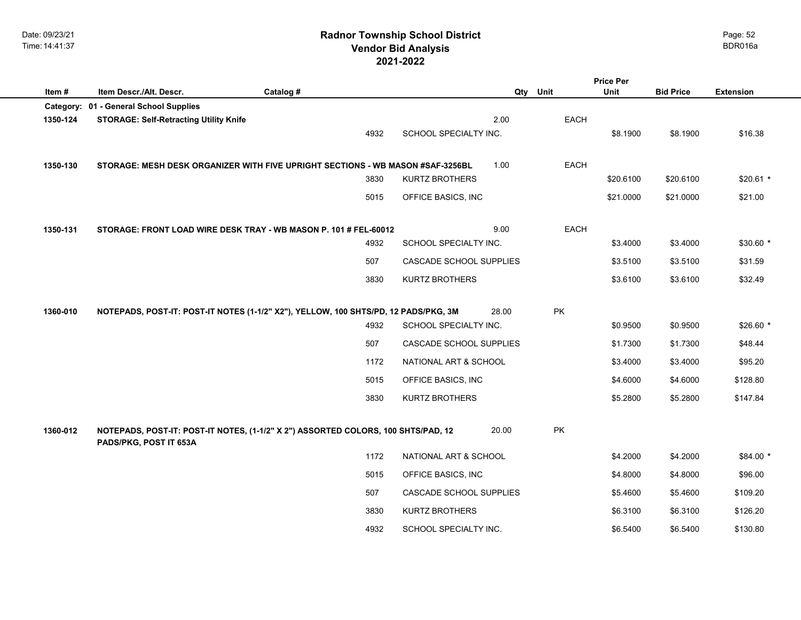**Item # Item Descr./Alt. Descr. Catalog # Qty Unit Bid Price Extension Price PerUnitCategory: 01 - General School Supplies 1350-124 STORAGE: Self-Retracting Utility Knife** 2.00 EACH 4932 SCHOOL SPECIALTY INC. 68.1900 \$8.1900 \$8.1900 \$16.38 **1350-130 STORAGE: MESH DESK ORGANIZER WITH FIVE UPRIGHT SECTIONS - WB MASON #SAF-3256BL** 1.00 EACH3830 KURTZ BROTHERS **\$20.6100** \$20.6100 \$20.61100 \$20.61 \* 5015 OFFICE BASICS, INC \$21.0000 \$21.0000 \$21.000 \$21.00 **1350-131 STORAGE: FRONT LOAD WIRE DESK TRAY - WB MASON P. 101 # FEL-60012** 9.00 EACH4932 SCHOOL SPECIALTY INC.  $$3.4000$   $$3.4000$   $$3.4000$   $$30.60$   $*$ 507 CASCADE SCHOOL SUPPLIES 63.5100 \$3.5100 \$31.59 3830 KURTZ BROTHERS \$3.6100 \$3.6100 \$3.6100 \$32.49 **1360-010 NOTEPADS, POST-IT: POST-IT NOTES (1-1/2" X2"), YELLOW, 100 SHTS/PD, 12 PADS/PKG, 3M** 28.00 PK 4932 SCHOOL SPECIALTY INC.  $$0.9500 \qquad $0.9500$   $$0.9500$   $$26.60 *$ 507 CASCADE SCHOOL SUPPLIES \$1.7300 \$1.7300 \$48.44 1172 NATIONAL ART & SCHOOL \$3.4000 \$3.4000 \$95.20 5015 OFFICE BASICS, INC 64.6000 \$4.6000 \$1.6000 \$128.80 3830 KURTZ BROTHERS \$5.2800 \$5.2800 \$147.84 **1360-012 NOTEPADS, POST-IT: POST-IT NOTES, (1-1/2" X 2") ASSORTED COLORS, 100 SHTS/PAD, 12 PADS/PKG, POST IT 653A** 20.00 PK 1172 NATIONAL ART & SCHOOL \$4.2000 \$4.2000 \$84.00 \* 5015 OFFICE BASICS, INC \$4.8000 \$4.8000 \$4.8000 \$96.00 507 CASCADE SCHOOL SUPPLIES  $$5.4600$   $$5.4600$   $$109.20$ 

> 3830 KURTZ BROTHERS \$6.3100 \$6.3100 \$6.3100 \$126.20 4932 SCHOOL SPECIALTY INC.  $$6.5400$   $$6.5400$   $$130.80$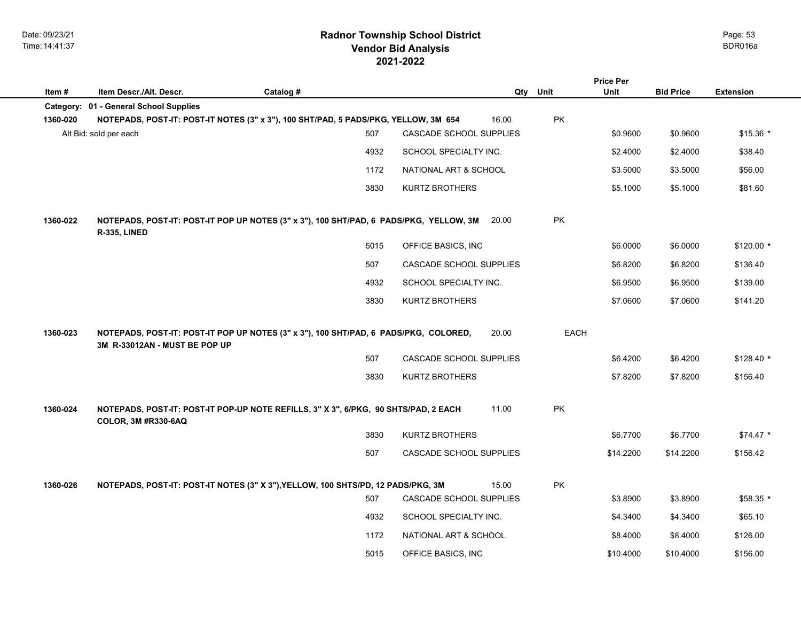|          |                                                                                                                               |           |                         |     |             | <b>Price Per</b> |                  |                  |
|----------|-------------------------------------------------------------------------------------------------------------------------------|-----------|-------------------------|-----|-------------|------------------|------------------|------------------|
| Item#    | Item Descr./Alt. Descr.                                                                                                       | Catalog # |                         | Qty | Unit        | Unit             | <b>Bid Price</b> | <b>Extension</b> |
| 1360-020 | Category: 01 - General School Supplies<br>NOTEPADS, POST-IT: POST-IT NOTES (3" x 3"), 100 SHT/PAD, 5 PADS/PKG, YELLOW, 3M 654 |           | 16.00                   |     | PK          |                  |                  |                  |
|          | Alt Bid: sold per each                                                                                                        | 507       | CASCADE SCHOOL SUPPLIES |     |             | \$0.9600         | \$0.9600         | $$15.36*$        |
|          |                                                                                                                               | 4932      | SCHOOL SPECIALTY INC.   |     |             | \$2.4000         | \$2.4000         | \$38.40          |
|          |                                                                                                                               | 1172      | NATIONAL ART & SCHOOL   |     |             | \$3.5000         | \$3.5000         | \$56.00          |
|          |                                                                                                                               | 3830      | <b>KURTZ BROTHERS</b>   |     |             | \$5.1000         | \$5.1000         | \$81.60          |
|          |                                                                                                                               |           |                         |     |             |                  |                  |                  |
| 1360-022 | NOTEPADS, POST-IT: POST-IT POP UP NOTES (3" x 3"), 100 SHT/PAD, 6 PADS/PKG, YELLOW, 3M<br>R-335, LINED                        |           | 20.00                   |     | <b>PK</b>   |                  |                  |                  |
|          |                                                                                                                               | 5015      | OFFICE BASICS, INC      |     |             | \$6.0000         | \$6.0000         | $$120.00*$       |
|          |                                                                                                                               | 507       | CASCADE SCHOOL SUPPLIES |     |             | \$6.8200         | \$6.8200         | \$136.40         |
|          |                                                                                                                               | 4932      | SCHOOL SPECIALTY INC.   |     |             | \$6.9500         | \$6.9500         | \$139.00         |
|          |                                                                                                                               | 3830      | <b>KURTZ BROTHERS</b>   |     |             | \$7.0600         | \$7.0600         | \$141.20         |
| 1360-023 | NOTEPADS, POST-IT: POST-IT POP UP NOTES (3" x 3"), 100 SHT/PAD, 6 PADS/PKG, COLORED,<br>3M R-33012AN - MUST BE POP UP         |           | 20.00                   |     | <b>EACH</b> |                  |                  |                  |
|          |                                                                                                                               | 507       | CASCADE SCHOOL SUPPLIES |     |             | \$6.4200         | \$6.4200         | $$128.40$ *      |
|          |                                                                                                                               | 3830      | <b>KURTZ BROTHERS</b>   |     |             | \$7.8200         | \$7.8200         | \$156.40         |
| 1360-024 | NOTEPADS, POST-IT: POST-IT POP-UP NOTE REFILLS, 3" X 3", 6/PKG, 90 SHTS/PAD, 2 EACH<br>COLOR, 3M #R330-6AQ                    |           | 11.00                   |     | PK          |                  |                  |                  |
|          |                                                                                                                               | 3830      | <b>KURTZ BROTHERS</b>   |     |             | \$6.7700         | \$6.7700         | $$74.47$ *       |
|          |                                                                                                                               | 507       | CASCADE SCHOOL SUPPLIES |     |             | \$14.2200        | \$14.2200        | \$156.42         |
| 1360-026 | NOTEPADS, POST-IT: POST-IT NOTES (3" X 3"), YELLOW, 100 SHTS/PD, 12 PADS/PKG, 3M                                              |           | 15.00                   |     | <b>PK</b>   |                  |                  |                  |
|          |                                                                                                                               | 507       | CASCADE SCHOOL SUPPLIES |     |             | \$3.8900         | \$3.8900         | \$58.35 *        |
|          |                                                                                                                               | 4932      | SCHOOL SPECIALTY INC.   |     |             | \$4.3400         | \$4.3400         | \$65.10          |
|          |                                                                                                                               | 1172      | NATIONAL ART & SCHOOL   |     |             | \$8.4000         | \$8.4000         | \$126.00         |
|          |                                                                                                                               | 5015      | OFFICE BASICS, INC      |     |             | \$10.4000        | \$10.4000        | \$156.00         |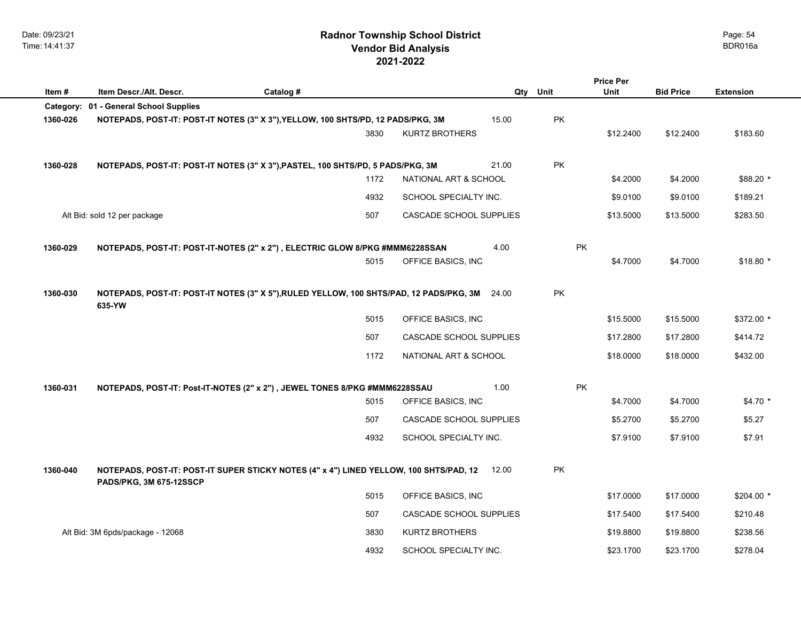|          | <b>Price Per</b>                       |                                                                                         |                         |          |           |                  |                  |
|----------|----------------------------------------|-----------------------------------------------------------------------------------------|-------------------------|----------|-----------|------------------|------------------|
| Item#    | Item Descr./Alt. Descr.                | Catalog #                                                                               |                         | Qty Unit | Unit      | <b>Bid Price</b> | <b>Extension</b> |
|          | Category: 01 - General School Supplies |                                                                                         |                         |          |           |                  |                  |
| 1360-026 |                                        | NOTEPADS, POST-IT: POST-IT NOTES (3" X 3"), YELLOW, 100 SHTS/PD, 12 PADS/PKG, 3M        | 15.00                   | PK       |           |                  |                  |
|          |                                        | 3830                                                                                    | <b>KURTZ BROTHERS</b>   |          | \$12.2400 | \$12.2400        | \$183.60         |
|          |                                        |                                                                                         |                         |          |           |                  |                  |
| 1360-028 |                                        | NOTEPADS, POST-IT: POST-IT NOTES (3" X 3"), PASTEL, 100 SHTS/PD, 5 PADS/PKG, 3M         | 21.00                   | PK       |           |                  |                  |
|          |                                        | 1172                                                                                    | NATIONAL ART & SCHOOL   |          | \$4.2000  | \$4.2000         | \$88.20 *        |
|          |                                        |                                                                                         |                         |          |           |                  |                  |
|          |                                        | 4932                                                                                    | SCHOOL SPECIALTY INC.   |          | \$9.0100  | \$9.0100         | \$189.21         |
|          | Alt Bid: sold 12 per package           | 507                                                                                     | CASCADE SCHOOL SUPPLIES |          | \$13.5000 | \$13.5000        | \$283.50         |
|          |                                        |                                                                                         |                         |          |           |                  |                  |
| 1360-029 |                                        | NOTEPADS, POST-IT: POST-IT-NOTES (2" x 2") , ELECTRIC GLOW 8/PKG #MMM6228SSAN           | 4.00                    |          | <b>PK</b> |                  |                  |
|          |                                        | 5015                                                                                    | OFFICE BASICS, INC      |          | \$4.7000  | \$4.7000         | $$18.80*$        |
|          |                                        |                                                                                         |                         |          |           |                  |                  |
|          |                                        |                                                                                         |                         |          |           |                  |                  |
| 1360-030 | 635-YW                                 | NOTEPADS, POST-IT: POST-IT NOTES (3" X 5"), RULED YELLOW, 100 SHTS/PAD, 12 PADS/PKG, 3M | 24.00                   | PK       |           |                  |                  |
|          |                                        | 5015                                                                                    | OFFICE BASICS, INC      |          | \$15.5000 | \$15.5000        | \$372.00 *       |
|          |                                        |                                                                                         |                         |          |           |                  |                  |
|          |                                        | 507                                                                                     | CASCADE SCHOOL SUPPLIES |          | \$17.2800 | \$17.2800        | \$414.72         |
|          |                                        | 1172                                                                                    | NATIONAL ART & SCHOOL   |          | \$18.0000 | \$18.0000        | \$432.00         |
|          |                                        |                                                                                         |                         |          |           |                  |                  |
| 1360-031 |                                        | NOTEPADS, POST-IT: Post-IT-NOTES (2" x 2"), JEWEL TONES 8/PKG #MMM6228SSAU              | 1.00                    |          | <b>PK</b> |                  |                  |
|          |                                        | 5015                                                                                    | OFFICE BASICS, INC      |          | \$4.7000  | \$4.7000         | $$4.70*$         |
|          |                                        |                                                                                         |                         |          |           |                  |                  |
|          |                                        | 507                                                                                     | CASCADE SCHOOL SUPPLIES |          | \$5.2700  | \$5.2700         | \$5.27           |
|          |                                        | 4932                                                                                    | SCHOOL SPECIALTY INC.   |          | \$7.9100  | \$7.9100         | \$7.91           |
|          |                                        |                                                                                         |                         |          |           |                  |                  |
| 1360-040 |                                        | NOTEPADS, POST-IT: POST-IT SUPER STICKY NOTES (4" x 4") LINED YELLOW, 100 SHTS/PAD, 12  | 12.00                   | PK       |           |                  |                  |
|          | PADS/PKG, 3M 675-12SSCP                |                                                                                         |                         |          |           |                  |                  |
|          |                                        | 5015                                                                                    | OFFICE BASICS, INC      |          | \$17.0000 | \$17.0000        | $$204.00*$       |
|          |                                        | 507                                                                                     | CASCADE SCHOOL SUPPLIES |          | \$17.5400 | \$17.5400        | \$210.48         |
|          |                                        |                                                                                         |                         |          |           |                  |                  |
|          | Alt Bid: 3M 6pds/package - 12068       | 3830                                                                                    | <b>KURTZ BROTHERS</b>   |          | \$19.8800 | \$19.8800        | \$238.56         |
|          |                                        | 4932                                                                                    | SCHOOL SPECIALTY INC.   |          | \$23.1700 | \$23.1700        | \$278.04         |
|          |                                        |                                                                                         |                         |          |           |                  |                  |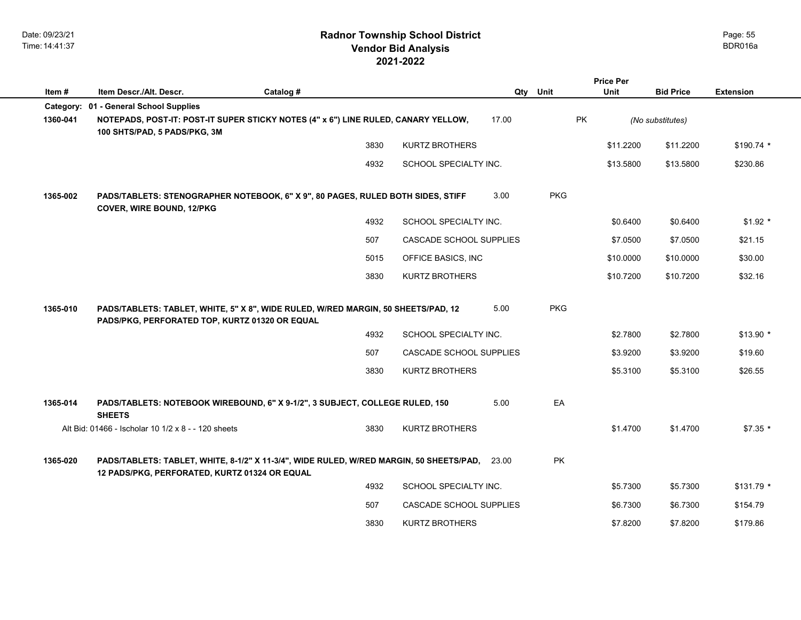|           |                                                                                                                                          |           |      |                         |          |            | <b>Price Per</b> |                  |                  |
|-----------|------------------------------------------------------------------------------------------------------------------------------------------|-----------|------|-------------------------|----------|------------|------------------|------------------|------------------|
| Item#     | Item Descr./Alt. Descr.                                                                                                                  | Catalog # |      |                         | Qty Unit |            | Unit             | <b>Bid Price</b> | <b>Extension</b> |
| Category: | 01 - General School Supplies                                                                                                             |           |      |                         |          |            |                  |                  |                  |
| 1360-041  | NOTEPADS, POST-IT: POST-IT SUPER STICKY NOTES (4" x 6") LINE RULED, CANARY YELLOW,<br>100 SHTS/PAD, 5 PADS/PKG, 3M                       |           |      |                         | 17.00    | PK         |                  | (No substitutes) |                  |
|           |                                                                                                                                          |           | 3830 | KURTZ BROTHERS          |          |            | \$11.2200        | \$11.2200        | $$190.74$ *      |
|           |                                                                                                                                          |           | 4932 | SCHOOL SPECIALTY INC.   |          |            | \$13.5800        | \$13.5800        | \$230.86         |
| 1365-002  | PADS/TABLETS: STENOGRAPHER NOTEBOOK, 6" X 9", 80 PAGES, RULED BOTH SIDES, STIFF<br><b>COVER, WIRE BOUND, 12/PKG</b>                      |           |      |                         | 3.00     | <b>PKG</b> |                  |                  |                  |
|           |                                                                                                                                          |           | 4932 | SCHOOL SPECIALTY INC.   |          |            | \$0.6400         | \$0.6400         | $$1.92$ *        |
|           |                                                                                                                                          |           | 507  | CASCADE SCHOOL SUPPLIES |          |            | \$7.0500         | \$7.0500         | \$21.15          |
|           |                                                                                                                                          |           | 5015 | OFFICE BASICS, INC      |          |            | \$10.0000        | \$10.0000        | \$30.00          |
|           |                                                                                                                                          |           | 3830 | <b>KURTZ BROTHERS</b>   |          |            | \$10,7200        | \$10.7200        | \$32.16          |
| 1365-010  | PADS/TABLETS: TABLET, WHITE, 5" X 8", WIDE RULED, W/RED MARGIN, 50 SHEETS/PAD, 12<br>PADS/PKG, PERFORATED TOP, KURTZ 01320 OR EQUAL      |           |      |                         | 5.00     | <b>PKG</b> |                  |                  |                  |
|           |                                                                                                                                          |           | 4932 | SCHOOL SPECIALTY INC.   |          |            | \$2.7800         | \$2.7800         | $$13.90*$        |
|           |                                                                                                                                          |           | 507  | CASCADE SCHOOL SUPPLIES |          |            | \$3.9200         | \$3.9200         | \$19.60          |
|           |                                                                                                                                          |           | 3830 | <b>KURTZ BROTHERS</b>   |          |            | \$5.3100         | \$5.3100         | \$26.55          |
| 1365-014  | PADS/TABLETS: NOTEBOOK WIREBOUND, 6" X 9-1/2", 3 SUBJECT, COLLEGE RULED, 150<br><b>SHEETS</b>                                            |           |      |                         | 5.00     | EA         |                  |                  |                  |
|           | Alt Bid: 01466 - Ischolar 10 1/2 x 8 - - 120 sheets                                                                                      |           | 3830 | <b>KURTZ BROTHERS</b>   |          |            | \$1.4700         | \$1.4700         | $$7.35$ *        |
| 1365-020  | PADS/TABLETS: TABLET, WHITE, 8-1/2" X 11-3/4", WIDE RULED, W/RED MARGIN, 50 SHEETS/PAD,<br>12 PADS/PKG, PERFORATED, KURTZ 01324 OR EQUAL |           |      |                         | 23.00    | <b>PK</b>  |                  |                  |                  |
|           |                                                                                                                                          |           | 4932 | SCHOOL SPECIALTY INC.   |          |            | \$5.7300         | \$5.7300         | $$131.79$ *      |
|           |                                                                                                                                          |           | 507  | CASCADE SCHOOL SUPPLIES |          |            | \$6.7300         | \$6.7300         | \$154.79         |
|           |                                                                                                                                          |           | 3830 | <b>KURTZ BROTHERS</b>   |          |            | \$7.8200         | \$7.8200         | \$179.86         |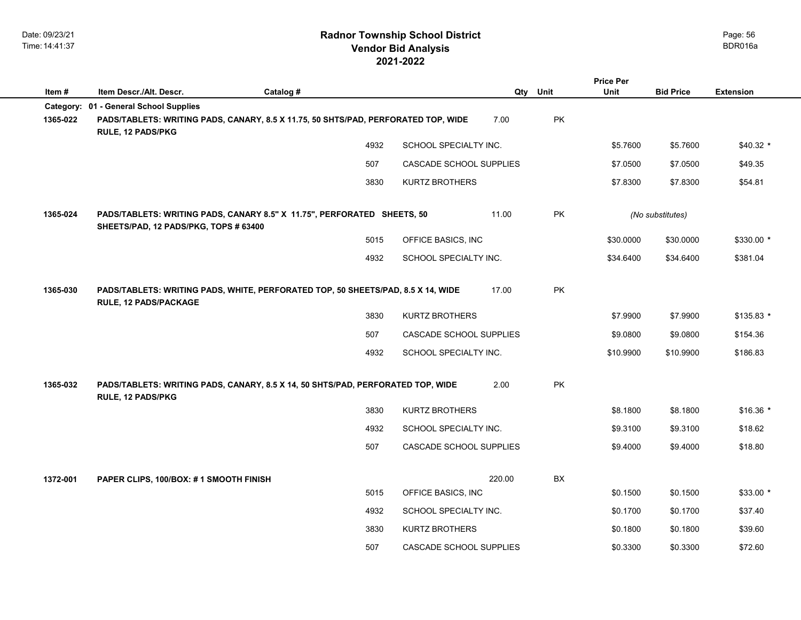|          |                                        |                                                                                    |      |                         |        |           | <b>Price Per</b> |                  |                  |
|----------|----------------------------------------|------------------------------------------------------------------------------------|------|-------------------------|--------|-----------|------------------|------------------|------------------|
| Item #   | Item Descr./Alt. Descr.                | Catalog #                                                                          |      |                         |        | Qty Unit  | Unit             | <b>Bid Price</b> | <b>Extension</b> |
|          | Category: 01 - General School Supplies |                                                                                    |      |                         |        |           |                  |                  |                  |
| 1365-022 | RULE, 12 PADS/PKG                      | PADS/TABLETS: WRITING PADS, CANARY, 8.5 X 11.75, 50 SHTS/PAD, PERFORATED TOP, WIDE |      |                         | 7.00   | PK        |                  |                  |                  |
|          |                                        |                                                                                    | 4932 | SCHOOL SPECIALTY INC.   |        |           | \$5.7600         | \$5.7600         | $$40.32$ *       |
|          |                                        |                                                                                    | 507  | CASCADE SCHOOL SUPPLIES |        |           | \$7.0500         | \$7.0500         | \$49.35          |
|          |                                        |                                                                                    | 3830 | <b>KURTZ BROTHERS</b>   |        |           | \$7.8300         | \$7.8300         | \$54.81          |
| 1365-024 | SHEETS/PAD, 12 PADS/PKG, TOPS # 63400  | PADS/TABLETS: WRITING PADS, CANARY 8.5" X 11.75", PERFORATED SHEETS, 50            |      |                         | 11.00  | PK        |                  | (No substitutes) |                  |
|          |                                        |                                                                                    | 5015 | OFFICE BASICS, INC      |        |           | \$30.0000        | \$30.0000        | \$330.00 *       |
|          |                                        |                                                                                    | 4932 | SCHOOL SPECIALTY INC.   |        |           | \$34.6400        | \$34.6400        | \$381.04         |
| 1365-030 | RULE, 12 PADS/PACKAGE                  | PADS/TABLETS: WRITING PADS, WHITE, PERFORATED TOP, 50 SHEETS/PAD, 8.5 X 14, WIDE   |      |                         | 17.00  | PK        |                  |                  |                  |
|          |                                        |                                                                                    | 3830 | <b>KURTZ BROTHERS</b>   |        |           | \$7.9900         | \$7.9900         | \$135.83 *       |
|          |                                        |                                                                                    | 507  | CASCADE SCHOOL SUPPLIES |        |           | \$9.0800         | \$9.0800         | \$154.36         |
|          |                                        |                                                                                    | 4932 | SCHOOL SPECIALTY INC.   |        |           | \$10.9900        | \$10.9900        | \$186.83         |
| 1365-032 | RULE, 12 PADS/PKG                      | PADS/TABLETS: WRITING PADS, CANARY, 8.5 X 14, 50 SHTS/PAD, PERFORATED TOP, WIDE    |      |                         | 2.00   | <b>PK</b> |                  |                  |                  |
|          |                                        |                                                                                    | 3830 | <b>KURTZ BROTHERS</b>   |        |           | \$8.1800         | \$8.1800         | $$16.36*$        |
|          |                                        |                                                                                    | 4932 | SCHOOL SPECIALTY INC.   |        |           | \$9.3100         | \$9.3100         | \$18.62          |
|          |                                        |                                                                                    | 507  | CASCADE SCHOOL SUPPLIES |        |           | \$9.4000         | \$9.4000         | \$18.80          |
| 1372-001 | PAPER CLIPS, 100/BOX: #1 SMOOTH FINISH |                                                                                    |      |                         | 220.00 | BX        |                  |                  |                  |
|          |                                        |                                                                                    | 5015 | OFFICE BASICS, INC      |        |           | \$0.1500         | \$0.1500         | \$33.00 *        |
|          |                                        |                                                                                    | 4932 | SCHOOL SPECIALTY INC.   |        |           | \$0.1700         | \$0.1700         | \$37.40          |
|          |                                        |                                                                                    | 3830 | <b>KURTZ BROTHERS</b>   |        |           | \$0.1800         | \$0.1800         | \$39.60          |
|          |                                        |                                                                                    | 507  | CASCADE SCHOOL SUPPLIES |        |           | \$0.3300         | \$0.3300         | \$72.60          |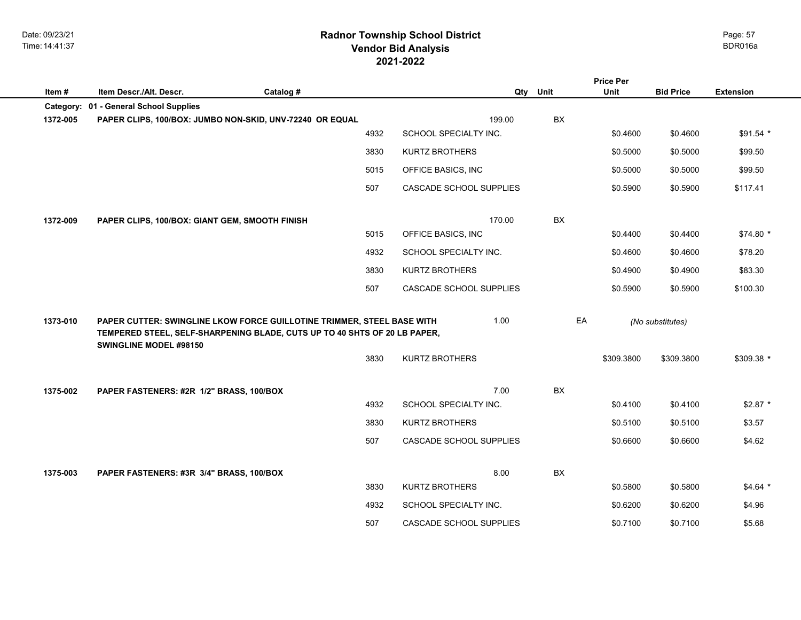## **2021-2022 Radnor Township School District Vendor Bid Analysis** BDR016a

| Item#    | Item Descr./Alt. Descr.                        | Catalog #                                                                                                                                           |      |                                | Qty Unit |    | <b>Price Per</b><br>Unit | <b>Bid Price</b> | <b>Extension</b> |
|----------|------------------------------------------------|-----------------------------------------------------------------------------------------------------------------------------------------------------|------|--------------------------------|----------|----|--------------------------|------------------|------------------|
|          | Category: 01 - General School Supplies         |                                                                                                                                                     |      |                                |          |    |                          |                  |                  |
| 1372-005 |                                                | PAPER CLIPS, 100/BOX: JUMBO NON-SKID, UNV-72240 OR EQUAL                                                                                            |      | 199.00                         |          | BX |                          |                  |                  |
|          |                                                |                                                                                                                                                     | 4932 | SCHOOL SPECIALTY INC.          |          |    | \$0.4600                 | \$0.4600         | $$91.54$ *       |
|          |                                                |                                                                                                                                                     | 3830 | <b>KURTZ BROTHERS</b>          |          |    | \$0.5000                 | \$0.5000         | \$99.50          |
|          |                                                |                                                                                                                                                     | 5015 | OFFICE BASICS, INC             |          |    | \$0.5000                 | \$0.5000         | \$99.50          |
|          |                                                |                                                                                                                                                     | 507  | CASCADE SCHOOL SUPPLIES        |          |    | \$0.5900                 | \$0.5900         | \$117.41         |
| 1372-009 | PAPER CLIPS, 100/BOX: GIANT GEM, SMOOTH FINISH |                                                                                                                                                     |      | 170.00                         |          | BX |                          |                  |                  |
|          |                                                |                                                                                                                                                     | 5015 | OFFICE BASICS, INC             |          |    | \$0.4400                 | \$0.4400         | $$74.80*$        |
|          |                                                |                                                                                                                                                     | 4932 | SCHOOL SPECIALTY INC.          |          |    | \$0.4600                 | \$0.4600         | \$78.20          |
|          |                                                |                                                                                                                                                     | 3830 | <b>KURTZ BROTHERS</b>          |          |    | \$0.4900                 | \$0.4900         | \$83.30          |
|          |                                                |                                                                                                                                                     | 507  | CASCADE SCHOOL SUPPLIES        |          |    | \$0.5900                 | \$0.5900         | \$100.30         |
| 1373-010 | SWINGLINE MODEL #98150                         | PAPER CUTTER: SWINGLINE LKOW FORCE GUILLOTINE TRIMMER, STEEL BASE WITH<br>TEMPERED STEEL, SELF-SHARPENING BLADE, CUTS UP TO 40 SHTS OF 20 LB PAPER, |      | 1.00                           |          | EA |                          | (No substitutes) |                  |
|          |                                                |                                                                                                                                                     | 3830 | <b>KURTZ BROTHERS</b>          |          |    | \$309.3800               | \$309.3800       | \$309.38 *       |
| 1375-002 | PAPER FASTENERS: #2R 1/2" BRASS, 100/BOX       |                                                                                                                                                     |      | 7.00                           |          | BX |                          |                  |                  |
|          |                                                |                                                                                                                                                     | 4932 | SCHOOL SPECIALTY INC.          |          |    | \$0.4100                 | \$0.4100         | $$2.87$ *        |
|          |                                                |                                                                                                                                                     | 3830 | <b>KURTZ BROTHERS</b>          |          |    | \$0.5100                 | \$0.5100         | \$3.57           |
|          |                                                |                                                                                                                                                     | 507  | CASCADE SCHOOL SUPPLIES        |          |    | \$0.6600                 | \$0.6600         | \$4.62           |
| 1375-003 | PAPER FASTENERS: #3R 3/4" BRASS, 100/BOX       |                                                                                                                                                     |      | 8.00                           |          | BX |                          |                  |                  |
|          |                                                |                                                                                                                                                     | 3830 | <b>KURTZ BROTHERS</b>          |          |    | \$0.5800                 | \$0.5800         | $$4.64$ *        |
|          |                                                |                                                                                                                                                     | 4932 | SCHOOL SPECIALTY INC.          |          |    | \$0.6200                 | \$0.6200         | \$4.96           |
|          |                                                |                                                                                                                                                     | 507  | <b>CASCADE SCHOOL SUPPLIES</b> |          |    | \$0.7100                 | \$0.7100         | \$5.68           |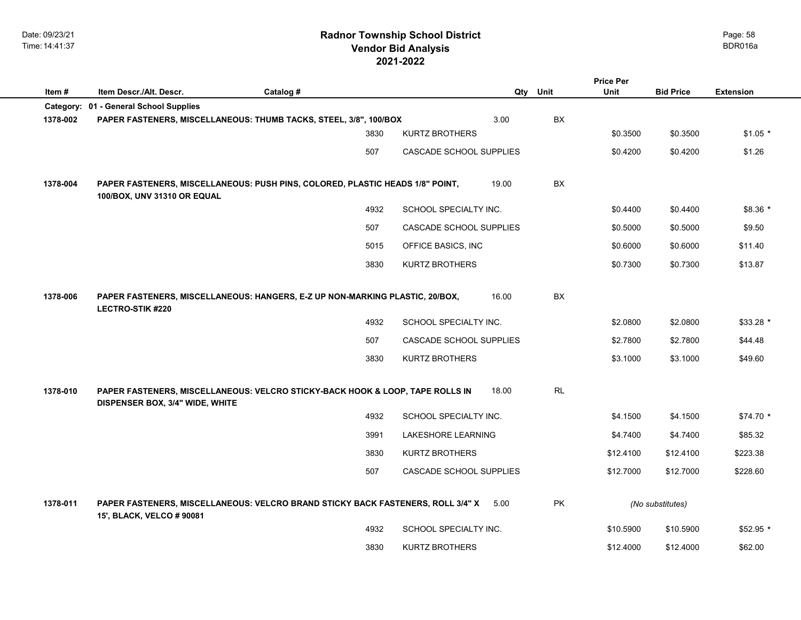## **2021-2022 Radnor Township School District Vendor Bid Analysis** BDR016a

| Item#    | Item Descr./Alt. Descr.                | Catalog #                                                                       |                         |       | Qty Unit  | <b>Price Per</b><br>Unit | <b>Bid Price</b> | <b>Extension</b> |
|----------|----------------------------------------|---------------------------------------------------------------------------------|-------------------------|-------|-----------|--------------------------|------------------|------------------|
|          | Category: 01 - General School Supplies |                                                                                 |                         |       |           |                          |                  |                  |
| 1378-002 |                                        | PAPER FASTENERS, MISCELLANEOUS: THUMB TACKS, STEEL, 3/8", 100/BOX               |                         | 3.00  | BX        |                          |                  |                  |
|          |                                        | 3830                                                                            | <b>KURTZ BROTHERS</b>   |       |           | \$0.3500                 | \$0.3500         | $$1.05*$         |
|          |                                        | 507                                                                             | CASCADE SCHOOL SUPPLIES |       |           | \$0.4200                 | \$0.4200         | \$1.26           |
| 1378-004 | 100/BOX, UNV 31310 OR EQUAL            | PAPER FASTENERS, MISCELLANEOUS: PUSH PINS, COLORED, PLASTIC HEADS 1/8" POINT,   |                         | 19.00 | BX        |                          |                  |                  |
|          |                                        | 4932                                                                            | SCHOOL SPECIALTY INC.   |       |           | \$0.4400                 | \$0.4400         | $$8.36*$         |
|          |                                        | 507                                                                             | CASCADE SCHOOL SUPPLIES |       |           | \$0.5000                 | \$0.5000         | \$9.50           |
|          |                                        | 5015                                                                            | OFFICE BASICS, INC      |       |           | \$0.6000                 | \$0.6000         | \$11.40          |
|          |                                        | 3830                                                                            | <b>KURTZ BROTHERS</b>   |       |           | \$0.7300                 | \$0.7300         | \$13.87          |
| 1378-006 | <b>LECTRO-STIK #220</b>                | PAPER FASTENERS, MISCELLANEOUS: HANGERS, E-Z UP NON-MARKING PLASTIC, 20/BOX,    |                         | 16.00 | <b>BX</b> |                          |                  |                  |
|          |                                        | 4932                                                                            | SCHOOL SPECIALTY INC.   |       |           | \$2.0800                 | \$2.0800         | \$33.28 *        |
|          |                                        | 507                                                                             | CASCADE SCHOOL SUPPLIES |       |           | \$2.7800                 | \$2.7800         | \$44.48          |
|          |                                        | 3830                                                                            | <b>KURTZ BROTHERS</b>   |       |           | \$3.1000                 | \$3.1000         | \$49.60          |
| 1378-010 | DISPENSER BOX, 3/4" WIDE, WHITE        | PAPER FASTENERS, MISCELLANEOUS: VELCRO STICKY-BACK HOOK & LOOP, TAPE ROLLS IN   |                         | 18.00 | RL        |                          |                  |                  |
|          |                                        | 4932                                                                            | SCHOOL SPECIALTY INC.   |       |           | \$4.1500                 | \$4.1500         | \$74.70 *        |
|          |                                        | 3991                                                                            | LAKESHORE LEARNING      |       |           | \$4.7400                 | \$4.7400         | \$85.32          |
|          |                                        | 3830                                                                            | <b>KURTZ BROTHERS</b>   |       |           | \$12.4100                | \$12.4100        | \$223.38         |
|          |                                        | 507                                                                             | CASCADE SCHOOL SUPPLIES |       |           | \$12.7000                | \$12.7000        | \$228.60         |
| 1378-011 | 15', BLACK, VELCO # 90081              | PAPER FASTENERS, MISCELLANEOUS: VELCRO BRAND STICKY BACK FASTENERS, ROLL 3/4" X |                         | 5.00  | <b>PK</b> |                          | (No substitutes) |                  |
|          |                                        | 4932                                                                            | SCHOOL SPECIALTY INC.   |       |           | \$10.5900                | \$10.5900        | $$52.95$ *       |
|          |                                        | 3830                                                                            | <b>KURTZ BROTHERS</b>   |       |           | \$12,4000                | \$12,4000        | \$62.00          |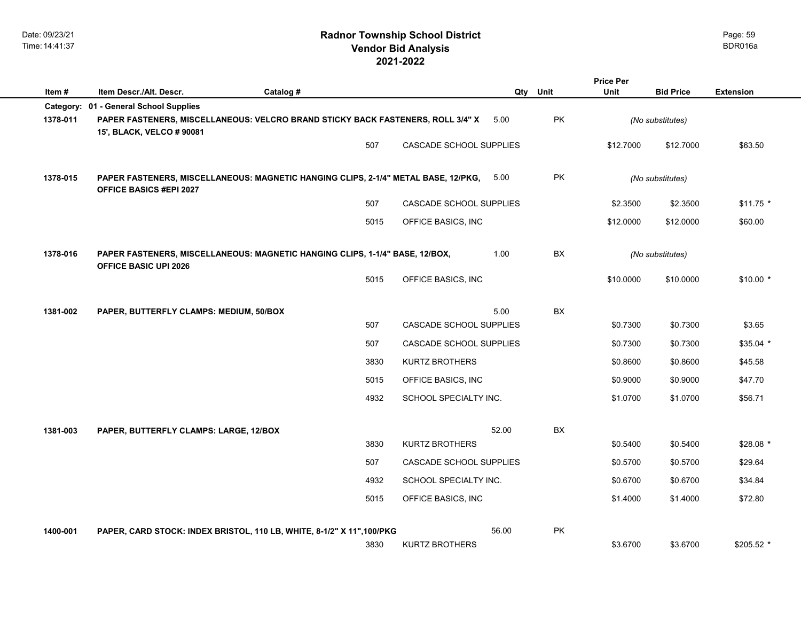|          |                                         |                                                                                         |                         |       |           | <b>Price Per</b> |                  |                  |
|----------|-----------------------------------------|-----------------------------------------------------------------------------------------|-------------------------|-------|-----------|------------------|------------------|------------------|
| Item#    | Item Descr./Alt. Descr.                 | Catalog #                                                                               |                         | Qty   | Unit      | <b>Unit</b>      | <b>Bid Price</b> | <b>Extension</b> |
|          | Category: 01 - General School Supplies  |                                                                                         |                         |       |           |                  |                  |                  |
| 1378-011 | 15', BLACK, VELCO # 90081               | PAPER FASTENERS, MISCELLANEOUS: VELCRO BRAND STICKY BACK FASTENERS, ROLL 3/4" X         |                         | 5.00  | PK        |                  | (No substitutes) |                  |
|          |                                         | 507                                                                                     | CASCADE SCHOOL SUPPLIES |       |           | \$12.7000        | \$12.7000        | \$63.50          |
| 1378-015 | <b>OFFICE BASICS #EPI 2027</b>          | PAPER FASTENERS, MISCELLANEOUS: MAGNETIC HANGING CLIPS, 2-1/4" METAL BASE, 12/PKG, 5.00 |                         |       | PK        |                  | (No substitutes) |                  |
|          |                                         | 507                                                                                     | CASCADE SCHOOL SUPPLIES |       |           | \$2.3500         | \$2.3500         | $$11.75$ *       |
|          |                                         | 5015                                                                                    | OFFICE BASICS, INC      |       |           | \$12,0000        | \$12,0000        | \$60.00          |
| 1378-016 | <b>OFFICE BASIC UPI 2026</b>            | PAPER FASTENERS, MISCELLANEOUS: MAGNETIC HANGING CLIPS, 1-1/4" BASE, 12/BOX,            |                         | 1.00  | <b>BX</b> |                  | (No substitutes) |                  |
|          |                                         | 5015                                                                                    | OFFICE BASICS, INC      |       |           | \$10,0000        | \$10,0000        | $$10.00*$        |
| 1381-002 | PAPER, BUTTERFLY CLAMPS: MEDIUM, 50/BOX |                                                                                         |                         | 5.00  | BX        |                  |                  |                  |
|          |                                         | 507                                                                                     | CASCADE SCHOOL SUPPLIES |       |           | \$0.7300         | \$0.7300         | \$3.65           |
|          |                                         | 507                                                                                     | CASCADE SCHOOL SUPPLIES |       |           | \$0.7300         | \$0.7300         | \$35.04 *        |
|          |                                         | 3830                                                                                    | <b>KURTZ BROTHERS</b>   |       |           | \$0.8600         | \$0.8600         | \$45.58          |
|          |                                         | 5015                                                                                    | OFFICE BASICS, INC      |       |           | \$0.9000         | \$0.9000         | \$47.70          |
|          |                                         | 4932                                                                                    | SCHOOL SPECIALTY INC.   |       |           | \$1.0700         | \$1.0700         | \$56.71          |
| 1381-003 | PAPER, BUTTERFLY CLAMPS: LARGE, 12/BOX  |                                                                                         |                         | 52.00 | <b>BX</b> |                  |                  |                  |
|          |                                         | 3830                                                                                    | <b>KURTZ BROTHERS</b>   |       |           | \$0.5400         | \$0.5400         | $$28.08*$        |
|          |                                         | 507                                                                                     | CASCADE SCHOOL SUPPLIES |       |           | \$0.5700         | \$0.5700         | \$29.64          |
|          |                                         | 4932                                                                                    | SCHOOL SPECIALTY INC.   |       |           | \$0.6700         | \$0.6700         | \$34.84          |
|          |                                         | 5015                                                                                    | OFFICE BASICS, INC      |       |           | \$1.4000         | \$1.4000         | \$72.80          |
|          |                                         |                                                                                         |                         |       |           |                  |                  |                  |
| 1400-001 |                                         | PAPER, CARD STOCK: INDEX BRISTOL, 110 LB, WHITE, 8-1/2" X 11", 100/PKG<br>3830          | <b>KURTZ BROTHERS</b>   | 56.00 | PK        | \$3.6700         | \$3.6700         | $$205.52$ *      |
|          |                                         |                                                                                         |                         |       |           |                  |                  |                  |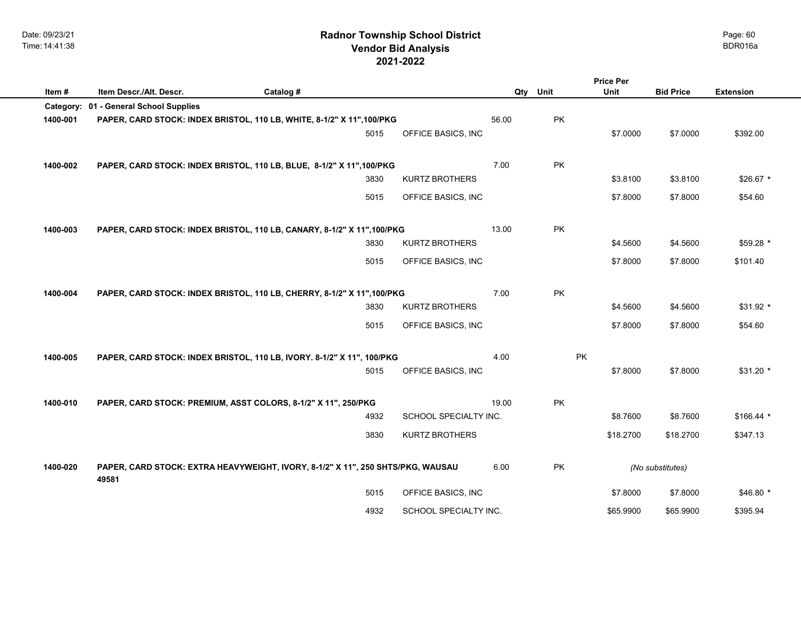| Item#     | Item Descr./Alt. Descr.      | Catalog #                                                                       |                       | Qty   | Unit | Unit      | <b>Bid Price</b> | <b>Extension</b> |
|-----------|------------------------------|---------------------------------------------------------------------------------|-----------------------|-------|------|-----------|------------------|------------------|
| Category: | 01 - General School Supplies |                                                                                 |                       |       |      |           |                  |                  |
| 1400-001  |                              | PAPER, CARD STOCK: INDEX BRISTOL, 110 LB, WHITE, 8-1/2" X 11", 100/PKG          |                       | 56.00 | PK   |           |                  |                  |
|           |                              | 5015                                                                            | OFFICE BASICS, INC    |       |      | \$7.0000  | \$7.0000         | \$392.00         |
|           |                              |                                                                                 |                       |       |      |           |                  |                  |
| 1400-002  |                              | PAPER, CARD STOCK: INDEX BRISTOL, 110 LB, BLUE, 8-1/2" X 11", 100/PKG           |                       | 7.00  | PK   |           |                  |                  |
|           |                              | 3830                                                                            | <b>KURTZ BROTHERS</b> |       |      | \$3.8100  | \$3.8100         | $$26.67$ *       |
|           |                              | 5015                                                                            | OFFICE BASICS, INC    |       |      | \$7.8000  | \$7.8000         | \$54.60          |
|           |                              |                                                                                 |                       |       |      |           |                  |                  |
| 1400-003  |                              | PAPER, CARD STOCK: INDEX BRISTOL, 110 LB, CANARY, 8-1/2" X 11",100/PKG          |                       | 13.00 | PK   |           |                  |                  |
|           |                              | 3830                                                                            | <b>KURTZ BROTHERS</b> |       |      | \$4.5600  | \$4.5600         | $$59.28$ *       |
|           |                              | 5015                                                                            | OFFICE BASICS, INC    |       |      | \$7.8000  | \$7.8000         | \$101.40         |
|           |                              |                                                                                 |                       |       |      |           |                  |                  |
|           |                              |                                                                                 |                       |       |      |           |                  |                  |
| 1400-004  |                              | PAPER, CARD STOCK: INDEX BRISTOL, 110 LB, CHERRY, 8-1/2" X 11", 100/PKG<br>3830 | <b>KURTZ BROTHERS</b> | 7.00  | PK   | \$4.5600  |                  | $$31.92$ *       |
|           |                              |                                                                                 |                       |       |      |           | \$4.5600         |                  |
|           |                              | 5015                                                                            | OFFICE BASICS, INC    |       |      | \$7.8000  | \$7.8000         | \$54.60          |
|           |                              |                                                                                 |                       |       |      |           |                  |                  |
| 1400-005  |                              | PAPER, CARD STOCK: INDEX BRISTOL, 110 LB, IVORY. 8-1/2" X 11", 100/PKG          |                       | 4.00  | PK   |           |                  |                  |
|           |                              | 5015                                                                            | OFFICE BASICS, INC    |       |      | \$7.8000  | \$7.8000         | $$31.20$ *       |
|           |                              |                                                                                 |                       |       |      |           |                  |                  |
| 1400-010  |                              | PAPER, CARD STOCK: PREMIUM, ASST COLORS, 8-1/2" X 11", 250/PKG                  |                       | 19.00 | PK   |           |                  |                  |
|           |                              | 4932                                                                            | SCHOOL SPECIALTY INC. |       |      | \$8.7600  | \$8.7600         | $$166.44$ *      |
|           |                              | 3830                                                                            | <b>KURTZ BROTHERS</b> |       |      | \$18.2700 | \$18.2700        | \$347.13         |
|           |                              |                                                                                 |                       |       |      |           |                  |                  |
| 1400-020  |                              | PAPER, CARD STOCK: EXTRA HEAVYWEIGHT, IVORY, 8-1/2" X 11", 250 SHTS/PKG, WAUSAU |                       | 6.00  | PK   |           | (No substitutes) |                  |
|           | 49581                        |                                                                                 |                       |       |      |           |                  |                  |
|           |                              | 5015                                                                            | OFFICE BASICS, INC    |       |      | \$7.8000  | \$7.8000         | $$46.80*$        |
|           |                              | 4932                                                                            | SCHOOL SPECIALTY INC. |       |      | \$65.9900 | \$65.9900        | \$395.94         |

Page: 60

**Price Per**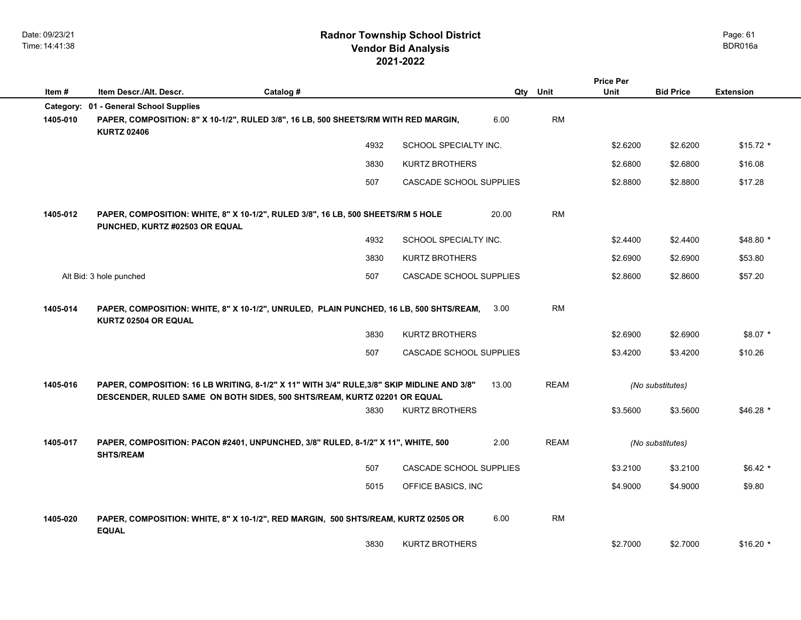|          |                                        |                                                                                                                                                                        |                         |       |             | <b>Price Per</b> |                  |                  |
|----------|----------------------------------------|------------------------------------------------------------------------------------------------------------------------------------------------------------------------|-------------------------|-------|-------------|------------------|------------------|------------------|
| Item#    | Item Descr./Alt. Descr.                | Catalog #                                                                                                                                                              |                         |       | Qty Unit    | Unit             | <b>Bid Price</b> | <b>Extension</b> |
|          | Category: 01 - General School Supplies |                                                                                                                                                                        |                         |       |             |                  |                  |                  |
| 1405-010 | <b>KURTZ 02406</b>                     | PAPER, COMPOSITION: 8" X 10-1/2", RULED 3/8", 16 LB, 500 SHEETS/RM WITH RED MARGIN,                                                                                    |                         | 6.00  | <b>RM</b>   |                  |                  |                  |
|          |                                        | 4932                                                                                                                                                                   | SCHOOL SPECIALTY INC.   |       |             | \$2.6200         | \$2.6200         | $$15.72$ *       |
|          |                                        | 3830                                                                                                                                                                   | <b>KURTZ BROTHERS</b>   |       |             | \$2.6800         | \$2.6800         | \$16.08          |
|          |                                        | 507                                                                                                                                                                    | CASCADE SCHOOL SUPPLIES |       |             | \$2.8800         | \$2.8800         | \$17.28          |
| 1405-012 | PUNCHED, KURTZ #02503 OR EQUAL         | PAPER, COMPOSITION: WHITE, 8" X 10-1/2", RULED 3/8", 16 LB, 500 SHEETS/RM 5 HOLE                                                                                       |                         | 20.00 | <b>RM</b>   |                  |                  |                  |
|          |                                        | 4932                                                                                                                                                                   | SCHOOL SPECIALTY INC.   |       |             | \$2.4400         | \$2.4400         | \$48.80 *        |
|          |                                        | 3830                                                                                                                                                                   | <b>KURTZ BROTHERS</b>   |       |             | \$2.6900         | \$2.6900         | \$53.80          |
|          | Alt Bid: 3 hole punched                | 507                                                                                                                                                                    | CASCADE SCHOOL SUPPLIES |       |             | \$2,8600         | \$2.8600         | \$57.20          |
| 1405-014 | KURTZ 02504 OR EQUAL                   | PAPER, COMPOSITION: WHITE, 8" X 10-1/2", UNRULED, PLAIN PUNCHED, 16 LB, 500 SHTS/REAM,                                                                                 |                         | 3.00  | <b>RM</b>   |                  |                  |                  |
|          |                                        | 3830                                                                                                                                                                   | <b>KURTZ BROTHERS</b>   |       |             | \$2.6900         | \$2.6900         | $$8.07*$         |
|          |                                        | 507                                                                                                                                                                    | CASCADE SCHOOL SUPPLIES |       |             | \$3.4200         | \$3.4200         | \$10.26          |
| 1405-016 |                                        | PAPER, COMPOSITION: 16 LB WRITING, 8-1/2" X 11" WITH 3/4" RULE, 3/8" SKIP MIDLINE AND 3/8"<br>DESCENDER, RULED SAME ON BOTH SIDES, 500 SHTS/REAM, KURTZ 02201 OR EQUAL |                         | 13.00 | <b>REAM</b> |                  | (No substitutes) |                  |
|          |                                        | 3830                                                                                                                                                                   | <b>KURTZ BROTHERS</b>   |       |             | \$3.5600         | \$3.5600         | $$46.28$ *       |
| 1405-017 | <b>SHTS/REAM</b>                       | PAPER, COMPOSITION: PACON #2401, UNPUNCHED, 3/8" RULED, 8-1/2" X 11", WHITE, 500                                                                                       |                         | 2.00  | <b>REAM</b> |                  | (No substitutes) |                  |
|          |                                        | 507                                                                                                                                                                    | CASCADE SCHOOL SUPPLIES |       |             | \$3.2100         | \$3.2100         | $$6.42*$         |
|          |                                        | 5015                                                                                                                                                                   | OFFICE BASICS, INC      |       |             | \$4.9000         | \$4.9000         | \$9.80           |
| 1405-020 | <b>EQUAL</b>                           | PAPER, COMPOSITION: WHITE, 8" X 10-1/2", RED MARGIN, 500 SHTS/REAM, KURTZ 02505 OR                                                                                     |                         | 6.00  | <b>RM</b>   |                  |                  |                  |
|          |                                        | 3830                                                                                                                                                                   | <b>KURTZ BROTHERS</b>   |       |             | \$2.7000         | \$2.7000         | $$16.20$ *       |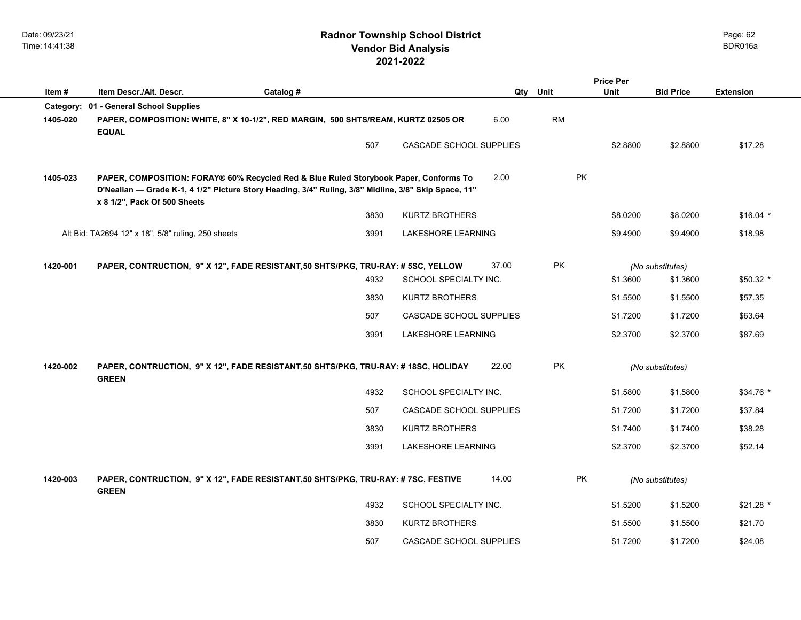|          |                                                                                                                                                                                               |           |      |                         |       |           | <b>Price Per</b> |                  |                  |
|----------|-----------------------------------------------------------------------------------------------------------------------------------------------------------------------------------------------|-----------|------|-------------------------|-------|-----------|------------------|------------------|------------------|
| Item #   | Item Descr./Alt. Descr.                                                                                                                                                                       | Catalog # |      |                         |       | Qty Unit  | Unit             | <b>Bid Price</b> | <b>Extension</b> |
|          | Category: 01 - General School Supplies                                                                                                                                                        |           |      |                         |       |           |                  |                  |                  |
| 1405-020 | PAPER, COMPOSITION: WHITE, 8" X 10-1/2", RED MARGIN, 500 SHTS/REAM, KURTZ 02505 OR                                                                                                            |           |      |                         | 6.00  | <b>RM</b> |                  |                  |                  |
|          | <b>EQUAL</b>                                                                                                                                                                                  |           | 507  | CASCADE SCHOOL SUPPLIES |       |           |                  | \$2.8800         | \$17.28          |
|          |                                                                                                                                                                                               |           |      |                         |       |           | \$2.8800         |                  |                  |
|          |                                                                                                                                                                                               |           |      |                         |       |           |                  |                  |                  |
| 1405-023 | PAPER, COMPOSITION: FORAY® 60% Recycled Red & Blue Ruled Storybook Paper, Conforms To<br>D'Nealian - Grade K-1, 4 1/2" Picture Story Heading, 3/4" Ruling, 3/8" Midline, 3/8" Skip Space, 11" |           |      |                         | 2.00  | PK        |                  |                  |                  |
|          | x 8 1/2", Pack Of 500 Sheets                                                                                                                                                                  |           |      |                         |       |           |                  |                  |                  |
|          |                                                                                                                                                                                               |           | 3830 | <b>KURTZ BROTHERS</b>   |       |           | \$8.0200         | \$8.0200         | $$16.04$ *       |
|          | Alt Bid: TA2694 12" x 18", 5/8" ruling, 250 sheets                                                                                                                                            |           | 3991 | LAKESHORE LEARNING      |       |           | \$9.4900         | \$9.4900         | \$18.98          |
|          |                                                                                                                                                                                               |           |      |                         |       |           |                  |                  |                  |
| 1420-001 | PAPER, CONTRUCTION, 9" X 12", FADE RESISTANT,50 SHTS/PKG, TRU-RAY: # 5SC, YELLOW                                                                                                              |           |      |                         | 37.00 | <b>PK</b> |                  | (No substitutes) |                  |
|          |                                                                                                                                                                                               |           | 4932 | SCHOOL SPECIALTY INC.   |       |           | \$1.3600         | \$1.3600         | $$50.32*$        |
|          |                                                                                                                                                                                               |           | 3830 | <b>KURTZ BROTHERS</b>   |       |           | \$1.5500         | \$1.5500         | \$57.35          |
|          |                                                                                                                                                                                               |           | 507  | CASCADE SCHOOL SUPPLIES |       |           | \$1.7200         | \$1.7200         | \$63.64          |
|          |                                                                                                                                                                                               |           | 3991 | LAKESHORE LEARNING      |       |           | \$2.3700         | \$2.3700         | \$87.69          |
|          |                                                                                                                                                                                               |           |      |                         |       |           |                  |                  |                  |
| 1420-002 | PAPER, CONTRUCTION, 9" X 12", FADE RESISTANT,50 SHTS/PKG, TRU-RAY: #18SC, HOLIDAY                                                                                                             |           |      |                         | 22.00 | <b>PK</b> |                  | (No substitutes) |                  |
|          | <b>GREEN</b>                                                                                                                                                                                  |           |      |                         |       |           |                  |                  |                  |
|          |                                                                                                                                                                                               |           | 4932 | SCHOOL SPECIALTY INC.   |       |           | \$1.5800         | \$1.5800         | \$34.76 *        |
|          |                                                                                                                                                                                               |           | 507  | CASCADE SCHOOL SUPPLIES |       |           | \$1.7200         | \$1.7200         | \$37.84          |
|          |                                                                                                                                                                                               |           | 3830 | <b>KURTZ BROTHERS</b>   |       |           | \$1.7400         | \$1.7400         | \$38.28          |
|          |                                                                                                                                                                                               |           | 3991 | LAKESHORE LEARNING      |       |           | \$2.3700         | \$2.3700         | \$52.14          |
|          |                                                                                                                                                                                               |           |      |                         |       |           |                  |                  |                  |
| 1420-003 | PAPER, CONTRUCTION, 9" X 12", FADE RESISTANT,50 SHTS/PKG, TRU-RAY: # 7SC, FESTIVE<br><b>GREEN</b>                                                                                             |           |      |                         | 14.00 | <b>PK</b> |                  | (No substitutes) |                  |
|          |                                                                                                                                                                                               |           | 4932 | SCHOOL SPECIALTY INC.   |       |           | \$1.5200         | \$1.5200         | $$21.28$ *       |
|          |                                                                                                                                                                                               |           | 3830 | <b>KURTZ BROTHERS</b>   |       |           | \$1.5500         | \$1.5500         | \$21.70          |
|          |                                                                                                                                                                                               |           | 507  | CASCADE SCHOOL SUPPLIES |       |           | \$1.7200         | \$1.7200         | \$24.08          |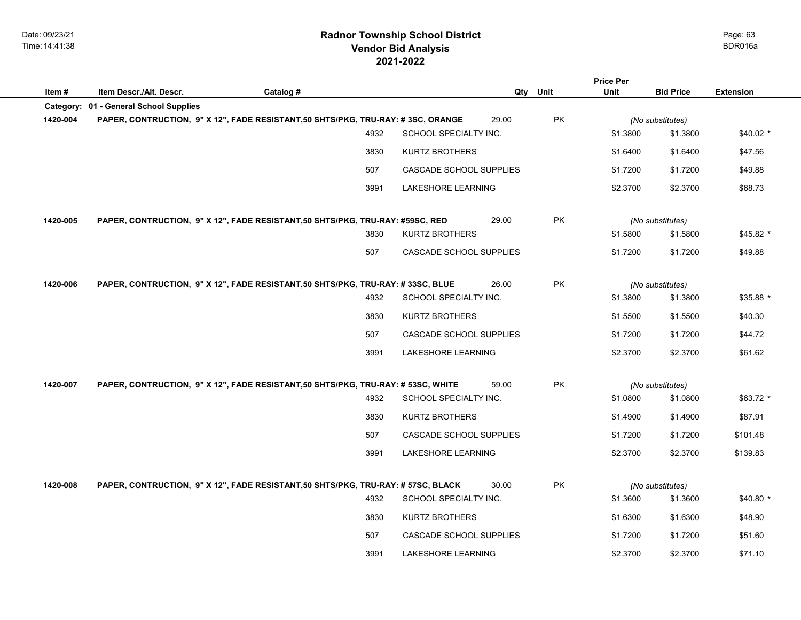|          |                                                                                   |           |                         |       | <b>Price Per</b> |          |                  |                  |
|----------|-----------------------------------------------------------------------------------|-----------|-------------------------|-------|------------------|----------|------------------|------------------|
| Item#    | Item Descr./Alt. Descr.                                                           | Catalog # |                         |       | Qty Unit         | Unit     | <b>Bid Price</b> | <b>Extension</b> |
|          | Category: 01 - General School Supplies                                            |           |                         |       |                  |          |                  |                  |
| 1420-004 | PAPER, CONTRUCTION, 9" X 12", FADE RESISTANT,50 SHTS/PKG, TRU-RAY: #3SC, ORANGE   |           |                         | 29.00 | PK               |          | (No substitutes) |                  |
|          |                                                                                   | 4932      | SCHOOL SPECIALTY INC.   |       |                  | \$1.3800 | \$1.3800         | \$40.02 *        |
|          |                                                                                   | 3830      | <b>KURTZ BROTHERS</b>   |       |                  | \$1.6400 | \$1.6400         | \$47.56          |
|          |                                                                                   | 507       | CASCADE SCHOOL SUPPLIES |       |                  | \$1.7200 | \$1.7200         | \$49.88          |
|          |                                                                                   | 3991      | LAKESHORE LEARNING      |       |                  | \$2.3700 | \$2.3700         | \$68.73          |
| 1420-005 | PAPER, CONTRUCTION, 9" X 12", FADE RESISTANT, 50 SHTS/PKG, TRU-RAY: #59SC, RED    |           |                         | 29.00 | PK               |          | (No substitutes) |                  |
|          |                                                                                   | 3830      | <b>KURTZ BROTHERS</b>   |       |                  | \$1.5800 | \$1.5800         | $$45.82$ *       |
|          |                                                                                   | 507       | CASCADE SCHOOL SUPPLIES |       |                  | \$1.7200 | \$1.7200         | \$49.88          |
| 1420-006 | PAPER, CONTRUCTION, 9" X 12", FADE RESISTANT,50 SHTS/PKG, TRU-RAY: #33SC, BLUE    |           |                         | 26.00 | PK               |          | (No substitutes) |                  |
|          |                                                                                   | 4932      | SCHOOL SPECIALTY INC.   |       |                  | \$1.3800 | \$1.3800         | \$35.88 *        |
|          |                                                                                   | 3830      | <b>KURTZ BROTHERS</b>   |       |                  | \$1.5500 | \$1.5500         | \$40.30          |
|          |                                                                                   | 507       | CASCADE SCHOOL SUPPLIES |       |                  | \$1.7200 | \$1.7200         | \$44.72          |
|          |                                                                                   | 3991      | LAKESHORE LEARNING      |       |                  | \$2.3700 | \$2.3700         | \$61.62          |
| 1420-007 | PAPER, CONTRUCTION, 9" X 12", FADE RESISTANT, 50 SHTS/PKG, TRU-RAY: # 53SC, WHITE |           |                         | 59.00 | PK               |          | (No substitutes) |                  |
|          |                                                                                   | 4932      | SCHOOL SPECIALTY INC.   |       |                  | \$1.0800 | \$1.0800         | $$63.72*$        |
|          |                                                                                   | 3830      | <b>KURTZ BROTHERS</b>   |       |                  | \$1.4900 | \$1.4900         | \$87.91          |
|          |                                                                                   | 507       | CASCADE SCHOOL SUPPLIES |       |                  | \$1.7200 | \$1.7200         | \$101.48         |
|          |                                                                                   | 3991      | LAKESHORE LEARNING      |       |                  | \$2.3700 | \$2.3700         | \$139.83         |
| 1420-008 | PAPER, CONTRUCTION, 9" X 12", FADE RESISTANT, 50 SHTS/PKG, TRU-RAY: # 57SC, BLACK |           |                         | 30.00 | PK               |          | (No substitutes) |                  |
|          |                                                                                   | 4932      | SCHOOL SPECIALTY INC.   |       |                  | \$1.3600 | \$1.3600         | $$40.80*$        |
|          |                                                                                   | 3830      | KURTZ BROTHERS          |       |                  | \$1.6300 | \$1.6300         | \$48.90          |
|          |                                                                                   | 507       | CASCADE SCHOOL SUPPLIES |       |                  | \$1.7200 | \$1.7200         | \$51.60          |
|          |                                                                                   | 3991      | LAKESHORE LEARNING      |       |                  | \$2.3700 | \$2.3700         | \$71.10          |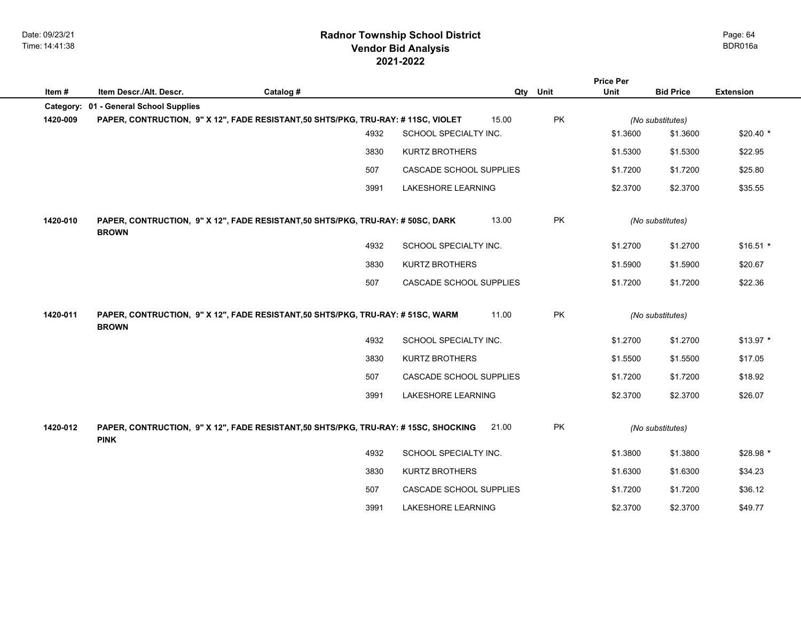## **2021-2022 Radnor Township School District Vendor Bid Analysis** BDR016a

|          |                                                                                                   |           |                         |       |           | <b>Price Per</b> |                  |                  |
|----------|---------------------------------------------------------------------------------------------------|-----------|-------------------------|-------|-----------|------------------|------------------|------------------|
| Item#    | Item Descr./Alt. Descr.                                                                           | Catalog # |                         | Qty   | Unit      | Unit             | <b>Bid Price</b> | <b>Extension</b> |
|          | Category: 01 - General School Supplies                                                            |           |                         |       |           |                  |                  |                  |
| 1420-009 | PAPER, CONTRUCTION, 9" X 12", FADE RESISTANT, 50 SHTS/PKG, TRU-RAY: #11SC, VIOLET                 |           |                         | 15.00 | <b>PK</b> |                  | (No substitutes) |                  |
|          |                                                                                                   | 4932      | SCHOOL SPECIALTY INC.   |       |           | \$1.3600         | \$1.3600         | $$20.40*$        |
|          |                                                                                                   | 3830      | KURTZ BROTHERS          |       |           | \$1.5300         | \$1.5300         | \$22.95          |
|          |                                                                                                   | 507       | CASCADE SCHOOL SUPPLIES |       |           | \$1.7200         | \$1.7200         | \$25.80          |
|          |                                                                                                   | 3991      | LAKESHORE LEARNING      |       |           | \$2.3700         | \$2.3700         | \$35.55          |
| 1420-010 | PAPER, CONTRUCTION, 9" X 12", FADE RESISTANT, 50 SHTS/PKG, TRU-RAY: # 50SC, DARK<br><b>BROWN</b>  |           | 13.00                   |       | <b>PK</b> |                  | (No substitutes) |                  |
|          |                                                                                                   | 4932      | SCHOOL SPECIALTY INC.   |       |           | \$1.2700         | \$1.2700         | $$16.51$ *       |
|          |                                                                                                   | 3830      | <b>KURTZ BROTHERS</b>   |       |           | \$1.5900         | \$1.5900         | \$20.67          |
|          |                                                                                                   | 507       | CASCADE SCHOOL SUPPLIES |       |           | \$1.7200         | \$1.7200         | \$22.36          |
| 1420-011 | PAPER, CONTRUCTION, 9" X 12", FADE RESISTANT, 50 SHTS/PKG, TRU-RAY: # 51SC, WARM<br><b>BROWN</b>  |           | 11.00                   |       | <b>PK</b> |                  | (No substitutes) |                  |
|          |                                                                                                   | 4932      | SCHOOL SPECIALTY INC.   |       |           | \$1.2700         | \$1.2700         | $$13.97$ *       |
|          |                                                                                                   | 3830      | <b>KURTZ BROTHERS</b>   |       |           | \$1.5500         | \$1.5500         | \$17.05          |
|          |                                                                                                   | 507       | CASCADE SCHOOL SUPPLIES |       |           | \$1.7200         | \$1.7200         | \$18.92          |
|          |                                                                                                   | 3991      | LAKESHORE LEARNING      |       |           | \$2.3700         | \$2.3700         | \$26.07          |
| 1420-012 | PAPER, CONTRUCTION, 9" X 12", FADE RESISTANT,50 SHTS/PKG, TRU-RAY: #15SC, SHOCKING<br><b>PINK</b> |           | 21.00                   |       | <b>PK</b> |                  | (No substitutes) |                  |
|          |                                                                                                   | 4932      | SCHOOL SPECIALTY INC.   |       |           | \$1.3800         | \$1.3800         | $$28.98*$        |
|          |                                                                                                   | 3830      | <b>KURTZ BROTHERS</b>   |       |           | \$1.6300         | \$1.6300         | \$34.23          |
|          |                                                                                                   | 507       | CASCADE SCHOOL SUPPLIES |       |           | \$1.7200         | \$1.7200         | \$36.12          |
|          |                                                                                                   | 3991      | LAKESHORE LEARNING      |       |           | \$2.3700         | \$2.3700         | \$49.77          |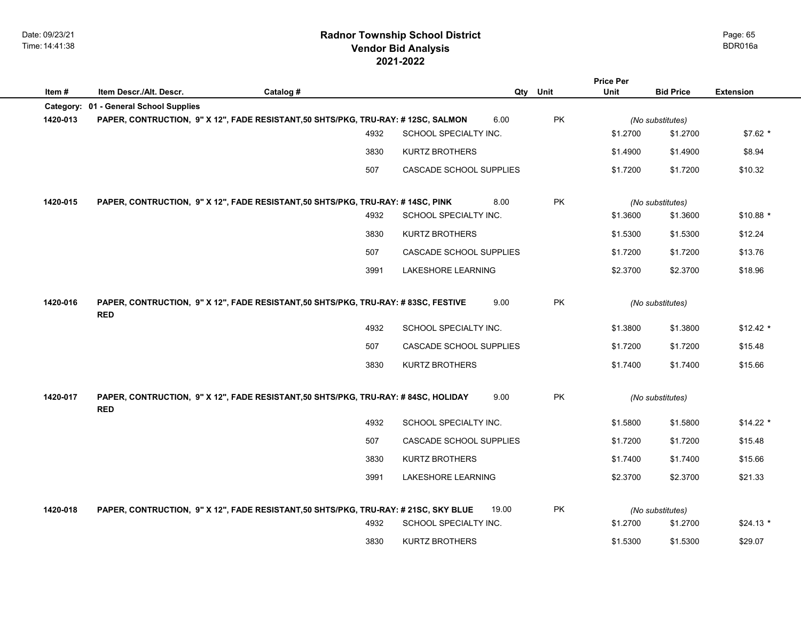|          |                                        |                                                                                          |                         |       |           | <b>Price Per</b> |                              |                  |
|----------|----------------------------------------|------------------------------------------------------------------------------------------|-------------------------|-------|-----------|------------------|------------------------------|------------------|
| Item#    | Item Descr./Alt. Descr.                | Catalog #                                                                                |                         | Qty   | Unit      | Unit             | <b>Bid Price</b>             | <b>Extension</b> |
|          | Category: 01 - General School Supplies |                                                                                          |                         |       |           |                  |                              |                  |
| 1420-013 |                                        | PAPER, CONTRUCTION, 9" X 12", FADE RESISTANT,50 SHTS/PKG, TRU-RAY: #12SC, SALMON<br>4932 | SCHOOL SPECIALTY INC.   | 6.00  | PK        | \$1.2700         | (No substitutes)<br>\$1.2700 | $$7.62*$         |
|          |                                        | 3830                                                                                     | <b>KURTZ BROTHERS</b>   |       |           | \$1.4900         | \$1.4900                     | \$8.94           |
|          |                                        | 507                                                                                      | CASCADE SCHOOL SUPPLIES |       |           | \$1.7200         | \$1.7200                     | \$10.32          |
| 1420-015 |                                        | PAPER, CONTRUCTION, 9" X 12", FADE RESISTANT, 50 SHTS/PKG, TRU-RAY: #14SC, PINK          |                         | 8.00  | <b>PK</b> |                  | (No substitutes)             |                  |
|          |                                        | 4932                                                                                     | SCHOOL SPECIALTY INC.   |       |           | \$1.3600         | \$1.3600                     | $$10.88$ *       |
|          |                                        | 3830                                                                                     | <b>KURTZ BROTHERS</b>   |       |           | \$1.5300         | \$1.5300                     | \$12.24          |
|          |                                        | 507                                                                                      | CASCADE SCHOOL SUPPLIES |       |           | \$1.7200         | \$1.7200                     | \$13.76          |
|          |                                        | 3991                                                                                     | LAKESHORE LEARNING      |       |           | \$2.3700         | \$2.3700                     | \$18.96          |
| 1420-016 | <b>RED</b>                             | PAPER, CONTRUCTION, 9" X 12", FADE RESISTANT, 50 SHTS/PKG, TRU-RAY: # 83SC, FESTIVE      |                         | 9.00  | PK        |                  | (No substitutes)             |                  |
|          |                                        | 4932                                                                                     | SCHOOL SPECIALTY INC.   |       |           | \$1.3800         | \$1.3800                     | $$12.42$ *       |
|          |                                        | 507                                                                                      | CASCADE SCHOOL SUPPLIES |       |           | \$1.7200         | \$1.7200                     | \$15.48          |
|          |                                        | 3830                                                                                     | <b>KURTZ BROTHERS</b>   |       |           | \$1.7400         | \$1.7400                     | \$15.66          |
| 1420-017 | <b>RED</b>                             | PAPER, CONTRUCTION, 9" X 12", FADE RESISTANT,50 SHTS/PKG, TRU-RAY: # 84SC, HOLIDAY       |                         | 9.00  | PK        |                  | (No substitutes)             |                  |
|          |                                        | 4932                                                                                     | SCHOOL SPECIALTY INC.   |       |           | \$1.5800         | \$1.5800                     | $$14.22$ *       |
|          |                                        | 507                                                                                      | CASCADE SCHOOL SUPPLIES |       |           | \$1.7200         | \$1.7200                     | \$15.48          |
|          |                                        | 3830                                                                                     | <b>KURTZ BROTHERS</b>   |       |           | \$1.7400         | \$1.7400                     | \$15.66          |
|          |                                        | 3991                                                                                     | LAKESHORE LEARNING      |       |           | \$2.3700         | \$2.3700                     | \$21.33          |
| 1420-018 |                                        | PAPER, CONTRUCTION, 9" X 12", FADE RESISTANT,50 SHTS/PKG, TRU-RAY: # 21SC, SKY BLUE      |                         | 19.00 | PK        |                  | (No substitutes)             |                  |
|          |                                        | 4932                                                                                     | SCHOOL SPECIALTY INC.   |       |           | \$1.2700         | \$1.2700                     | $$24.13*$        |
|          |                                        | 3830                                                                                     | <b>KURTZ BROTHERS</b>   |       |           | \$1.5300         | \$1.5300                     | \$29.07          |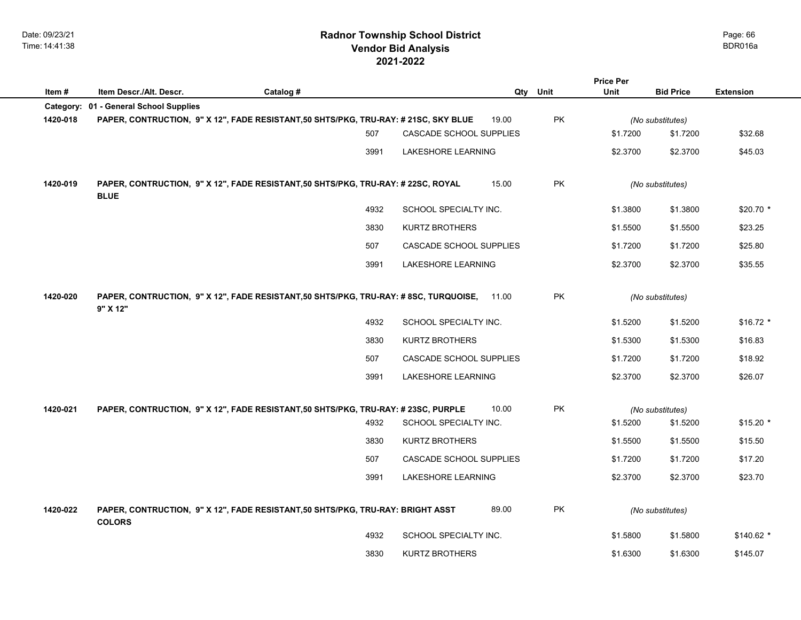|          |                                                                                                   |           |      |                         |       |           | <b>Price Per</b> |                              |                  |
|----------|---------------------------------------------------------------------------------------------------|-----------|------|-------------------------|-------|-----------|------------------|------------------------------|------------------|
| Item#    | Item Descr./Alt. Descr.                                                                           | Catalog # |      |                         | Qty   | Unit      | Unit             | <b>Bid Price</b>             | <b>Extension</b> |
|          | Category: 01 - General School Supplies                                                            |           |      |                         |       |           |                  |                              |                  |
| 1420-018 | PAPER, CONTRUCTION, 9" X 12", FADE RESISTANT,50 SHTS/PKG, TRU-RAY: # 21SC, SKY BLUE               |           | 507  | CASCADE SCHOOL SUPPLIES | 19.00 | PK        | \$1.7200         | (No substitutes)<br>\$1.7200 | \$32.68          |
|          |                                                                                                   |           | 3991 | LAKESHORE LEARNING      |       |           | \$2.3700         | \$2.3700                     | \$45.03          |
| 1420-019 | PAPER, CONTRUCTION, 9" X 12", FADE RESISTANT, 50 SHTS/PKG, TRU-RAY: # 22SC, ROYAL<br><b>BLUE</b>  |           |      |                         | 15.00 | PK        |                  | (No substitutes)             |                  |
|          |                                                                                                   |           | 4932 | SCHOOL SPECIALTY INC.   |       |           | \$1.3800         | \$1.3800                     | \$20.70 *        |
|          |                                                                                                   |           | 3830 | <b>KURTZ BROTHERS</b>   |       |           | \$1.5500         | \$1.5500                     | \$23.25          |
|          |                                                                                                   |           | 507  | CASCADE SCHOOL SUPPLIES |       |           | \$1.7200         | \$1.7200                     | \$25.80          |
|          |                                                                                                   |           | 3991 | LAKESHORE LEARNING      |       |           | \$2.3700         | \$2.3700                     | \$35.55          |
| 1420-020 | PAPER, CONTRUCTION, 9" X 12", FADE RESISTANT, 50 SHTS/PKG, TRU-RAY: # 8SC, TURQUOISE,<br>9" X 12" |           |      |                         | 11.00 | <b>PK</b> |                  | (No substitutes)             |                  |
|          |                                                                                                   |           | 4932 | SCHOOL SPECIALTY INC.   |       |           | \$1.5200         | \$1.5200                     | $$16.72$ *       |
|          |                                                                                                   |           | 3830 | <b>KURTZ BROTHERS</b>   |       |           | \$1.5300         | \$1.5300                     | \$16.83          |
|          |                                                                                                   |           | 507  | CASCADE SCHOOL SUPPLIES |       |           | \$1.7200         | \$1.7200                     | \$18.92          |
|          |                                                                                                   |           | 3991 | LAKESHORE LEARNING      |       |           | \$2.3700         | \$2.3700                     | \$26.07          |
| 1420-021 | PAPER, CONTRUCTION, 9" X 12", FADE RESISTANT,50 SHTS/PKG, TRU-RAY: # 23SC, PURPLE                 |           |      |                         | 10.00 | PK        |                  | (No substitutes)             |                  |
|          |                                                                                                   |           | 4932 | SCHOOL SPECIALTY INC.   |       |           | \$1.5200         | \$1.5200                     | $$15.20$ *       |
|          |                                                                                                   |           | 3830 | <b>KURTZ BROTHERS</b>   |       |           | \$1.5500         | \$1.5500                     | \$15.50          |
|          |                                                                                                   |           | 507  | CASCADE SCHOOL SUPPLIES |       |           | \$1.7200         | \$1.7200                     | \$17.20          |
|          |                                                                                                   |           | 3991 | LAKESHORE LEARNING      |       |           | \$2.3700         | \$2.3700                     | \$23.70          |
| 1420-022 | PAPER, CONTRUCTION, 9" X 12", FADE RESISTANT, 50 SHTS/PKG, TRU-RAY: BRIGHT ASST<br><b>COLORS</b>  |           |      |                         | 89.00 | <b>PK</b> |                  | (No substitutes)             |                  |
|          |                                                                                                   |           | 4932 | SCHOOL SPECIALTY INC.   |       |           | \$1.5800         | \$1.5800                     | $$140.62$ *      |
|          |                                                                                                   |           | 3830 | <b>KURTZ BROTHERS</b>   |       |           | \$1.6300         | \$1.6300                     | \$145.07         |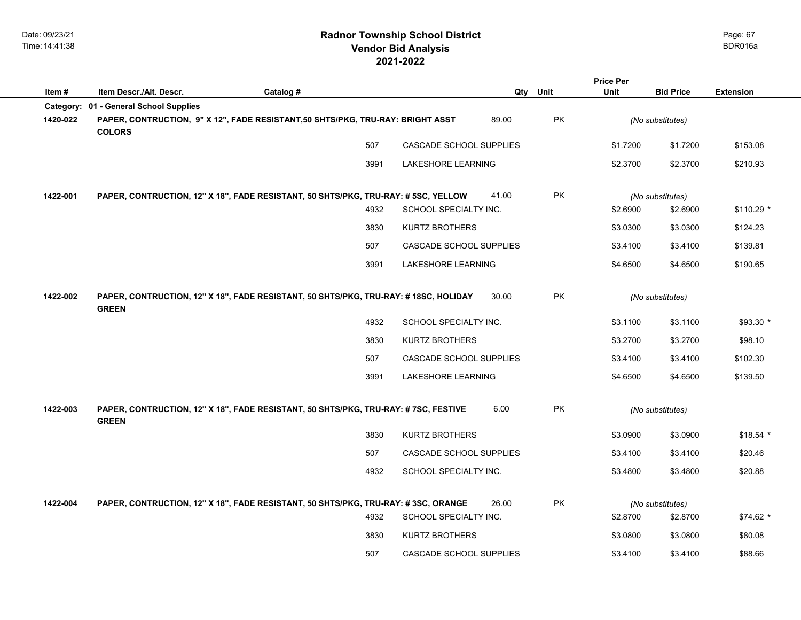|          |                                                                                                     |           |      |                         |       |      | <b>Price Per</b> |                  |                  |
|----------|-----------------------------------------------------------------------------------------------------|-----------|------|-------------------------|-------|------|------------------|------------------|------------------|
| Item#    | Item Descr./Alt. Descr.                                                                             | Catalog # |      |                         | Qty   | Unit | Unit             | <b>Bid Price</b> | <b>Extension</b> |
|          | Category: 01 - General School Supplies                                                              |           |      |                         |       |      |                  |                  |                  |
| 1420-022 | PAPER, CONTRUCTION, 9" X 12", FADE RESISTANT,50 SHTS/PKG, TRU-RAY: BRIGHT ASST<br><b>COLORS</b>     |           |      |                         | 89.00 | PK   |                  | (No substitutes) |                  |
|          |                                                                                                     |           | 507  | CASCADE SCHOOL SUPPLIES |       |      | \$1.7200         | \$1.7200         | \$153.08         |
|          |                                                                                                     |           | 3991 | LAKESHORE LEARNING      |       |      | \$2.3700         | \$2.3700         | \$210.93         |
| 1422-001 | PAPER, CONTRUCTION, 12" X 18", FADE RESISTANT, 50 SHTS/PKG, TRU-RAY: # 5SC, YELLOW                  |           |      |                         | 41.00 | PK   |                  | (No substitutes) |                  |
|          |                                                                                                     |           | 4932 | SCHOOL SPECIALTY INC.   |       |      | \$2.6900         | \$2.6900         | $$110.29$ *      |
|          |                                                                                                     |           | 3830 | KURTZ BROTHERS          |       |      | \$3.0300         | \$3.0300         | \$124.23         |
|          |                                                                                                     |           | 507  | CASCADE SCHOOL SUPPLIES |       |      | \$3.4100         | \$3.4100         | \$139.81         |
|          |                                                                                                     |           | 3991 | LAKESHORE LEARNING      |       |      | \$4.6500         | \$4.6500         | \$190.65         |
| 1422-002 | PAPER, CONTRUCTION, 12" X 18", FADE RESISTANT, 50 SHTS/PKG, TRU-RAY: #18SC, HOLIDAY<br><b>GREEN</b> |           |      |                         | 30.00 | PK   |                  | (No substitutes) |                  |
|          |                                                                                                     |           | 4932 | SCHOOL SPECIALTY INC.   |       |      | \$3.1100         | \$3.1100         | $$93.30*$        |
|          |                                                                                                     |           | 3830 | <b>KURTZ BROTHERS</b>   |       |      | \$3.2700         | \$3.2700         | \$98.10          |
|          |                                                                                                     |           | 507  | CASCADE SCHOOL SUPPLIES |       |      | \$3.4100         | \$3.4100         | \$102.30         |
|          |                                                                                                     |           | 3991 | LAKESHORE LEARNING      |       |      | \$4.6500         | \$4.6500         | \$139.50         |
| 1422-003 | PAPER, CONTRUCTION, 12" X 18", FADE RESISTANT, 50 SHTS/PKG, TRU-RAY: # 7SC, FESTIVE<br><b>GREEN</b> |           |      |                         | 6.00  | PK   |                  | (No substitutes) |                  |
|          |                                                                                                     |           | 3830 | KURTZ BROTHERS          |       |      | \$3.0900         | \$3.0900         | $$18.54$ *       |
|          |                                                                                                     |           | 507  | CASCADE SCHOOL SUPPLIES |       |      | \$3.4100         | \$3.4100         | \$20.46          |
|          |                                                                                                     |           | 4932 | SCHOOL SPECIALTY INC.   |       |      | \$3.4800         | \$3.4800         | \$20.88          |
| 1422-004 | PAPER, CONTRUCTION, 12" X 18", FADE RESISTANT, 50 SHTS/PKG, TRU-RAY: #3SC, ORANGE                   |           |      |                         | 26.00 | PK   |                  | (No substitutes) |                  |
|          |                                                                                                     |           | 4932 | SCHOOL SPECIALTY INC.   |       |      | \$2.8700         | \$2.8700         | $$74.62*$        |
|          |                                                                                                     |           | 3830 | <b>KURTZ BROTHERS</b>   |       |      | \$3.0800         | \$3.0800         | \$80.08          |
|          |                                                                                                     |           | 507  | CASCADE SCHOOL SUPPLIES |       |      | \$3.4100         | \$3.4100         | \$88.66          |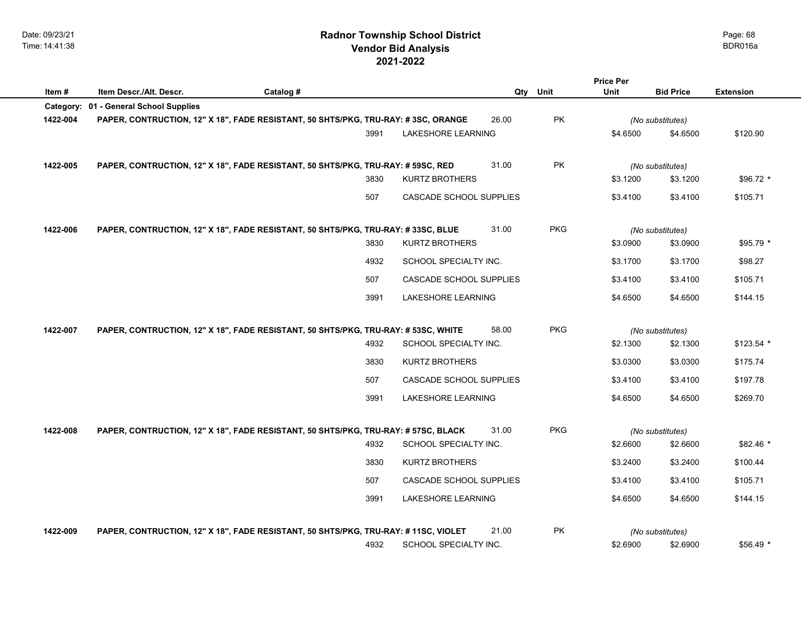# **2021-2022 Radnor Township School District**

**Category: 01 - General School Supplies**

**Item # Item Descr./Alt. Descr. Catalog # Qty Unit Bid Price Extension Price Per Unit Vendor Bid Analysis** BDR016a **1422-004 PAPER, CONTRUCTION, 12" X 18", FADE RESISTANT, 50 SHTS/PKG, TRU-RAY: # 3SC, ORANGE** 26.00 PK *(No substitutes)* 3991 LAKESHORE LEARNING \$4.6500 \$4.6500 \$120.90

|      |  | 31.00                                                                                              |                         |          |          |                  |
|------|--|----------------------------------------------------------------------------------------------------|-------------------------|----------|----------|------------------|
| 3830 |  |                                                                                                    |                         | \$3.1200 | \$3.1200 | $$96.72$ *       |
| 507  |  |                                                                                                    |                         | \$3.4100 | \$3.4100 | \$105.71         |
|      |  | PAPER, CONTRUCTION, 12" X 18", FADE RESISTANT, 50 SHTS/PKG, TRU-RAY: # 59SC, RED<br>KURTZ BROTHERS | CASCADE SCHOOL SUPPLIES | PK.      |          | (No substitutes) |

| 1422-006 | PAPER, CONTRUCTION, 12" X 18", FADE RESISTANT, 50 SHTS/PKG, TRU-RAY: #33SC, BLUE |                         | 31.00 | <b>PKG</b> | (No substitutes) |          |            |
|----------|----------------------------------------------------------------------------------|-------------------------|-------|------------|------------------|----------|------------|
|          | 3830                                                                             | KURTZ BROTHERS          |       |            | \$3.0900         | \$3.0900 | $$95.79$ * |
|          | 4932                                                                             | SCHOOL SPECIALTY INC.   |       |            | \$3.1700         | \$3,1700 | \$98.27    |
|          | 507                                                                              | CASCADE SCHOOL SUPPLIES |       |            | \$3.4100         | \$3.4100 | \$105.71   |
|          | 3991                                                                             | LAKESHORE LEARNING      |       |            | \$4.6500         | \$4.6500 | \$144.15   |

| 1422-007 | PAPER, CONTRUCTION, 12" X 18", FADE RESISTANT, 50 SHTS/PKG, TRU-RAY: # 53SC, WHITE |                         | 58.00 | <b>PKG</b> | (No substitutes) |          |             |  |
|----------|------------------------------------------------------------------------------------|-------------------------|-------|------------|------------------|----------|-------------|--|
|          | 4932                                                                               | SCHOOL SPECIALTY INC.   |       |            | \$2.1300         | \$2.1300 | $$123.54$ * |  |
|          | 3830                                                                               | KURTZ BROTHERS          |       |            | \$3.0300         | \$3.0300 | \$175.74    |  |
|          | 507                                                                                | CASCADE SCHOOL SUPPLIES |       |            | \$3.4100         | \$3.4100 | \$197.78    |  |
|          | 3991                                                                               | LAKESHORE LEARNING      |       |            | \$4.6500         | \$4.6500 | \$269.70    |  |

| 1422-008 | PAPER, CONTRUCTION, 12" X 18", FADE RESISTANT, 50 SHTS/PKG, TRU-RAY: # 57SC, BLACK |      |                         | 31.00 | <b>PKG</b> | (No substitutes) |          |            |
|----------|------------------------------------------------------------------------------------|------|-------------------------|-------|------------|------------------|----------|------------|
|          |                                                                                    | 4932 | SCHOOL SPECIALTY INC.   |       |            | \$2.6600         | \$2.6600 | $$82.46$ * |
|          |                                                                                    | 3830 | <b>KURTZ BROTHERS</b>   |       |            | \$3.2400         | \$3.2400 | \$100.44   |
|          |                                                                                    | 507  | CASCADE SCHOOL SUPPLIES |       |            | \$3,4100         | \$3.4100 | \$105.71   |
|          |                                                                                    | 3991 | LAKESHORE LEARNING      |       |            | \$4.6500         | \$4,6500 | \$144.15   |
|          |                                                                                    |      |                         |       |            |                  |          |            |
|          |                                                                                    |      |                         |       |            |                  |          |            |

| 1422-009 | PAPER. CONTRUCTION. 12" X 18". FADE RESISTANT. 50 SHTS/PKG. TRU-RAY: # 11SC. VIOLET | 21.00 |          | (No substitutes) |           |
|----------|-------------------------------------------------------------------------------------|-------|----------|------------------|-----------|
|          | SCHOOL SPECIALTY INC.<br>4932                                                       |       | \$2.6900 | \$2.6900         | $$56.49*$ |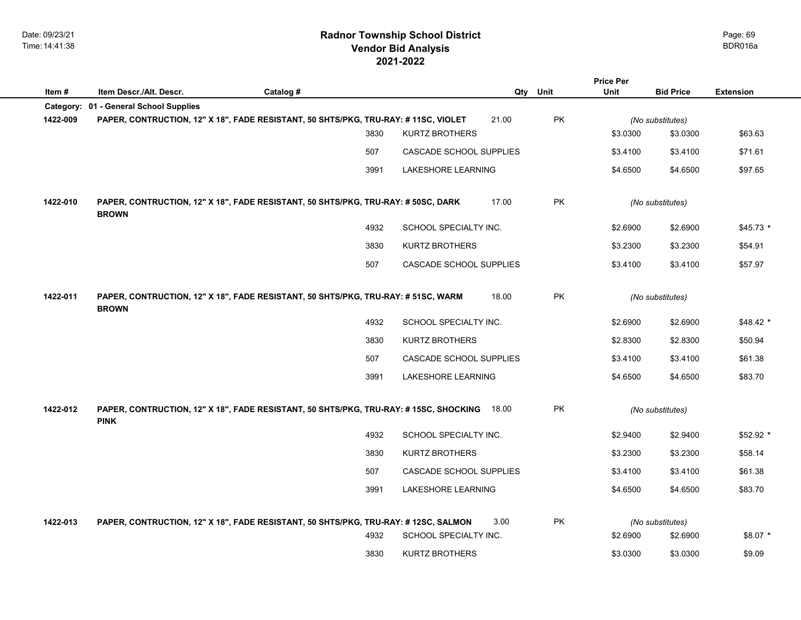|           |                              |                                                                                      |                         |          |    | <b>Price Per</b> |                  |                  |
|-----------|------------------------------|--------------------------------------------------------------------------------------|-------------------------|----------|----|------------------|------------------|------------------|
| Item #    | Item Descr./Alt. Descr.      | Catalog #                                                                            |                         | Qty Unit |    | Unit             | <b>Bid Price</b> | <b>Extension</b> |
| Category: | 01 - General School Supplies |                                                                                      |                         |          |    |                  |                  |                  |
| 1422-009  |                              | PAPER, CONTRUCTION, 12" X 18", FADE RESISTANT, 50 SHTS/PKG, TRU-RAY: #11SC, VIOLET   |                         | 21.00    | PK |                  | (No substitutes) |                  |
|           |                              | 3830                                                                                 | <b>KURTZ BROTHERS</b>   |          |    | \$3.0300         | \$3.0300         | \$63.63          |
|           |                              | 507                                                                                  | CASCADE SCHOOL SUPPLIES |          |    | \$3.4100         | \$3.4100         | \$71.61          |
|           |                              | 3991                                                                                 | LAKESHORE LEARNING      |          |    | \$4.6500         | \$4.6500         | \$97.65          |
| 1422-010  | <b>BROWN</b>                 | PAPER, CONTRUCTION, 12" X 18", FADE RESISTANT, 50 SHTS/PKG, TRU-RAY: # 50SC, DARK    |                         | 17.00    | PK |                  | (No substitutes) |                  |
|           |                              | 4932                                                                                 | SCHOOL SPECIALTY INC.   |          |    | \$2.6900         | \$2.6900         | $$45.73$ *       |
|           |                              | 3830                                                                                 | KURTZ BROTHERS          |          |    | \$3.2300         | \$3.2300         | \$54.91          |
|           |                              | 507                                                                                  | CASCADE SCHOOL SUPPLIES |          |    | \$3.4100         | \$3.4100         | \$57.97          |
| 1422-011  | <b>BROWN</b>                 | PAPER, CONTRUCTION, 12" X 18", FADE RESISTANT, 50 SHTS/PKG, TRU-RAY: # 51SC, WARM    |                         | 18.00    | PK |                  | (No substitutes) |                  |
|           |                              | 4932                                                                                 | SCHOOL SPECIALTY INC.   |          |    | \$2.6900         | \$2.6900         | $$48.42*$        |
|           |                              | 3830                                                                                 | <b>KURTZ BROTHERS</b>   |          |    | \$2.8300         | \$2.8300         | \$50.94          |
|           |                              | 507                                                                                  | CASCADE SCHOOL SUPPLIES |          |    | \$3.4100         | \$3.4100         | \$61.38          |
|           |                              | 3991                                                                                 | LAKESHORE LEARNING      |          |    | \$4.6500         | \$4.6500         | \$83.70          |
| 1422-012  | <b>PINK</b>                  | PAPER, CONTRUCTION, 12" X 18", FADE RESISTANT, 50 SHTS/PKG, TRU-RAY: #15SC, SHOCKING |                         | 18.00    | PK |                  | (No substitutes) |                  |
|           |                              | 4932                                                                                 | SCHOOL SPECIALTY INC.   |          |    | \$2.9400         | \$2.9400         | \$52.92 *        |
|           |                              | 3830                                                                                 | <b>KURTZ BROTHERS</b>   |          |    | \$3.2300         | \$3.2300         | \$58.14          |
|           |                              | 507                                                                                  | CASCADE SCHOOL SUPPLIES |          |    | \$3.4100         | \$3.4100         | \$61.38          |
|           |                              | 3991                                                                                 | LAKESHORE LEARNING      |          |    | \$4.6500         | \$4.6500         | \$83.70          |
| 1422-013  |                              | PAPER, CONTRUCTION, 12" X 18", FADE RESISTANT, 50 SHTS/PKG, TRU-RAY: #12SC, SALMON   |                         | 3.00     | PK |                  | (No substitutes) |                  |
|           |                              | 4932                                                                                 | SCHOOL SPECIALTY INC.   |          |    | \$2.6900         | \$2.6900         | $$8.07*$         |
|           |                              | 3830                                                                                 | <b>KURTZ BROTHERS</b>   |          |    | \$3.0300         | \$3.0300         | \$9.09           |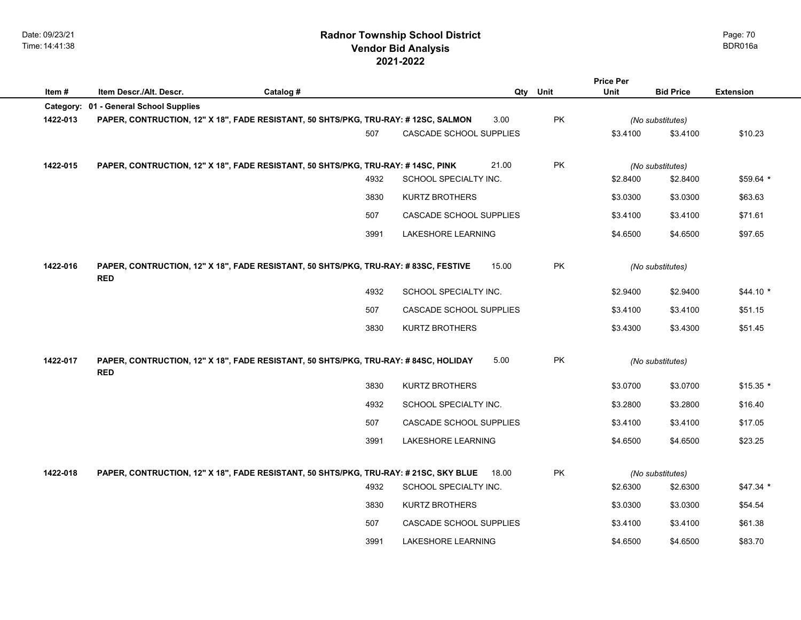|          | <b>Price Per</b>                                                                                   |           |      |                           |                  |           |                  |                  |                  |
|----------|----------------------------------------------------------------------------------------------------|-----------|------|---------------------------|------------------|-----------|------------------|------------------|------------------|
| Item#    | Item Descr./Alt. Descr.                                                                            | Catalog # |      |                           | Qty Unit         |           | Unit             | <b>Bid Price</b> | <b>Extension</b> |
|          | Category: 01 - General School Supplies                                                             |           |      |                           |                  |           |                  |                  |                  |
| 1422-013 | PAPER, CONTRUCTION, 12" X 18", FADE RESISTANT, 50 SHTS/PKG, TRU-RAY: # 12SC, SALMON                |           | 3.00 | PK                        | (No substitutes) |           |                  |                  |                  |
|          |                                                                                                    |           | 507  | CASCADE SCHOOL SUPPLIES   |                  |           | \$3.4100         | \$3.4100         | \$10.23          |
|          |                                                                                                    |           |      |                           |                  |           |                  |                  |                  |
| 1422-015 | PAPER, CONTRUCTION, 12" X 18", FADE RESISTANT, 50 SHTS/PKG, TRU-RAY: # 14SC, PINK                  |           |      |                           | 21.00            | PK        |                  | (No substitutes) |                  |
|          |                                                                                                    |           | 4932 | SCHOOL SPECIALTY INC.     |                  |           | \$2.8400         | \$2.8400         | $$59.64$ *       |
|          |                                                                                                    |           | 3830 | <b>KURTZ BROTHERS</b>     |                  |           | \$3.0300         | \$3.0300         | \$63.63          |
|          |                                                                                                    |           | 507  | CASCADE SCHOOL SUPPLIES   |                  |           | \$3.4100         | \$3.4100         | \$71.61          |
|          |                                                                                                    |           | 3991 | <b>LAKESHORE LEARNING</b> |                  |           | \$4.6500         | \$4.6500         | \$97.65          |
|          |                                                                                                    |           |      |                           |                  |           |                  |                  |                  |
| 1422-016 | PAPER, CONTRUCTION, 12" X 18", FADE RESISTANT, 50 SHTS/PKG, TRU-RAY: # 83SC, FESTIVE               |           |      |                           | 15.00            | PK        |                  | (No substitutes) |                  |
|          | <b>RED</b>                                                                                         |           |      |                           |                  |           |                  |                  |                  |
|          |                                                                                                    |           | 4932 | SCHOOL SPECIALTY INC.     |                  |           | \$2.9400         | \$2.9400         | $$44.10*$        |
|          |                                                                                                    |           | 507  | CASCADE SCHOOL SUPPLIES   |                  |           | \$3.4100         | \$3.4100         | \$51.15          |
|          |                                                                                                    |           | 3830 | <b>KURTZ BROTHERS</b>     |                  |           | \$3.4300         | \$3.4300         | \$51.45          |
|          |                                                                                                    |           |      |                           |                  |           |                  |                  |                  |
| 1422-017 | PAPER, CONTRUCTION, 12" X 18", FADE RESISTANT, 50 SHTS/PKG, TRU-RAY: # 84SC, HOLIDAY<br><b>RED</b> |           |      |                           | 5.00             | <b>PK</b> | (No substitutes) |                  |                  |
|          |                                                                                                    |           | 3830 | <b>KURTZ BROTHERS</b>     |                  |           | \$3.0700         | \$3.0700         | $$15.35$ *       |
|          |                                                                                                    |           | 4932 | SCHOOL SPECIALTY INC.     |                  |           | \$3.2800         | \$3.2800         | \$16.40          |
|          |                                                                                                    |           | 507  | CASCADE SCHOOL SUPPLIES   |                  |           | \$3.4100         | \$3.4100         | \$17.05          |
|          |                                                                                                    |           | 3991 | LAKESHORE LEARNING        |                  |           | \$4.6500         | \$4.6500         | \$23.25          |
|          |                                                                                                    |           |      |                           |                  |           |                  |                  |                  |
| 1422-018 | PAPER, CONTRUCTION, 12" X 18", FADE RESISTANT, 50 SHTS/PKG, TRU-RAY: # 21SC, SKY BLUE              |           |      |                           | 18.00            | <b>PK</b> |                  | (No substitutes) |                  |
|          |                                                                                                    |           | 4932 | SCHOOL SPECIALTY INC.     |                  |           | \$2.6300         | \$2.6300         | $$47.34$ *       |
|          |                                                                                                    |           | 3830 | <b>KURTZ BROTHERS</b>     |                  |           | \$3.0300         | \$3.0300         | \$54.54          |
|          |                                                                                                    |           | 507  | CASCADE SCHOOL SUPPLIES   |                  |           | \$3.4100         | \$3.4100         | \$61.38          |
|          |                                                                                                    |           | 3991 | LAKESHORE LEARNING        |                  |           | \$4.6500         | \$4.6500         | \$83.70          |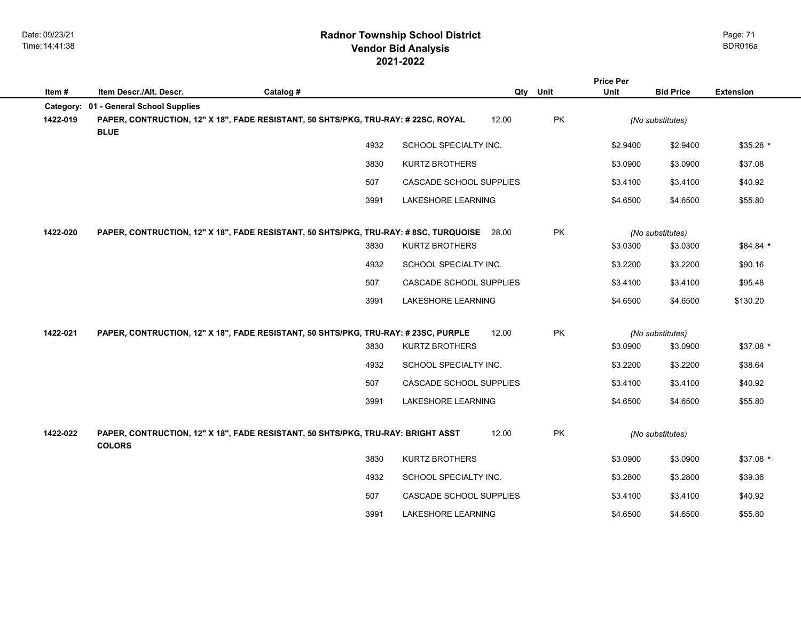|           |                                                                                                   |           |      |                         |       |      | <b>Price Per</b> |                              |                  |
|-----------|---------------------------------------------------------------------------------------------------|-----------|------|-------------------------|-------|------|------------------|------------------------------|------------------|
| Item#     | Item Descr./Alt. Descr.                                                                           | Catalog # |      |                         | Qty   | Unit | Unit             | <b>Bid Price</b>             | <b>Extension</b> |
| Category: | 01 - General School Supplies                                                                      |           |      |                         |       |      |                  |                              |                  |
| 1422-019  | PAPER, CONTRUCTION, 12" X 18", FADE RESISTANT, 50 SHTS/PKG, TRU-RAY: # 22SC, ROYAL<br><b>BLUE</b> |           |      |                         | 12.00 | PK   |                  | (No substitutes)             |                  |
|           |                                                                                                   |           | 4932 | SCHOOL SPECIALTY INC.   |       |      | \$2.9400         | \$2.9400                     | $$35.28$ *       |
|           |                                                                                                   |           | 3830 | <b>KURTZ BROTHERS</b>   |       |      | \$3.0900         | \$3.0900                     | \$37.08          |
|           |                                                                                                   |           | 507  | CASCADE SCHOOL SUPPLIES |       |      | \$3.4100         | \$3.4100                     | \$40.92          |
|           |                                                                                                   |           | 3991 | LAKESHORE LEARNING      |       |      | \$4.6500         | \$4.6500                     | \$55.80          |
| 1422-020  | PAPER, CONTRUCTION, 12" X 18", FADE RESISTANT, 50 SHTS/PKG, TRU-RAY: # 8SC, TURQUOISE             |           |      |                         | 28.00 | PK   |                  | (No substitutes)             |                  |
|           |                                                                                                   |           | 3830 | KURTZ BROTHERS          |       |      | \$3.0300         | \$3.0300                     | \$84.84 *        |
|           |                                                                                                   |           | 4932 | SCHOOL SPECIALTY INC.   |       |      | \$3.2200         | \$3.2200                     | \$90.16          |
|           |                                                                                                   |           | 507  | CASCADE SCHOOL SUPPLIES |       |      | \$3.4100         | \$3.4100                     | \$95.48          |
|           |                                                                                                   |           | 3991 | LAKESHORE LEARNING      |       |      | \$4.6500         | \$4.6500                     | \$130.20         |
| 1422-021  |                                                                                                   |           |      |                         | 12.00 | PK   |                  |                              |                  |
|           | PAPER, CONTRUCTION, 12" X 18", FADE RESISTANT, 50 SHTS/PKG, TRU-RAY: # 23SC, PURPLE               |           | 3830 | <b>KURTZ BROTHERS</b>   |       |      | \$3.0900         | (No substitutes)<br>\$3.0900 | $$37.08$ *       |
|           |                                                                                                   |           | 4932 | SCHOOL SPECIALTY INC.   |       |      | \$3.2200         | \$3.2200                     | \$38.64          |
|           |                                                                                                   |           | 507  | CASCADE SCHOOL SUPPLIES |       |      | \$3.4100         | \$3.4100                     | \$40.92          |
|           |                                                                                                   |           | 3991 | LAKESHORE LEARNING      |       |      | \$4.6500         | \$4.6500                     | \$55.80          |
|           |                                                                                                   |           |      |                         |       |      |                  |                              |                  |
| 1422-022  | PAPER, CONTRUCTION, 12" X 18", FADE RESISTANT, 50 SHTS/PKG, TRU-RAY: BRIGHT ASST<br><b>COLORS</b> |           |      |                         | 12.00 | PK   | (No substitutes) |                              |                  |
|           |                                                                                                   |           | 3830 | <b>KURTZ BROTHERS</b>   |       |      | \$3.0900         | \$3.0900                     | $$37.08$ *       |
|           |                                                                                                   |           | 4932 | SCHOOL SPECIALTY INC.   |       |      | \$3.2800         | \$3.2800                     | \$39.36          |
|           |                                                                                                   |           | 507  | CASCADE SCHOOL SUPPLIES |       |      | \$3.4100         | \$3.4100                     | \$40.92          |
|           |                                                                                                   |           | 3991 | LAKESHORE LEARNING      |       |      | \$4.6500         | \$4.6500                     | \$55.80          |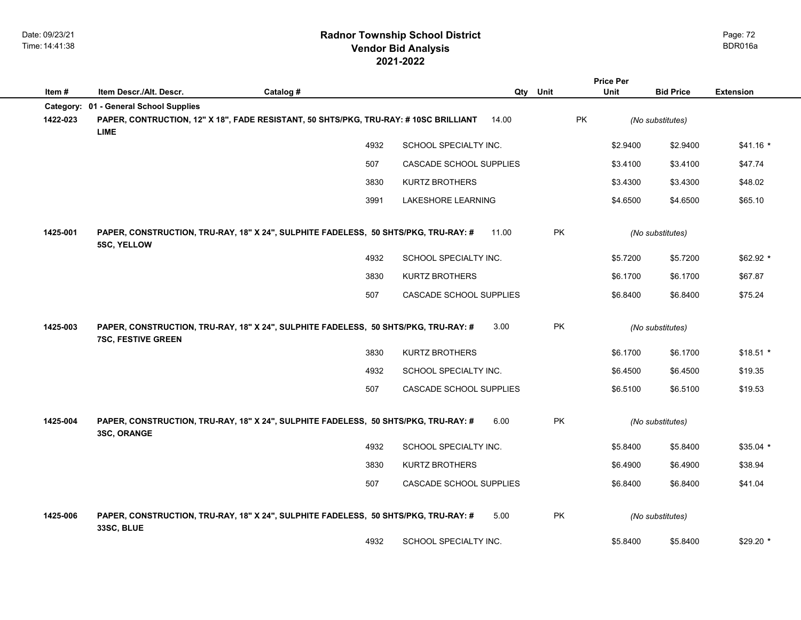|           |                                                                                                                    |                                                                                             |                         |          |           | <b>Price Per</b> |                  |                  |
|-----------|--------------------------------------------------------------------------------------------------------------------|---------------------------------------------------------------------------------------------|-------------------------|----------|-----------|------------------|------------------|------------------|
| Item#     | Item Descr./Alt. Descr.                                                                                            | Catalog #                                                                                   |                         | Qty Unit |           | <b>Unit</b>      | <b>Bid Price</b> | <b>Extension</b> |
| Category: | 01 - General School Supplies                                                                                       |                                                                                             |                         |          |           |                  |                  |                  |
| 1422-023  | <b>LIME</b>                                                                                                        | PAPER, CONTRUCTION, 12" X 18", FADE RESISTANT, 50 SHTS/PKG, TRU-RAY: # 10SC BRILLIANT       | 14.00                   |          | PK        |                  | (No substitutes) |                  |
|           |                                                                                                                    | 4932                                                                                        | SCHOOL SPECIALTY INC.   |          |           | \$2.9400         | \$2.9400         | $$41.16*$        |
|           |                                                                                                                    | 507                                                                                         | CASCADE SCHOOL SUPPLIES |          |           | \$3.4100         | \$3.4100         | \$47.74          |
|           |                                                                                                                    | 3830                                                                                        | <b>KURTZ BROTHERS</b>   |          |           | \$3.4300         | \$3.4300         | \$48.02          |
|           |                                                                                                                    | 3991                                                                                        | LAKESHORE LEARNING      |          |           | \$4.6500         | \$4.6500         | \$65.10          |
| 1425-001  | 11.00<br>PAPER, CONSTRUCTION, TRU-RAY, 18" X 24", SULPHITE FADELESS, 50 SHTS/PKG, TRU-RAY: #<br><b>5SC, YELLOW</b> |                                                                                             |                         |          | <b>PK</b> |                  | (No substitutes) |                  |
|           |                                                                                                                    | 4932                                                                                        | SCHOOL SPECIALTY INC.   |          |           | \$5.7200         | \$5.7200         | $$62.92*$        |
|           |                                                                                                                    | 3830                                                                                        | <b>KURTZ BROTHERS</b>   |          |           | \$6.1700         | \$6.1700         | \$67.87          |
|           |                                                                                                                    | 507                                                                                         | CASCADE SCHOOL SUPPLIES |          |           | \$6.8400         | \$6.8400         | \$75.24          |
| 1425-003  | 7SC, FESTIVE GREEN                                                                                                 | PAPER, CONSTRUCTION, TRU-RAY, 18" X 24", SULPHITE FADELESS, 50 SHTS/PKG, TRU-RAY: #<br>3.00 |                         |          | PK        | (No substitutes) |                  |                  |
|           |                                                                                                                    | 3830                                                                                        | <b>KURTZ BROTHERS</b>   |          |           | \$6.1700         | \$6.1700         | $$18.51$ *       |
|           |                                                                                                                    | 4932                                                                                        | SCHOOL SPECIALTY INC.   |          |           | \$6.4500         | \$6.4500         | \$19.35          |
|           |                                                                                                                    | 507                                                                                         | CASCADE SCHOOL SUPPLIES |          |           | \$6.5100         | \$6.5100         | \$19.53          |
| 1425-004  | 6.00<br>PAPER, CONSTRUCTION, TRU-RAY, 18" X 24", SULPHITE FADELESS, 50 SHTS/PKG, TRU-RAY: #<br>3SC, ORANGE         |                                                                                             |                         |          | <b>PK</b> |                  | (No substitutes) |                  |
|           |                                                                                                                    | 4932                                                                                        | SCHOOL SPECIALTY INC.   |          |           | \$5.8400         | \$5.8400         | $$35.04$ *       |
|           |                                                                                                                    | 3830                                                                                        | <b>KURTZ BROTHERS</b>   |          |           | \$6.4900         | \$6.4900         | \$38.94          |
|           |                                                                                                                    | 507                                                                                         | CASCADE SCHOOL SUPPLIES |          |           | \$6.8400         | \$6.8400         | \$41.04          |
| 1425-006  | 33SC, BLUE                                                                                                         | 5.00<br>PAPER, CONSTRUCTION, TRU-RAY, 18" X 24", SULPHITE FADELESS, 50 SHTS/PKG, TRU-RAY: # |                         |          | PK        |                  | (No substitutes) |                  |
|           |                                                                                                                    | 4932                                                                                        | SCHOOL SPECIALTY INC.   |          |           | \$5.8400         | \$5.8400         | $$29.20$ *       |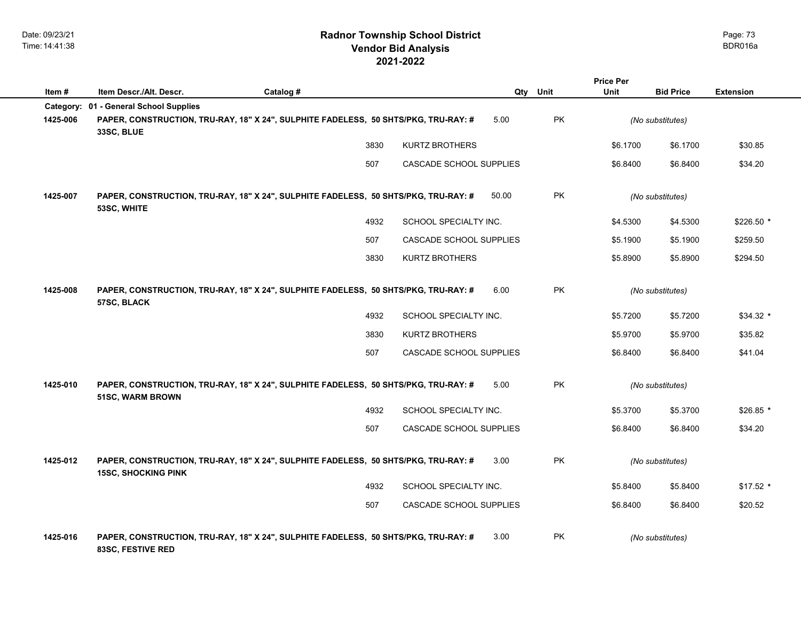|          |                                        |                                                                                     |      |                         |       |           | <b>Price Per</b> |                  |                  |
|----------|----------------------------------------|-------------------------------------------------------------------------------------|------|-------------------------|-------|-----------|------------------|------------------|------------------|
| Item#    | Item Descr./Alt. Descr.                | Catalog #                                                                           |      |                         | Qty   | Unit      | <b>Unit</b>      | <b>Bid Price</b> | <b>Extension</b> |
|          | Category: 01 - General School Supplies |                                                                                     |      |                         |       |           |                  |                  |                  |
| 1425-006 | 33SC, BLUE                             | PAPER, CONSTRUCTION, TRU-RAY, 18" X 24", SULPHITE FADELESS, 50 SHTS/PKG, TRU-RAY: # |      |                         | 5.00  | PK        |                  | (No substitutes) |                  |
|          |                                        |                                                                                     | 3830 | <b>KURTZ BROTHERS</b>   |       |           | \$6.1700         | \$6.1700         | \$30.85          |
|          |                                        |                                                                                     | 507  | CASCADE SCHOOL SUPPLIES |       |           | \$6.8400         | \$6.8400         | \$34.20          |
| 1425-007 | 53SC, WHITE                            | PAPER, CONSTRUCTION, TRU-RAY, 18" X 24", SULPHITE FADELESS, 50 SHTS/PKG, TRU-RAY: # |      |                         | 50.00 | PK        |                  | (No substitutes) |                  |
|          |                                        |                                                                                     | 4932 | SCHOOL SPECIALTY INC.   |       |           | \$4.5300         | \$4.5300         | \$226.50 *       |
|          |                                        |                                                                                     | 507  | CASCADE SCHOOL SUPPLIES |       |           | \$5.1900         | \$5.1900         | \$259.50         |
|          |                                        |                                                                                     | 3830 | <b>KURTZ BROTHERS</b>   |       |           | \$5.8900         | \$5.8900         | \$294.50         |
| 1425-008 | 57SC, BLACK                            | PAPER, CONSTRUCTION, TRU-RAY, 18" X 24", SULPHITE FADELESS, 50 SHTS/PKG, TRU-RAY: # |      |                         | 6.00  | <b>PK</b> |                  | (No substitutes) |                  |
|          |                                        |                                                                                     | 4932 | SCHOOL SPECIALTY INC.   |       |           | \$5.7200         | \$5.7200         | $$34.32$ *       |
|          |                                        |                                                                                     | 3830 | <b>KURTZ BROTHERS</b>   |       |           | \$5.9700         | \$5.9700         | \$35.82          |
|          |                                        |                                                                                     | 507  | CASCADE SCHOOL SUPPLIES |       |           | \$6.8400         | \$6.8400         | \$41.04          |
| 1425-010 | 51SC, WARM BROWN                       | PAPER, CONSTRUCTION, TRU-RAY, 18" X 24", SULPHITE FADELESS, 50 SHTS/PKG, TRU-RAY: # |      |                         | 5.00  | PK        |                  | (No substitutes) |                  |
|          |                                        |                                                                                     | 4932 | SCHOOL SPECIALTY INC.   |       |           | \$5.3700         | \$5.3700         | $$26.85$ *       |
|          |                                        |                                                                                     | 507  | CASCADE SCHOOL SUPPLIES |       |           | \$6.8400         | \$6.8400         | \$34.20          |
| 1425-012 | <b>15SC, SHOCKING PINK</b>             | PAPER, CONSTRUCTION, TRU-RAY, 18" X 24", SULPHITE FADELESS, 50 SHTS/PKG, TRU-RAY: # |      |                         | 3.00  | <b>PK</b> |                  | (No substitutes) |                  |
|          |                                        |                                                                                     | 4932 | SCHOOL SPECIALTY INC.   |       |           | \$5.8400         | \$5.8400         | $$17.52$ *       |
|          |                                        |                                                                                     | 507  | CASCADE SCHOOL SUPPLIES |       |           | \$6.8400         | \$6.8400         | \$20.52          |
| 1425-016 | 83SC, FESTIVE RED                      | PAPER, CONSTRUCTION, TRU-RAY, 18" X 24", SULPHITE FADELESS, 50 SHTS/PKG, TRU-RAY: # |      |                         | 3.00  | PK        |                  | (No substitutes) |                  |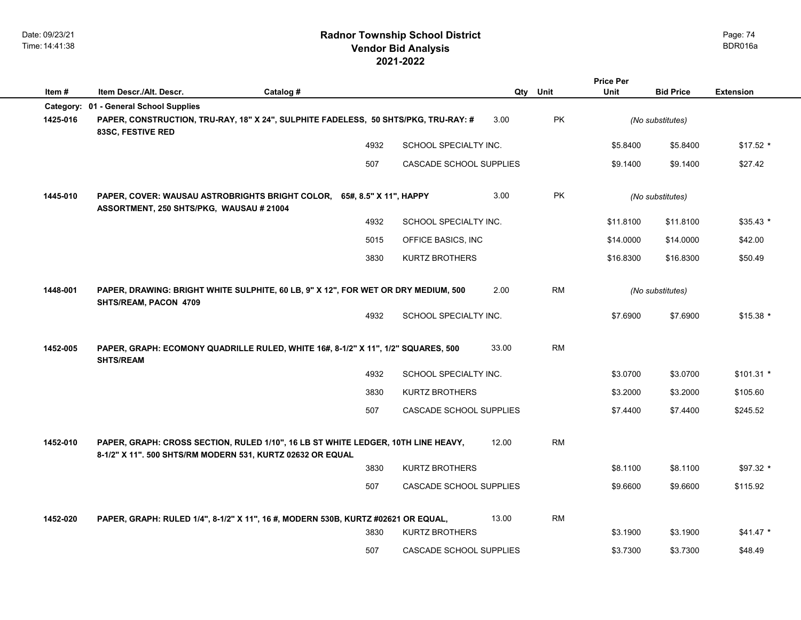|          |                                                                                                                                                 |           |                        |                                |       |           | <b>Price Per</b> |                  |                  |  |
|----------|-------------------------------------------------------------------------------------------------------------------------------------------------|-----------|------------------------|--------------------------------|-------|-----------|------------------|------------------|------------------|--|
| Item#    | Item Descr./Alt. Descr.                                                                                                                         | Catalog # |                        |                                | Qty   | Unit      | <b>Unit</b>      | <b>Bid Price</b> | <b>Extension</b> |  |
|          | Category: 01 - General School Supplies                                                                                                          |           |                        |                                |       |           |                  |                  |                  |  |
| 1425-016 | PAPER, CONSTRUCTION, TRU-RAY, 18" X 24", SULPHITE FADELESS, 50 SHTS/PKG, TRU-RAY: #<br>83SC, FESTIVE RED                                        |           |                        |                                | 3.00  | PK        |                  | (No substitutes) |                  |  |
|          |                                                                                                                                                 |           | 4932                   | SCHOOL SPECIALTY INC.          |       |           | \$5.8400         | \$5.8400         | $$17.52$ *       |  |
|          |                                                                                                                                                 |           | 507                    | CASCADE SCHOOL SUPPLIES        |       |           | \$9.1400         | \$9.1400         | \$27.42          |  |
| 1445-010 | PAPER, COVER: WAUSAU ASTROBRIGHTS BRIGHT COLOR,<br>ASSORTMENT, 250 SHTS/PKG, WAUSAU # 21004                                                     |           | 65#, 8.5" X 11", HAPPY |                                | 3.00  | PK        |                  | (No substitutes) |                  |  |
|          |                                                                                                                                                 |           | 4932                   | SCHOOL SPECIALTY INC.          |       |           | \$11.8100        | \$11.8100        | $$35.43$ *       |  |
|          |                                                                                                                                                 |           | 5015                   | OFFICE BASICS, INC             |       |           | \$14.0000        | \$14.0000        | \$42.00          |  |
|          |                                                                                                                                                 |           | 3830                   | <b>KURTZ BROTHERS</b>          |       |           | \$16.8300        | \$16.8300        | \$50.49          |  |
| 1448-001 | PAPER, DRAWING: BRIGHT WHITE SULPHITE, 60 LB, 9" X 12", FOR WET OR DRY MEDIUM, 500                                                              |           |                        |                                | 2.00  | RM        |                  | (No substitutes) |                  |  |
|          | SHTS/REAM, PACON 4709                                                                                                                           |           | 4932                   | SCHOOL SPECIALTY INC.          |       |           | \$7.6900         | \$7.6900         | $$15.38$ *       |  |
| 1452-005 | PAPER, GRAPH: ECOMONY QUADRILLE RULED, WHITE 16#, 8-1/2" X 11", 1/2" SQUARES, 500<br><b>SHTS/REAM</b>                                           |           |                        |                                | 33.00 | <b>RM</b> |                  |                  |                  |  |
|          |                                                                                                                                                 |           | 4932                   | SCHOOL SPECIALTY INC.          |       |           | \$3.0700         | \$3.0700         | $$101.31$ *      |  |
|          |                                                                                                                                                 |           | 3830                   | <b>KURTZ BROTHERS</b>          |       |           | \$3.2000         | \$3.2000         | \$105.60         |  |
|          |                                                                                                                                                 |           | 507                    | <b>CASCADE SCHOOL SUPPLIES</b> |       |           | \$7.4400         | \$7.4400         | \$245.52         |  |
| 1452-010 | PAPER, GRAPH: CROSS SECTION, RULED 1/10", 16 LB ST WHITE LEDGER, 10TH LINE HEAVY,<br>8-1/2" X 11". 500 SHTS/RM MODERN 531, KURTZ 02632 OR EQUAL |           |                        |                                | 12.00 | <b>RM</b> |                  |                  |                  |  |
|          |                                                                                                                                                 |           | 3830                   | <b>KURTZ BROTHERS</b>          |       |           | \$8.1100         | \$8.1100         | $$97.32$ *       |  |
|          |                                                                                                                                                 |           | 507                    | CASCADE SCHOOL SUPPLIES        |       |           | \$9.6600         | \$9.6600         | \$115.92         |  |
| 1452-020 | PAPER, GRAPH: RULED 1/4", 8-1/2" X 11", 16 #, MODERN 530B, KURTZ #02621 OR EQUAL,                                                               |           |                        |                                | 13.00 | <b>RM</b> |                  |                  |                  |  |
|          |                                                                                                                                                 |           | 3830                   | <b>KURTZ BROTHERS</b>          |       |           | \$3.1900         | \$3.1900         | $$41.47$ *       |  |
|          |                                                                                                                                                 |           | 507                    | <b>CASCADE SCHOOL SUPPLIES</b> |       |           | \$3.7300         | \$3.7300         | \$48.49          |  |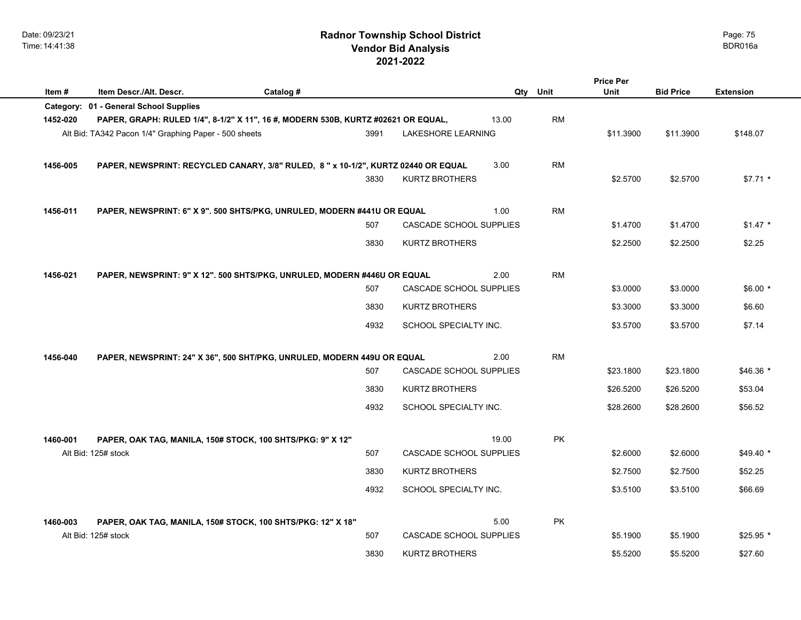|          |                                                                                    |           |      |                           |       |           | <b>Price Per</b> |                  |                  |
|----------|------------------------------------------------------------------------------------|-----------|------|---------------------------|-------|-----------|------------------|------------------|------------------|
| Item #   | Item Descr./Alt. Descr.                                                            | Catalog # |      |                           | Qty   | Unit      | Unit             | <b>Bid Price</b> | <b>Extension</b> |
|          | Category: 01 - General School Supplies                                             |           |      |                           |       |           |                  |                  |                  |
| 1452-020 | PAPER, GRAPH: RULED 1/4", 8-1/2" X 11", 16 #, MODERN 530B, KURTZ #02621 OR EQUAL,  |           |      |                           | 13.00 | <b>RM</b> |                  |                  |                  |
|          | Alt Bid: TA342 Pacon 1/4" Graphing Paper - 500 sheets                              |           | 3991 | <b>LAKESHORE LEARNING</b> |       |           | \$11.3900        | \$11.3900        | \$148.07         |
|          |                                                                                    |           |      |                           |       |           |                  |                  |                  |
| 1456-005 | PAPER, NEWSPRINT: RECYCLED CANARY, 3/8" RULED, 8 " x 10-1/2", KURTZ 02440 OR EQUAL |           |      |                           | 3.00  | <b>RM</b> |                  |                  |                  |
|          |                                                                                    |           | 3830 | <b>KURTZ BROTHERS</b>     |       |           | \$2.5700         | \$2.5700         | $$7.71$ *        |
|          |                                                                                    |           |      |                           |       |           |                  |                  |                  |
| 1456-011 | PAPER, NEWSPRINT: 6" X 9". 500 SHTS/PKG, UNRULED, MODERN #441U OR EQUAL            |           |      |                           | 1.00  | <b>RM</b> |                  |                  |                  |
|          |                                                                                    |           | 507  | CASCADE SCHOOL SUPPLIES   |       |           | \$1.4700         | \$1.4700         | $$1.47$ *        |
|          |                                                                                    |           | 3830 | <b>KURTZ BROTHERS</b>     |       |           | \$2.2500         | \$2.2500         | \$2.25           |
|          |                                                                                    |           |      |                           |       |           |                  |                  |                  |
| 1456-021 | PAPER, NEWSPRINT: 9" X 12". 500 SHTS/PKG, UNRULED, MODERN #446U OR EQUAL           |           |      |                           | 2.00  | <b>RM</b> |                  |                  |                  |
|          |                                                                                    |           | 507  | CASCADE SCHOOL SUPPLIES   |       |           | \$3.0000         | \$3.0000         | $$6.00*$         |
|          |                                                                                    |           | 3830 |                           |       |           |                  |                  | \$6.60           |
|          |                                                                                    |           |      | <b>KURTZ BROTHERS</b>     |       |           | \$3.3000         | \$3.3000         |                  |
|          |                                                                                    |           | 4932 | SCHOOL SPECIALTY INC.     |       |           | \$3.5700         | \$3.5700         | \$7.14           |
|          |                                                                                    |           |      |                           |       |           |                  |                  |                  |
| 1456-040 | PAPER, NEWSPRINT: 24" X 36", 500 SHT/PKG, UNRULED, MODERN 449U OR EQUAL            |           |      |                           | 2.00  | <b>RM</b> |                  |                  |                  |
|          |                                                                                    |           | 507  | CASCADE SCHOOL SUPPLIES   |       |           | \$23.1800        | \$23.1800        | $$46.36*$        |
|          |                                                                                    |           | 3830 | <b>KURTZ BROTHERS</b>     |       |           | \$26.5200        | \$26.5200        | \$53.04          |
|          |                                                                                    |           | 4932 | SCHOOL SPECIALTY INC.     |       |           | \$28.2600        | \$28.2600        | \$56.52          |
|          |                                                                                    |           |      |                           |       |           |                  |                  |                  |
| 1460-001 | PAPER, OAK TAG, MANILA, 150# STOCK, 100 SHTS/PKG: 9" X 12"                         |           |      |                           | 19.00 | <b>PK</b> |                  |                  |                  |
|          | Alt Bid: 125# stock                                                                |           | 507  | CASCADE SCHOOL SUPPLIES   |       |           | \$2.6000         | \$2.6000         | $$49.40*$        |
|          |                                                                                    |           |      |                           |       |           |                  |                  |                  |
|          |                                                                                    |           | 3830 | <b>KURTZ BROTHERS</b>     |       |           | \$2.7500         | \$2.7500         | \$52.25          |
|          |                                                                                    |           | 4932 | SCHOOL SPECIALTY INC.     |       |           | \$3.5100         | \$3.5100         | \$66.69          |
|          |                                                                                    |           |      |                           |       |           |                  |                  |                  |
| 1460-003 | PAPER, OAK TAG, MANILA, 150# STOCK, 100 SHTS/PKG: 12" X 18"                        |           |      |                           | 5.00  | <b>PK</b> |                  |                  |                  |
|          | Alt Bid: 125# stock                                                                |           | 507  | CASCADE SCHOOL SUPPLIES   |       |           | \$5.1900         | \$5.1900         | $$25.95*$        |
|          |                                                                                    |           | 3830 | <b>KURTZ BROTHERS</b>     |       |           | \$5.5200         | \$5.5200         | \$27.60          |
|          |                                                                                    |           |      |                           |       |           |                  |                  |                  |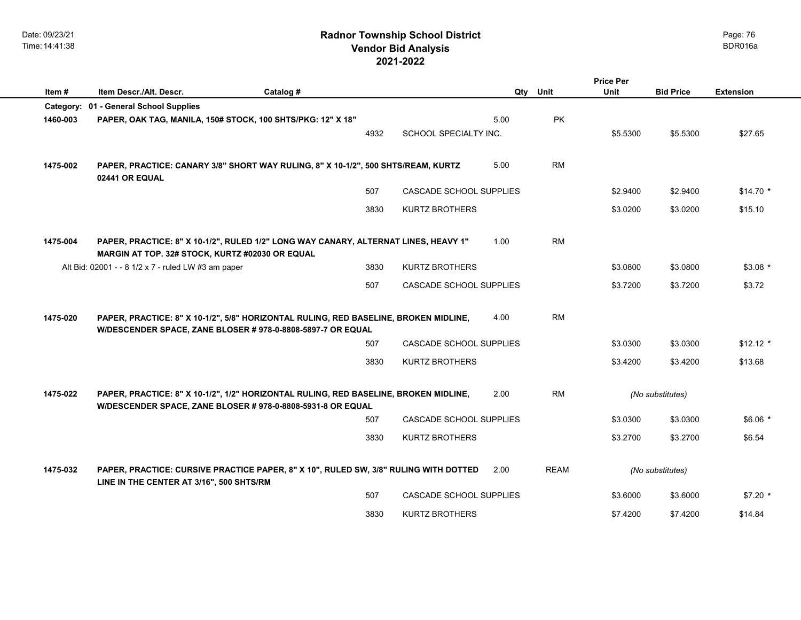|          |                                                                                                                                                    |           |      |                                |      |             | <b>Price Per</b> |                  |                  |
|----------|----------------------------------------------------------------------------------------------------------------------------------------------------|-----------|------|--------------------------------|------|-------------|------------------|------------------|------------------|
| Item#    | Item Descr./Alt. Descr.                                                                                                                            | Catalog # |      |                                | Qty  | Unit        | Unit             | <b>Bid Price</b> | <b>Extension</b> |
|          | Category: 01 - General School Supplies                                                                                                             |           |      |                                |      |             |                  |                  |                  |
| 1460-003 | PAPER, OAK TAG, MANILA, 150# STOCK, 100 SHTS/PKG: 12" X 18"                                                                                        |           |      |                                | 5.00 | PK          |                  |                  |                  |
|          |                                                                                                                                                    |           | 4932 | SCHOOL SPECIALTY INC.          |      |             | \$5.5300         | \$5.5300         | \$27.65          |
|          |                                                                                                                                                    |           |      |                                |      |             |                  |                  |                  |
| 1475-002 | PAPER, PRACTICE: CANARY 3/8" SHORT WAY RULING, 8" X 10-1/2", 500 SHTS/REAM, KURTZ<br>02441 OR EQUAL                                                |           |      |                                | 5.00 | <b>RM</b>   |                  |                  |                  |
|          |                                                                                                                                                    |           | 507  | <b>CASCADE SCHOOL SUPPLIES</b> |      |             | \$2.9400         | \$2.9400         | $$14.70$ *       |
|          |                                                                                                                                                    |           | 3830 | <b>KURTZ BROTHERS</b>          |      |             | \$3.0200         | \$3.0200         | \$15.10          |
|          |                                                                                                                                                    |           |      |                                |      |             |                  |                  |                  |
| 1475-004 | PAPER, PRACTICE: 8" X 10-1/2", RULED 1/2" LONG WAY CANARY, ALTERNAT LINES, HEAVY 1"<br>MARGIN AT TOP. 32# STOCK, KURTZ #02030 OR EQUAL             |           |      |                                | 1.00 | <b>RM</b>   |                  |                  |                  |
|          | Alt Bid: 02001 - - 8 1/2 x 7 - ruled LW #3 am paper                                                                                                |           | 3830 | <b>KURTZ BROTHERS</b>          |      |             | \$3.0800         | \$3.0800         | $$3.08*$         |
|          |                                                                                                                                                    |           | 507  | CASCADE SCHOOL SUPPLIES        |      |             | \$3.7200         | \$3.7200         | \$3.72           |
|          |                                                                                                                                                    |           |      |                                |      |             |                  |                  |                  |
| 1475-020 | PAPER, PRACTICE: 8" X 10-1/2", 5/8" HORIZONTAL RULING, RED BASELINE, BROKEN MIDLINE,<br>W/DESCENDER SPACE, ZANE BLOSER #978-0-8808-5897-7 OR EQUAL |           |      |                                | 4.00 | <b>RM</b>   |                  |                  |                  |
|          |                                                                                                                                                    |           | 507  | CASCADE SCHOOL SUPPLIES        |      |             | \$3.0300         | \$3.0300         | $$12.12*$        |
|          |                                                                                                                                                    |           | 3830 | <b>KURTZ BROTHERS</b>          |      |             | \$3.4200         | \$3.4200         | \$13.68          |
|          |                                                                                                                                                    |           |      |                                |      |             |                  |                  |                  |
| 1475-022 | PAPER, PRACTICE: 8" X 10-1/2", 1/2" HORIZONTAL RULING, RED BASELINE, BROKEN MIDLINE,<br>W/DESCENDER SPACE, ZANE BLOSER #978-0-8808-5931-8 OR EQUAL |           |      |                                | 2.00 | <b>RM</b>   |                  | (No substitutes) |                  |
|          |                                                                                                                                                    |           | 507  | CASCADE SCHOOL SUPPLIES        |      |             | \$3.0300         | \$3.0300         | $$6.06*$         |
|          |                                                                                                                                                    |           | 3830 | <b>KURTZ BROTHERS</b>          |      |             | \$3.2700         | \$3.2700         | \$6.54           |
|          |                                                                                                                                                    |           |      |                                |      |             |                  |                  |                  |
| 1475-032 | PAPER, PRACTICE: CURSIVE PRACTICE PAPER, 8" X 10", RULED SW, 3/8" RULING WITH DOTTED<br>LINE IN THE CENTER AT 3/16", 500 SHTS/RM                   |           |      |                                | 2.00 | <b>REAM</b> |                  | (No substitutes) |                  |
|          |                                                                                                                                                    |           | 507  | CASCADE SCHOOL SUPPLIES        |      |             | \$3.6000         | \$3.6000         | $$7.20*$         |
|          |                                                                                                                                                    |           | 3830 | <b>KURTZ BROTHERS</b>          |      |             | \$7.4200         | \$7.4200         | \$14.84          |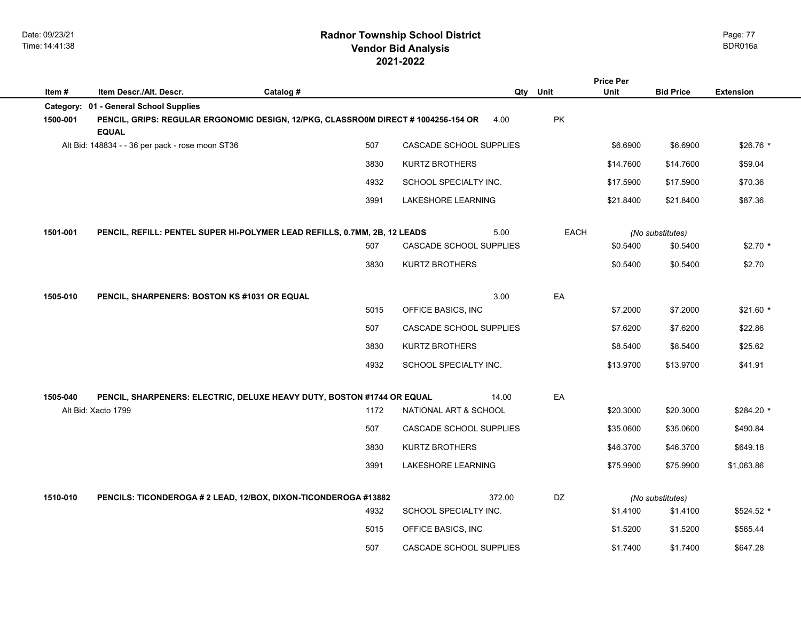| Item #   | Item Descr./Alt. Descr.                                                                           | Catalog # |      |                                | Qty Unit |             | <b>Price Per</b><br>Unit | <b>Bid Price</b> | <b>Extension</b> |
|----------|---------------------------------------------------------------------------------------------------|-----------|------|--------------------------------|----------|-------------|--------------------------|------------------|------------------|
|          | Category: 01 - General School Supplies                                                            |           |      |                                |          |             |                          |                  |                  |
| 1500-001 | PENCIL, GRIPS: REGULAR ERGONOMIC DESIGN, 12/PKG, CLASSRO0M DIRECT #1004256-154 OR<br><b>EQUAL</b> |           |      |                                | 4.00     | <b>PK</b>   |                          |                  |                  |
|          | Alt Bid: 148834 - - 36 per pack - rose moon ST36                                                  |           | 507  | CASCADE SCHOOL SUPPLIES        |          |             | \$6.6900                 | \$6.6900         | $$26.76*$        |
|          |                                                                                                   |           | 3830 | <b>KURTZ BROTHERS</b>          |          |             | \$14.7600                | \$14.7600        | \$59.04          |
|          |                                                                                                   |           | 4932 | SCHOOL SPECIALTY INC.          |          |             | \$17,5900                | \$17.5900        | \$70.36          |
|          |                                                                                                   |           | 3991 | LAKESHORE LEARNING             |          |             | \$21.8400                | \$21.8400        | \$87.36          |
| 1501-001 | PENCIL, REFILL: PENTEL SUPER HI-POLYMER LEAD REFILLS, 0.7MM, 2B, 12 LEADS                         |           |      |                                | 5.00     | <b>EACH</b> |                          | (No substitutes) |                  |
|          |                                                                                                   |           | 507  | <b>CASCADE SCHOOL SUPPLIES</b> |          |             | \$0.5400                 | \$0.5400         | $$2.70*$         |
|          |                                                                                                   |           | 3830 | <b>KURTZ BROTHERS</b>          |          |             | \$0.5400                 | \$0.5400         | \$2.70           |
| 1505-010 | PENCIL, SHARPENERS: BOSTON KS #1031 OR EQUAL                                                      |           |      |                                | 3.00     | EA          |                          |                  |                  |
|          |                                                                                                   |           | 5015 | OFFICE BASICS, INC             |          |             | \$7.2000                 | \$7.2000         | $$21.60*$        |
|          |                                                                                                   |           | 507  | CASCADE SCHOOL SUPPLIES        |          |             | \$7.6200                 | \$7.6200         | \$22.86          |
|          |                                                                                                   |           | 3830 | <b>KURTZ BROTHERS</b>          |          |             | \$8.5400                 | \$8.5400         | \$25.62          |
|          |                                                                                                   |           | 4932 | SCHOOL SPECIALTY INC.          |          |             | \$13.9700                | \$13.9700        | \$41.91          |
| 1505-040 | PENCIL, SHARPENERS: ELECTRIC, DELUXE HEAVY DUTY, BOSTON #1744 OR EQUAL                            |           |      |                                | 14.00    | EA          |                          |                  |                  |
|          | Alt Bid: Xacto 1799                                                                               |           | 1172 | NATIONAL ART & SCHOOL          |          |             | \$20.3000                | \$20.3000        | \$284.20 *       |
|          |                                                                                                   |           | 507  | CASCADE SCHOOL SUPPLIES        |          |             | \$35.0600                | \$35.0600        | \$490.84         |
|          |                                                                                                   |           | 3830 | <b>KURTZ BROTHERS</b>          |          |             | \$46.3700                | \$46.3700        | \$649.18         |
|          |                                                                                                   |           | 3991 | LAKESHORE LEARNING             |          |             | \$75.9900                | \$75.9900        | \$1,063.86       |
| 1510-010 | PENCILS: TICONDEROGA # 2 LEAD, 12/BOX, DIXON-TICONDEROGA #13882                                   |           |      |                                | 372.00   | DZ          |                          | (No substitutes) |                  |
|          |                                                                                                   |           | 4932 | SCHOOL SPECIALTY INC.          |          |             | \$1.4100                 | \$1.4100         | \$524.52 *       |
|          |                                                                                                   |           | 5015 | OFFICE BASICS, INC             |          |             | \$1.5200                 | \$1.5200         | \$565.44         |
|          |                                                                                                   |           | 507  | CASCADE SCHOOL SUPPLIES        |          |             | \$1.7400                 | \$1.7400         | \$647.28         |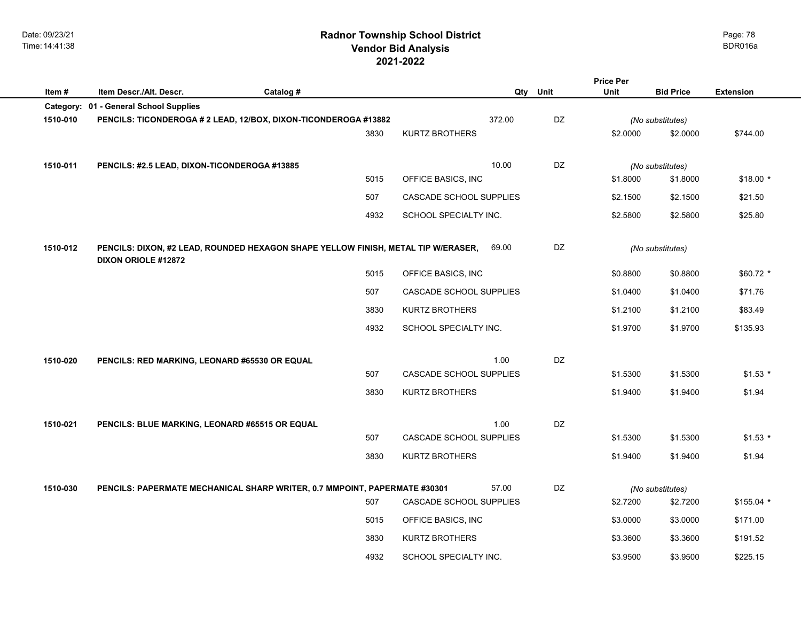| Qty Unit<br>Unit<br>Item#<br>Item Descr./Alt. Descr.<br>Catalog #<br><b>Bid Price</b><br><b>Extension</b><br>Category: 01 - General School Supplies<br>DZ<br>372.00<br>1510-010<br>PENCILS: TICONDEROGA # 2 LEAD, 12/BOX, DIXON-TICONDEROGA #13882<br>(No substitutes) |  |
|------------------------------------------------------------------------------------------------------------------------------------------------------------------------------------------------------------------------------------------------------------------------|--|
|                                                                                                                                                                                                                                                                        |  |
|                                                                                                                                                                                                                                                                        |  |
| 3830<br><b>KURTZ BROTHERS</b><br>\$2.0000<br>\$2.0000<br>\$744.00                                                                                                                                                                                                      |  |
|                                                                                                                                                                                                                                                                        |  |
| DZ<br>10.00<br>1510-011<br>PENCILS: #2.5 LEAD, DIXON-TICONDEROGA #13885<br>(No substitutes)                                                                                                                                                                            |  |
| 5015<br>OFFICE BASICS, INC<br>\$1.8000<br>\$1.8000<br>$$18.00*$                                                                                                                                                                                                        |  |
| \$2.1500<br>\$21.50<br>507<br>CASCADE SCHOOL SUPPLIES<br>\$2.1500                                                                                                                                                                                                      |  |
| \$25.80<br>4932<br>SCHOOL SPECIALTY INC.<br>\$2.5800<br>\$2.5800                                                                                                                                                                                                       |  |
|                                                                                                                                                                                                                                                                        |  |
| DZ<br>1510-012<br>PENCILS: DIXON, #2 LEAD, ROUNDED HEXAGON SHAPE YELLOW FINISH, METAL TIP W/ERASER,<br>69.00<br>(No substitutes)<br>DIXON ORIOLE #12872                                                                                                                |  |
| 5015<br>OFFICE BASICS, INC<br>\$0.8800<br>\$0.8800<br>$$60.72*$                                                                                                                                                                                                        |  |
| CASCADE SCHOOL SUPPLIES<br>\$1.0400<br>\$71.76<br>507<br>\$1.0400                                                                                                                                                                                                      |  |
| 3830<br><b>KURTZ BROTHERS</b><br>\$1.2100<br>\$1.2100<br>\$83.49                                                                                                                                                                                                       |  |
| 4932<br>SCHOOL SPECIALTY INC.<br>\$1.9700<br>\$1.9700<br>\$135.93                                                                                                                                                                                                      |  |
|                                                                                                                                                                                                                                                                        |  |
| 1.00<br>DZ<br>1510-020<br>PENCILS: RED MARKING, LEONARD #65530 OR EQUAL                                                                                                                                                                                                |  |
| 507<br>CASCADE SCHOOL SUPPLIES<br>\$1.5300<br>$$1.53$ *<br>\$1.5300                                                                                                                                                                                                    |  |
| 3830<br><b>KURTZ BROTHERS</b><br>\$1.94<br>\$1.9400<br>\$1.9400                                                                                                                                                                                                        |  |
|                                                                                                                                                                                                                                                                        |  |
| 1.00<br><b>DZ</b><br>1510-021<br>PENCILS: BLUE MARKING, LEONARD #65515 OR EQUAL                                                                                                                                                                                        |  |
| 507<br>CASCADE SCHOOL SUPPLIES<br>\$1.5300<br>\$1.5300<br>$$1.53$ *                                                                                                                                                                                                    |  |
| 3830<br><b>KURTZ BROTHERS</b><br>\$1.9400<br>\$1.94<br>\$1.9400                                                                                                                                                                                                        |  |
|                                                                                                                                                                                                                                                                        |  |
| 57.00<br>DZ<br>1510-030<br>PENCILS: PAPERMATE MECHANICAL SHARP WRITER, 0.7 MMPOINT, PAPERMATE #30301<br>(No substitutes)<br>507<br>CASCADE SCHOOL SUPPLIES<br>\$2.7200<br>$$155.04$ *<br>\$2.7200                                                                      |  |
| 5015<br>OFFICE BASICS, INC<br>\$3.0000<br>\$3.0000<br>\$171.00                                                                                                                                                                                                         |  |
| 3830<br><b>KURTZ BROTHERS</b><br>\$3.3600<br>\$3.3600<br>\$191.52                                                                                                                                                                                                      |  |
| 4932<br>\$3.9500<br>\$225.15<br>SCHOOL SPECIALTY INC.<br>\$3.9500                                                                                                                                                                                                      |  |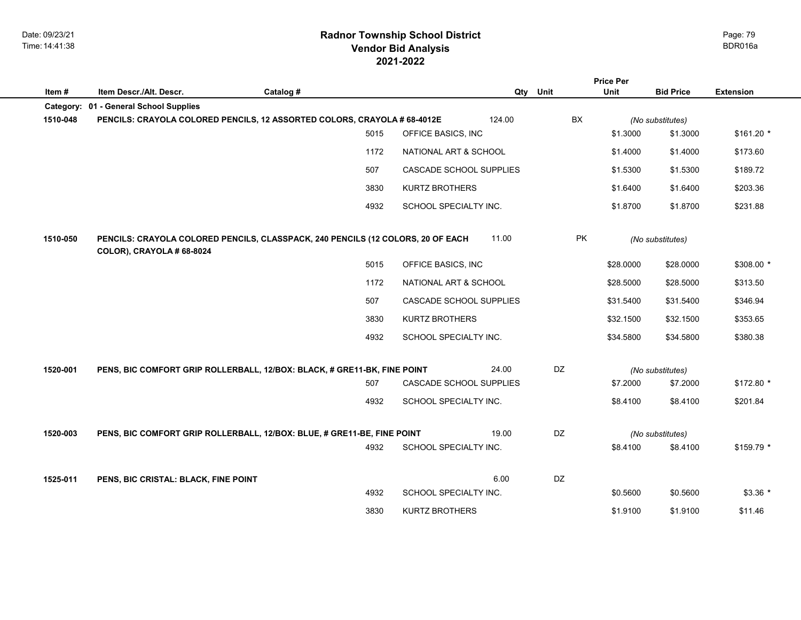# **2021-2022 Radnor Township School District Vendor Bid Analysis** BDR016a

|          |                                                                                                              |           |                         |             | <b>Price Per</b> |                  |                  |
|----------|--------------------------------------------------------------------------------------------------------------|-----------|-------------------------|-------------|------------------|------------------|------------------|
| Item#    | Item Descr./Alt. Descr.                                                                                      | Catalog # |                         | Unit<br>Qty | Unit             | <b>Bid Price</b> | <b>Extension</b> |
|          | Category: 01 - General School Supplies                                                                       |           |                         |             |                  |                  |                  |
| 1510-048 | PENCILS: CRAYOLA COLORED PENCILS, 12 ASSORTED COLORS, CRAYOLA # 68-4012E                                     |           | 124.00                  |             | BX               | (No substitutes) |                  |
|          |                                                                                                              | 5015      | OFFICE BASICS, INC      |             | \$1.3000         | \$1.3000         | $$161.20$ *      |
|          |                                                                                                              | 1172      | NATIONAL ART & SCHOOL   |             | \$1.4000         | \$1.4000         | \$173.60         |
|          |                                                                                                              | 507       | CASCADE SCHOOL SUPPLIES |             | \$1.5300         | \$1.5300         | \$189.72         |
|          |                                                                                                              | 3830      | KURTZ BROTHERS          |             | \$1.6400         | \$1.6400         | \$203.36         |
|          |                                                                                                              | 4932      | SCHOOL SPECIALTY INC.   |             | \$1.8700         | \$1.8700         | \$231.88         |
| 1510-050 | PENCILS: CRAYOLA COLORED PENCILS, CLASSPACK, 240 PENCILS (12 COLORS, 20 OF EACH<br>COLOR), CRAYOLA # 68-8024 |           | 11.00                   |             | <b>PK</b>        | (No substitutes) |                  |
|          |                                                                                                              | 5015      | OFFICE BASICS, INC      |             | \$28.0000        | \$28.0000        | \$308.00 *       |
|          |                                                                                                              | 1172      | NATIONAL ART & SCHOOL   |             | \$28.5000        | \$28.5000        | \$313.50         |
|          |                                                                                                              | 507       | CASCADE SCHOOL SUPPLIES |             | \$31.5400        | \$31.5400        | \$346.94         |
|          |                                                                                                              | 3830      | <b>KURTZ BROTHERS</b>   |             | \$32.1500        | \$32.1500        | \$353.65         |
|          |                                                                                                              | 4932      | SCHOOL SPECIALTY INC.   |             | \$34.5800        | \$34.5800        | \$380.38         |
| 1520-001 | PENS, BIC COMFORT GRIP ROLLERBALL, 12/BOX: BLACK, # GRE11-BK, FINE POINT                                     |           | 24.00                   | DZ          |                  | (No substitutes) |                  |
|          |                                                                                                              | 507       | CASCADE SCHOOL SUPPLIES |             | \$7.2000         | \$7.2000         | \$172.80 *       |
|          |                                                                                                              | 4932      | SCHOOL SPECIALTY INC.   |             | \$8.4100         | \$8.4100         | \$201.84         |
| 1520-003 | PENS, BIC COMFORT GRIP ROLLERBALL, 12/BOX: BLUE, # GRE11-BE, FINE POINT                                      |           | 19.00                   | DZ          |                  | (No substitutes) |                  |
|          |                                                                                                              | 4932      | SCHOOL SPECIALTY INC.   |             | \$8.4100         | \$8.4100         | $$159.79$ *      |
| 1525-011 | PENS, BIC CRISTAL: BLACK, FINE POINT                                                                         |           | 6.00                    | DZ          |                  |                  |                  |
|          |                                                                                                              | 4932      | SCHOOL SPECIALTY INC.   |             | \$0.5600         | \$0.5600         | $$3.36*$         |
|          |                                                                                                              | 3830      | KURTZ BROTHERS          |             | \$1.9100         | \$1.9100         | \$11.46          |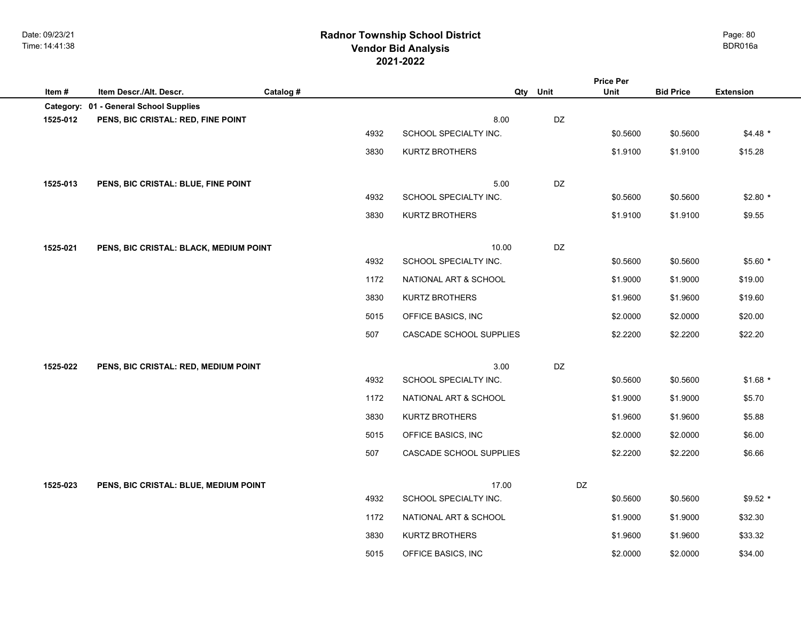# **2021-2022 Radnor Township School District Vendor Bid Analysis** BDR016a

|                       |                                                                    |           |      |                         |     |      | <b>Price Per</b> |                  |                  |
|-----------------------|--------------------------------------------------------------------|-----------|------|-------------------------|-----|------|------------------|------------------|------------------|
| Item#                 | Item Descr./Alt. Descr.                                            | Catalog # |      |                         | Qty | Unit | Unit             | <b>Bid Price</b> | <b>Extension</b> |
| Category:<br>1525-012 | 01 - General School Supplies<br>PENS, BIC CRISTAL: RED, FINE POINT |           |      | 8.00                    |     | DZ   |                  |                  |                  |
|                       |                                                                    |           | 4932 | SCHOOL SPECIALTY INC.   |     |      | \$0.5600         | \$0.5600         | $$4.48*$         |
|                       |                                                                    |           | 3830 | <b>KURTZ BROTHERS</b>   |     |      | \$1.9100         | \$1.9100         | \$15.28          |
| 1525-013              | PENS, BIC CRISTAL: BLUE, FINE POINT                                |           |      | 5.00                    |     | DZ   |                  |                  |                  |
|                       |                                                                    |           | 4932 | SCHOOL SPECIALTY INC.   |     |      | \$0.5600         | \$0.5600         | $$2.80*$         |
|                       |                                                                    |           | 3830 | KURTZ BROTHERS          |     |      | \$1.9100         | \$1.9100         | \$9.55           |
| 1525-021              | PENS, BIC CRISTAL: BLACK, MEDIUM POINT                             |           |      | 10.00                   |     | DZ   |                  |                  |                  |
|                       |                                                                    |           | 4932 | SCHOOL SPECIALTY INC.   |     |      | \$0.5600         | \$0.5600         | $$5.60*$         |
|                       |                                                                    |           | 1172 | NATIONAL ART & SCHOOL   |     |      | \$1.9000         | \$1.9000         | \$19.00          |
|                       |                                                                    |           | 3830 | KURTZ BROTHERS          |     |      | \$1.9600         | \$1.9600         | \$19.60          |
|                       |                                                                    |           | 5015 | OFFICE BASICS, INC      |     |      | \$2.0000         | \$2.0000         | \$20.00          |
|                       |                                                                    |           | 507  | CASCADE SCHOOL SUPPLIES |     |      | \$2.2200         | \$2.2200         | \$22.20          |
| 1525-022              | PENS, BIC CRISTAL: RED, MEDIUM POINT                               |           |      | 3.00                    |     | DZ   |                  |                  |                  |
|                       |                                                                    |           | 4932 | SCHOOL SPECIALTY INC.   |     |      | \$0.5600         | \$0.5600         | $$1.68$ *        |
|                       |                                                                    |           | 1172 | NATIONAL ART & SCHOOL   |     |      | \$1.9000         | \$1.9000         | \$5.70           |
|                       |                                                                    |           | 3830 | KURTZ BROTHERS          |     |      | \$1.9600         | \$1.9600         | \$5.88           |
|                       |                                                                    |           | 5015 | OFFICE BASICS, INC      |     |      | \$2.0000         | \$2.0000         | \$6.00           |
|                       |                                                                    |           | 507  | CASCADE SCHOOL SUPPLIES |     |      | \$2.2200         | \$2.2200         | \$6.66           |
| 1525-023              | PENS, BIC CRISTAL: BLUE, MEDIUM POINT                              |           |      | 17.00                   |     | DZ   |                  |                  |                  |
|                       |                                                                    |           | 4932 | SCHOOL SPECIALTY INC.   |     |      | \$0.5600         | \$0.5600         | $$9.52$ *        |
|                       |                                                                    |           | 1172 | NATIONAL ART & SCHOOL   |     |      | \$1.9000         | \$1.9000         | \$32.30          |
|                       |                                                                    |           | 3830 | <b>KURTZ BROTHERS</b>   |     |      | \$1.9600         | \$1.9600         | \$33.32          |
|                       |                                                                    |           | 5015 | OFFICE BASICS, INC      |     |      | \$2.0000         | \$2.0000         | \$34.00          |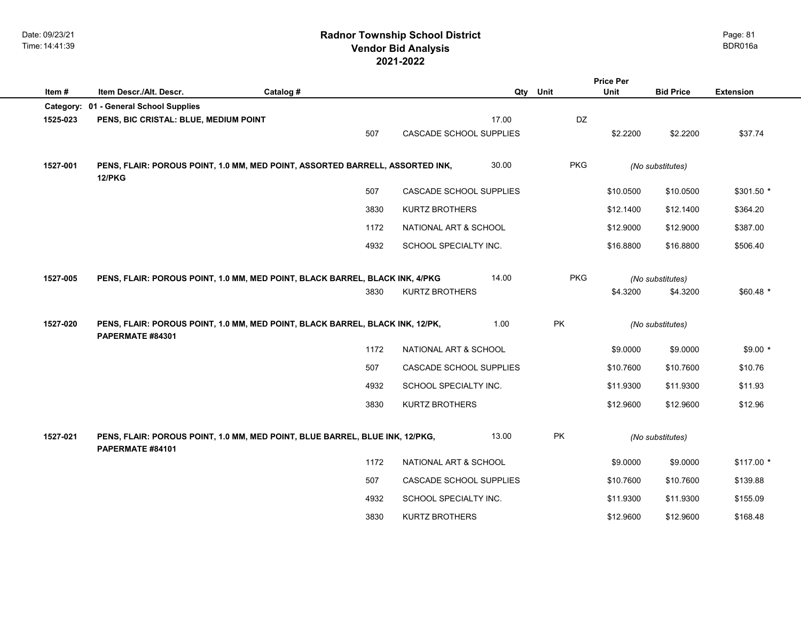# **2021-2022 Radnor Township School District Vendor Bid Analysis** BDR016a

|          |                                                                                                   |           |                         |       |            | <b>Price Per</b> |                  |                  |
|----------|---------------------------------------------------------------------------------------------------|-----------|-------------------------|-------|------------|------------------|------------------|------------------|
| Item#    | Item Descr./Alt. Descr.                                                                           | Catalog # |                         | Qty   | Unit       | Unit             | <b>Bid Price</b> | <b>Extension</b> |
|          | Category: 01 - General School Supplies                                                            |           |                         |       |            |                  |                  |                  |
| 1525-023 | PENS, BIC CRISTAL: BLUE, MEDIUM POINT                                                             |           |                         | 17.00 | DZ         |                  |                  |                  |
|          |                                                                                                   | 507       | CASCADE SCHOOL SUPPLIES |       |            | \$2.2200         | \$2.2200         | \$37.74          |
|          |                                                                                                   |           |                         |       |            |                  |                  |                  |
| 1527-001 | PENS, FLAIR: POROUS POINT, 1.0 MM, MED POINT, ASSORTED BARRELL, ASSORTED INK,<br>12/PKG           |           |                         | 30.00 | <b>PKG</b> |                  | (No substitutes) |                  |
|          |                                                                                                   | 507       | CASCADE SCHOOL SUPPLIES |       |            | \$10.0500        | \$10.0500        | $$301.50$ *      |
|          |                                                                                                   | 3830      | <b>KURTZ BROTHERS</b>   |       |            | \$12.1400        | \$12.1400        | \$364.20         |
|          |                                                                                                   | 1172      | NATIONAL ART & SCHOOL   |       |            | \$12.9000        | \$12.9000        | \$387.00         |
|          |                                                                                                   | 4932      | SCHOOL SPECIALTY INC.   |       |            | \$16.8800        | \$16.8800        | \$506.40         |
|          |                                                                                                   |           |                         |       |            |                  |                  |                  |
| 1527-005 | PENS, FLAIR: POROUS POINT, 1.0 MM, MED POINT, BLACK BARREL, BLACK INK, 4/PKG                      |           |                         | 14.00 | <b>PKG</b> |                  | (No substitutes) |                  |
|          |                                                                                                   | 3830      | <b>KURTZ BROTHERS</b>   |       |            | \$4.3200         | \$4.3200         | $$60.48*$        |
|          |                                                                                                   |           |                         |       |            |                  |                  |                  |
| 1527-020 | PENS, FLAIR: POROUS POINT, 1.0 MM, MED POINT, BLACK BARREL, BLACK INK, 12/PK,<br>PAPERMATE #84301 |           |                         | 1.00  | PK         |                  | (No substitutes) |                  |
|          |                                                                                                   | 1172      | NATIONAL ART & SCHOOL   |       |            | \$9.0000         | \$9.0000         | $$9.00*$         |
|          |                                                                                                   | 507       | CASCADE SCHOOL SUPPLIES |       |            | \$10.7600        | \$10.7600        | \$10.76          |
|          |                                                                                                   | 4932      | SCHOOL SPECIALTY INC.   |       |            | \$11.9300        | \$11.9300        | \$11.93          |
|          |                                                                                                   | 3830      | <b>KURTZ BROTHERS</b>   |       |            | \$12.9600        | \$12.9600        | \$12.96          |
|          |                                                                                                   |           |                         |       |            |                  |                  |                  |
| 1527-021 | PENS, FLAIR: POROUS POINT, 1.0 MM, MED POINT, BLUE BARREL, BLUE INK, 12/PKG,<br>PAPERMATE #84101  |           |                         | 13.00 | PK         |                  | (No substitutes) |                  |
|          |                                                                                                   | 1172      | NATIONAL ART & SCHOOL   |       |            | \$9.0000         | \$9.0000         | $$117.00*$       |
|          |                                                                                                   | 507       | CASCADE SCHOOL SUPPLIES |       |            | \$10.7600        | \$10.7600        | \$139.88         |
|          |                                                                                                   | 4932      | SCHOOL SPECIALTY INC.   |       |            | \$11.9300        | \$11.9300        | \$155.09         |
|          |                                                                                                   | 3830      | <b>KURTZ BROTHERS</b>   |       |            | \$12.9600        | \$12.9600        | \$168.48         |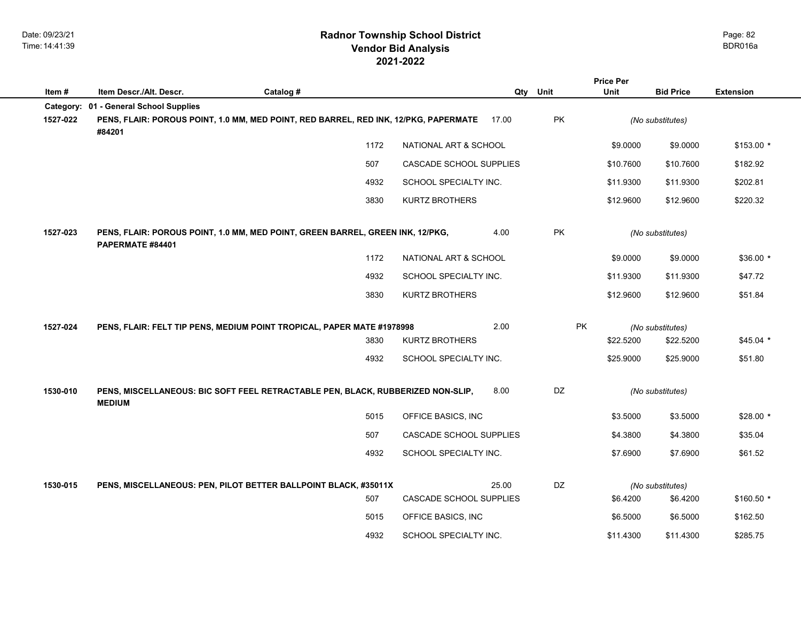|           |                                                                                                    |           |      |                                  |       |           | <b>Price Per</b> |                  |                  |
|-----------|----------------------------------------------------------------------------------------------------|-----------|------|----------------------------------|-------|-----------|------------------|------------------|------------------|
| Item#     | Item Descr./Alt. Descr.                                                                            | Catalog # |      |                                  |       | Qty Unit  | <b>Unit</b>      | <b>Bid Price</b> | <b>Extension</b> |
| Category: | 01 - General School Supplies                                                                       |           |      |                                  |       |           |                  |                  |                  |
| 1527-022  | PENS, FLAIR: POROUS POINT, 1.0 MM, MED POINT, RED BARREL, RED INK, 12/PKG, PAPERMATE<br>#84201     |           |      |                                  | 17.00 | PK        |                  | (No substitutes) |                  |
|           |                                                                                                    |           | 1172 | NATIONAL ART & SCHOOL            |       |           | \$9.0000         | \$9.0000         | $$153.00*$       |
|           |                                                                                                    |           | 507  | CASCADE SCHOOL SUPPLIES          |       |           | \$10.7600        | \$10.7600        | \$182.92         |
|           |                                                                                                    |           | 4932 | SCHOOL SPECIALTY INC.            |       |           | \$11.9300        | \$11.9300        | \$202.81         |
|           |                                                                                                    |           | 3830 | <b>KURTZ BROTHERS</b>            |       |           | \$12.9600        | \$12.9600        | \$220.32         |
| 1527-023  | PENS, FLAIR: POROUS POINT, 1.0 MM, MED POINT, GREEN BARREL, GREEN INK, 12/PKG,<br>PAPERMATE #84401 |           |      |                                  | 4.00  | PK        |                  | (No substitutes) |                  |
|           |                                                                                                    |           | 1172 | <b>NATIONAL ART &amp; SCHOOL</b> |       |           | \$9.0000         | \$9.0000         | $$36.00*$        |
|           |                                                                                                    |           | 4932 | SCHOOL SPECIALTY INC.            |       |           | \$11.9300        | \$11.9300        | \$47.72          |
|           |                                                                                                    |           | 3830 | <b>KURTZ BROTHERS</b>            |       |           | \$12.9600        | \$12.9600        | \$51.84          |
| 1527-024  | PENS, FLAIR: FELT TIP PENS, MEDIUM POINT TROPICAL, PAPER MATE #1978998                             |           |      |                                  | 2.00  | PK        |                  | (No substitutes) |                  |
|           |                                                                                                    |           | 3830 | <b>KURTZ BROTHERS</b>            |       |           | \$22.5200        | \$22.5200        | $$45.04$ *       |
|           |                                                                                                    |           | 4932 | SCHOOL SPECIALTY INC.            |       |           | \$25.9000        | \$25,9000        | \$51.80          |
| 1530-010  | PENS, MISCELLANEOUS: BIC SOFT FEEL RETRACTABLE PEN, BLACK, RUBBERIZED NON-SLIP,<br><b>MEDIUM</b>   |           |      |                                  | 8.00  | DZ        |                  | (No substitutes) |                  |
|           |                                                                                                    |           | 5015 | OFFICE BASICS, INC               |       |           | \$3.5000         | \$3.5000         | $$28.00*$        |
|           |                                                                                                    |           | 507  | CASCADE SCHOOL SUPPLIES          |       |           | \$4.3800         | \$4.3800         | \$35.04          |
|           |                                                                                                    |           | 4932 | SCHOOL SPECIALTY INC.            |       |           | \$7.6900         | \$7.6900         | \$61.52          |
| 1530-015  | PENS, MISCELLANEOUS: PEN, PILOT BETTER BALLPOINT BLACK, #35011X                                    |           |      |                                  | 25.00 | <b>DZ</b> |                  | (No substitutes) |                  |
|           |                                                                                                    |           | 507  | CASCADE SCHOOL SUPPLIES          |       |           | \$6.4200         | \$6.4200         | $$160.50$ *      |
|           |                                                                                                    |           | 5015 | OFFICE BASICS, INC.              |       |           | \$6.5000         | \$6.5000         | \$162.50         |
|           |                                                                                                    |           | 4932 | SCHOOL SPECIALTY INC.            |       |           | \$11.4300        | \$11.4300        | \$285.75         |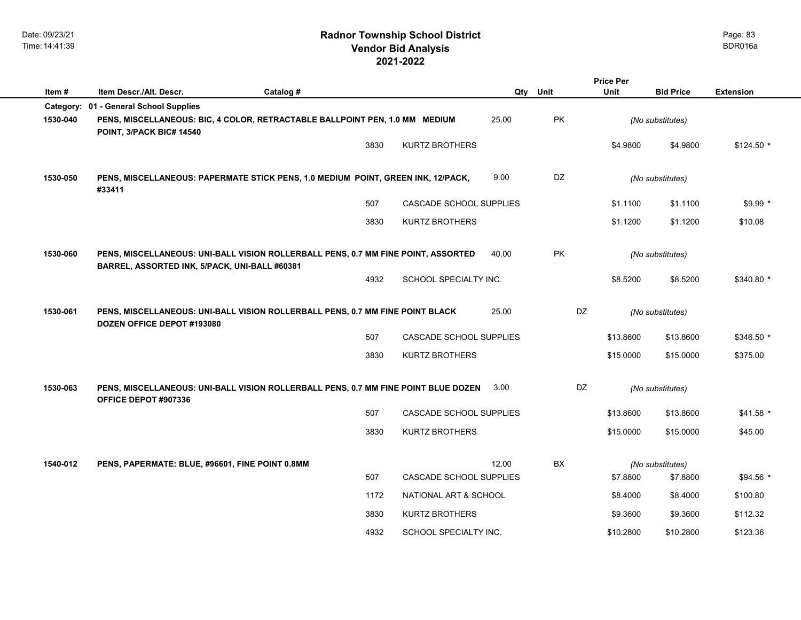|          |                                                                                                                                    |           |      |                         |       |           | <b>Price Per</b> |                  |                  |  |
|----------|------------------------------------------------------------------------------------------------------------------------------------|-----------|------|-------------------------|-------|-----------|------------------|------------------|------------------|--|
| Item #   | Item Descr./Alt. Descr.                                                                                                            | Catalog # |      |                         |       | Qty Unit  | <b>Unit</b>      | <b>Bid Price</b> | <b>Extension</b> |  |
|          | Category: 01 - General School Supplies                                                                                             |           |      |                         |       |           |                  |                  |                  |  |
| 1530-040 | PENS, MISCELLANEOUS: BIC, 4 COLOR, RETRACTABLE BALLPOINT PEN, 1.0 MM MEDIUM<br>POINT, 3/PACK BIC# 14540                            |           |      |                         | 25.00 | <b>PK</b> |                  | (No substitutes) |                  |  |
|          |                                                                                                                                    |           | 3830 | <b>KURTZ BROTHERS</b>   |       |           | \$4.9800         | \$4.9800         | $$124.50*$       |  |
| 1530-050 | PENS, MISCELLANEOUS: PAPERMATE STICK PENS, 1.0 MEDIUM POINT, GREEN INK, 12/PACK,<br>#33411                                         |           |      |                         | 9.00  | DZ        |                  | (No substitutes) |                  |  |
|          |                                                                                                                                    |           | 507  | CASCADE SCHOOL SUPPLIES |       |           | \$1.1100         | \$1.1100         | $$9.99*$         |  |
|          |                                                                                                                                    |           | 3830 | <b>KURTZ BROTHERS</b>   |       |           | \$1.1200         | \$1.1200         | \$10.08          |  |
| 1530-060 | PENS, MISCELLANEOUS: UNI-BALL VISION ROLLERBALL PENS, 0.7 MM FINE POINT, ASSORTED<br>BARREL, ASSORTED INK, 5/PACK, UNI-BALL #60381 |           |      |                         | 40.00 | PK        |                  | (No substitutes) |                  |  |
|          |                                                                                                                                    |           | 4932 | SCHOOL SPECIALTY INC.   |       |           | \$8.5200         | \$8.5200         | \$340.80 *       |  |
| 1530-061 | PENS, MISCELLANEOUS: UNI-BALL VISION ROLLERBALL PENS, 0.7 MM FINE POINT BLACK<br>DOZEN OFFICE DEPOT #193080                        |           |      |                         | 25.00 | DZ        |                  | (No substitutes) |                  |  |
|          |                                                                                                                                    |           | 507  | CASCADE SCHOOL SUPPLIES |       |           | \$13.8600        | \$13.8600        | $$346.50*$       |  |
|          |                                                                                                                                    |           | 3830 | <b>KURTZ BROTHERS</b>   |       |           | \$15.0000        | \$15.0000        | \$375.00         |  |
| 1530-063 | PENS, MISCELLANEOUS: UNI-BALL VISION ROLLERBALL PENS, 0.7 MM FINE POINT BLUE DOZEN<br>OFFICE DEPOT #907336                         |           |      |                         | 3.00  | DZ        |                  | (No substitutes) |                  |  |
|          |                                                                                                                                    |           | 507  | CASCADE SCHOOL SUPPLIES |       |           | \$13.8600        | \$13.8600        | $$41.58$ *       |  |
|          |                                                                                                                                    |           | 3830 | <b>KURTZ BROTHERS</b>   |       |           | \$15.0000        | \$15.0000        | \$45.00          |  |
| 1540-012 | PENS, PAPERMATE: BLUE, #96601, FINE POINT 0.8MM                                                                                    |           |      |                         | 12.00 | BX        |                  | (No substitutes) |                  |  |
|          |                                                                                                                                    |           | 507  | CASCADE SCHOOL SUPPLIES |       |           | \$7.8800         | \$7.8800         | $$94.56*$        |  |
|          |                                                                                                                                    |           | 1172 | NATIONAL ART & SCHOOL   |       |           | \$8.4000         | \$8.4000         | \$100.80         |  |
|          |                                                                                                                                    |           | 3830 | <b>KURTZ BROTHERS</b>   |       |           | \$9.3600         | \$9.3600         | \$112.32         |  |
|          |                                                                                                                                    |           | 4932 | SCHOOL SPECIALTY INC.   |       |           | \$10.2800        | \$10.2800        | \$123.36         |  |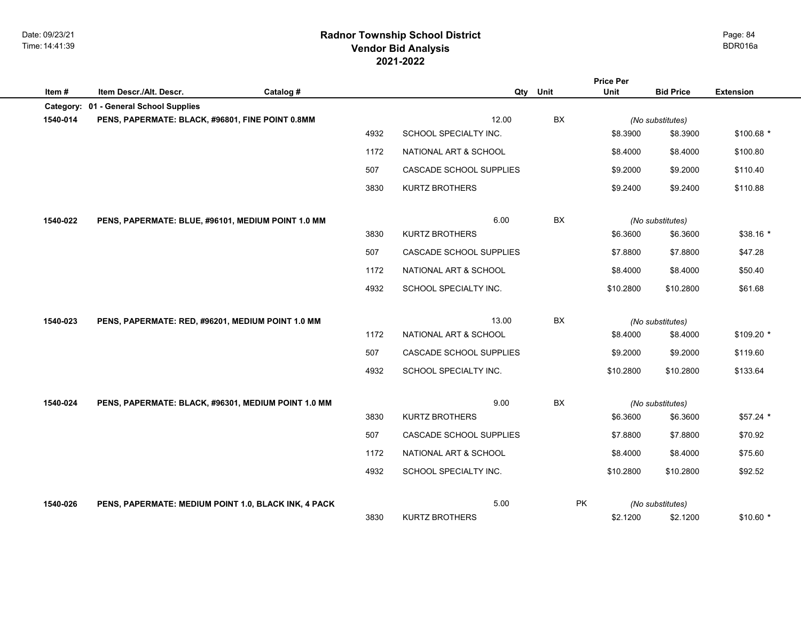# **2021-2022 Radnor Township School District Vendor Bid Analysis** BDR016a

|          |                                                      |           |      |                         |      | <b>Price Per</b> |                              |                  |
|----------|------------------------------------------------------|-----------|------|-------------------------|------|------------------|------------------------------|------------------|
| Item#    | Item Descr./Alt. Descr.                              | Catalog # |      | Qty                     | Unit | Unit             | <b>Bid Price</b>             | <b>Extension</b> |
|          | Category: 01 - General School Supplies               |           |      | 12.00                   | BX   |                  |                              |                  |
| 1540-014 | PENS, PAPERMATE: BLACK, #96801, FINE POINT 0.8MM     |           | 4932 | SCHOOL SPECIALTY INC.   |      | \$8.3900         | (No substitutes)<br>\$8.3900 | $$100.68$ *      |
|          |                                                      |           | 1172 | NATIONAL ART & SCHOOL   |      | \$8,4000         | \$8.4000                     | \$100.80         |
|          |                                                      |           |      |                         |      |                  |                              |                  |
|          |                                                      |           | 507  | CASCADE SCHOOL SUPPLIES |      | \$9.2000         | \$9.2000                     | \$110.40         |
|          |                                                      |           | 3830 | <b>KURTZ BROTHERS</b>   |      | \$9.2400         | \$9.2400                     | \$110.88         |
|          |                                                      |           |      | 6.00                    | BX   |                  |                              |                  |
| 1540-022 | PENS, PAPERMATE: BLUE, #96101, MEDIUM POINT 1.0 MM   |           | 3830 | <b>KURTZ BROTHERS</b>   |      | \$6.3600         | (No substitutes)<br>\$6.3600 | $$38.16*$        |
|          |                                                      |           |      |                         |      |                  |                              |                  |
|          |                                                      |           | 507  | CASCADE SCHOOL SUPPLIES |      | \$7.8800         | \$7.8800                     | \$47.28          |
|          |                                                      |           | 1172 | NATIONAL ART & SCHOOL   |      | \$8.4000         | \$8.4000                     | \$50.40          |
|          |                                                      |           | 4932 | SCHOOL SPECIALTY INC.   |      | \$10.2800        | \$10.2800                    | \$61.68          |
|          |                                                      |           |      |                         |      |                  |                              |                  |
| 1540-023 | PENS, PAPERMATE: RED, #96201, MEDIUM POINT 1.0 MM    |           |      | 13.00                   | BX   |                  | (No substitutes)             |                  |
|          |                                                      |           | 1172 | NATIONAL ART & SCHOOL   |      | \$8.4000         | \$8.4000                     | $$109.20$ *      |
|          |                                                      |           | 507  | CASCADE SCHOOL SUPPLIES |      | \$9.2000         | \$9.2000                     | \$119.60         |
|          |                                                      |           | 4932 | SCHOOL SPECIALTY INC.   |      | \$10.2800        | \$10.2800                    | \$133.64         |
|          |                                                      |           |      |                         |      |                  |                              |                  |
| 1540-024 | PENS, PAPERMATE: BLACK, #96301, MEDIUM POINT 1.0 MM  |           |      | 9.00                    | BX   |                  | (No substitutes)             |                  |
|          |                                                      |           | 3830 | <b>KURTZ BROTHERS</b>   |      | \$6.3600         | \$6.3600                     | $$57.24$ *       |
|          |                                                      |           | 507  | CASCADE SCHOOL SUPPLIES |      | \$7.8800         | \$7.8800                     | \$70.92          |
|          |                                                      |           | 1172 | NATIONAL ART & SCHOOL   |      | \$8.4000         | \$8.4000                     | \$75.60          |
|          |                                                      |           | 4932 | SCHOOL SPECIALTY INC.   |      | \$10.2800        | \$10.2800                    | \$92.52          |
| 1540-026 | PENS, PAPERMATE: MEDIUM POINT 1.0, BLACK INK, 4 PACK |           |      | 5.00                    | PK   |                  |                              |                  |
|          |                                                      |           | 3830 | <b>KURTZ BROTHERS</b>   |      | \$2.1200         | (No substitutes)<br>\$2.1200 | $$10.60*$        |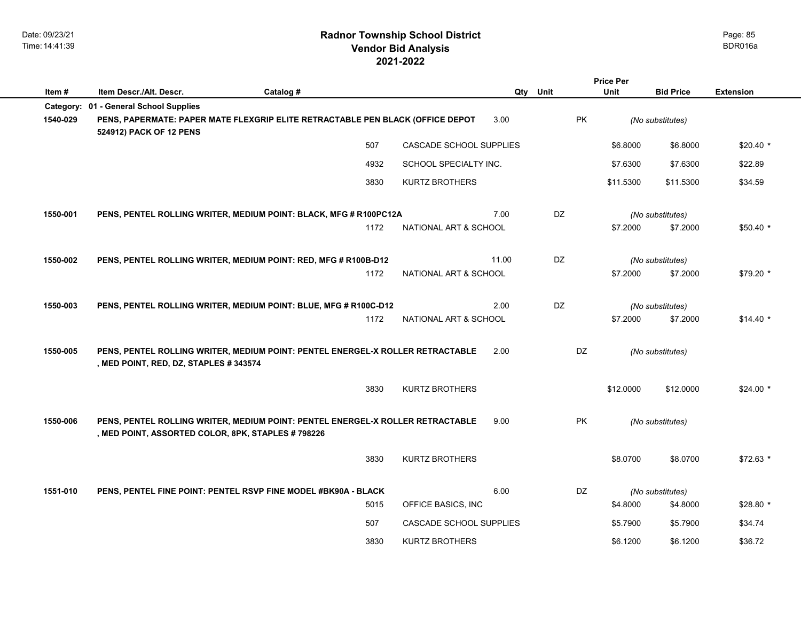|           |                                                    |                                                                                |                         |       |          | <b>Price Per</b> |                  |                  |
|-----------|----------------------------------------------------|--------------------------------------------------------------------------------|-------------------------|-------|----------|------------------|------------------|------------------|
| Item#     | Item Descr./Alt. Descr.                            | Catalog #                                                                      |                         |       | Qty Unit | <b>Unit</b>      | <b>Bid Price</b> | <b>Extension</b> |
| Category: | 01 - General School Supplies                       |                                                                                |                         |       |          |                  |                  |                  |
| 1540-029  | 524912) PACK OF 12 PENS                            | PENS, PAPERMATE: PAPER MATE FLEXGRIP ELITE RETRACTABLE PEN BLACK (OFFICE DEPOT |                         | 3.00  |          | <b>PK</b>        | (No substitutes) |                  |
|           |                                                    | 507                                                                            | CASCADE SCHOOL SUPPLIES |       |          | \$6.8000         | \$6.8000         | $$20.40*$        |
|           |                                                    | 4932                                                                           | SCHOOL SPECIALTY INC.   |       |          | \$7.6300         | \$7.6300         | \$22.89          |
|           |                                                    | 3830                                                                           | <b>KURTZ BROTHERS</b>   |       |          | \$11.5300        | \$11.5300        | \$34.59          |
| 1550-001  |                                                    | PENS, PENTEL ROLLING WRITER, MEDIUM POINT: BLACK, MFG # R100PC12A              |                         | 7.00  | DZ       |                  | (No substitutes) |                  |
|           |                                                    | 1172                                                                           | NATIONAL ART & SCHOOL   |       |          | \$7.2000         | \$7.2000         | $$50.40$ *       |
| 1550-002  |                                                    | PENS, PENTEL ROLLING WRITER, MEDIUM POINT: RED, MFG # R100B-D12                |                         | 11.00 | DZ       |                  | (No substitutes) |                  |
|           |                                                    | 1172                                                                           | NATIONAL ART & SCHOOL   |       |          | \$7.2000         | \$7.2000         | $$79.20$ *       |
| 1550-003  |                                                    | PENS, PENTEL ROLLING WRITER, MEDIUM POINT: BLUE, MFG # R100C-D12               |                         | 2.00  | DZ       |                  | (No substitutes) |                  |
|           |                                                    | 1172                                                                           | NATIONAL ART & SCHOOL   |       |          | \$7.2000         | \$7.2000         | $$14.40*$        |
| 1550-005  | , MED POINT, RED, DZ, STAPLES #343574              | PENS, PENTEL ROLLING WRITER, MEDIUM POINT: PENTEL ENERGEL-X ROLLER RETRACTABLE |                         | 2.00  |          | <b>DZ</b>        | (No substitutes) |                  |
|           |                                                    | 3830                                                                           | <b>KURTZ BROTHERS</b>   |       |          | \$12.0000        | \$12.0000        | $$24.00*$        |
| 1550-006  | , MED POINT, ASSORTED COLOR, 8PK, STAPLES # 798226 | PENS, PENTEL ROLLING WRITER, MEDIUM POINT: PENTEL ENERGEL-X ROLLER RETRACTABLE |                         | 9.00  |          | <b>PK</b>        | (No substitutes) |                  |
|           |                                                    | 3830                                                                           | <b>KURTZ BROTHERS</b>   |       |          | \$8.0700         | \$8.0700         | $$72.63*$        |
| 1551-010  |                                                    | PENS, PENTEL FINE POINT: PENTEL RSVP FINE MODEL #BK90A - BLACK                 |                         | 6.00  |          | DZ               | (No substitutes) |                  |
|           |                                                    | 5015                                                                           | OFFICE BASICS, INC      |       |          | \$4.8000         | \$4.8000         | $$28.80*$        |
|           |                                                    | 507                                                                            | CASCADE SCHOOL SUPPLIES |       |          | \$5.7900         | \$5.7900         | \$34.74          |
|           |                                                    | 3830                                                                           | <b>KURTZ BROTHERS</b>   |       |          | \$6.1200         | \$6.1200         | \$36.72          |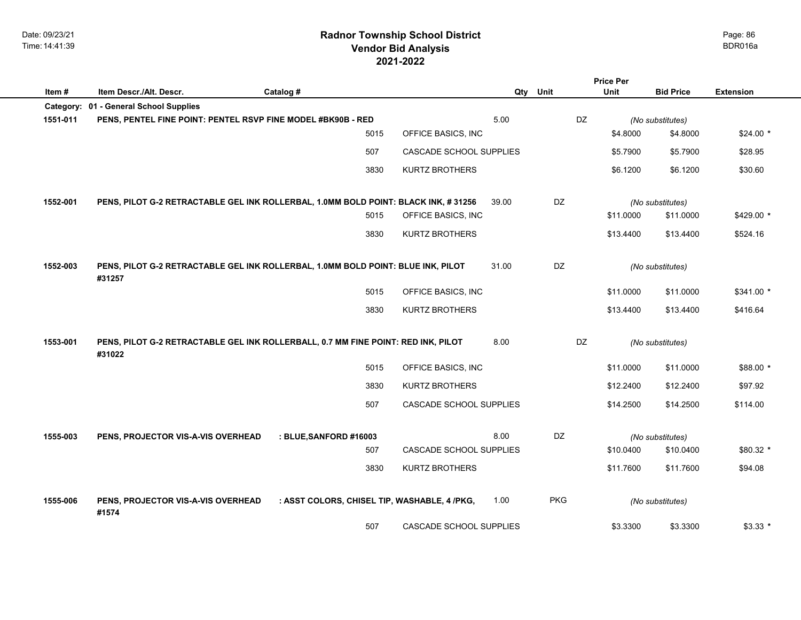# **2021-2022 Radnor Township School District Vendor Bid Analysis** BDR016a

|           |                                                                                             |                                               |      |                         |       |            | <b>Price Per</b> |                  |                  |
|-----------|---------------------------------------------------------------------------------------------|-----------------------------------------------|------|-------------------------|-------|------------|------------------|------------------|------------------|
| Item#     | Item Descr./Alt. Descr.                                                                     | Catalog #                                     |      |                         | Qty   | Unit       | Unit             | <b>Bid Price</b> | <b>Extension</b> |
| Category: | 01 - General School Supplies                                                                |                                               |      |                         |       |            |                  |                  |                  |
| 1551-011  | PENS, PENTEL FINE POINT: PENTEL RSVP FINE MODEL #BK90B - RED                                |                                               |      |                         | 5.00  | DZ         |                  | (No substitutes) |                  |
|           |                                                                                             |                                               | 5015 | OFFICE BASICS, INC      |       |            | \$4.8000         | \$4.8000         | $$24.00*$        |
|           |                                                                                             |                                               | 507  | CASCADE SCHOOL SUPPLIES |       |            | \$5.7900         | \$5.7900         | \$28.95          |
|           |                                                                                             |                                               | 3830 | <b>KURTZ BROTHERS</b>   |       |            | \$6.1200         | \$6.1200         | \$30.60          |
| 1552-001  | PENS, PILOT G-2 RETRACTABLE GEL INK ROLLERBAL, 1.0MM BOLD POINT: BLACK INK, #31256          |                                               |      |                         | 39.00 | DZ         |                  | (No substitutes) |                  |
|           |                                                                                             |                                               | 5015 | OFFICE BASICS, INC      |       |            | \$11.0000        | \$11.0000        | \$429.00 *       |
|           |                                                                                             |                                               | 3830 | <b>KURTZ BROTHERS</b>   |       |            | \$13.4400        | \$13.4400        | \$524.16         |
| 1552-003  | PENS, PILOT G-2 RETRACTABLE GEL INK ROLLERBAL, 1.0MM BOLD POINT: BLUE INK, PILOT<br>#31257  |                                               |      |                         | 31.00 | DZ         |                  | (No substitutes) |                  |
|           |                                                                                             |                                               | 5015 | OFFICE BASICS, INC      |       |            | \$11.0000        | \$11.0000        | $$341.00*$       |
|           |                                                                                             |                                               | 3830 | <b>KURTZ BROTHERS</b>   |       |            | \$13.4400        | \$13.4400        | \$416.64         |
| 1553-001  | PENS, PILOT G-2 RETRACTABLE GEL INK ROLLERBALL, 0.7 MM FINE POINT: RED INK, PILOT<br>#31022 |                                               |      |                         | 8.00  | <b>DZ</b>  |                  | (No substitutes) |                  |
|           |                                                                                             |                                               | 5015 | OFFICE BASICS, INC      |       |            | \$11.0000        | \$11.0000        | \$88.00 *        |
|           |                                                                                             |                                               | 3830 | <b>KURTZ BROTHERS</b>   |       |            | \$12.2400        | \$12.2400        | \$97.92          |
|           |                                                                                             |                                               | 507  | CASCADE SCHOOL SUPPLIES |       |            | \$14.2500        | \$14.2500        | \$114.00         |
| 1555-003  | PENS, PROJECTOR VIS-A-VIS OVERHEAD                                                          | : BLUE, SANFORD #16003                        |      |                         | 8.00  | DZ         |                  | (No substitutes) |                  |
|           |                                                                                             |                                               | 507  | CASCADE SCHOOL SUPPLIES |       |            | \$10.0400        | \$10.0400        | \$80.32 *        |
|           |                                                                                             |                                               | 3830 | <b>KURTZ BROTHERS</b>   |       |            | \$11.7600        | \$11.7600        | \$94.08          |
| 1555-006  | PENS, PROJECTOR VIS-A-VIS OVERHEAD<br>#1574                                                 | : ASST COLORS, CHISEL TIP, WASHABLE, 4 / PKG, |      |                         | 1.00  | <b>PKG</b> |                  | (No substitutes) |                  |
|           |                                                                                             | 507                                           |      | CASCADE SCHOOL SUPPLIES |       |            | \$3.3300         | \$3.3300         | $$3.33*$         |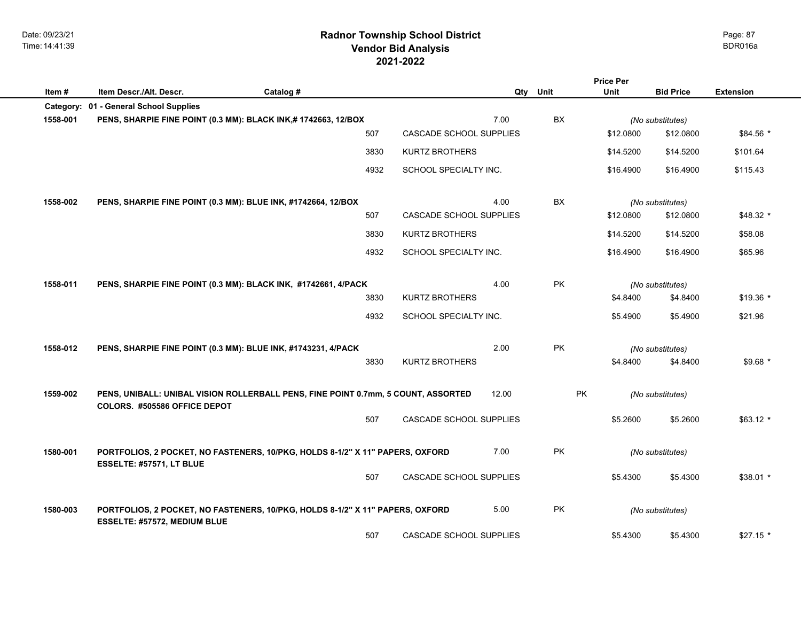# **2021-2022 Radnor Township School District Vendor Bid Analysis** BDR016a

| Item#     | Item Descr./Alt. Descr.                                        | Catalog #                                                                         |                         | Qty Unit |           | <b>Price Per</b><br>Unit | <b>Bid Price</b> | <b>Extension</b> |
|-----------|----------------------------------------------------------------|-----------------------------------------------------------------------------------|-------------------------|----------|-----------|--------------------------|------------------|------------------|
| Category: | 01 - General School Supplies                                   |                                                                                   |                         |          |           |                          |                  |                  |
| 1558-001  | PENS, SHARPIE FINE POINT (0.3 MM): BLACK INK,# 1742663, 12/BOX |                                                                                   |                         | 7.00     | BX        |                          | (No substitutes) |                  |
|           |                                                                | 507                                                                               | CASCADE SCHOOL SUPPLIES |          |           | \$12.0800                | \$12.0800        | \$84.56 *        |
|           |                                                                | 3830                                                                              | <b>KURTZ BROTHERS</b>   |          |           | \$14.5200                | \$14.5200        | \$101.64         |
|           |                                                                | 4932                                                                              | SCHOOL SPECIALTY INC.   |          |           | \$16.4900                | \$16.4900        | \$115.43         |
| 1558-002  | PENS, SHARPIE FINE POINT (0.3 MM): BLUE INK, #1742664, 12/BOX  |                                                                                   |                         | 4.00     | BX        |                          | (No substitutes) |                  |
|           |                                                                | 507                                                                               | CASCADE SCHOOL SUPPLIES |          |           | \$12.0800                | \$12.0800        | $$48.32$ *       |
|           |                                                                | 3830                                                                              | KURTZ BROTHERS          |          |           | \$14.5200                | \$14.5200        | \$58.08          |
|           |                                                                | 4932                                                                              | SCHOOL SPECIALTY INC.   |          |           | \$16.4900                | \$16.4900        | \$65.96          |
| 1558-011  | PENS, SHARPIE FINE POINT (0.3 MM): BLACK INK, #1742661, 4/PACK |                                                                                   |                         | 4.00     | <b>PK</b> |                          | (No substitutes) |                  |
|           |                                                                | 3830                                                                              | <b>KURTZ BROTHERS</b>   |          |           | \$4.8400                 | \$4.8400         | $$19.36*$        |
|           |                                                                | 4932                                                                              | SCHOOL SPECIALTY INC.   |          |           | \$5.4900                 | \$5.4900         | \$21.96          |
| 1558-012  | PENS, SHARPIE FINE POINT (0.3 MM): BLUE INK, #1743231, 4/PACK  |                                                                                   |                         | 2.00     | PK        |                          | (No substitutes) |                  |
|           |                                                                | 3830                                                                              | KURTZ BROTHERS          |          |           | \$4.8400                 | \$4.8400         | $$9.68*$         |
| 1559-002  | COLORS. #505586 OFFICE DEPOT                                   | PENS, UNIBALL: UNIBAL VISION ROLLERBALL PENS, FINE POINT 0.7mm, 5 COUNT, ASSORTED |                         | 12.00    | PK        |                          | (No substitutes) |                  |
|           |                                                                | 507                                                                               | CASCADE SCHOOL SUPPLIES |          |           | \$5.2600                 | \$5.2600         | $$63.12*$        |
| 1580-001  | ESSELTE: #57571, LT BLUE                                       | PORTFOLIOS, 2 POCKET, NO FASTENERS, 10/PKG, HOLDS 8-1/2" X 11" PAPERS, OXFORD     |                         | 7.00     | PK        |                          | (No substitutes) |                  |
|           |                                                                | 507                                                                               | CASCADE SCHOOL SUPPLIES |          |           | \$5.4300                 | \$5.4300         | $$38.01$ *       |
| 1580-003  | ESSELTE: #57572, MEDIUM BLUE                                   | PORTFOLIOS, 2 POCKET, NO FASTENERS, 10/PKG, HOLDS 8-1/2" X 11" PAPERS, OXFORD     |                         | 5.00     | PK        |                          | (No substitutes) |                  |
|           |                                                                | 507                                                                               | CASCADE SCHOOL SUPPLIES |          |           | \$5.4300                 | \$5.4300         | $$27.15$ *       |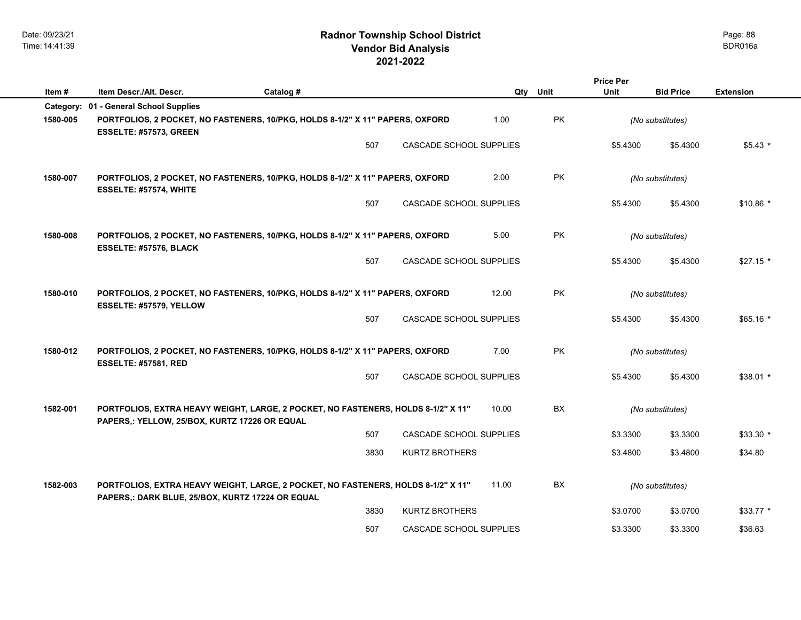|           |                                                                                                          |                                                                                   |                         |       |           | <b>Price Per</b> |                  |                  |
|-----------|----------------------------------------------------------------------------------------------------------|-----------------------------------------------------------------------------------|-------------------------|-------|-----------|------------------|------------------|------------------|
| Item#     | Item Descr./Alt. Descr.                                                                                  | Catalog #                                                                         |                         | Qty   | Unit      | Unit             | <b>Bid Price</b> | <b>Extension</b> |
| Category: | 01 - General School Supplies                                                                             |                                                                                   |                         |       |           |                  |                  |                  |
| 1580-005  | ESSELTE: #57573, GREEN                                                                                   | PORTFOLIOS, 2 POCKET, NO FASTENERS, 10/PKG, HOLDS 8-1/2" X 11" PAPERS, OXFORD     |                         | 1.00  | <b>PK</b> |                  | (No substitutes) |                  |
|           |                                                                                                          | 507                                                                               | CASCADE SCHOOL SUPPLIES |       |           | \$5.4300         | \$5.4300         | $$5.43*$         |
| 1580-007  | ESSELTE: #57574, WHITE                                                                                   | PORTFOLIOS, 2 POCKET, NO FASTENERS, 10/PKG, HOLDS 8-1/2" X 11" PAPERS, OXFORD     |                         | 2.00  | PK        |                  | (No substitutes) |                  |
|           |                                                                                                          | 507                                                                               | CASCADE SCHOOL SUPPLIES |       |           | \$5.4300         | \$5.4300         | $$10.86$ *       |
| 1580-008  | ESSELTE: #57576, BLACK                                                                                   | PORTFOLIOS, 2 POCKET, NO FASTENERS, 10/PKG, HOLDS 8-1/2" X 11" PAPERS, OXFORD     |                         | 5.00  | PK.       |                  | (No substitutes) |                  |
|           |                                                                                                          | 507                                                                               | CASCADE SCHOOL SUPPLIES |       |           | \$5.4300         | \$5.4300         | $$27.15$ *       |
| 1580-010  | PORTFOLIOS, 2 POCKET, NO FASTENERS, 10/PKG, HOLDS 8-1/2" X 11" PAPERS, OXFORD<br>ESSELTE: #57579, YELLOW |                                                                                   |                         |       | <b>PK</b> |                  | (No substitutes) |                  |
|           |                                                                                                          | 507                                                                               | CASCADE SCHOOL SUPPLIES |       |           | \$5.4300         | \$5.4300         | $$65.16*$        |
| 1580-012  | <b>ESSELTE: #57581, RED</b>                                                                              | PORTFOLIOS, 2 POCKET, NO FASTENERS, 10/PKG, HOLDS 8-1/2" X 11" PAPERS, OXFORD     |                         | 7.00  | <b>PK</b> |                  | (No substitutes) |                  |
|           |                                                                                                          | 507                                                                               | CASCADE SCHOOL SUPPLIES |       |           | \$5.4300         | \$5.4300         | $$38.01*$        |
| 1582-001  | PAPERS,: YELLOW, 25/BOX, KURTZ 17226 OR EQUAL                                                            | PORTFOLIOS, EXTRA HEAVY WEIGHT, LARGE, 2 POCKET, NO FASTENERS, HOLDS 8-1/2" X 11" |                         | 10.00 | <b>BX</b> |                  | (No substitutes) |                  |
|           |                                                                                                          | 507                                                                               | CASCADE SCHOOL SUPPLIES |       |           | \$3.3300         | \$3.3300         | $$33.30*$        |
|           |                                                                                                          | 3830                                                                              | <b>KURTZ BROTHERS</b>   |       |           | \$3.4800         | \$3.4800         | \$34.80          |
| 1582-003  | PAPERS,: DARK BLUE, 25/BOX, KURTZ 17224 OR EQUAL                                                         | PORTFOLIOS, EXTRA HEAVY WEIGHT, LARGE, 2 POCKET, NO FASTENERS, HOLDS 8-1/2" X 11" |                         | 11.00 | <b>BX</b> |                  | (No substitutes) |                  |
|           |                                                                                                          | 3830                                                                              | <b>KURTZ BROTHERS</b>   |       |           | \$3.0700         | \$3.0700         | $$33.77$ *       |
|           |                                                                                                          | 507                                                                               | CASCADE SCHOOL SUPPLIES |       |           | \$3.3300         | \$3.3300         | \$36.63          |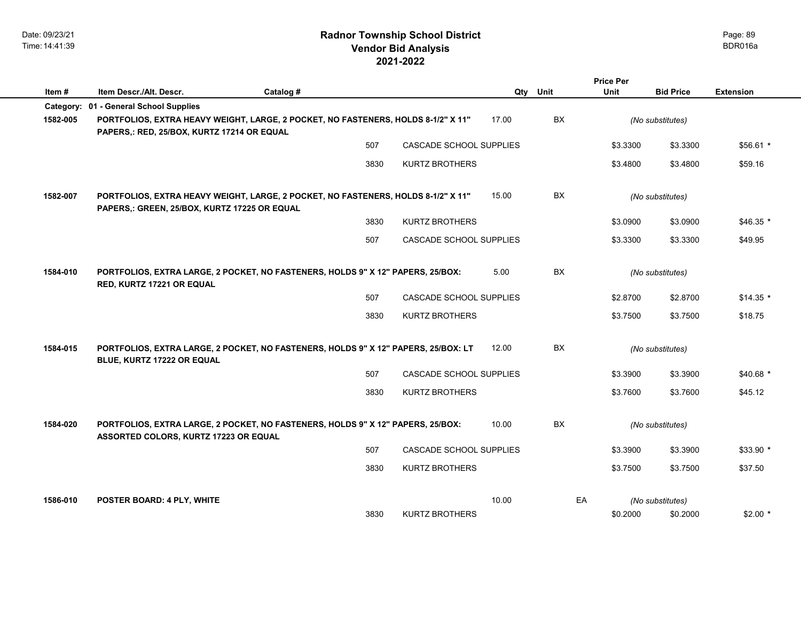|          |                                                                                                                                   |           |      |                         |       |           | <b>Price Per</b> |                  |                  |
|----------|-----------------------------------------------------------------------------------------------------------------------------------|-----------|------|-------------------------|-------|-----------|------------------|------------------|------------------|
| Item #   | Item Descr./Alt. Descr.                                                                                                           | Catalog # |      |                         | Qty   | Unit      | Unit             | <b>Bid Price</b> | <b>Extension</b> |
|          | Category: 01 - General School Supplies                                                                                            |           |      |                         |       |           |                  |                  |                  |
| 1582-005 | PORTFOLIOS, EXTRA HEAVY WEIGHT, LARGE, 2 POCKET, NO FASTENERS, HOLDS 8-1/2" X 11"<br>PAPERS,: RED, 25/BOX, KURTZ 17214 OR EQUAL   |           |      |                         | 17.00 | BX        |                  | (No substitutes) |                  |
|          |                                                                                                                                   |           | 507  | CASCADE SCHOOL SUPPLIES |       |           | \$3.3300         | \$3.3300         | $$56.61*$        |
|          |                                                                                                                                   |           | 3830 | <b>KURTZ BROTHERS</b>   |       |           | \$3.4800         | \$3.4800         | \$59.16          |
| 1582-007 | PORTFOLIOS, EXTRA HEAVY WEIGHT, LARGE, 2 POCKET, NO FASTENERS, HOLDS 8-1/2" X 11"<br>PAPERS,: GREEN, 25/BOX, KURTZ 17225 OR EQUAL |           |      |                         | 15.00 | <b>BX</b> |                  | (No substitutes) |                  |
|          |                                                                                                                                   |           | 3830 | <b>KURTZ BROTHERS</b>   |       |           | \$3.0900         | \$3.0900         | $$46.35$ *       |
|          |                                                                                                                                   |           | 507  | CASCADE SCHOOL SUPPLIES |       |           | \$3.3300         | \$3.3300         | \$49.95          |
| 1584-010 | PORTFOLIOS, EXTRA LARGE, 2 POCKET, NO FASTENERS, HOLDS 9" X 12" PAPERS, 25/BOX:<br>RED, KURTZ 17221 OR EQUAL                      |           |      |                         | 5.00  | <b>BX</b> |                  | (No substitutes) |                  |
|          |                                                                                                                                   |           | 507  | CASCADE SCHOOL SUPPLIES |       |           | \$2.8700         | \$2.8700         | $$14.35$ *       |
|          |                                                                                                                                   |           | 3830 | <b>KURTZ BROTHERS</b>   |       |           | \$3.7500         | \$3.7500         | \$18.75          |
| 1584-015 | PORTFOLIOS, EXTRA LARGE, 2 POCKET, NO FASTENERS, HOLDS 9" X 12" PAPERS, 25/BOX: LT<br>BLUE, KURTZ 17222 OR EQUAL                  |           |      |                         | 12.00 | <b>BX</b> |                  | (No substitutes) |                  |
|          |                                                                                                                                   |           | 507  | CASCADE SCHOOL SUPPLIES |       |           | \$3.3900         | \$3.3900         | $$40.68$ *       |
|          |                                                                                                                                   |           | 3830 | <b>KURTZ BROTHERS</b>   |       |           | \$3.7600         | \$3.7600         | \$45.12          |
| 1584-020 | PORTFOLIOS, EXTRA LARGE, 2 POCKET, NO FASTENERS, HOLDS 9" X 12" PAPERS, 25/BOX:<br>ASSORTED COLORS, KURTZ 17223 OR EQUAL          |           |      |                         | 10.00 | <b>BX</b> |                  | (No substitutes) |                  |
|          |                                                                                                                                   |           | 507  | CASCADE SCHOOL SUPPLIES |       |           | \$3.3900         | \$3.3900         | $$33.90*$        |
|          |                                                                                                                                   |           | 3830 | <b>KURTZ BROTHERS</b>   |       |           | \$3.7500         | \$3.7500         | \$37.50          |
| 1586-010 | <b>POSTER BOARD: 4 PLY, WHITE</b>                                                                                                 |           |      |                         | 10.00 | EA        |                  | (No substitutes) |                  |
|          |                                                                                                                                   |           | 3830 | <b>KURTZ BROTHERS</b>   |       |           | \$0.2000         | \$0.2000         | $$2.00*$         |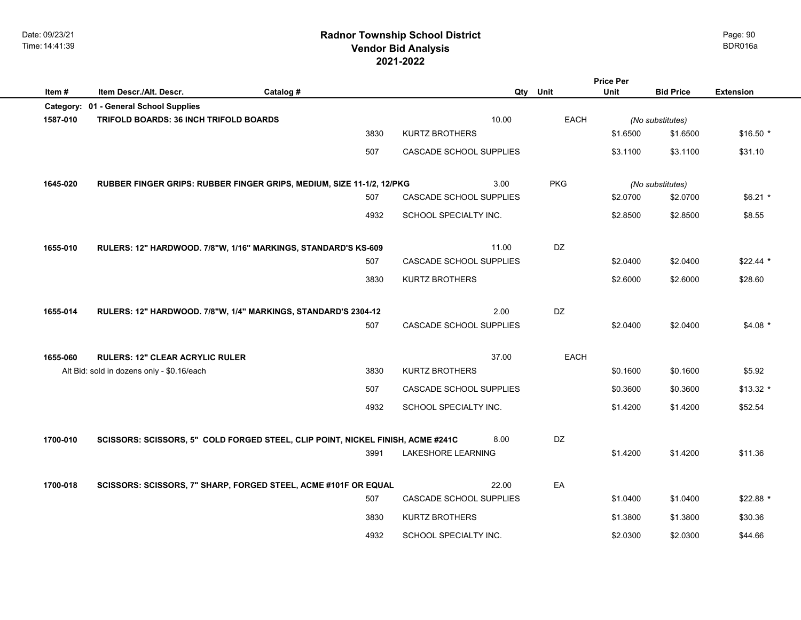|           |                                            |                                                                                 |      |                         |       |             | <b>Price Per</b> |                  |                  |
|-----------|--------------------------------------------|---------------------------------------------------------------------------------|------|-------------------------|-------|-------------|------------------|------------------|------------------|
| Item#     | Item Descr./Alt. Descr.                    | Catalog #                                                                       |      |                         |       | Qty Unit    | Unit             | <b>Bid Price</b> | <b>Extension</b> |
| Category: | 01 - General School Supplies               |                                                                                 |      |                         |       |             |                  |                  |                  |
| 1587-010  | TRIFOLD BOARDS: 36 INCH TRIFOLD BOARDS     |                                                                                 |      |                         | 10.00 | <b>EACH</b> |                  | (No substitutes) |                  |
|           |                                            |                                                                                 | 3830 | <b>KURTZ BROTHERS</b>   |       |             | \$1.6500         | \$1.6500         | $$16.50*$        |
|           |                                            |                                                                                 | 507  | CASCADE SCHOOL SUPPLIES |       |             | \$3.1100         | \$3.1100         | \$31.10          |
| 1645-020  |                                            | RUBBER FINGER GRIPS: RUBBER FINGER GRIPS, MEDIUM, SIZE 11-1/2, 12/PKG           |      |                         | 3.00  | <b>PKG</b>  |                  | (No substitutes) |                  |
|           |                                            |                                                                                 | 507  | CASCADE SCHOOL SUPPLIES |       |             | \$2.0700         | \$2.0700         | $$6.21$ *        |
|           |                                            |                                                                                 | 4932 | SCHOOL SPECIALTY INC.   |       |             | \$2.8500         | \$2.8500         | \$8.55           |
| 1655-010  |                                            | RULERS: 12" HARDWOOD. 7/8"W, 1/16" MARKINGS, STANDARD'S KS-609                  |      |                         | 11.00 | DZ          |                  |                  |                  |
|           |                                            |                                                                                 | 507  | CASCADE SCHOOL SUPPLIES |       |             | \$2.0400         | \$2.0400         | $$22.44*$        |
|           |                                            |                                                                                 | 3830 | <b>KURTZ BROTHERS</b>   |       |             | \$2.6000         | \$2.6000         | \$28.60          |
| 1655-014  |                                            | RULERS: 12" HARDWOOD. 7/8"W, 1/4" MARKINGS, STANDARD'S 2304-12                  |      |                         | 2.00  | DZ          |                  |                  |                  |
|           |                                            |                                                                                 | 507  | CASCADE SCHOOL SUPPLIES |       |             | \$2.0400         | \$2.0400         | $$4.08*$         |
| 1655-060  | <b>RULERS: 12" CLEAR ACRYLIC RULER</b>     |                                                                                 |      |                         | 37.00 | EACH        |                  |                  |                  |
|           | Alt Bid: sold in dozens only - \$0.16/each |                                                                                 | 3830 | <b>KURTZ BROTHERS</b>   |       |             | \$0.1600         | \$0.1600         | \$5.92           |
|           |                                            |                                                                                 | 507  | CASCADE SCHOOL SUPPLIES |       |             | \$0.3600         | \$0.3600         | $$13.32*$        |
|           |                                            |                                                                                 | 4932 | SCHOOL SPECIALTY INC.   |       |             | \$1.4200         | \$1.4200         | \$52.54          |
| 1700-010  |                                            | SCISSORS: SCISSORS, 5" COLD FORGED STEEL, CLIP POINT, NICKEL FINISH, ACME #241C |      |                         | 8.00  | DZ          |                  |                  |                  |

3991 LAKESHORE LEARNING \$1.4200 \$1.4200 \$1.1.36

| 1700-018 | SCISSORS: SCISSORS, 7" SHARP, FORGED STEEL, ACME #101F OR EQUAL | 22.00                   | EA |          |          |            |
|----------|-----------------------------------------------------------------|-------------------------|----|----------|----------|------------|
|          | 507                                                             | CASCADE SCHOOL SUPPLIES |    | \$1.0400 | \$1.0400 | $$22.88$ ' |
|          | 3830                                                            | KURTZ BROTHERS          |    | \$1.3800 | \$1.3800 | \$30.36    |
|          | 4932                                                            | SCHOOL SPECIALTY INC.   |    | \$2.0300 | \$2.0300 | \$44.66    |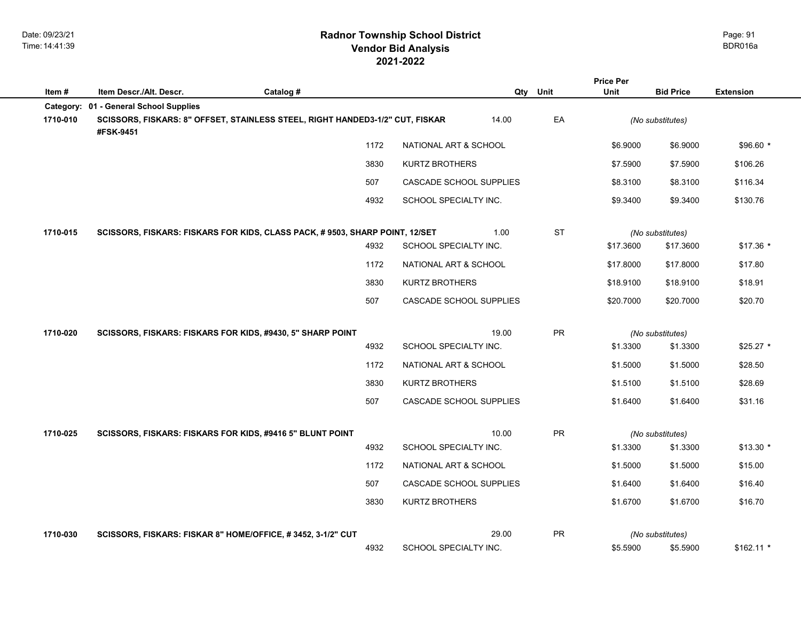|                       |                                                                                                                            |           |      |                         |     |            | <b>Price Per</b> |                  |                  |
|-----------------------|----------------------------------------------------------------------------------------------------------------------------|-----------|------|-------------------------|-----|------------|------------------|------------------|------------------|
| Item#                 | Item Descr./Alt. Descr.                                                                                                    | Catalog # |      |                         | Qty | Unit       | Unit             | <b>Bid Price</b> | <b>Extension</b> |
| Category:<br>1710-010 | 01 - General School Supplies<br>SCISSORS, FISKARS: 8" OFFSET, STAINLESS STEEL, RIGHT HANDED3-1/2" CUT, FISKAR<br>#FSK-9451 |           |      | 14.00                   |     | EA         |                  | (No substitutes) |                  |
|                       |                                                                                                                            |           | 1172 | NATIONAL ART & SCHOOL   |     |            | \$6.9000         | \$6.9000         | $$96.60*$        |
|                       |                                                                                                                            |           | 3830 | <b>KURTZ BROTHERS</b>   |     |            | \$7.5900         | \$7.5900         | \$106.26         |
|                       |                                                                                                                            |           | 507  | CASCADE SCHOOL SUPPLIES |     |            | \$8.3100         | \$8.3100         | \$116.34         |
|                       |                                                                                                                            |           | 4932 | SCHOOL SPECIALTY INC.   |     |            | \$9.3400         | \$9.3400         | \$130.76         |
| 1710-015              | SCISSORS, FISKARS: FISKARS FOR KIDS, CLASS PACK, # 9503, SHARP POINT, 12/SET                                               |           |      | 1.00                    |     | <b>ST</b>  |                  | (No substitutes) |                  |
|                       |                                                                                                                            |           | 4932 | SCHOOL SPECIALTY INC.   |     |            | \$17.3600        | \$17.3600        | $$17.36*$        |
|                       |                                                                                                                            |           | 1172 | NATIONAL ART & SCHOOL   |     |            | \$17.8000        | \$17.8000        | \$17.80          |
|                       |                                                                                                                            |           | 3830 | <b>KURTZ BROTHERS</b>   |     |            | \$18.9100        | \$18.9100        | \$18.91          |
|                       |                                                                                                                            |           | 507  | CASCADE SCHOOL SUPPLIES |     |            | \$20.7000        | \$20.7000        | \$20.70          |
| 1710-020              | SCISSORS, FISKARS: FISKARS FOR KIDS, #9430, 5" SHARP POINT                                                                 |           |      | 19.00                   |     | ${\sf PR}$ |                  | (No substitutes) |                  |
|                       |                                                                                                                            |           | 4932 | SCHOOL SPECIALTY INC.   |     |            | \$1.3300         | \$1.3300         | $$25.27$ *       |
|                       |                                                                                                                            |           | 1172 | NATIONAL ART & SCHOOL   |     |            | \$1.5000         | \$1.5000         | \$28.50          |
|                       |                                                                                                                            |           | 3830 | KURTZ BROTHERS          |     |            | \$1.5100         | \$1.5100         | \$28.69          |
|                       |                                                                                                                            |           | 507  | CASCADE SCHOOL SUPPLIES |     |            | \$1.6400         | \$1.6400         | \$31.16          |
| 1710-025              | SCISSORS, FISKARS: FISKARS FOR KIDS, #9416 5" BLUNT POINT                                                                  |           |      | 10.00                   |     | PR         |                  | (No substitutes) |                  |
|                       |                                                                                                                            |           | 4932 | SCHOOL SPECIALTY INC.   |     |            | \$1.3300         | \$1.3300         | $$13.30$ *       |
|                       |                                                                                                                            |           | 1172 | NATIONAL ART & SCHOOL   |     |            | \$1.5000         | \$1.5000         | \$15.00          |
|                       |                                                                                                                            |           | 507  | CASCADE SCHOOL SUPPLIES |     |            | \$1.6400         | \$1.6400         | \$16.40          |
|                       |                                                                                                                            |           | 3830 | <b>KURTZ BROTHERS</b>   |     |            | \$1.6700         | \$1.6700         | \$16.70          |
| 1710-030              | SCISSORS, FISKARS: FISKAR 8" HOME/OFFICE, #3452, 3-1/2" CUT                                                                |           |      | 29.00                   |     | <b>PR</b>  |                  | (No substitutes) |                  |
|                       |                                                                                                                            |           | 4932 | SCHOOL SPECIALTY INC.   |     |            | \$5.5900         | \$5.5900         | $$162.11$ *      |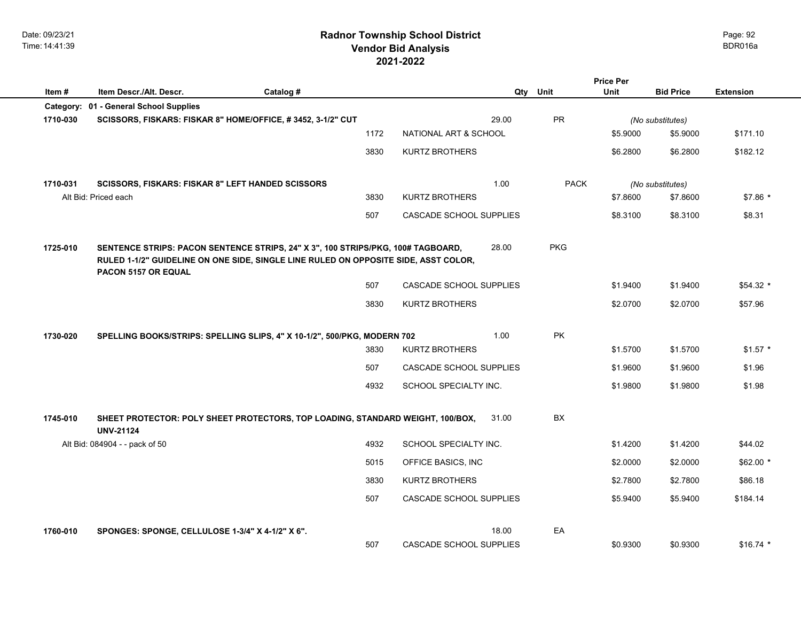# **2021-2022 Radnor Township School District Vendor Bid Analysis** BDR016a

|          |                                                                                                    |           |      |                         |       |             | <b>Price Per</b> |                              |                  |
|----------|----------------------------------------------------------------------------------------------------|-----------|------|-------------------------|-------|-------------|------------------|------------------------------|------------------|
| Item#    | Item Descr./Alt. Descr.                                                                            | Catalog # |      |                         | Qty   | Unit        | <b>Unit</b>      | <b>Bid Price</b>             | <b>Extension</b> |
|          | Category: 01 - General School Supplies                                                             |           |      |                         |       |             |                  |                              |                  |
| 1710-030 | SCISSORS, FISKARS: FISKAR 8" HOME/OFFICE, #3452, 3-1/2" CUT                                        |           |      |                         | 29.00 | PR          |                  | (No substitutes)             |                  |
|          |                                                                                                    |           | 1172 | NATIONAL ART & SCHOOL   |       |             | \$5.9000         | \$5.9000                     | \$171.10         |
|          |                                                                                                    |           | 3830 | <b>KURTZ BROTHERS</b>   |       |             | \$6,2800         | \$6.2800                     | \$182.12         |
| 1710-031 |                                                                                                    |           |      |                         | 1.00  | <b>PACK</b> |                  |                              |                  |
|          | <b>SCISSORS, FISKARS: FISKAR 8" LEFT HANDED SCISSORS</b><br>Alt Bid: Priced each                   |           | 3830 | <b>KURTZ BROTHERS</b>   |       |             | \$7,8600         | (No substitutes)<br>\$7.8600 | $$7.86*$         |
|          |                                                                                                    |           |      |                         |       |             |                  |                              |                  |
|          |                                                                                                    |           | 507  | CASCADE SCHOOL SUPPLIES |       |             | \$8.3100         | \$8.3100                     | \$8.31           |
| 1725-010 | SENTENCE STRIPS: PACON SENTENCE STRIPS, 24" X 3", 100 STRIPS/PKG, 100# TAGBOARD,                   |           |      |                         | 28.00 | <b>PKG</b>  |                  |                              |                  |
|          | RULED 1-1/2" GUIDELINE ON ONE SIDE, SINGLE LINE RULED ON OPPOSITE SIDE, ASST COLOR,                |           |      |                         |       |             |                  |                              |                  |
|          | PACON 5157 OR EQUAL                                                                                |           | 507  | CASCADE SCHOOL SUPPLIES |       |             | \$1.9400         | \$1.9400                     | $$54.32*$        |
|          |                                                                                                    |           |      |                         |       |             |                  |                              |                  |
|          |                                                                                                    |           | 3830 | <b>KURTZ BROTHERS</b>   |       |             | \$2,0700         | \$2.0700                     | \$57.96          |
| 1730-020 |                                                                                                    |           |      |                         | 1.00  | PK          |                  |                              |                  |
|          | SPELLING BOOKS/STRIPS: SPELLING SLIPS, 4" X 10-1/2", 500/PKG, MODERN 702                           |           | 3830 | <b>KURTZ BROTHERS</b>   |       |             | \$1.5700         | \$1.5700                     | $$1.57$ *        |
|          |                                                                                                    |           | 507  | CASCADE SCHOOL SUPPLIES |       |             | \$1.9600         | \$1.9600                     | \$1.96           |
|          |                                                                                                    |           |      |                         |       |             |                  |                              |                  |
|          |                                                                                                    |           | 4932 | SCHOOL SPECIALTY INC.   |       |             | \$1.9800         | \$1.9800                     | \$1.98           |
| 1745-010 | SHEET PROTECTOR: POLY SHEET PROTECTORS, TOP LOADING, STANDARD WEIGHT, 100/BOX,<br><b>UNV-21124</b> |           |      |                         | 31.00 | BX          |                  |                              |                  |
|          | Alt Bid: 084904 - - pack of 50                                                                     |           | 4932 | SCHOOL SPECIALTY INC.   |       |             | \$1.4200         | \$1.4200                     | \$44.02          |
|          |                                                                                                    |           | 5015 | OFFICE BASICS, INC      |       |             | \$2.0000         | \$2.0000                     | $$62.00*$        |
|          |                                                                                                    |           | 3830 | KURTZ BROTHERS          |       |             | \$2.7800         | \$2.7800                     | \$86.18          |
|          |                                                                                                    |           | 507  | CASCADE SCHOOL SUPPLIES |       |             | \$5.9400         | \$5.9400                     | \$184.14         |
|          |                                                                                                    |           |      |                         |       |             |                  |                              |                  |
| 1760-010 | SPONGES: SPONGE, CELLULOSE 1-3/4" X 4-1/2" X 6".                                                   |           |      |                         | 18.00 | EA          |                  |                              |                  |
|          |                                                                                                    |           | 507  | CASCADE SCHOOL SUPPLIES |       |             | \$0.9300         | \$0.9300                     | $$16.74$ *       |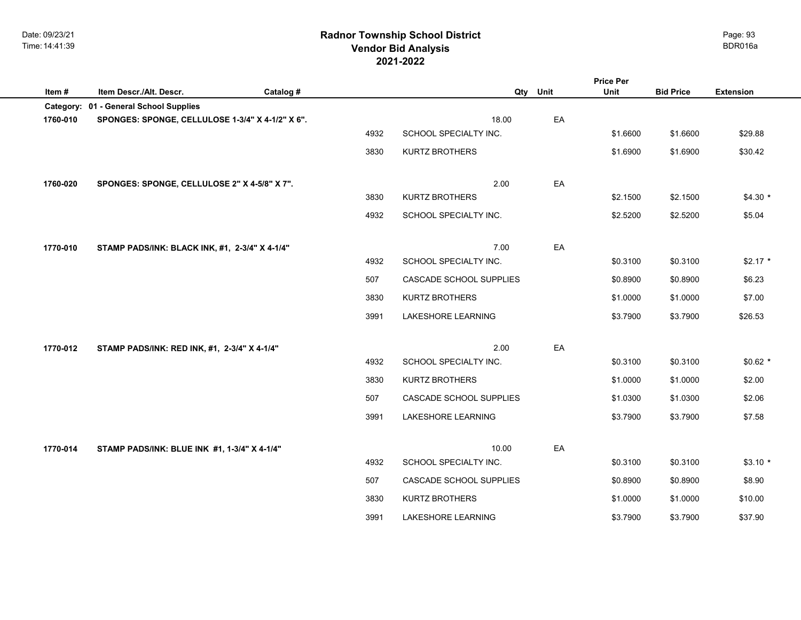# **2021-2022 Radnor Township School District Vendor Bid Analysis** BDR016a

|          |                                                                                            |           |      |                         |          | <b>Price Per</b> |                  |                  |
|----------|--------------------------------------------------------------------------------------------|-----------|------|-------------------------|----------|------------------|------------------|------------------|
| Item#    | Item Descr./Alt. Descr.                                                                    | Catalog # |      |                         | Qty Unit | Unit             | <b>Bid Price</b> | <b>Extension</b> |
| 1760-010 | Category: 01 - General School Supplies<br>SPONGES: SPONGE, CELLULOSE 1-3/4" X 4-1/2" X 6". |           |      | 18.00                   | EA       |                  |                  |                  |
|          |                                                                                            |           | 4932 | SCHOOL SPECIALTY INC.   |          | \$1.6600         | \$1.6600         | \$29.88          |
|          |                                                                                            |           | 3830 | KURTZ BROTHERS          |          | \$1.6900         | \$1.6900         | \$30.42          |
| 1760-020 | SPONGES: SPONGE, CELLULOSE 2" X 4-5/8" X 7".                                               |           |      | 2.00                    | EA       |                  |                  |                  |
|          |                                                                                            |           | 3830 | <b>KURTZ BROTHERS</b>   |          | \$2.1500         | \$2.1500         | $$4.30*$         |
|          |                                                                                            |           | 4932 | SCHOOL SPECIALTY INC.   |          | \$2.5200         | \$2.5200         | \$5.04           |
| 1770-010 | STAMP PADS/INK: BLACK INK, #1, 2-3/4" X 4-1/4"                                             |           |      | 7.00                    | EA       |                  |                  |                  |
|          |                                                                                            |           | 4932 | SCHOOL SPECIALTY INC.   |          | \$0.3100         | \$0.3100         | $$2.17$ *        |
|          |                                                                                            |           | 507  | CASCADE SCHOOL SUPPLIES |          | \$0.8900         | \$0.8900         | \$6.23           |
|          |                                                                                            |           | 3830 | <b>KURTZ BROTHERS</b>   |          | \$1.0000         | \$1.0000         | \$7.00           |
|          |                                                                                            |           | 3991 | LAKESHORE LEARNING      |          | \$3.7900         | \$3.7900         | \$26.53          |
| 1770-012 | STAMP PADS/INK: RED INK, #1, 2-3/4" X 4-1/4"                                               |           |      | 2.00                    | EA       |                  |                  |                  |
|          |                                                                                            |           | 4932 | SCHOOL SPECIALTY INC.   |          | \$0.3100         | \$0.3100         | $$0.62*$         |
|          |                                                                                            |           | 3830 | KURTZ BROTHERS          |          | \$1.0000         | \$1.0000         | \$2.00           |
|          |                                                                                            |           | 507  | CASCADE SCHOOL SUPPLIES |          | \$1.0300         | \$1.0300         | \$2.06           |
|          |                                                                                            |           | 3991 | LAKESHORE LEARNING      |          | \$3.7900         | \$3.7900         | \$7.58           |
| 1770-014 | STAMP PADS/INK: BLUE INK #1, 1-3/4" X 4-1/4"                                               |           |      | 10.00                   | EA       |                  |                  |                  |
|          |                                                                                            |           | 4932 | SCHOOL SPECIALTY INC.   |          | \$0.3100         | \$0.3100         | $$3.10*$         |
|          |                                                                                            |           | 507  | CASCADE SCHOOL SUPPLIES |          | \$0.8900         | \$0.8900         | \$8.90           |
|          |                                                                                            |           | 3830 | KURTZ BROTHERS          |          | \$1.0000         | \$1.0000         | \$10.00          |
|          |                                                                                            |           | 3991 | LAKESHORE LEARNING      |          | \$3.7900         | \$3.7900         | \$37.90          |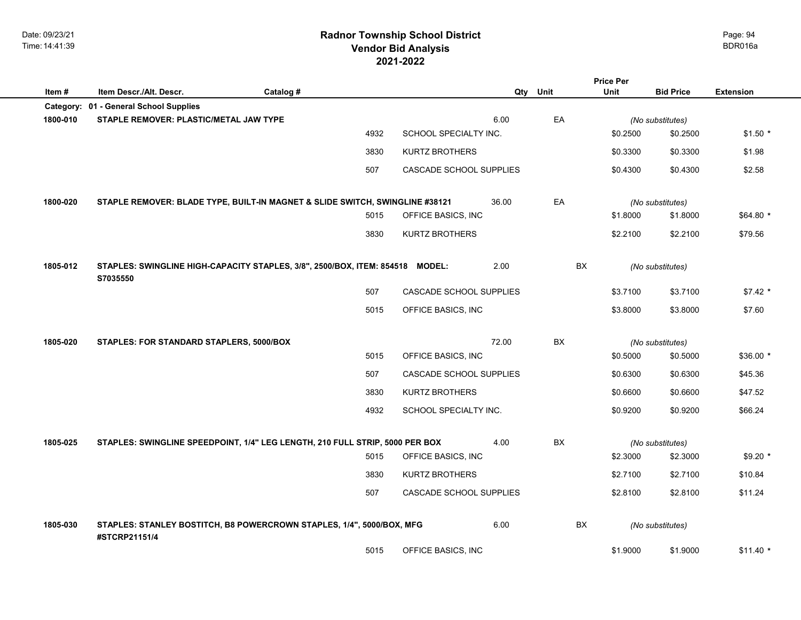# **2021-2022 Radnor Township School District Vendor Bid Analysis** BDR016a

|          |                                                                                           |           |                         |       |           | <b>Price Per</b> |                              |                  |
|----------|-------------------------------------------------------------------------------------------|-----------|-------------------------|-------|-----------|------------------|------------------------------|------------------|
| Item#    | Item Descr./Alt. Descr.                                                                   | Catalog # |                         | Qty   | Unit      | Unit             | <b>Bid Price</b>             | <b>Extension</b> |
| 1800-010 | Category: 01 - General School Supplies<br>STAPLE REMOVER: PLASTIC/METAL JAW TYPE          |           |                         | 6.00  | EA        |                  | (No substitutes)             |                  |
|          |                                                                                           | 4932      | SCHOOL SPECIALTY INC.   |       |           | \$0.2500         | \$0.2500                     | $$1.50*$         |
|          |                                                                                           | 3830      | <b>KURTZ BROTHERS</b>   |       |           | \$0.3300         | \$0.3300                     | \$1.98           |
|          |                                                                                           | 507       | CASCADE SCHOOL SUPPLIES |       |           | \$0.4300         | \$0.4300                     | \$2.58           |
| 1800-020 | STAPLE REMOVER: BLADE TYPE, BUILT-IN MAGNET & SLIDE SWITCH, SWINGLINE #38121              |           |                         | 36.00 | EA        |                  | (No substitutes)             |                  |
|          |                                                                                           | 5015      | OFFICE BASICS, INC      |       |           | \$1.8000         | \$1.8000                     | $$64.80*$        |
|          |                                                                                           | 3830      | <b>KURTZ BROTHERS</b>   |       |           | \$2.2100         | \$2.2100                     | \$79.56          |
| 1805-012 | STAPLES: SWINGLINE HIGH-CAPACITY STAPLES, 3/8", 2500/BOX, ITEM: 854518 MODEL:<br>S7035550 |           |                         | 2.00  |           | BX               | (No substitutes)             |                  |
|          |                                                                                           | 507       | CASCADE SCHOOL SUPPLIES |       |           | \$3.7100         | \$3.7100                     | $$7.42*$         |
|          |                                                                                           | 5015      | OFFICE BASICS, INC      |       |           | \$3.8000         | \$3.8000                     | \$7.60           |
| 1805-020 | STAPLES: FOR STANDARD STAPLERS, 5000/BOX                                                  |           |                         | 72.00 | BX        |                  | (No substitutes)             |                  |
|          |                                                                                           | 5015      | OFFICE BASICS, INC      |       |           | \$0.5000         | \$0.5000                     | $$36.00*$        |
|          |                                                                                           | 507       | CASCADE SCHOOL SUPPLIES |       |           | \$0.6300         | \$0.6300                     | \$45.36          |
|          |                                                                                           | 3830      | <b>KURTZ BROTHERS</b>   |       |           | \$0.6600         | \$0.6600                     | \$47.52          |
|          |                                                                                           | 4932      | SCHOOL SPECIALTY INC.   |       |           | \$0.9200         | \$0.9200                     | \$66.24          |
| 1805-025 | STAPLES: SWINGLINE SPEEDPOINT, 1/4" LEG LENGTH, 210 FULL STRIP, 5000 PER BOX              | 5015      | OFFICE BASICS, INC      | 4.00  | <b>BX</b> | \$2.3000         | (No substitutes)<br>\$2.3000 | $$9.20$ *        |
|          |                                                                                           | 3830      | <b>KURTZ BROTHERS</b>   |       |           | \$2.7100         | \$2.7100                     | \$10.84          |
|          |                                                                                           | 507       | CASCADE SCHOOL SUPPLIES |       |           | \$2.8100         | \$2.8100                     | \$11.24          |
| 1805-030 | STAPLES: STANLEY BOSTITCH, B8 POWERCROWN STAPLES, 1/4", 5000/BOX, MFG<br>#STCRP21151/4    |           |                         | 6.00  |           | <b>BX</b>        | (No substitutes)             |                  |
|          |                                                                                           | 5015      | OFFICE BASICS. INC      |       |           | \$1.9000         | \$1.9000                     | $$11.40$ *       |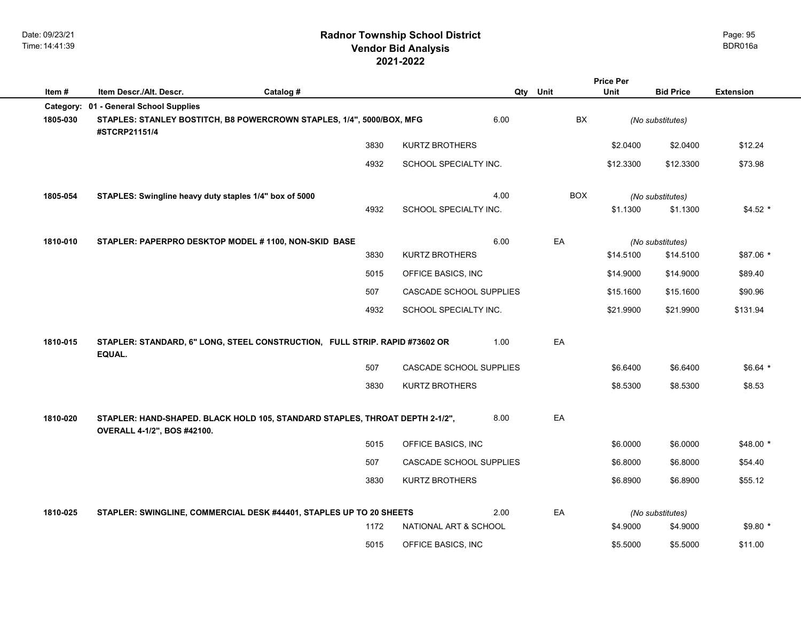|          |                                                                                                             |           |      |                         |      |            | <b>Price Per</b> |                  |                  |
|----------|-------------------------------------------------------------------------------------------------------------|-----------|------|-------------------------|------|------------|------------------|------------------|------------------|
| Item#    | Item Descr./Alt. Descr.                                                                                     | Catalog # |      |                         | Qty  | Unit       | Unit             | <b>Bid Price</b> | <b>Extension</b> |
|          | Category: 01 - General School Supplies                                                                      |           |      |                         |      |            |                  |                  |                  |
| 1805-030 | STAPLES: STANLEY BOSTITCH, B8 POWERCROWN STAPLES, 1/4", 5000/BOX, MFG<br>#STCRP21151/4                      |           |      |                         | 6.00 | BX         |                  | (No substitutes) |                  |
|          |                                                                                                             |           | 3830 | KURTZ BROTHERS          |      |            | \$2.0400         | \$2.0400         | \$12.24          |
|          |                                                                                                             |           | 4932 | SCHOOL SPECIALTY INC.   |      |            | \$12.3300        | \$12.3300        | \$73.98          |
| 1805-054 | STAPLES: Swingline heavy duty staples 1/4" box of 5000                                                      |           |      |                         | 4.00 | <b>BOX</b> |                  | (No substitutes) |                  |
|          |                                                                                                             |           | 4932 | SCHOOL SPECIALTY INC.   |      |            | \$1.1300         | \$1.1300         | $$4.52$ *        |
| 1810-010 | STAPLER: PAPERPRO DESKTOP MODEL #1100, NON-SKID BASE                                                        |           |      |                         | 6.00 | EA         |                  | (No substitutes) |                  |
|          |                                                                                                             |           | 3830 | <b>KURTZ BROTHERS</b>   |      |            | \$14.5100        | \$14.5100        | \$87.06 *        |
|          |                                                                                                             |           | 5015 | OFFICE BASICS, INC      |      |            | \$14.9000        | \$14.9000        | \$89.40          |
|          |                                                                                                             |           | 507  | CASCADE SCHOOL SUPPLIES |      |            | \$15.1600        | \$15.1600        | \$90.96          |
|          |                                                                                                             |           | 4932 | SCHOOL SPECIALTY INC.   |      |            | \$21.9900        | \$21.9900        | \$131.94         |
| 1810-015 | STAPLER: STANDARD, 6" LONG, STEEL CONSTRUCTION, FULL STRIP. RAPID #73602 OR<br>EQUAL.                       |           |      |                         | 1.00 | EA         |                  |                  |                  |
|          |                                                                                                             |           | 507  | CASCADE SCHOOL SUPPLIES |      |            | \$6.6400         | \$6.6400         | \$6.64 *         |
|          |                                                                                                             |           | 3830 | <b>KURTZ BROTHERS</b>   |      |            | \$8.5300         | \$8.5300         | \$8.53           |
| 1810-020 | STAPLER: HAND-SHAPED. BLACK HOLD 105, STANDARD STAPLES, THROAT DEPTH 2-1/2",<br>OVERALL 4-1/2", BOS #42100. |           |      |                         | 8.00 | EA         |                  |                  |                  |
|          |                                                                                                             |           | 5015 | OFFICE BASICS, INC      |      |            | \$6.0000         | \$6.0000         | $$48.00*$        |
|          |                                                                                                             |           | 507  | CASCADE SCHOOL SUPPLIES |      |            | \$6.8000         | \$6.8000         | \$54.40          |
|          |                                                                                                             |           | 3830 | <b>KURTZ BROTHERS</b>   |      |            | \$6.8900         | \$6.8900         | \$55.12          |
| 1810-025 | STAPLER: SWINGLINE, COMMERCIAL DESK #44401, STAPLES UP TO 20 SHEETS                                         |           |      |                         | 2.00 | EA         |                  | (No substitutes) |                  |
|          |                                                                                                             |           | 1172 | NATIONAL ART & SCHOOL   |      |            | \$4,9000         | \$4.9000         | $$9.80*$         |
|          |                                                                                                             |           | 5015 | OFFICE BASICS, INC      |      |            | \$5,5000         | \$5.5000         | \$11.00          |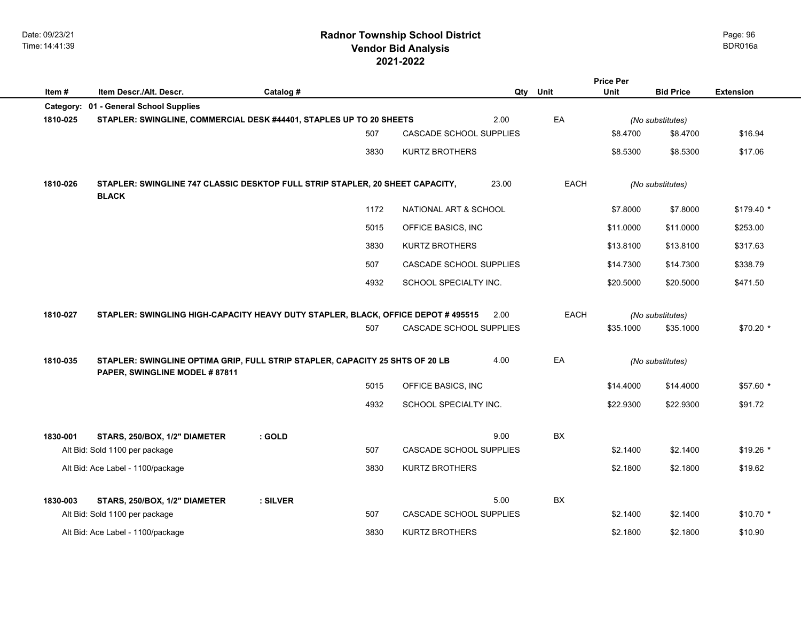| Item#    | Item Descr./Alt. Descr.                                                                                        | Catalog # |      |                         | Qty   | Unit      | <b>Price Per</b><br>Unit | <b>Bid Price</b>              | <b>Extension</b> |
|----------|----------------------------------------------------------------------------------------------------------------|-----------|------|-------------------------|-------|-----------|--------------------------|-------------------------------|------------------|
|          | Category: 01 - General School Supplies                                                                         |           |      |                         |       |           |                          |                               |                  |
| 1810-025 | STAPLER: SWINGLINE, COMMERCIAL DESK #44401, STAPLES UP TO 20 SHEETS                                            |           |      |                         | 2.00  | EA        |                          | (No substitutes)              |                  |
|          |                                                                                                                |           | 507  | CASCADE SCHOOL SUPPLIES |       |           | \$8.4700                 | \$8.4700                      | \$16.94          |
|          |                                                                                                                |           | 3830 | <b>KURTZ BROTHERS</b>   |       |           | \$8.5300                 | \$8.5300                      | \$17.06          |
| 1810-026 | STAPLER: SWINGLINE 747 CLASSIC DESKTOP FULL STRIP STAPLER, 20 SHEET CAPACITY,<br><b>BLACK</b>                  |           |      |                         | 23.00 | EACH      |                          | (No substitutes)              |                  |
|          |                                                                                                                |           | 1172 | NATIONAL ART & SCHOOL   |       |           | \$7.8000                 | \$7.8000                      | $$179.40$ *      |
|          |                                                                                                                |           | 5015 | OFFICE BASICS, INC      |       |           | \$11.0000                | \$11.0000                     | \$253.00         |
|          |                                                                                                                |           | 3830 | <b>KURTZ BROTHERS</b>   |       |           | \$13.8100                | \$13.8100                     | \$317.63         |
|          |                                                                                                                |           | 507  | CASCADE SCHOOL SUPPLIES |       |           | \$14.7300                | \$14.7300                     | \$338.79         |
|          |                                                                                                                |           | 4932 | SCHOOL SPECIALTY INC.   |       |           | \$20.5000                | \$20.5000                     | \$471.50         |
| 1810-027 | STAPLER: SWINGLING HIGH-CAPACITY HEAVY DUTY STAPLER, BLACK, OFFICE DEPOT #495515                               |           | 507  | CASCADE SCHOOL SUPPLIES | 2.00  | EACH      | \$35.1000                | (No substitutes)<br>\$35.1000 | \$70.20 *        |
| 1810-035 | STAPLER: SWINGLINE OPTIMA GRIP, FULL STRIP STAPLER, CAPACITY 25 SHTS OF 20 LB<br>PAPER, SWINGLINE MODEL #87811 |           |      |                         | 4.00  | EA        |                          | (No substitutes)              |                  |
|          |                                                                                                                |           | 5015 | OFFICE BASICS, INC      |       |           | \$14.4000                | \$14.4000                     | \$57.60 *        |
|          |                                                                                                                |           | 4932 | SCHOOL SPECIALTY INC.   |       |           | \$22.9300                | \$22.9300                     | \$91.72          |
| 1830-001 | STARS, 250/BOX, 1/2" DIAMETER                                                                                  | : GOLD    |      |                         | 9.00  | <b>BX</b> |                          |                               |                  |
|          | Alt Bid: Sold 1100 per package                                                                                 |           | 507  | CASCADE SCHOOL SUPPLIES |       |           | \$2.1400                 | \$2.1400                      | $$19.26$ *       |
|          | Alt Bid: Ace Label - 1100/package                                                                              |           | 3830 | <b>KURTZ BROTHERS</b>   |       |           | \$2.1800                 | \$2.1800                      | \$19.62          |
| 1830-003 | STARS, 250/BOX, 1/2" DIAMETER                                                                                  | : SILVER  |      |                         | 5.00  | BX        |                          |                               |                  |
|          | Alt Bid: Sold 1100 per package                                                                                 |           | 507  | CASCADE SCHOOL SUPPLIES |       |           | \$2.1400                 | \$2.1400                      | $$10.70*$        |
|          | Alt Bid: Ace Label - 1100/package                                                                              |           | 3830 | <b>KURTZ BROTHERS</b>   |       |           | \$2.1800                 | \$2.1800                      | \$10.90          |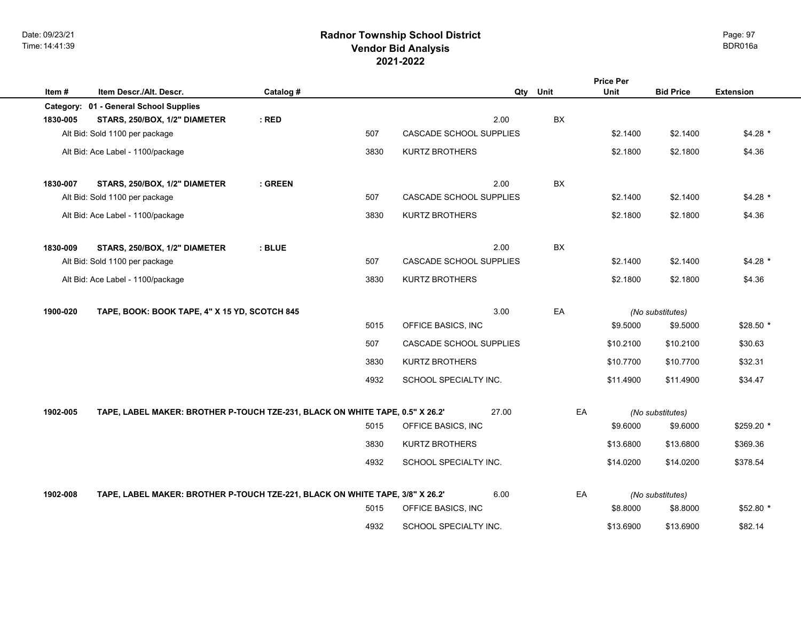# **2021-2022 Radnor Township School District Vendor Bid Analysis** BDR016a

| Item#    | Item Descr./Alt. Descr.                                                       | Catalog # |      | Qty                     | Unit      | <b>Price Per</b><br><b>Unit</b> | <b>Bid Price</b> | <b>Extension</b> |
|----------|-------------------------------------------------------------------------------|-----------|------|-------------------------|-----------|---------------------------------|------------------|------------------|
|          | Category: 01 - General School Supplies                                        |           |      |                         |           |                                 |                  |                  |
| 1830-005 | STARS, 250/BOX, 1/2" DIAMETER                                                 | $:$ RED   |      | 2.00                    | BX        |                                 |                  |                  |
|          | Alt Bid: Sold 1100 per package                                                |           | 507  | CASCADE SCHOOL SUPPLIES |           | \$2.1400                        | \$2.1400         | $$4.28$ *        |
|          | Alt Bid: Ace Label - 1100/package                                             |           | 3830 | <b>KURTZ BROTHERS</b>   |           | \$2.1800                        | \$2.1800         | \$4.36           |
| 1830-007 | STARS, 250/BOX, 1/2" DIAMETER                                                 | : GREEN   |      | 2.00                    | <b>BX</b> |                                 |                  |                  |
|          | Alt Bid: Sold 1100 per package                                                |           | 507  | CASCADE SCHOOL SUPPLIES |           | \$2.1400                        | \$2.1400         | $$4.28$ *        |
|          | Alt Bid: Ace Label - 1100/package                                             |           | 3830 | <b>KURTZ BROTHERS</b>   |           | \$2.1800                        | \$2.1800         | \$4.36           |
| 1830-009 | STARS, 250/BOX, 1/2" DIAMETER                                                 | $:$ BLUE  |      | 2.00                    | <b>BX</b> |                                 |                  |                  |
|          | Alt Bid: Sold 1100 per package                                                |           | 507  | CASCADE SCHOOL SUPPLIES |           | \$2,1400                        | \$2.1400         | $$4.28$ *        |
|          | Alt Bid: Ace Label - 1100/package                                             |           | 3830 | <b>KURTZ BROTHERS</b>   |           | \$2.1800                        | \$2.1800         | \$4.36           |
| 1900-020 | TAPE, BOOK: BOOK TAPE, 4" X 15 YD, SCOTCH 845                                 |           |      | 3.00                    | EA        |                                 | (No substitutes) |                  |
|          |                                                                               |           | 5015 | OFFICE BASICS, INC      |           | \$9.5000                        | \$9.5000         | $$28.50*$        |
|          |                                                                               |           | 507  | CASCADE SCHOOL SUPPLIES |           | \$10.2100                       | \$10.2100        | \$30.63          |
|          |                                                                               |           | 3830 | <b>KURTZ BROTHERS</b>   |           | \$10.7700                       | \$10.7700        | \$32.31          |
|          |                                                                               |           | 4932 | SCHOOL SPECIALTY INC.   |           | \$11.4900                       | \$11.4900        | \$34.47          |
| 1902-005 | TAPE, LABEL MAKER: BROTHER P-TOUCH TZE-231, BLACK ON WHITE TAPE, 0.5" X 26.2' |           |      | 27.00                   |           | EA                              | (No substitutes) |                  |
|          |                                                                               |           | 5015 | OFFICE BASICS, INC      |           | \$9.6000                        | \$9.6000         | \$259.20 *       |
|          |                                                                               |           | 3830 | <b>KURTZ BROTHERS</b>   |           | \$13.6800                       | \$13.6800        | \$369.36         |
|          |                                                                               |           | 4932 | SCHOOL SPECIALTY INC.   |           | \$14.0200                       | \$14.0200        | \$378.54         |
| 1902-008 | TAPE, LABEL MAKER: BROTHER P-TOUCH TZE-221, BLACK ON WHITE TAPE, 3/8" X 26.2' |           |      | 6.00                    |           | EA                              | (No substitutes) |                  |
|          |                                                                               |           | 5015 | OFFICE BASICS, INC      |           | \$8,8000                        | \$8.8000         | $$52.80*$        |
|          |                                                                               |           | 4932 | SCHOOL SPECIALTY INC.   |           | \$13.6900                       | \$13,6900        | \$82.14          |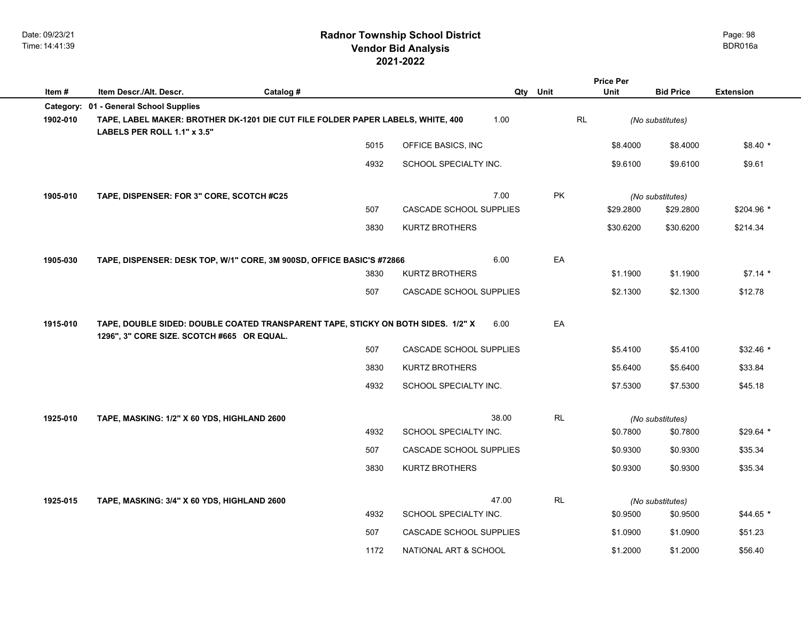|           |                                                                                                                                |           |      |                         |           | <b>Price Per</b> |           |                  |                  |
|-----------|--------------------------------------------------------------------------------------------------------------------------------|-----------|------|-------------------------|-----------|------------------|-----------|------------------|------------------|
| Item#     | Item Descr./Alt. Descr.                                                                                                        | Catalog # |      |                         | Qty Unit  | Unit             |           | <b>Bid Price</b> | <b>Extension</b> |
| Category: | 01 - General School Supplies                                                                                                   |           |      |                         |           |                  |           |                  |                  |
| 1902-010  | TAPE, LABEL MAKER: BROTHER DK-1201 DIE CUT FILE FOLDER PAPER LABELS, WHITE, 400<br>LABELS PER ROLL 1.1" x 3.5"                 |           |      | 1.00                    |           | RL               |           | (No substitutes) |                  |
|           |                                                                                                                                |           | 5015 | OFFICE BASICS, INC      |           |                  | \$8.4000  | \$8.4000         | $$8.40*$         |
|           |                                                                                                                                |           | 4932 | SCHOOL SPECIALTY INC.   |           |                  | \$9.6100  | \$9.6100         | \$9.61           |
| 1905-010  | TAPE, DISPENSER: FOR 3" CORE, SCOTCH #C25                                                                                      |           |      | 7.00                    | <b>PK</b> |                  |           | (No substitutes) |                  |
|           |                                                                                                                                |           | 507  | CASCADE SCHOOL SUPPLIES |           |                  | \$29.2800 | \$29.2800        | $$204.96$ *      |
|           |                                                                                                                                |           | 3830 | <b>KURTZ BROTHERS</b>   |           |                  | \$30.6200 | \$30.6200        | \$214.34         |
| 1905-030  | TAPE, DISPENSER: DESK TOP, W/1" CORE, 3M 900SD, OFFICE BASIC'S #72866                                                          |           |      | 6.00                    | EA        |                  |           |                  |                  |
|           |                                                                                                                                |           | 3830 | <b>KURTZ BROTHERS</b>   |           |                  | \$1.1900  | \$1.1900         | $$7.14*$         |
|           |                                                                                                                                |           | 507  | CASCADE SCHOOL SUPPLIES |           |                  | \$2.1300  | \$2.1300         | \$12.78          |
| 1915-010  | TAPE, DOUBLE SIDED: DOUBLE COATED TRANSPARENT TAPE, STICKY ON BOTH SIDES. 1/2" X<br>1296", 3" CORE SIZE. SCOTCH #665 OR EQUAL. |           |      | 6.00                    | EA        |                  |           |                  |                  |
|           |                                                                                                                                |           | 507  | CASCADE SCHOOL SUPPLIES |           |                  | \$5.4100  | \$5.4100         | $$32.46$ *       |
|           |                                                                                                                                |           | 3830 | <b>KURTZ BROTHERS</b>   |           |                  | \$5.6400  | \$5.6400         | \$33.84          |
|           |                                                                                                                                |           | 4932 | SCHOOL SPECIALTY INC.   |           |                  | \$7.5300  | \$7.5300         | \$45.18          |
| 1925-010  | TAPE, MASKING: 1/2" X 60 YDS, HIGHLAND 2600                                                                                    |           |      | 38.00                   | RL        |                  |           | (No substitutes) |                  |
|           |                                                                                                                                |           | 4932 | SCHOOL SPECIALTY INC.   |           |                  | \$0.7800  | \$0.7800         | $$29.64$ *       |
|           |                                                                                                                                |           | 507  | CASCADE SCHOOL SUPPLIES |           |                  | \$0.9300  | \$0.9300         | \$35.34          |
|           |                                                                                                                                |           | 3830 | <b>KURTZ BROTHERS</b>   |           |                  | \$0.9300  | \$0.9300         | \$35.34          |
| 1925-015  | TAPE, MASKING: 3/4" X 60 YDS, HIGHLAND 2600                                                                                    |           |      | 47.00                   | RL        |                  |           | (No substitutes) |                  |
|           |                                                                                                                                |           | 4932 | SCHOOL SPECIALTY INC.   |           |                  | \$0.9500  | \$0.9500         | $$44.65*$        |
|           |                                                                                                                                |           | 507  | CASCADE SCHOOL SUPPLIES |           |                  | \$1.0900  | \$1.0900         | \$51.23          |
|           |                                                                                                                                |           | 1172 | NATIONAL ART & SCHOOL   |           |                  | \$1.2000  | \$1.2000         | \$56.40          |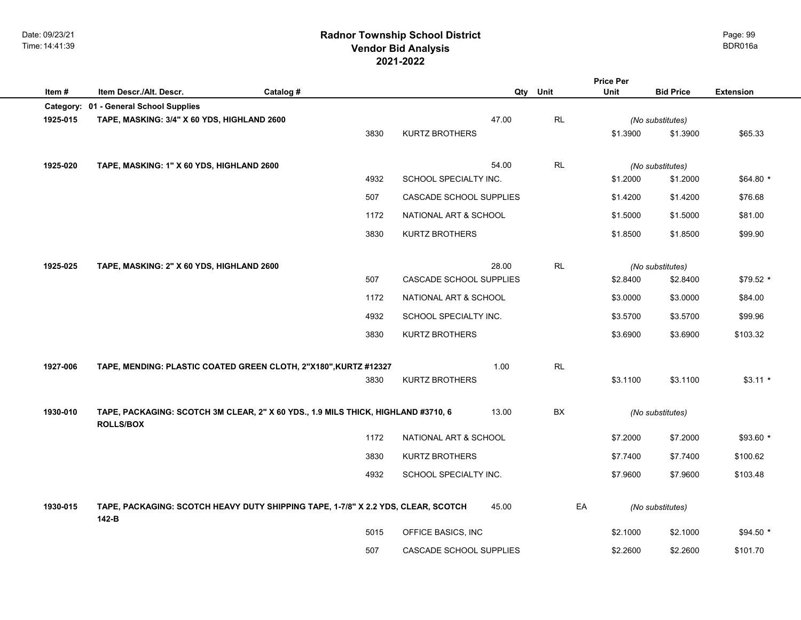# **2021-2022 Radnor Township School District Vendor Bid Analysis** BDR016a

|          |                                             |                                                                                   |                                |          |          | <b>Price Per</b> |                              |                  |
|----------|---------------------------------------------|-----------------------------------------------------------------------------------|--------------------------------|----------|----------|------------------|------------------------------|------------------|
| Item#    | Item Descr./Alt. Descr.                     | Catalog #                                                                         |                                | Qty Unit |          | Unit             | <b>Bid Price</b>             | <b>Extension</b> |
|          | Category: 01 - General School Supplies      |                                                                                   |                                | 47.00    | $\sf RL$ |                  |                              |                  |
| 1925-015 | TAPE, MASKING: 3/4" X 60 YDS, HIGHLAND 2600 | 3830                                                                              | KURTZ BROTHERS                 |          |          | \$1.3900         | (No substitutes)<br>\$1.3900 | \$65.33          |
|          |                                             |                                                                                   |                                |          |          |                  |                              |                  |
| 1925-020 | TAPE, MASKING: 1" X 60 YDS, HIGHLAND 2600   |                                                                                   |                                | 54.00    | RL       |                  | (No substitutes)             |                  |
|          |                                             | 4932                                                                              | SCHOOL SPECIALTY INC.          |          |          | \$1.2000         | \$1.2000                     | \$64.80 *        |
|          |                                             | 507                                                                               | CASCADE SCHOOL SUPPLIES        |          |          | \$1.4200         | \$1.4200                     | \$76.68          |
|          |                                             | 1172                                                                              | NATIONAL ART & SCHOOL          |          |          | \$1.5000         | \$1.5000                     | \$81.00          |
|          |                                             | 3830                                                                              | <b>KURTZ BROTHERS</b>          |          |          | \$1.8500         | \$1.8500                     | \$99.90          |
|          |                                             |                                                                                   |                                |          |          |                  |                              |                  |
| 1925-025 | TAPE, MASKING: 2" X 60 YDS, HIGHLAND 2600   |                                                                                   |                                | 28.00    | RL       |                  | (No substitutes)             |                  |
|          |                                             | 507                                                                               | CASCADE SCHOOL SUPPLIES        |          |          | \$2.8400         | \$2.8400                     | \$79.52 *        |
|          |                                             | 1172                                                                              | NATIONAL ART & SCHOOL          |          |          | \$3.0000         | \$3.0000                     | \$84.00          |
|          |                                             | 4932                                                                              | SCHOOL SPECIALTY INC.          |          |          | \$3.5700         | \$3.5700                     | \$99.96          |
|          |                                             | 3830                                                                              | KURTZ BROTHERS                 |          |          | \$3.6900         | \$3.6900                     | \$103.32         |
|          |                                             |                                                                                   |                                |          |          |                  |                              |                  |
| 1927-006 |                                             | TAPE, MENDING: PLASTIC COATED GREEN CLOTH, 2"X180", KURTZ #12327                  |                                | 1.00     | RL       |                  |                              |                  |
|          |                                             | 3830                                                                              | <b>KURTZ BROTHERS</b>          |          |          | \$3.1100         | \$3.1100                     | $$3.11*$         |
|          |                                             |                                                                                   |                                |          |          |                  |                              |                  |
| 1930-010 | <b>ROLLS/BOX</b>                            | TAPE, PACKAGING: SCOTCH 3M CLEAR, 2" X 60 YDS., 1.9 MILS THICK, HIGHLAND #3710, 6 |                                | 13.00    | BX       |                  | (No substitutes)             |                  |
|          |                                             | 1172                                                                              | NATIONAL ART & SCHOOL          |          |          | \$7.2000         | \$7.2000                     | $$93.60*$        |
|          |                                             | 3830                                                                              | KURTZ BROTHERS                 |          |          | \$7.7400         | \$7.7400                     | \$100.62         |
|          |                                             | 4932                                                                              | SCHOOL SPECIALTY INC.          |          |          | \$7.9600         | \$7.9600                     | \$103.48         |
|          |                                             |                                                                                   |                                |          |          |                  |                              |                  |
| 1930-015 | 142-B                                       | TAPE, PACKAGING: SCOTCH HEAVY DUTY SHIPPING TAPE, 1-7/8" X 2.2 YDS, CLEAR, SCOTCH |                                | 45.00    | EA       |                  | (No substitutes)             |                  |
|          |                                             | 5015                                                                              | OFFICE BASICS, INC             |          |          | \$2.1000         | \$2.1000                     | $$94.50*$        |
|          |                                             | 507                                                                               | <b>CASCADE SCHOOL SUPPLIES</b> |          |          | \$2.2600         | \$2.2600                     | \$101.70         |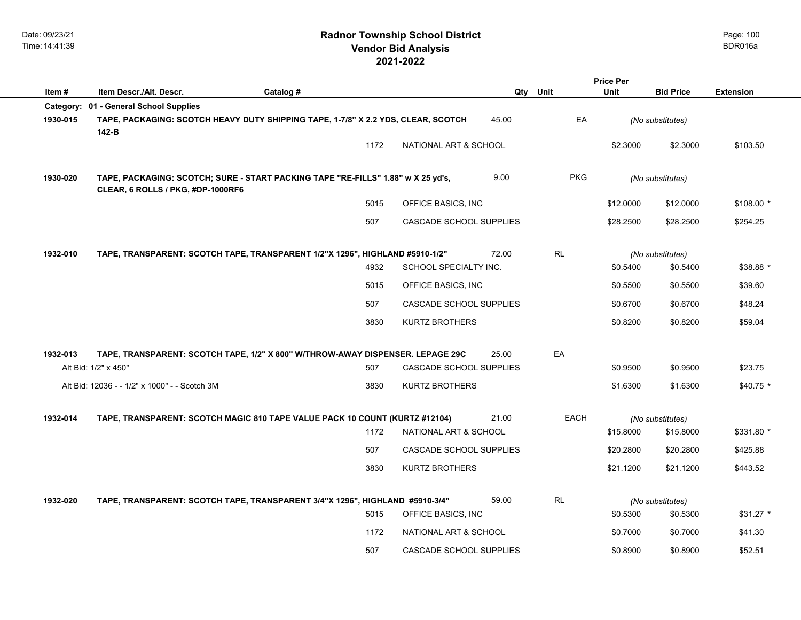|          |                                                                                                                       |           |      |                         |       |             | <b>Price Per</b> |                  |                  |
|----------|-----------------------------------------------------------------------------------------------------------------------|-----------|------|-------------------------|-------|-------------|------------------|------------------|------------------|
| Item#    | Item Descr./Alt. Descr.                                                                                               | Catalog # |      |                         |       | Qty Unit    | Unit             | <b>Bid Price</b> | <b>Extension</b> |
|          | Category: 01 - General School Supplies                                                                                |           |      |                         |       |             |                  |                  |                  |
| 1930-015 | TAPE, PACKAGING: SCOTCH HEAVY DUTY SHIPPING TAPE, 1-7/8" X 2.2 YDS, CLEAR, SCOTCH<br>142-B                            |           |      |                         | 45.00 | EA          |                  | (No substitutes) |                  |
|          |                                                                                                                       |           | 1172 | NATIONAL ART & SCHOOL   |       |             | \$2.3000         | \$2.3000         | \$103.50         |
| 1930-020 | TAPE, PACKAGING: SCOTCH; SURE - START PACKING TAPE "RE-FILLS" 1.88" w X 25 yd's,<br>CLEAR, 6 ROLLS / PKG, #DP-1000RF6 |           |      |                         | 9.00  | <b>PKG</b>  |                  | (No substitutes) |                  |
|          |                                                                                                                       |           | 5015 | OFFICE BASICS, INC      |       |             | \$12.0000        | \$12.0000        | $$108.00*$       |
|          |                                                                                                                       |           | 507  | CASCADE SCHOOL SUPPLIES |       |             | \$28.2500        | \$28.2500        | \$254.25         |
| 1932-010 | TAPE, TRANSPARENT: SCOTCH TAPE, TRANSPARENT 1/2"X 1296", HIGHLAND #5910-1/2"                                          |           |      |                         | 72.00 | RL          |                  | (No substitutes) |                  |
|          |                                                                                                                       |           | 4932 | SCHOOL SPECIALTY INC.   |       |             | \$0.5400         | \$0.5400         | \$38.88 *        |
|          |                                                                                                                       |           | 5015 | OFFICE BASICS, INC      |       |             | \$0.5500         | \$0.5500         | \$39.60          |
|          |                                                                                                                       |           | 507  | CASCADE SCHOOL SUPPLIES |       |             | \$0.6700         | \$0.6700         | \$48.24          |
|          |                                                                                                                       |           | 3830 | <b>KURTZ BROTHERS</b>   |       |             | \$0.8200         | \$0.8200         | \$59.04          |
| 1932-013 | TAPE, TRANSPARENT: SCOTCH TAPE, 1/2" X 800" W/THROW-AWAY DISPENSER. LEPAGE 29C                                        |           |      |                         | 25.00 | EA          |                  |                  |                  |
|          | Alt Bid: 1/2" x 450"                                                                                                  |           | 507  | CASCADE SCHOOL SUPPLIES |       |             | \$0.9500         | \$0.9500         | \$23.75          |
|          | Alt Bid: 12036 - - 1/2" x 1000" - - Scotch 3M                                                                         |           | 3830 | <b>KURTZ BROTHERS</b>   |       |             | \$1.6300         | \$1.6300         | $$40.75$ *       |
| 1932-014 | TAPE, TRANSPARENT: SCOTCH MAGIC 810 TAPE VALUE PACK 10 COUNT (KURTZ #12104)                                           |           |      |                         | 21.00 | <b>EACH</b> |                  | (No substitutes) |                  |
|          |                                                                                                                       |           | 1172 | NATIONAL ART & SCHOOL   |       |             | \$15.8000        | \$15.8000        | $$331.80*$       |
|          |                                                                                                                       |           | 507  | CASCADE SCHOOL SUPPLIES |       |             | \$20.2800        | \$20.2800        | \$425.88         |
|          |                                                                                                                       |           | 3830 | <b>KURTZ BROTHERS</b>   |       |             | \$21.1200        | \$21.1200        | \$443.52         |
| 1932-020 | TAPE, TRANSPARENT: SCOTCH TAPE, TRANSPARENT 3/4"X 1296", HIGHLAND #5910-3/4"                                          |           |      |                         | 59.00 | RL          |                  | (No substitutes) |                  |
|          |                                                                                                                       |           | 5015 | OFFICE BASICS, INC      |       |             | \$0.5300         | \$0.5300         | $$31.27$ *       |
|          |                                                                                                                       |           | 1172 | NATIONAL ART & SCHOOL   |       |             | \$0.7000         | \$0.7000         | \$41.30          |
|          |                                                                                                                       |           | 507  | CASCADE SCHOOL SUPPLIES |       |             | \$0.8900         | \$0.8900         | \$52.51          |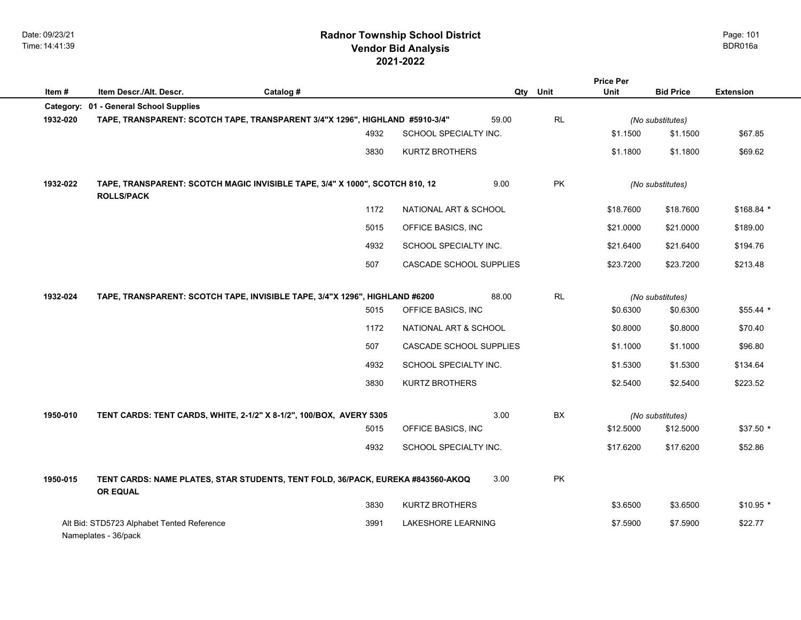| Item#     | Item Descr./Alt. Descr.                                            | Catalog #                                                                       |                         | Unit<br>Qty | <b>Price Per</b><br>Unit | <b>Bid Price</b> | <b>Extension</b> |
|-----------|--------------------------------------------------------------------|---------------------------------------------------------------------------------|-------------------------|-------------|--------------------------|------------------|------------------|
| Category: | 01 - General School Supplies                                       |                                                                                 |                         |             |                          |                  |                  |
| 1932-020  |                                                                    | TAPE, TRANSPARENT: SCOTCH TAPE, TRANSPARENT 3/4"X 1296", HIGHLAND #5910-3/4"    |                         | RL<br>59.00 |                          | (No substitutes) |                  |
|           |                                                                    | 4932                                                                            | SCHOOL SPECIALTY INC.   |             | \$1.1500                 | \$1.1500         | \$67.85          |
|           |                                                                    | 3830                                                                            | KURTZ BROTHERS          |             | \$1.1800                 | \$1.1800         | \$69.62          |
| 1932-022  | <b>ROLLS/PACK</b>                                                  | TAPE, TRANSPARENT: SCOTCH MAGIC INVISIBLE TAPE, 3/4" X 1000", SCOTCH 810, 12    |                         | PK<br>9.00  |                          | (No substitutes) |                  |
|           |                                                                    | 1172                                                                            | NATIONAL ART & SCHOOL   |             | \$18.7600                | \$18.7600        | \$168.84 *       |
|           |                                                                    | 5015                                                                            | OFFICE BASICS, INC      |             | \$21.0000                | \$21.0000        | \$189.00         |
|           |                                                                    | 4932                                                                            | SCHOOL SPECIALTY INC.   |             | \$21.6400                | \$21.6400        | \$194.76         |
|           |                                                                    | 507                                                                             | CASCADE SCHOOL SUPPLIES |             | \$23.7200                | \$23.7200        | \$213.48         |
| 1932-024  |                                                                    | TAPE, TRANSPARENT: SCOTCH TAPE, INVISIBLE TAPE, 3/4"X 1296", HIGHLAND #6200     | 88.00                   | RL          |                          | (No substitutes) |                  |
|           |                                                                    | 5015                                                                            | OFFICE BASICS, INC      |             | \$0.6300                 | \$0.6300         | $$55.44*$        |
|           |                                                                    | 1172                                                                            | NATIONAL ART & SCHOOL   |             | \$0.8000                 | \$0.8000         | \$70.40          |
|           |                                                                    | 507                                                                             | CASCADE SCHOOL SUPPLIES |             | \$1.1000                 | \$1.1000         | \$96.80          |
|           |                                                                    | 4932                                                                            | SCHOOL SPECIALTY INC.   |             | \$1.5300                 | \$1.5300         | \$134.64         |
|           |                                                                    | 3830                                                                            | KURTZ BROTHERS          |             | \$2.5400                 | \$2.5400         | \$223.52         |
| 1950-010  |                                                                    | TENT CARDS: TENT CARDS, WHITE, 2-1/2" X 8-1/2", 100/BOX, AVERY 5305             |                         | BX<br>3.00  |                          | (No substitutes) |                  |
|           |                                                                    | 5015                                                                            | OFFICE BASICS, INC      |             | \$12.5000                | \$12.5000        | \$37.50 *        |
|           |                                                                    | 4932                                                                            | SCHOOL SPECIALTY INC.   |             | \$17.6200                | \$17.6200        | \$52.86          |
| 1950-015  | OR EQUAL                                                           | TENT CARDS: NAME PLATES, STAR STUDENTS, TENT FOLD, 36/PACK, EUREKA #843560-AKOQ |                         | PK<br>3.00  |                          |                  |                  |
|           |                                                                    | 3830                                                                            | KURTZ BROTHERS          |             | \$3.6500                 | \$3.6500         | $$10.95$ *       |
|           | Alt Bid: STD5723 Alphabet Tented Reference<br>Nameplates - 36/pack | 3991                                                                            | LAKESHORE LEARNING      |             | \$7.5900                 | \$7.5900         | \$22.77          |